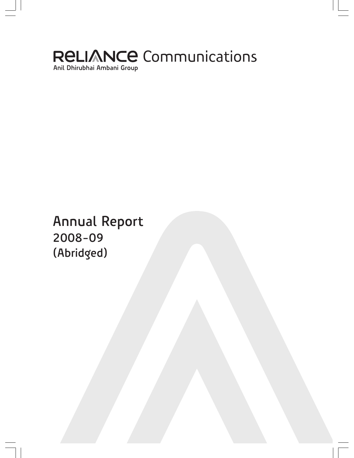

# **Annual Report 2008-09 (Abridged)**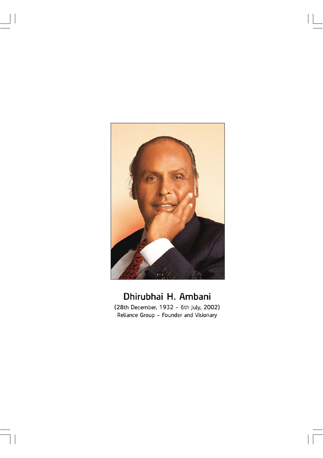

## Dhirubhai H. Ambani

(28th December, 1932 - 6th July, 2002) Reliance Group - Founder and Visionary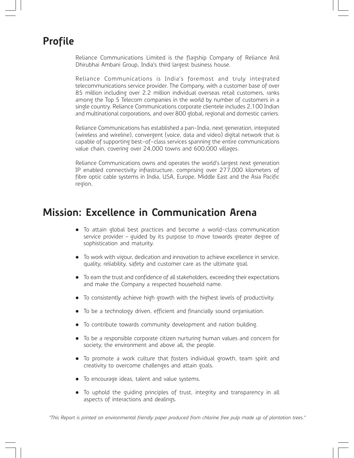# **Profile**

Reliance Communications Limited is the flagship Company of Reliance Anil Dhirubhai Ambani Group, India's third largest business house.

Reliance Communications is India's foremost and truly integrated telecommunications service provider. The Company, with a customer base of over 85 million including over 2.2 million individual overseas retail customers, ranks among the Top 5 Telecom companies in the world by number of customers in a single country. Reliance Communications corporate clientele includes 2,100 Indian and multinational corporations, and over 800 global, regional and domestic carriers.

Reliance Communications has established a pan-India, next generation, integrated (wireless and wireline), convergent (voice, data and video) digital network that is capable of supporting best-of-class services spanning the entire communications value chain, covering over 24,000 towns and 600,000 villages.

Reliance Communications owns and operates the world's largest next generation IP enabled connectivity infrastructure, comprising over 277,000 kilometers of fibre optic cable systems in India, USA, Europe, Middle East and the Asia Pacific region.

## **Mission: Excellence in Communication Arena**

- To attain global best practices and become a world-class communication service provider – guided by its purpose to move towards greater degree of sophistication and maturity.
- To work with vigour, dedication and innovation to achieve excellence in service, quality, reliability, safety and customer care as the ultimate goal.
- To earn the trust and confidence of all stakeholders, exceeding their expectations and make the Company a respected household name.
- To consistently achieve high growth with the highest levels of productivity.
- To be a technology driven, efficient and financially sound organisation.
- To contribute towards community development and nation building.
- To be a responsible corporate citizen nurturing human values and concern for society, the environment and above all, the people.
- To promote a work culture that fosters individual growth, team spirit and creativity to overcome challenges and attain goals.
- To encourage ideas, talent and value systems.
- To uphold the guiding principles of trust, integrity and transparency in all aspects of interactions and dealings.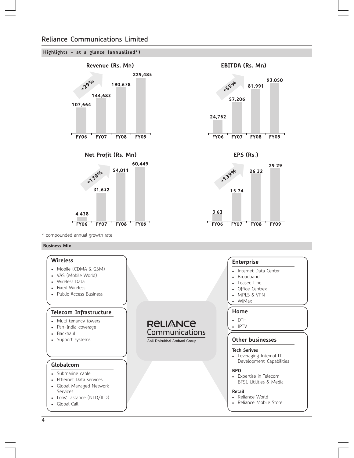### **Reliance Communications Limited**



- Backhaul
- Support systems

#### **Globalcom**

- Submarine cable
- Ethernet Data services
- Global Managed Network Services
- Long Distance (NLD/ILD)
- Global Call

# Communications

Anil Dhirubhai Ambani Group

### **Other businesses**

#### **Tech Serives**

• Leveraging Internal IT Development Capabilities

#### **BPO**

• Expertise in Telecom BFSI, Utilities & Media

#### **Retail**

- Reliance World
- Reliance Mobile Store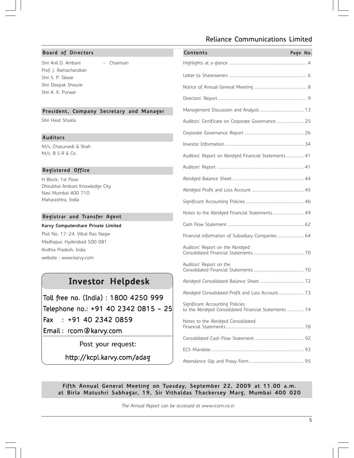## **Reliance Communications Limited**

#### **Board of Directors**

Shri Anil D. Ambani - Chairman Prof. J. Ramachandran Shri S. P. Talwar Shri Deepak Shourie Shri A. K. Purwar

#### **President, Company Secretary and Manager**

Shri Hasit Shukla

#### **Auditors**

M/s. Chaturvedi & Shah M/s. B S R & Co.

#### **Registered Office**

H Block, 1st Floor Dhirubhai Ambani Knowledge City Navi Mumbai 400 710 Maharashtra, India

#### **Registrar and Transfer Agent**

#### **Karvy Computershare Private Limited**

Plot No. 17-24, Vittal Rao Nagar Madhapur, Hyderabad 500 081 Andhra Pradesh, India website : www.karvy.com

## **Investor Helpdesk**

Toll free no. (India) : 1800 4250 999

Telephone no.: +91 40 2342 0815 - 25

Fax : +91 40 2342 0859

Email : rcom@karvy.com

Post your request:

http://kcpl.karvy.com/adag

| Contents                                                                                 | Page No. |  |
|------------------------------------------------------------------------------------------|----------|--|
|                                                                                          |          |  |
|                                                                                          |          |  |
|                                                                                          |          |  |
|                                                                                          |          |  |
|                                                                                          |          |  |
| Auditors' Certificate on Corporate Governance  25                                        |          |  |
|                                                                                          |          |  |
|                                                                                          |          |  |
| Auditors' Report on Abridged Financial Statements 41                                     |          |  |
|                                                                                          |          |  |
|                                                                                          |          |  |
|                                                                                          |          |  |
|                                                                                          |          |  |
| Notes to the Abridged Financial Statements  49                                           |          |  |
|                                                                                          |          |  |
| Financial information of Subsidiary Companies  64                                        |          |  |
| Auditors' Report on the Abridged                                                         |          |  |
| Auditors' Report on the                                                                  |          |  |
|                                                                                          |          |  |
| Abridged Consolidated Profit and Loss Account  73                                        |          |  |
| Significant Accounting Policies<br>to the Abridged Consolidated Financial Statements  74 |          |  |
| Notes to the Abridged Consolidated                                                       |          |  |
|                                                                                          |          |  |
|                                                                                          |          |  |
|                                                                                          |          |  |

**Fifth Annual General Meeting on Tuesday, September 22, 2009 at 11.00 a.m. at Birla Matushri Sabhagar, 19, Sir Vithaldas Thackersey Marg, Mumbai 400 020**

*The Annual Report can be accessed at www.rcom.co.in*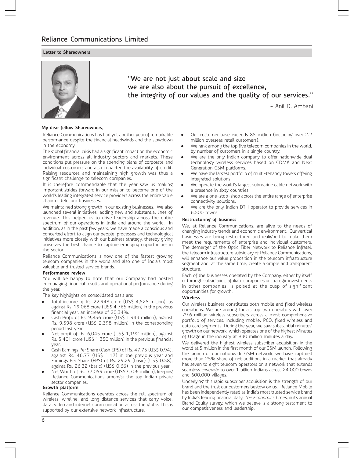#### **Letter to Shareowners**



**"We are not just about scale and size we are also about the pursuit of excellence, the integrity of our values and the quality of our services."**

- Anil D. Ambani

#### **My dear fellow Shareowners,**

Reliance Communications has had yet another year of remarkable performance despite the financial headwinds and the slowdown in the economy.

The global financial crisis had a significant impact on the economic environment across all industry sectors and markets. These conditions put pressure on the spending plans of corporate and individual customers and also impacted the availability of credit. Raising resources and maintaining high growth was thus a significant challenge to telecom companies.

It is therefore commendable that the year saw us making important strides forward in our mission to become one of the world's leading integrated service providers across the entire value chain of telecom businesses.

We maintained strong growth in our existing businesses. We also launched several initiatives, adding new and substantial lines of revenue. This helped us to drive leadership across the entire spectrum of our operations in India and around the world. In addition, as in the past few years, we have made a conscious and concerted effort to align our people, processes and technological initiatives more closely with our business strategy, thereby giving ourselves the best chance to capture emerging opportunities in the sector.

Reliance Communications is now one of the fastest growing telecom companies in the world and also one of India's most valuable and trusted service brands.

#### **Performance review**

You will be happy to note that our Company had posted encouraging financial results and operational performance during the year.

The key highlights on consolidated basis are:

- $\bullet$  Total income of Rs. 22,948 crore (US\$ 4,525 million), as against Rs. 19,068 crore (US\$ 4,765 million) in the previous financial year, an increase of 20.34%.
- $\bullet$  Cash Profit of Rs. 9,856 crore (US\$ 1,943 million), against Rs. 9,598 crore (US\$ 2,398 million) in the corresponding period last year.
- $\bullet$  Net profit of Rs. 6,045 crore (US\$ 1,192 million), against Rs. 5,401 crore (US\$ 1,350 million) in the previous financial year.
- $\bullet$  Cash Earnings Per Share (Cash EPS) of Rs. 47.75 (US\$ 0.94), against Rs. 46.77 (US\$ 1.17) in the previous year and Earnings Per Share (EPS) of Rs. 29.29 (basic) (US\$ 0.58), against Rs. 26.32 (basic) (US\$ 0.66) in the previous year.
- $\bullet$  Net Worth of Rs. 37,059 crore (US\$7,306 million), keeping Reliance Communications amongst the top Indian private sector companies.

#### **Growth platform**

Reliance Communications operates across the full spectrum of wireless, wireline, and long distance services that carry voice, data, video and internet communication across the globe. This is supported by our extensive network infrastructure.

- - Our customer base exceeds 85 million (including over 2.2 million overseas retail customers).
- - We rank among the top five telecom companies in the world, by number of customers in a single country.
- -We are the only Indian company to offer nationwide dual technology wireless services based on CDMA and Next Generation GSM platforms.
- -We have the largest portfolio of multi-tenancy towers offering integrated solutions.
- $\bullet$  We operate the world's largest submarine cable network with a presence in sixty countries.
- - We are a one-stop-shop across the entire range of enterprise connectivity solutions.
- $\bullet$  We are the only Indian DTH operator to provide services in 6,500 towns.

#### **Restructuring of business**

We, at Reliance Communications, are alive to the needs of changing industry trends and economic environment. Our vertical businesses are being restructured and realigned to make them meet the requirements of enterprise and individual customers. The demerger of the Optic Fiber Network to Reliance Infratel, the telecom infrastructure subsidiary of Reliance Communications, will enhance our value proposition in the telecom infrastructure segment and, at the same time, create a simple and transparent structure.

Each of the businesses operated by the Company, either by itself or through subsidiaries, affiliate companies or strategic investments in other companies, is poised at the cusp of significant opportunities for growth.

#### **Wireless**

Our wireless business constitutes both mobile and fixed wireless operations. We are among India's top two operators with over 79.6 million wireless subscribers across a most comprehensive portfolio of services, including mobile, PCO, fixed wireless and data card segments. During the year, we saw substantial minutes' growth on our network, which operates one of the highest Minutes of Usage in the industry at 830 million minutes a day.

We delivered the highest wireless subscriber acquisition in the world at 5 million in the first month of our GSM launch. Following the launch of our nationwide GSM network, we have captured more than 25% share of net additions in a market that already has seven to eight telecom operators on a network that extends seamless coverage to over 1 billion Indians across 24,000 towns and 600,000 villages.

Underlying this rapid subscriber acquisition is the strength of our brand and the trust our customers bestow on us. Reliance Mobile has been independently rated as India's most trusted service brand by India's leading financial daily, The Economics Times, in its annual Brand Equity survey, which we believe is a strong testament to our competitiveness and leadership.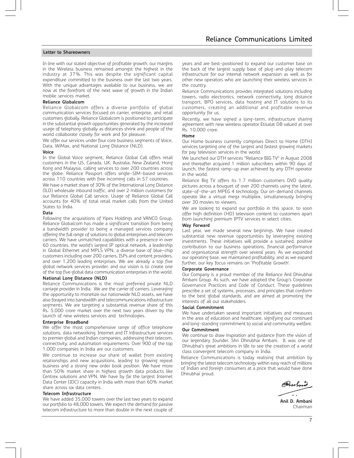#### **Letter to Shareowners**

In line with our stated objective of profitable growth, our margins in the Wireless business remained amongst the highest in the industry at 37%. This was despite the significant capital expenditure committed to the business over the last two years. With the unique advantages available to our business, we are now at the forefront of the next wave of growth in the Indian mobile services market.

#### **Reliance Globalcom**

Reliance Globalcom offers a diverse portfolio of global communication services focused on carrier, enterprise, and retail customers globally. Reliance Globalcom is positioned to participate in the substantial growth opportunities generated by the increased usage of telephony globally as distances shrink and people of the world collaborate closely for work and for pleasure.

We offer our services under four core business segments of Voice, Data, WiMax, and National Long Distance (NLD).

#### **Voice**

In the Global Voice segment, Reliance Global Call offers retail customers in the US, Canada, UK, Australia, New Zealand, Hong Kong and Malaysia, calling services to over 200 countries across the globe. Reliance Passport offers single-SIM-based services across 110 countries with free incoming calls in 57 countries.

We have a market share of 30% of the International Long Distance (ILD) wholesale inbound traffic, and over 2 million customers for our Reliance Global Call service. Usage of Reliance Global Call accounts for 40% of total retail market calls from the United States to India.

#### **Data**

Following the acquisitions of Yipes Holdings and VANCO Group, Reliance Globalcom has made a significant transition from being a bandwidth provider to being a managed services company offering the full range of solutions to global enterprises and telecom carriers. We have unmatched capabilities with a presence in over 60 countries, the world's largest IP optical network, a leadership in Global Ethernet and MPLS VPN, a diverse base of blue-chip customers including over 200 carriers, ISPs and content providers, and over 1,200 leading enterprises. We are already a top five global network services provider, and our vision is to create one of the top five global data communication enterprises in the world.

#### **National Long Distance (NLD)**

Reliance Communications is the most preferred private NLD carriage provider in India. We are the carrier of carriers. Leveraging the opportunity to monetize our nationwide NLD assets, we have also forayed into bandwidth and telecommunications infrastructure segments. We are targeting a substantial revenue share of this Rs. 5,000 crore market over the next two years driven by the launch of new wireless services and technologies.

#### **Enterprise Broadband**

We offer the most comprehensive range of office telephone solutions, data networking, Internet and IT infrastructure services to premier global and Indian companies, addressing their telecom, connectivity, and automation requirements. Over 900 of the top 1,000 companies in India are our customers.

We continue to increase our share of wallet from existing relationships and new acquisitions, leading to growing repeat business and a strong new order book position. We have more than 50% market share in highest growth data products like Centrex solutions and VPN. We have by far the largest Internet Data Center (IDC) capacity in India with more than 60% market share across six data centers.

#### **Telecom Infrastructure**

We have added 35,000 towers over the last two years to expand our portfolio to 48,000 towers. We expect the demand for passive telecom infrastructure to more than double in the next couple of years and are best-positioned to expand our customer base on the back of the largest supply base of plug-and-play telecom infrastructure for our internal network expansion as well as for other new operators who are launching their wireless services in the country.

Reliance Communications provides integrated solutions including towers, radio electronics, network connectivity, long distance transport, BPO services, data hosting and IT solutions to its customers, creating an additional and profitable revenue opportunity for us.

Recently, we have signed a long-term, infrastructure sharing agreement with new wireless operator Etisalat DB valued at over Rs. 10,000 crore.

#### **Home**

Our Home business currently comprises Direct to Home (DTH) services targeting one of the largest and fastest growing markets for pay television services in the world.

We launched our DTH services "Reliance BIG TV" in August 2008 and thereafter acquired 1 million subscribers within 90 days of launch, the fastest ramp-up ever achieved by any DTH operator in the world.

Reliance Big TV offers its 1.7 million customers DVD quality pictures across a bouquet of over 200 channels using the latest, state-of-the-art MPEG 4 technology. Our on-demand channels operate like a virtual mega multiplex, simultaneously bringing over 30 movies to viewers.

We are looking to expand our portfolio in this space, to soon offer high definition (HD) television content to customers apart from launching premium IPTV services in select cities.

#### **Way Forward**

Last year, we made several new beginings. We have created substantial new revenue opportunities by leveraging existing investments. These initiatives will provide a sustained, positive contribution to our business operations, financial performance and organisational strength over several years. As we expanded our operating base, we maintained profitability, and as we expand further, our key focus remains on 'Profitable Growth'.

#### **Corporate Governance**

Our Company is a proud member of the Reliance Anil Dhirubhai Ambani Group. As such, we have adopted the Group's Corporate Governance Practices and Code of Conduct. These guidelines prescribe a set of systems, processes, and principles that conform to the best global standards, and are aimed at promoting the interests of all our stakeholders.

#### **Social Commitment**

We have undertaken several important initiatives and measures in the area of education and healthcare, signifying our continued and long-standing commitment to social and community welfare.

#### **Our Commitment**

We continue to draw inspiration and guidance from the vision of our legendary founder, Shri Dhirubhai Ambani. It was one of Dhirubhai's great ambitions in life to see the creation of a world class convergent telecom company in India.

Reliance Communications is today realising that ambition by bringing the latest telecom technology within easy reach of millions of Indian and foreign consumers at a price that would have done Dhirubhai proud.

Aulno

**Anil D. Ambani** Chairman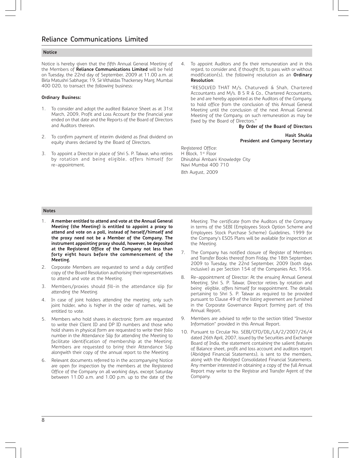#### **Notice**

Notice is hereby given that the fifth Annual General Meeting of the Members of **Reliance Communications Limited** will be held on Tuesday, the 22nd day of September, 2009 at 11.00 a.m. at Birla Matushri Sabhagar, 19, Sir Vithaldas Thackersey Marg, Mumbai 400 020, to transact the following business:

#### **Ordinary Business:**

- 1. To consider and adopt the audited Balance Sheet as at 31st March, 2009, Profit and Loss Account for the financial year ended on that date and the Reports of the Board of Directors and Auditors thereon.
- 2. To confirm payment of interim dividend as final dividend on equity shares declared by the Board of Directors.
- 3. To appoint a Director in place of Shri S. P. Talwar, who retires by rotation and being eligible, offers himself for re-appointment.

4. To appoint Auditors and fix their remuneration and in this regard, to consider and, if thought fit, to pass with or without modification(s), the following resolution as an **Ordinary Resolution**:

"RESOLVED THAT M/s. Chaturvedi & Shah, Chartered Accountants and M/s. B S R & Co., Chartered Accountants, be and are hereby appointed as the Auditors of the Company, to hold office from the conclusion of this Annual General Meeting until the conclusion of the next Annual General Meeting of the Company, on such remuneration as may be fixed by the Board of Directors."

#### **By Order of the Board of Directors**

**Hasit Shukla President and Company Secretary**

Registered Office: H Block, 1st Floor Dhirubhai Ambani Knowledge City Navi Mumbai 400 710 8th August, 2009

#### **Notes**

- 1. **A member entitled to attend and vote at the Annual General Meeting (the Meeting) is entitled to appoint a proxy to attend and vote on a poll, instead of herself/himself and the proxy need not be a Member of the Company. The instrument appointing proxy should, however, be deposited at the Registered Office of the Company not less than forty eight hours before the commencement of the Meeting.**
- 2. Corporate Members are requested to send a duly certified copy of the Board Resolution authorising their representatives to attend and vote at the Meeting.
- 3. Members/proxies should fill-in the attendance slip for attending the Meeting.
- 4. In case of joint holders attending the meeting, only such joint holder, who is higher in the order of names, will be entitled to vote.
- 5. Members who hold shares in electronic form are requested to write their Client ID and DP ID numbers and those who hold shares in physical form are requested to write their folio number in the Attendance Slip for attending the Meeting to facilitate identification of membership at the Meeting. Members are requested to bring their Attendance Slip alongwith their copy of the annual report to the Meeting.
- 6. Relevant documents referred to in the accompanying Notice are open for inspection by the members at the Registered Office of the Company on all working days, except Saturday between 11.00 a.m. and 1.00 p.m. up to the date of the

Meeting. The certificate from the Auditors of the Company in terms of the SEBI (Employees Stock Option Scheme and Employees Stock Purchase Scheme) Guidelines, 1999 for the Company's ESOS Plans will be available for inspection at the Meeting.

- The Company has notified closure of Register of Members and Transfer Books thereof from Friday, the 18th September, 2009 to Tuesday, the 22nd September, 2009 (both days inclusive) as per Section 154 of the Companies Act, 1956.
- 8. Re-appointment of Director: At the ensuing Annual General Meeting, Shri S. P. Talwar, Director retires by rotation and being eligible, offers himself for reappointment. The details pertaining to Shri S. P. Talwar as required to be provided pursuant to Clause 49 of the listing agreement are furnished in the Corporate Governance Report forming part of this Annual Report.
- 9. Members are advised to refer to the section titled "Investor Information" provided in this Annual Report.
- 10. Pursuant to Circular No. SEBI/CFD/DIL/LA/2/2007/26/4 dated 26th April, 2007, issued by the Securities and Exchange Board of India, the statement containing the salient features of Balance sheet, profit and loss account and auditors report (Abridged Financial Statements), is sent to the members, along with the Abridged Consolidated Financial Statements. Any member interested in obtaining a copy of the full Annual Report may write to the Registrar and Transfer Agent of the Company.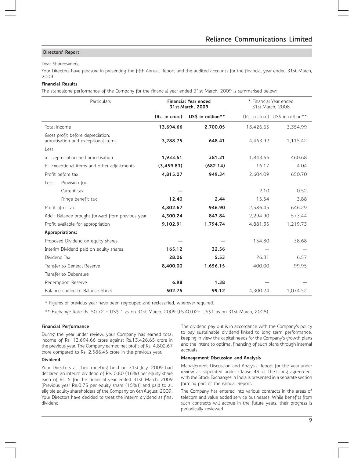#### Dear Shareowners,

Your Directors have pleasure in presenting the fifth Annual Report and the audited accounts for the financial year ended 31st March, 2009.

#### **Financial Results**

The standalone performance of the Company for the financial year ended 31st March, 2009 is summarised below:

| Particulars                                                             | <b>Financial Year ended</b><br>31st March, 2009 |                  | * Financial Year ended<br>31st March, 2008 |                                  |
|-------------------------------------------------------------------------|-------------------------------------------------|------------------|--------------------------------------------|----------------------------------|
|                                                                         | (Rs. in crore)                                  | USS in million** |                                            | (Rs. in crore) US\$ in million** |
| Total income                                                            | 13,694.66                                       | 2,700.05         | 13,426.65                                  | 3,354.99                         |
| Gross profit before depreciation,<br>amortisation and exceptional items | 3,288.75                                        | 648.41           | 4.463.92                                   | 1,115.42                         |
| Less:                                                                   |                                                 |                  |                                            |                                  |
| a. Depreciation and amortisation                                        | 1,933.51                                        | 381.21           | 1.843.66                                   | 460.68                           |
| b. Exceptional items and other adjustments                              | (3, 459.83)                                     | (682.14)         | 16.17                                      | 4.04                             |
| Profit before tax                                                       | 4,815.07                                        | 949.34           | 2,604.09                                   | 650.70                           |
| Provision for:<br>Less:                                                 |                                                 |                  |                                            |                                  |
| Current tax                                                             |                                                 |                  | 2.10                                       | 0.52                             |
| Fringe benefit tax                                                      | 12.40                                           | 2.44             | 15.54                                      | 3.88                             |
| Profit after tax                                                        | 4,802.67                                        | 946.90           | 2,586.45                                   | 646.29                           |
| Add: Balance brought forward from previous year                         | 4,300.24                                        | 847.84           | 2.294.90                                   | 573.44                           |
| Profit available for appropriation                                      | 9,102.91                                        | 1,794.74         | 4,881.35                                   | 1,219.73                         |
| Appropriations:                                                         |                                                 |                  |                                            |                                  |
| Proposed Dividend on equity shares                                      |                                                 |                  | 154.80                                     | 38.68                            |
| Interim Dividend paid on equity shares                                  | 165.12                                          | 32.56            |                                            |                                  |
| Dividend Tax                                                            | 28.06                                           | 5.53             | 26.31                                      | 6.57                             |
| Transfer to General Reserve                                             | 8,400.00                                        | 1,656.15         | 400.00                                     | 99.95                            |
| Transfer to Debenture                                                   |                                                 |                  |                                            |                                  |
| Redemption Reserve                                                      | 6.98                                            | 1.38             |                                            |                                  |
| Balance carried to Balance Sheet                                        | 502.75                                          | 99.12            | 4,300.24                                   | 1,074.52                         |

\* Figures of previous year have been regrouped and reclassified, wherever required.

\*\* Exchange Rate Rs. 50.72 = US\$ 1 as on 31st March, 2009 (Rs.40.02= US\$1 as on 31st March, 2008).

#### **Financial Performance**

During the year under review, your Company has earned total income of Rs. 13,694.66 crore against Rs.13,426.65 crore in the previous year. The Company earned net profit of Rs. 4,802.67 crore compared to Rs. 2,586.45 crore in the previous year.

#### **Dividend**

Your Directors at their meeting held on 31st July, 2009 had declared an interim dividend of Re. 0.80 (16%) per equity share each of Rs. 5 for the financial year ended 31st March, 2009 [Previous year Re.0.75 per equity share (15%)] and paid to all eligible equity shareholders of the Company on 6th August, 2009. Your Directors have decided to treat the interim dividend as final dividend.

The dividend pay out is in accordance with the Company's policy to pay sustainable dividend linked to long term performance, keeping in view the capital needs for the Company's growth plans and the intent to optimal financing of such plans through internal accruals.

#### **Management Discussion and Analysis**

Management Discussion and Analysis Report for the year under review as stipulated under Clause 49 of the listing agreement with the Stock Exchanges in India is presented in a separate section forming part of the Annual Report.

The Company has entered into various contracts in the areas of telecom and value added service businesses. While benefits from such contracts will accrue in the future years, their progress is periodically reviewed.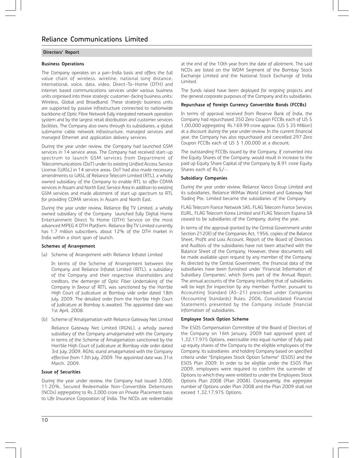#### **Business Operations**

The Company operates on a pan-India basis and offers the full value chain of wireless, wireline, national long distance, international, voice, data, video, Direct-To-Home (DTH) and internet based communications services under various business units organised into three strategic customer-facing business units; Wireless, Global and Broadband. These strategic business units are supported by passive infrastructure connected to nationwide backbone of Optic Fibre Network fully integrated network operation system and by the largest retail distribution and customer services facilities. The Company also owns through its subsidiaries, a global submarine cable network infrastructure, managed services and managed Ethernet and application delivery services.

During the year under review, the Company had launched GSM services in 14 service areas. The Company had received start-up spectrum to launch GSM services from Department of Telecommunications (DoT) under its existing Unified Access Service License (UASL) in 14 service areas. DoT had also made necessary amendments to UASL of Reliance Telecom Limited (RTL), a wholly owned subsidiary of the Company to enable RTL to offer CDMA services in Assam and North East Service Area in addition to existing GSM services and made allotment of start up spectrum to RTL for providing CDMA services in Assam and North East.

During the year under review, Reliance Big TV Limited, a wholly owned subsidiary of the Company launched fully Digital Home Entertainment Direct To Home (DTH) Service on the most advanced MPEG 4 DTH Platform. Reliance Big TV Limited currently has 1.7 million subscribers, about 12% of the DTH market in India within a short span of launch.

#### **Schemes of Arrangement**

(a) Scheme of Arrangement with Reliance Infratel Limited

In terms of the Scheme of Arrangement between the Company and Reliance Infratel Limited (RITL), a subsidiary of the Company and their respective shareholders and creditors, the demerger of Optic Fiber Undertaking of the Company in favour of RITL was sanctioned by the Hon'ble High Court of Judicature at Bombay vide order dated 18th July, 2009. The detailed order from the Hon'ble High Court of Judicature at Bombay is awaited. The appointed date was 1st April, 2008.

(b) Scheme of Amalgamation with Reliance Gateway Net Limited

Reliance Gateway Net Limited (RGNL), a wholly owned subsidiary of the Company amalgamated with the Company in terms of the Scheme of Amalgamation sanctioned by the Hon'ble High Court of Judicature at Bombay vide order dated 3rd July, 2009. RGNL stand amalgamated with the Company effective from 13th July, 2009. The appointed date was 31st March, 2009.

#### **Issue of Securities**

During the year under review, the Company had issued 3,000, 11.20%, Secured Redeemable Non-Convertible Debentures (NCDs) aggregating to Rs.3,000 crore on Private Placement basis to Life Insurance Corporation of India. The NCDs are redeemable

at the end of the 10th year from the date of allotment. The said NCDs are listed on the WDM Segment of the Bombay Stock Exchange Limited and the National Stock Exchange of India Limited.

The funds raised have been deployed for ongoing projects and the general corporate purposes of the Company and its subsidiaries.

#### **Repurchase of Foreign Currency Convertible Bonds (FCCBs)**

In terms of approval received from Reserve Bank of India, the Company had repurchased 350 Zero Coupon FCCBs each of US \$ 1,00,000 aggregating Rs.169.99 crore approx. (US \$ 35 Million) at a discount during the year under review. In the current financial year, the Company has also repurchased and cancelled 297 Zero Coupon FCCBs each of US \$ 1,00,000 at a discount.

The outstanding FCCBs issued by the Company, if converted into the Equity Shares of the Company, would result in increase to the paid up Equity Share Capital of the Company by 8.91 crore Equity Shares each of Rs.5/-.

#### **Subsidiary Companies**

During the year under review, Reliance Vanco Group Limited and its subsidiaries, Reliance WiMax World Limited and Gateway Net Trading Pte. Limited became the subsidiaries of the Company.

FLAG Telecom France Network SAS, FLAG Telecom France Services EURL, FLAG Telecom Korea Limited and FLAG Telecom Espana SA ceased to be subsidiaries of the Company, during the year.

In terms of the approval granted by the Central Government under Section 212(8) of the Companies Act, 1956, copies of the Balance Sheet, Profit and Loss Account, Report of the Board of Directors and Auditors of the subsidiaries have not been attached with the Balance Sheet of the Company. However, these documents will be made available upon request by any member of the Company. As directed by the Central Government, the financial data of the subsidiaries have been furnished under 'Financial Information of Subsidiary Companies', which forms part of the Annual Report. The annual accounts of the Company including that of subsidiaries will be kept for inspection by any member. Further, pursuant to Accounting Standard (AS-21) prescribed under Companies (Accounting Standards) Rules, 2006, Consolidated Financial Statements presented by the Company include financial information of subsidiaries.

#### **Employee Stock Option Scheme**

The ESOS Compensation Committee of the Board of Directors of the Company on 16th January, 2009 had approved grant of 1,32,17,975 Options, exercisable into equal number of fully paid up equity shares of the Company to the eligible employees of the Company, its subsidiaries and holding Company based on specified criteria under "Employees Stock Option Scheme" (ESOS) and the ESOS Plan 2009. In order to be eligible under the ESOS Plan 2009, employees were required to confirm the surrender of Options to which they were entitled to under the Employees Stock Options Plan 2008 (Plan 2008). Consequently, the aggregate number of Options under Plan 2008 and the Plan 2009 shall not exceed 1,32,17,975 Options.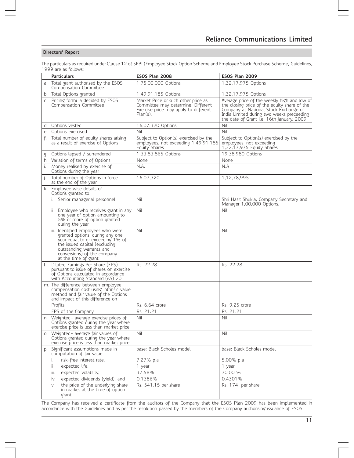The particulars as required under Clause 12 of SEBI (Employee Stock Option Scheme and Employee Stock Purchase Scheme) Guidelines, 1999 are as follows:

|    | <b>Particulars</b>                                                                                                                                                                                                            | <b>ESOS Plan 2008</b>                                                                                                             | <b>ESOS Plan 2009</b>                                                                                                                                                                                                           |
|----|-------------------------------------------------------------------------------------------------------------------------------------------------------------------------------------------------------------------------------|-----------------------------------------------------------------------------------------------------------------------------------|---------------------------------------------------------------------------------------------------------------------------------------------------------------------------------------------------------------------------------|
|    | a. Total grant authorised by the ESOS<br>Compensation Committee                                                                                                                                                               | 1,75,00,000 Options                                                                                                               | 1,32,17,975 Options                                                                                                                                                                                                             |
|    | b. Total Options granted                                                                                                                                                                                                      | 1,49,91,185 Options                                                                                                               | 1,32,17,975 Options                                                                                                                                                                                                             |
| C. | Pricing formula decided by ESOS<br>Compensation Committee                                                                                                                                                                     | Market Price or such other price as<br>Committee may determine. Different<br>Exercise price may apply to different<br>$Plan(s)$ . | Average price of the weekly high and low of<br>the closing price of the equity share of the<br>Company at National Stock Exchange of<br>India Limited during two weeks preceeding<br>the date of Grant i.e; 16th January, 2009. |
|    | d. Options vested                                                                                                                                                                                                             | 16,07,320 Options                                                                                                                 | Nil                                                                                                                                                                                                                             |
| е. | Options exercised                                                                                                                                                                                                             | Nil                                                                                                                               | Nil                                                                                                                                                                                                                             |
| f. | Total number of equity shares arising<br>as a result of exercise of Options                                                                                                                                                   | Subject to Option(s) exercised by the<br>employees, not exceeding 1,49,91,185<br>Equity Shares                                    | Subject to Option(s) exercised by the<br>employees, not exceeding<br>1,32,17,975 Equity Shares                                                                                                                                  |
| g. | Options lapsed / surrendered                                                                                                                                                                                                  | 1,33,83,865 Options                                                                                                               | 19,38,980 Options                                                                                                                                                                                                               |
|    | h. Variation of terms of Options                                                                                                                                                                                              | None                                                                                                                              | None                                                                                                                                                                                                                            |
| i. | Money realised by exercise of<br>Options during the year                                                                                                                                                                      | N.A.                                                                                                                              | N.A                                                                                                                                                                                                                             |
| j. | Total number of Options in force<br>at the end of the year                                                                                                                                                                    | 16,07,320                                                                                                                         | 1,12,78,995                                                                                                                                                                                                                     |
|    | k. Employee wise details of<br>Options granted to:                                                                                                                                                                            |                                                                                                                                   |                                                                                                                                                                                                                                 |
|    | i. Senior managerial personnel                                                                                                                                                                                                | Nil                                                                                                                               | Shri Hasit Shukla, Company Secretary and<br>Manager 1,00,000 Options.                                                                                                                                                           |
|    | ii. Employee who receives grant in any<br>one year of option amounting to<br>5% or more of option granted<br>during the year                                                                                                  | Nil                                                                                                                               | Nil                                                                                                                                                                                                                             |
|    | iii. Identified employees who were<br>granted options, during any one<br>year equal to or exceeding 1% of<br>the issued capital (excluding<br>outstanding warrants and<br>conversions) of the company<br>at the time of grant | Nil                                                                                                                               | Nil                                                                                                                                                                                                                             |
| Ι. | Diluted Earnings Per Share (EPS)<br>pursuant to issue of shares on exercise<br>of Options calculated in accordance<br>with Accounting Standard (AS) 20                                                                        | Rs. 22.28                                                                                                                         | Rs. 22.28                                                                                                                                                                                                                       |
|    | m. The difference between employee<br>compensation cost using intrinsic value<br>method and fair value of the Options<br>and impact of this difference on                                                                     |                                                                                                                                   |                                                                                                                                                                                                                                 |
|    | Profits                                                                                                                                                                                                                       | Rs. 6.64 crore                                                                                                                    | Rs. 9.25 crore                                                                                                                                                                                                                  |
|    | EPS of the Company                                                                                                                                                                                                            | Rs. 21.21                                                                                                                         | Rs. 21.21                                                                                                                                                                                                                       |
|    | n. Weighted- average exercise prices of<br>Options granted during the year where<br>exercise price is less than market price.                                                                                                 | Nil                                                                                                                               | Nil                                                                                                                                                                                                                             |
|    | o. Weighted- average fair values of<br>Options granted during the year where<br>exercise price is less than market price.                                                                                                     | Nil                                                                                                                               | Nil                                                                                                                                                                                                                             |
|    | p. Significant assumptions made in<br>computation of fair value                                                                                                                                                               | base: Black Scholes model                                                                                                         | base: Black Scholes model                                                                                                                                                                                                       |
|    | risk-free interest rate,<br>i.                                                                                                                                                                                                | 7.27% p.a                                                                                                                         | 5.00% p.a                                                                                                                                                                                                                       |
|    | expected life,<br>ii.                                                                                                                                                                                                         | 1 year                                                                                                                            | 1 year                                                                                                                                                                                                                          |
|    | expected volatility,<br>iii.                                                                                                                                                                                                  | 37.58%                                                                                                                            | 70.00 %                                                                                                                                                                                                                         |
|    | expected dividends (yield), and<br>iv.                                                                                                                                                                                        | 0.1386%                                                                                                                           | 0.4301%                                                                                                                                                                                                                         |
|    | the price of the underlying share<br>V.<br>in market at the time of option<br>grant.                                                                                                                                          | Rs. 541.15 per share                                                                                                              | Rs. 174 per share                                                                                                                                                                                                               |

The Company has received a certificate from the auditors of the Company that the ESOS Plan 2009 has been implemented in accordance with the Guidelines and as per the resolution passed by the members of the Company authorising issuance of ESOS.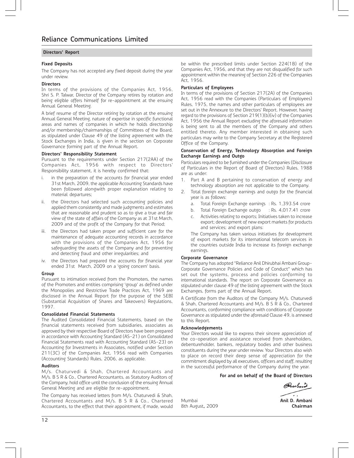#### **Fixed Deposits**

The Company has not accepted any fixed deposit during the year under review.

#### **Directors**

In terms of the provisions of the Companies Act, 1956, Shri S. P. Talwar, Director of the Company retires by rotation and being eligible offers himself for re-appointment at the ensuing Annual General Meeting.

A brief resume of the Director retiring by rotation at the ensuing Annual General Meeting, nature of expertise in specific functional areas and names of companies in which he holds directorship and/or membership/chairmanships of Committees of the Board, as stipulated under Clause 49 of the listing agreement with the Stock Exchanges in India, is given in the section on Corporate Governance forming part of the Annual Report.

#### **Directors' Responsibility Statement**

Pursuant to the requirements under Section 217(2AA) of the Companies Act, 1956 with respect to Directors' Responsibility statement, it is hereby confirmed that:

- i. in the preparation of the accounts for financial year ended 31st March, 2009, the applicable Accounting Standards have been followed alongwith proper explanation relating to material departures;
- ii. the Directors had selected such accounting policies and applied them consistently and made judgments and estimates that are reasonable and prudent so as to give a true and fair view of the state of affairs of the Company as at 31st March, 2009 and of the profit of the Company for that Period;
- iii. the Directors had taken proper and sufficient care for the maintenance of adequate accounting records in accordance with the provisions of the Companies Act, 1956 for safeguarding the assets of the Company and for preventing and detecting fraud and other irregularities; and
- iv. the Directors had prepared the accounts for financial year ended 31st March, 2009 on a 'going concern' basis.

#### **Group**

Pursuant to intimation received from the Promoters, the names of the Promoters and entities comprising 'group' as defined under the Monopolies and Restrictive Trade Practices Act, 1969 are disclosed in the Annual Report for the purpose of the SEBI (Substantial Acquisition of Shares and Takeovers) Regulations, 1997.

#### **Consolidated Financial Statements**

The Audited Consolidated Financial Statements, based on the financial statements received from subsidiaries, associates as approved by their respective Board of Directors have been prepared in accordance with Accounting Standard (AS-21) on Consolidated Financial Statements read with Accounting Standard (AS-23) on Accounting for Investments in Associates, notified under Section 211(3C) of the Companies Act, 1956 read with Companies (Accounting Standards) Rules, 2006, as applicable.

#### **Auditors**

M/s. Chaturvedi & Shah, Chartered Accountants and M/s. B S R & Co., Chartered Accountants, as Statutory Auditors of the Company, hold office until the conclusion of the ensuing Annual General Meeting and are eligible for re-appointment.

The Company has received letters from M/s. Chaturvedi & Shah, Chartered Accountants and M/s. B S R & Co., Chartered Accountants, to the effect that their appointment, if made, would be within the prescribed limits under Section 224(1B) of the Companies Act, 1956, and that they are not disqualified for such appointment within the meaning of Section 226 of the Companies Act, 1956.

#### **Particulars of Employees**

In terms of the provisions of Section 217(2A) of the Companies Act, 1956 read with the Companies (Particulars of Employees) Rules, 1975, the names and other particulars of employees are set out in the Annexure to the Directors' Report. However, having regard to the provisions of Section 219(1)(b)(iv) of the Companies Act, 1956 the Annual Report excluding the aforesaid information is being sent to all the members of the Company and others entitled thereto. Any member interested in obtaining such particulars may write to the Company Secretary at the Registered Office of the Company.

#### **Conservation of Energy, Technology Absorption and Foreign Exchange Earnings and Outgo**

Particulars required to be furnished under the Companies (Disclosure of Particulars in the Report of Board of Directors) Rules, 1988 are as under:

- 1. Part A and B pertaining to conservation of energy and technology absorption are not applicable to the Company.
- 2. Total foreign exchange earnings and outgo for the financial year is as follows:
	- a. Total Foreign Exchange earnings : Rs. 1,393.54 crore
	- b. Total Foreign Exchange outgo : Rs. 4,017.41 crore
	- c. Activities relating to exports; Initiatives taken to increase export; development of new export markets for products and services; and export plans:

The Company has taken various initiatives for development of export markets for its international telecom services in the countries outside India to increase its foreign exchange earnings.

#### **Corporate Governance**

The Company has adopted "Reliance Anil Dhirubhai Ambani Group-Corporate Governance Policies and Code of Conduct" which has set out the systems, process and policies conforming to international standards. The report on Corporate Governance as stipulated under clause 49 of the listing agreement with the Stock Exchanges, forms part of the Annual Report.

A Certificate from the Auditors of the Company M/s. Chaturvedi & Shah, Chartered Accountants and M/s. B S R & Co., Chartered Accountants, conforming compliance with conditions of Corporate Governance as stipulated under the aforesaid Clause 49, is annexed to this Report.

#### **Acknowledgements**

Your Directors would like to express their sincere appreciation of the co-operation and assistance received from shareholders, debentureholder, bankers, regulatory bodies and other business constituents during the year under review. Your Directors also wish to place on record their deep sense of appreciation for the commitment displayed by all executives, officers and staff, resulting in the successful performance of the Company during the year.

#### **For and on behalf of the Board of Directors**

Onusno

Mumbai **Anil D. Ambani** 8th August, 2009 **Chairman**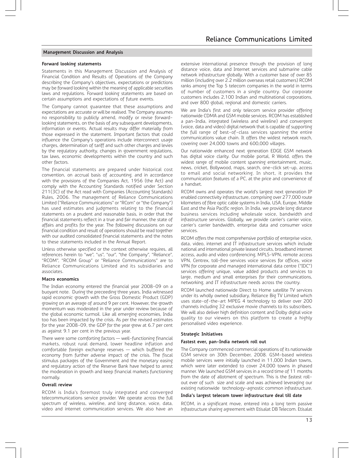#### **Forward looking statements**

Statements in this Management Discussion and Analysis of Financial Condition and Results of Operations of the Company describing the Company's objectives, expectations or predictions may be forward looking within the meaning of applicable securities laws and regulations. Forward looking statements are based on certain assumptions and expectations of future events.

The Company cannot guarantee that these assumptions and expectations are accurate or will be realised. The Company assumes no responsibility to publicly amend, modify or revise forwardlooking statements, on the basis of any subsequent developments, information or events. Actual results may differ materially from those expressed in the statement. Important factors that could influence the Company's operations include interconnect usage charges, determination of tariff and such other charges and levies by the regulatory authority, changes in government regulations, tax laws, economic developments within the country and such other factors.

The financial statements are prepared under historical cost convention, on accrual basis of accounting, and in accordance with the provisions of the Companies Act, 1956 (the Act) and comply with the Accounting Standards notified under Section 211(3C) of the Act read with Companies (Accounting Standards) Rules, 2006. The management of Reliance Communications Limited ("Reliance Communications" or "RCom" or "the Company") has used estimates and judgments relating to the financial statements on a prudent and reasonable basis, in order that the financial statements reflect in a true and fair manner, the state of affairs and profits for the year. The following discussions on our financial condition and result of operations should be read together with our audited consolidated financial statements and the notes to these statements included in the Annual Report.

Unless otherwise specified or the context otherwise requires, all references herein to "we", "us", "our", "the Company", "Reliance", "RCOM", "RCOM Group" or "Reliance Communications" are to Reliance Communications Limited and its subsidiaries and associates.

#### **Macro economics**

The Indian economy entered the financial year 2008-09 on a buoyant note. During the preceeding three years, India witnessed rapid economic growth with the Gross Domestic Product (GDP) growing on an average of around 9 per cent. However, the growth momentum was moderated in the year under review because of the global economic turmoil. Like all emerging economies, India too has been impacted by the crisis. As per the revised estimates for the year 2008-09, the GDP for the year grew at 6.7 per cent as against 9.1 per cent in the previous year.

There were some comforting factors — well-functioning financial markets, robust rural demand, lower headline inflation and comfortable foreign exchange reserves — which buffered the economy from further adverse impact of the crisis. The fiscal stimulus packages of the Government and the monetary easing and regulatory action of the Reserve Bank have helped to arrest the moderation in growth and keep financial markets functioning normally.

#### **Overall review**

RCOM is India's foremost truly integrated and converged telecommunications service provider. We operate across the full spectrum of wireless, wireline, and long distance, voice, data, video and internet communication services. We also have an extensive international presence through the provision of long distance voice, data and Internet services and submarine cable network infrastructure globally. With a customer base of over 85 million (including over 2.2 million overseas retail customers) RCOM ranks among the Top 5 telecom companies in the world in terms of number of customers in a single country. Our corporate customers includes 2,100 Indian and multinational corporations, and over 800 global, regional and domestic carriers.

We are India's first and only telecom service provider offering nationwide CDMA and GSM mobile services. RCOM has established a pan-India, integrated (wireless and wireline) and convergent (voice, data and video) digital network that is capable of supporting the full range of best-of-class services spanning the entire communications value chain. It offers the widest network reach, covering over 24,000 towns and 600,000 villages.

Our nationwide enhanced next generation EDGE GSM network has digital voice clarity. Our mobile portal, R World, offers the widest range of mobile content spanning entertainment, music, news, cricket, Bollywood, maps, search, one-click set-up, access to email and social networking. In short, it provides the communication features of a PC, at the price and convenience of a handset.

RCOM owns and operates the world's largest next generation IP enabled connectivity infrastructure, comprising over 277,000 route kilometers of fibre optic cable systems in India, USA, Europe, Middle East and the Asia Pacific region. In India, we provide long distance business services including wholesale voice, bandwidth and infrastructure services. Globally, we provide carrier's carrier voice, carrier's carrier bandwidth, enterprise data and consumer voice services.

RCOM offers the most comprehensive portfolio of enterprise voice, data, video, internet and IT infrastructure services which include national and international private leased circuits, broadband internet access, audio and video conferencing, MPLS-VPN, remote access VPN, Centrex, toll-free services voice services for offices, voice VPN for corporate and managed international data centre ("IDC") services offering unique, value added products and services to large, medium and small enterprises for their communications, networking, and IT infrastructure needs across the country.

RCOM launched nationwide Direct to Home satellite TV services under its wholly owned subsidiary, Reliance Big TV Limited which uses state-of-the-art MPEG 4 technology to deliver over 200 channels including 32 exclusive movie channels to its subscribers. We will also deliver high definition content and Dolby digital voice quality to our viewers on this platform to create a highly personalised video experience.

#### **Strategic Initiatives**

#### **Fastest ever, pan-India network roll out**

The Company commenced commercial operations of its nationwide GSM service on 30th December, 2008. GSM-based wireless mobile services were initially launched in 11,000 Indian towns, which were later extended to cover 24,000 towns in phased manner. We launched GSM services in a record time of 11 months from the date of allotment of spectrum. This is the fastest rollout ever of such size and scale and was achieved leveraging our existing nationwide technology-agnostic common infrastructure.

#### **India's largest telecom tower infrastructure deal till date**

RCOM, in a significant move, entered into a long term passive infrastructure sharing agreement with Etisalat DB Telecom. Etisalat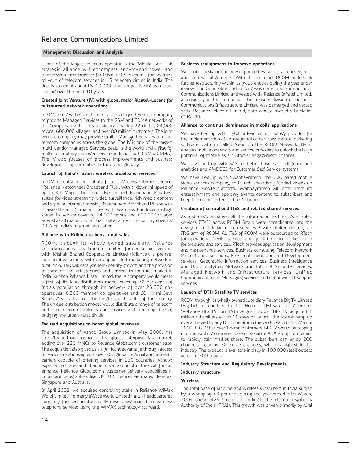is one of the largest telecom operator in the Middle East. This strategic alliance will encompass end-to-end tower and transmission infrastructure for Etisalat DB Telecom's forthcoming roll-out of telecom services in 15 telecom circles in India. The deal is valued at about Rs. 10,000 crore for passive infrastructure sharing over the next 10 years.

#### **Created Joint Venture (JV) with global major Alcatel-Lucent for outsourced network operations**

RCOM, along with Alcatel Lucent, formed a joint venture company to provide Managed Services to the GSM and CDMA networks of the Company and RTL, its subsidiary covering 22 circles, 24,000 towns, 600,000 villages, and over 80 million customers. The joint venture company may provide similar Managed Services to other telecom companies across the globe. The JV is one of the largest multi-vendor Managed Services deals in the world and a first for multi-technology managed services in India (both GSM & CDMA). The JV also focuses on process improvements and business development opportunities in India and globally.

#### **Launch of India's fastest wireless broadband services**

RCOM recently rolled out its fastest Wireless Internet service, "Reliance Netconnect Broadband Plus", with a downlink speed of up to 3.1 Mbps. This makes Netconnect Broadband Plus best suited for video streaming, video surveillance, rich media content and superior Internet browsing. Netconnect Broadband Plus service is available in 35 major cities with seamless handover to high speed 1x service covering 24,000 towns and 600,000 villages as well as all major road and rail routes across the country covering 99% of India's Internet population.

#### **Alliance with Kribhco to boost rural sales**

RCOM, through its wholly owned subsidiary, Reliance Communications Infrastructure Limited, formed a joint venture with Krishak Bharati Cooperative Limited (Kribhco), a premier co-operative society with an unparalleled marketing network in rural India. This will catalyze tele-density growth and the provision of state-of-the-art products and services to the rural market in India. Kribhco Reliance Kisan Limited, the JV company, would create a first-of-its-kind distribution model covering 72 per cent of India's population through its network of over 25,000 cooperatives, 6,300 member co-operatives and 60 "Krishi Seva Kendras" spread across the length and breadth of the country. The unique distribution model would distribute a range of telecom and non-telecom products and services with the objective of bridging the urban-rural divide.

#### **Focused acquisitions to boost global revenues**

The acquisition of Vanco Group Limited in May 2008, has strengthened our position in the global enterprise data market, adding over 220 MNCs to Reliance Globalcom's customer base. The acquisition also gives us a significant advantage through access to Vanco's relationship with over 700 global, regional and domestic carriers capable of offering services in 230 countries. Vanco's experienced sales and channel organization structure will further enhance Reliance Globalcom's customer delivery capabilities in important geographies like US, UK, France, Germany, Benelux, Singapore and Australia.

In April 2008, we acquired controlling stake in Reliance WiMax World Limited (formerly eWave World Limited), a UK headquartered company focused on the rapidly developing market for wireless telephony services using the WiMAX technology standard.

#### **Business realignment to improve operations**

We continuously look at new opportunities aimed at convergence and strategic alignments. With this in mind, RCOM undertook further restructuring within its group entities during the year under review. The Optic Fibre Undertaking was demerged from Reliance Communications Limited and vested with Reliance Infratel Limited, a subsidiary of the company. The treasury division of Reliance Communications Infrastructure Limited was demerged and vested with Reliance Telecom Limited, both wholly-owned subsidiaries of RCOM.

#### **Alliance to continue dominance in mobile applications**

We have tied up with Flytxt, a leading technology provider, for the implementation of an integrated carrier-class mobile marketing software platform called Neon on the RCOM Network. Flytxt enables mobile operators and service providers to unlock the huge potential of mobile as a customer engagement channel.

We have tied up with SAS for better business intelligence and analytics and AMDOCS for Customer Self Service systems.

We have tied up with Swanbaymtech, the U.K. based mobile video services company, to launch advertising funded videos on Reliance Mobile platform. Swanbaymtech will offer premium entertainment and sporting events content to subscribers and keep them connected to the Network.

#### **Creation of centralized ITeS and related shared services**

As a strategic initiative, all the Information Technology enabled services (ITeS) across RCOM Group were consolidated into the newly formed Reliance Tech Services Private Limited (RTech), an ITeS arm of RCOM. All ITeS of RCOM were outsourced to RTech for operational flexibility, scale and quick time-to-market reach for products and services. RTech provides application development and maintenance services, Business consulting, Telecom Network Products and solutions, ERP Implementation and Development services, Geographic Information services, Business Intelligence and Data Analytics, Network and Internet Security services, Managed Network and Infrastructure services, Unified Communication and Messaging services and nationwide IT support services.

#### **Launch of DTH Satellite TV services**

RCOM through its wholly owned subsidiary Reliance Big TV Limited (Big TV), launched its Direct to Home (DTH) Satellite TV services "Reliance BIG TV" on 19th August, 2008. BIG TV acquired 1 million subscribers within 90 days of launch, the fastest ramp up ever achieved by any DTH operator in the world. As on 31st March, 2009, BIG TV has over 1.5 mn customers. BIG TV would be tapping into the existing customer base of Reliance ADA Group companies to rapidly gain market share. The subscribers can enjoy 200 channels including 32 movie channels, which is highest in the industry. The product is available initially in 100,000 retail outlets across 6,500 towns.

#### **Industry Structure and Regulatory Developments**

#### **Industry structure**

#### **Wireless**

The total base of landline and wireless subscribers in India surged by a whopping 43 per cent during the year ended 31st March, 2009 to reach 429.7 million, according to the Telecom Regulatory Authority of India (TRAI). This growth was driven primarily by rural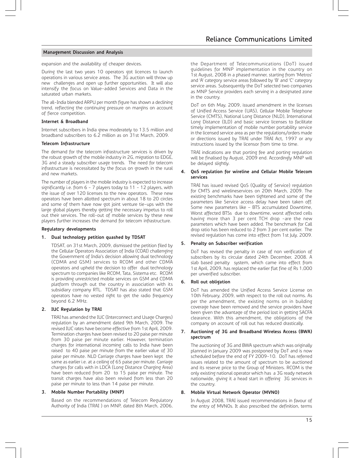expansion and the availability of cheaper devices.

During the last two years 10 operators got licences to launch operations in various service areas. The 3G auction will throw up new challenges and open up further opportunities. It will also intensify the focus on Value-added Services and Data in the saturated urban markets.

The all-India blended ARPU per month figure has shown a declining trend, reflecting the continuing pressure on margins on account of fierce competition.

#### **Internet & Broadband**

Internet subscribers in India grew moderately to 13.5 million and broadband subscribers to 6.2 million as on 31st March, 2009.

#### **Telecom Infrastructure**

The demand for the telecom infrastructure services is driven by the robust growth of the mobile industry in 2G, migration to EDGE, 3G and a steady subscriber usage trends. The need for telecom infrastructure is necessitated by the focus on growth in the rural and new markets.

The number of players in the mobile industry is expected to increase significantly i.e. from 6 - 7 players today to 11 - 12 players, with the issue of over 120 licenses to the new operators. These new operators have been allotted spectrum in about 18 to 20 circles and some of them have now got joint venture tie-ups with the large global players thereby getting the necessary impetus to roll out their services. The roll-out of mobile services by these new players further increases the demand for telecom infrastructure.

#### **Regulatory developments**

#### **1. Dual technology petition quashed by TDSAT**

TDSAT, on 31st March, 2009, dismissed the petition filed by the Cellular Operators Association of India (COAI) challenging the Government of India's decision allowing dual technology (CDMA and GSM) services to RCOM and other CDMA operators and upheld the decision to offer dual technology spectrum to companies like RCOM, Tata, Sistema etc. RCOM is providing unrestricted mobile services on GSM and CDMA platform through out the country in association with its subsidiary company RTL. TDSAT has also stated that GSM operators have no vested right to get the radio frequency beyond 6.2 MHz.

#### **2. IUC Regulation by TRAI**

TRAI has amended the IUC (Interconnect and Usage Charges) regulation by an amendment dated 9th March, 2009. The revised IUC rates have become effective from 1st April, 2009. Termination charges have been revised to 20 paise per minute from 30 paise per minute earlier. However, termination charges for international incoming calls to India have been raised to 40 paise per minute from the earlier value of 30 paise per minute. NLD Carriage charges have been kept the same as earlier i.e. at a ceiling of 65 paise per minute. Carriage charges for calls with in LDCA (Long Distance Charging Area) have been reduced from 20 to 15 paise per minute. The transit charges have also been revised from less than 20 paise per minute to less than 14 paise per minute.

#### **3. Mobile Number Portability (MNP)**

Based on the recommendations of Telecom Regulatory Authority of India (TRAI ) on MNP, dated 8th March, 2006, the Department of Telecommunications (DoT) issued guidelines for MNP implementation in the country on 1st August, 2008 in a phased manner, starting from 'Metros' and 'A' category service areas followed by 'B' and 'C' category service areas. Subsequently the DoT selected two companies as MNP Service providers each serving in a designated zone in the country.

DoT on 6th May, 2009, issued amendment in the licenses of Unified Access Service (UAS), Cellular Mobile Telephone Service (CMTS), National Long Distance (NLD), International Long Distance (ILD) and basic service licenses to facilitate timely implementation of mobile number portability service in the licensed service area as per the regulations/orders made or directions issued by TRAI under TRAI Act, 1997 or any instructions issued by the licensor from time to time.

TRAI indications are that porting fee and porting regulation will be finalised by August, 2009 end. Accordingly MNP will be delayed slightly.

#### **4. QoS regulation for wireline and Cellular Mobile Telecom services**

TRAI has issued revised QoS (Quality of Service) regulation for CMTS and wirelineservices on 20th March, 2009. The existing benchmarks have been tightened and some of the parameters like Service access delay have been taken off. Some new parameters like – BTS accumulated Downtime, Worst affected BTSs due to downtime, worst affected cells having more than 3 per cent TCH drop -are the new parameters which have been added. The benchmark for Call drop ratio has been reduced to 2 from 3 per cent earlier. The revised regulation has come into effect from 1st July, 2009.

#### **5. Penalty on Subscriber verification**

DoT has revised the penalty in case of non verification of subscribers by its circular dated 24th December, 2008. A slab based penalty system, which came into effect from 1st April, 2009, has replaced the earlier flat fine of Rs 1,000 per unverified subscriber.

#### **6. Roll out obligation**

DoT has amended the Unified Access Service License on 10th February, 2009, with respect to the roll out norms. As per the amendment, the existing norms on in building coverage have been removed and the service providers have been given the advantage of the period lost in getting SACFA clearance. With this amendment, the obligations of the company on account of roll out has reduced drastically.

#### **7. Auctioning of 3G and Broadband Wireless Access (BWA) spectrum**

The auctioning of 3G and BWA spectrum which was originally planned in January 2009 was postponed by DoT and is now scheduled before the end of FY 2009-10. DoT has referred issues related to the amount of spectrum to be auctioned and its reserve price to the Group of Ministers. RCOM is the only existing national operator which has a 3G ready network nationwide, giving it a head start in offering 3G services in the country.

#### **8. Mobile Virtual Network Operator (MVNO)**

In August 2008, TRAI issued recommendations in favour of the entry of MVNOs. It also prescribed the definition, terms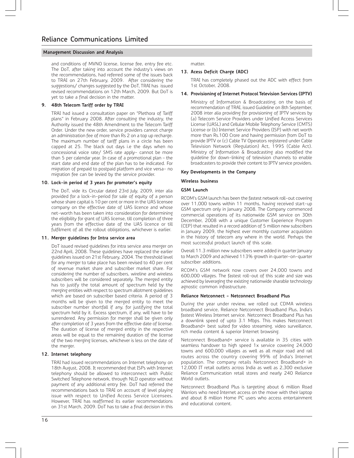and conditions of MVNO license, license fee, entry fee etc. The DoT, after taking into account the industry's views on the recommendations, had referred some of the issues back to TRAI on 27th February, 2009. After considering the suggestions/ changes suggested by the DoT, TRAI has issued revised recommendations on 12th March, 2009. But DoT is yet to take a final decision in the matter.

#### **9. 48th Telecom Tariff order by TRAI**

TRAI had issued a consultation paper on "Plethora of Tariff plans" in February 2008. After consulting the industry, the Authority issued the 48th Amendment to the Telecom Tariff Order. Under the new order, service providers cannot charge an administration fee of more than Rs 2 on a top up recharge. The maximum number of tariff plans in a circle has been capped at 25. The black out days i.e the days when no concessional voice rate/ SMS rate apply- cannot be more than 5 per calendar year. In case of a promotional plan – the start date and end date of the plan has to be indicated. For migration of prepaid to postpaid platform and vice versa- no migration fee can be levied by the service provider.

#### **10. Lock-in period of 3 years for promoter's equity**

The DoT, vide its Circular dated 23rd July, 2009, inter alia provided for a lock-in-period for sale of equity of a person whose share capital is 10 per cent or more in the UAS licensee company on the effective date of UAS licence and whose net-worth has been taken into consideration for determining the eligibility for grant of UAS license, till completion of three years from the effective date of the UAS licence or till fulfilment of all the rollout obligations, whichever is earlier.

#### **11. Merger guidelines for Intra service area**

DoT issued revised guidelines for intra service area merger on 22nd April, 2008. These guidelines have replaced the earlier guidelines issued on 21st February, 2004. The threshold level for any merger to take place has been revised to 40 per cent of revenue market share and subscriber market share. For considering the number of subscribers, wireline and wireless subscribers will be considered separately. The merged entity has to justify the total amount of spectrum held by the merging entities with respect to spectrum allotment guidelines which are based on subscriber based criteria. A period of 3 months will be given to the merged entity to meet the subscriber number shortfall if any, for justifying the total spectrum held by it. Excess spectrum, if any, will have to be surrendered. Any permission for merger shall be given only after completion of 3 years from the effective date of license. The duration of license of merged entity in the respective areas will be equal to the remaining duration of the license of the two merging licenses, whichever is less on the date of the merger.

#### **12. Internet telephony**

TRAI had issued recommendations on Internet telephony on 18th August, 2008. It recommended that ISPs with Internet telephony should be allowed to interconnect with Public Switched Telephone network, through NLD operator without payment of any additional entry fee. DoT had referred the recommendations back to TRAI on account of level playing issue with respect to Unified Access Service Licensees. However, TRAI has reaffirmed its earlier recommendations on 31st March, 2009. DoT has to take a final decision in this

matter.

#### **13. Acess Deficit Charge (ADC)**

TRAI has completely phased out the ADC with effect from 1st October, 2008.

#### **14. Provisioning of Internet Protocol Television Services (IPTV)**

Ministry of Information & Broadcasting, on the basis of recommendation of TRAI, issued Guideline on 8th September, 2008 inter alia providing for provisioning of IPTV services by (a) Telecom Service Providers under Unified Access Services License (UASL) and Cellular Mobile Telephony Service (CMTS) License or (b) Internet Service Providers (ISP) with net worth more than Rs.100 Crore and having permission from DoT to provide IPTV or (c) Cable TV Operators registered under Cable Television Network (Regulation) Act, 1995 (Cable Act). Ministry of Information & Broadcasting also modified the guideline for down-linking of television channels to enable broadcasters to provide their content to IPTV service providers.

#### **Key Developments in the Company**

#### **Wireless business**

#### **GSM Launch**

RCOM's GSM launch has been the fastest network roll-out covering over 11,000 towns within 11 months, having received start-up GSM spectrum only in January 2008. The Company commenced commercial operations of its nationwide GSM service on 30th December, 2008 with a unique Customer Experience Program (CEP) that resulted in a record addition of 5 million new subscribers in January 2009, the highest ever monthly customer acquisition in the history of telecom any where in the world. Perhaps the most successful product launch of this scale.

Overall 11.3 million new subscribers were added in quarter January to March 2009 and achieved 113% growth in quarter-on-quarter subscriber additions.

RCOM's GSM network now covers over 24,000 towns and 600,000 villages. The fastest roll-out of this scale and size was achieved by leveraging the existing nationwide sharable technology agnostic common infrastructure.

#### **Reliance Netconnect - Netconnect Broadband Plus**

During the year under review, we rolled out CDMA wireless broadband service, Reliance Netconnect Broadband Plus, India's fastest Wireless Internet service. Netconnect Broadband Plus has a downlink speed of upto 3.1 Mbps. This makes Netconnect Broadband+ best suited for video streaming, video surveillance, rich media content & superior Internet browsing.

Netconnect Broadband+ service is available in 35 cities with seamless handover to high speed 1x service covering 24,000 towns and 600,000 villages as well as all major road and rail routes across the country covering 99% of India's Internet population. The company retails Netconnect Broadband+ in 12,000 IT retail outlets across India as well as 2,300 exclusive Reliance Communication retail stores and nearly 240 Reliance World outlets.

Netconnect Broadband Plus is targeting about 6 million Road Warriors who need Internet access on the move with their laptop and about 8 million Home PC users who access entertainment and educational content.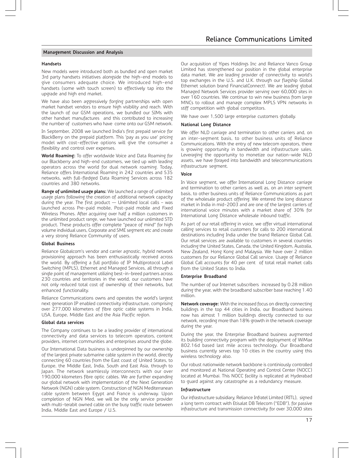#### **Handsets**

New models were introduced both as bundled and open market 3rd party handsets initiatives alongside the high-end models to give consumers adequate choice. We introduced high-end handsets (some with touch screen) to effectively tap into the upgrade and high end market.

We have also been aggressively forging partnerships with open market handset vendors to ensure high visibility and reach. With the launch of our GSM operations, we bundled our SIMs with other handset manufactures and this contributed to increasing the number of customers who have come onto our GSM network.

In September, 2008 we launched India's first prepaid service for BlackBerry on the prepaid platform. This 'pay as you use' pricing model with cost-effective options will give the consumer a flexibility and control over expenses.

**World Roaming:** To offer worldwide Voice and Data Roaming for our Blackberry and high-end customers, we tied up with leading operators across the world for dual network roaming. Today, Reliance offers International Roaming in 242 countries and 535 networks, with full-fledged Data Roaming Services across 182 countries and 380 networks.

**Range of unlimited usage plans:** We launched a range of unlimited usage plans following the creation of additional network capacity during the year. The first product — Unlimited local calls – was launched across Pre-paid mobile, Post-paid mobile and Fixed Wireless Phones. After acquiring over half a million customers in the unlimited product range, we have launched our unlimited STD product. These products offer complete "peace of mind" for high volume individual users, Corporate and SME segment etc and create a very strong Reliance Community of users.

#### **Global Business**

Reliance Globalcom's vendor and carrier agnostic, hybrid network provisioning approach has been enthusiastically received across the world. By offering a full portfolio of IP Multiprotocol Label Switching (MPLS), Ethernet and Managed Services, all through a single point of management utilizing best-in-breed partners across 230 countries and territories in the world, our customers have not only reduced total cost of ownership of their networks, but enhanced functionality.

Reliance Communications owns and operates the world's largest next generation IP enabled connectivity infrastructure, comprising over 277,000 kilometers of fibre optic cable systems in India, USA, Europe, Middle East and the Asia Pacific region.

#### **Global data services**

The Company continues to be a leading provider of international connectivity and data services to telecom operators, content providers, internet communities and enterprises around the globe.

Our International Data business is underpinned by our ownership of the largest private submarine cable system in the world, directly connecting 60 countries from the East coast of United States, to Europe, the Middle East, India, South and East Asia, through to Japan. The network seamlessly interconnects with our over 190,000 kilometers fibre optic cables. We are further expanding our global network with implementation of the Next Generation Network (NGN) cable system. Construction of NGN Mediterranean cable system between Egypt and France is underway. Upon completion of NGN Med, we will be the only service provider with multi-terabit owned cable on the busy traffic route between India, Middle East and Europe / U.S.

Our acquisition of Yipes Holdings Inc and Reliance Vanco Group Limited has strengthened our position in the global enterprise data market. We are leading provider of connectivity to world's top exchanges in the U.S. and U.K. through our flagship Global Ethernet solution brand FinancialConnect!. We are leading global Managed Network Services provider serving over 60,000 sites in over 160 countries. We continue to win new business from large MNCs to rollout and manage complex MPLS VPN networks in stiff competition with global competitors.

We have over 1,500 large enterprise customers globally.

#### **National Long Distance**

We offer NLD carriage and termination to other carriers and, on an inter-segment basis, to other business units of Reliance Communications. With the entry of new telecom operators, there is growing opportunity in bandwidth and infrastructure sales. Leveraging the opportunity to monetize our nation-wide NLD assets, we have forayed into bandwidth and telecommunications infrastructure segment.

#### **Voice**

In Voice segment, we offer International Long Distance carriage and termination to other carriers as well as, on an inter segment basis, to other business units of Reliance Communications as part of the wholesale product offering. We entered the long distance market in India in mid-2003 and are one of the largest carriers of international voice minutes with a market share of 30% for International Long Distance wholesale inbound traffic.

As part of our retail offering in voice, we offer virtual international calling services to retail customers for calls to 200 international destinations including India under the brand Reliance Global Call. Our retail services are available to customers in several countries including the United States, Canada, the United Kingdom, Australia, New Zealand, Hong Kong and Malaysia. We have over 2 million customers for our Reliance Global Call service. Usage of Reliance Global Call accounts for 40 per cent of total retail market calls from the United States to India.

#### **Enterprise Broadband**

The number of our Internet subscribers increased by 0.28 million during the year, with the broadband subscriber base reaching 1.40 million.

**Network coverage:** With the increased focus on directly connecting buildings in the top 44 cities in India, our Broadband business now has almost 1 million buildings directly connected to our network, recording more than 18% growth in the network coverage during the year.

During the year, the Enterprise Broadband business augmented its building connectivity program with the deployment of WiMax 802.16d based last mile access technology. Our Broadband business currently serves top 10 cities in the country using this wireless technology also.

Our robust nationwide network backbone is continiously controlled and monitored at National Operating and Control Center (NOCC) located at Mumbai. This NOCC facility is replicated at Hyderabad to guard against any catastrophe as a redundancy measure.

#### **Infrastructure**

Our infrastructure subsidiary, Reliance Infratel Limited (RITL), signed a long term contract with Etisalat DB Telecom ("EDB"), for passive infrastructure and transmission connectivity for over 30,000 sites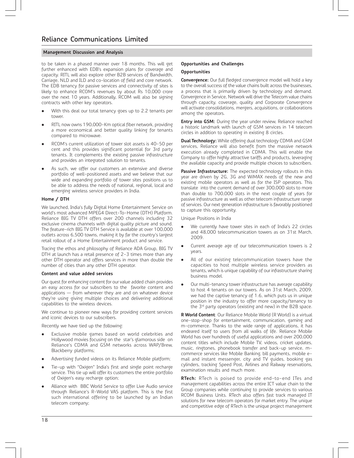to be taken in a phased manner over 18 months. This will get further enhanced with EDB's expansion plans for coverage and capacity. RITL will also explore other B2B services of Bandwidth, Carriage, NLD and ILD and co-location of field and core network. The EDB tenancy for passive services and connectivity of sites is likely to enhance RCOM's revenues by about Rs 10,000 crore over the next 10 years. Additionally, RCOM will also be signing contracts with other key operators.

- $\bullet$  With this deal our total tenancy goes up to 2.2 tenants per tower.
- $\bullet$  RITL now owns 190,000-Km optical fiber network, providing a more economical and better quality linking for tenants compared to microwave.
- $\bullet$  RCOM's current utilization of tower slot assets is 40-50 per cent and this provides significant potential for 3rd party tenants. It complements the existing passive infrastructure and provides an integrated solution to tenants.
- $\bullet$  As such, we offer our customers an extensive and diverse portfolio of well-positioned assets and we believe that our wide and expanding portfolio of tower sites positions us to be able to address the needs of national, regional, local and emerging wireless service providers in India.

#### **Home / DTH**

We launched, India's fully Digital Home Entertainment Service on world's most advanced MPEG4 Direct-To-Home (DTH) Platform. Reliance BIG TV DTH offers over 200 channels including 32 exclusive cinema channels with digital quality picture and sound. The feature-rich BIG TV DTH Service is available at over 100,000 outlets across 6,500 towns, making it by far the country's largest retail rollout of a Home Entertainment product and service.

Tracing the ethos and philosophy of Reliance ADA Group, BIG TV DTH at launch has a retail presence of 2-3 times more than any other DTH operator and offers services in more than double the number of cities than any other DTH operator.

#### **Content and value added services**

Our quest for enhancing content for our value added chain provides an easy access for our subscribers to the favorite content and applications — from wherever they are and on whatever device they're using giving multiple choices and delivering additional capabilities to the wireless devices.

We continue to pioneer new ways for providing content services and iconic devices to our subscribers.

Recently we have tied up the following:

- $\bullet$  Exclusive mobile games based on world celebrities and Hollywood movies focusing on the star's glamorous side on Reliance's CDMA and GSM networks across WAP/Brew, Blackberry platforms;
- -Advertising funded videos on its Reliance Mobile platform;
- $\bullet$  Tie-up with "Oxigen" India's first and single point recharge service. This tie up will offer its customers the entire portfolio of Oxigen's easy recharge option;
- $\bullet$  Alliance with BBC World Service to offer Live Audio service through Reliance's R-World VAS platform. This is the first such international offering to be launched by an Indian telecom company;

#### **Opportunities and Challenges**

#### **Opportunities**

**Convergence:** Our full fledged convergence model will hold a key to the overall success of the value chains built across the businesses, a process that is primarily driven by technology and demand. Convergence in Service, Network will drive the Telecom value chains through capacity, coverage, quality and Corporate Convergence will activate consolidations, mergers, acquisitions, or collaborations among the operators.

**Entry into GSM:** During the year under review, Reliance reached a historic landmark with launch of GSM services in 14 telecom circles in addition to operating in existing 8 circles.

**Dual Technology:** While offering dual technology CDMA and GSM services, Reliance will also benefit from the massive network execution already completed in CDMA. This will enable the Company to offer highly attractive tariffs and products, leveraging the available capacity and provide multiple choices to subscribers.

Passive Infrastructure: The expected technology rollouts in this year are driven by 2G, 3G and WiMAX needs of the new and existing mobile operators as well as for the ISP operators. This translate into the current demand of over 300,000 slots to more than double to 700,000 slots in the next couple of years for passive infrastructure as well as other telecom infrastructure range of services. Our next generation infrastructure is favorably positioned to capture this opportunity.

Unique Positions in India

- - We currently have tower sites in each of India's 22 circles and 48,000 telecommunication towers as on 31st March, 2009.
- $\bullet$  Current average age of our telecommunication towers is 2 years.
- - All of our existing telecommunication towers have the capacities to host multiple wireless service providers as tenants, which is unique capability of our infrastructure sharing business model.
- $\bullet$  Our multi-tenancy tower infrastructure has average capability to host 4 tenants on our towers. As on 31st March, 2009, we had the captive tenancy of 1.6, which puts us in unique position in the industry to offer more capacity/tenancy to the 3<sup>rd</sup> party operators (existing and new) in the B2B space.

**R World Content**: Our Reliance Mobile World (R World) is a virtual one-stop-shop for entertainment, communication, gaming and m-commerce. Thanks to the wide range of applications, it has endeared itself to users from all walks of life. Reliance Mobile World has over hundreds of useful applications and over 200,000 content titles which include Mobile TV, videos, cricket updates, music, ringtones, phonebook transfer and back-up service, mcommerce services like Mobile Banking, bill payments, mobile email and instant messenger, city and TV guides, booking gas cylinders, tracking Speed Post, Airlines and Railway reservations, examination results and much more.

**RTech:** RTech is poised to provide end-to-end ITes and management capabilities across the entire ICT value chain to the Group companies while continuing to provide services to various RCOM Business Units. RTech also offers fast track managed IT solutions for new telecom operators for market entry. The unique and competitive edge of RTech is the unique project management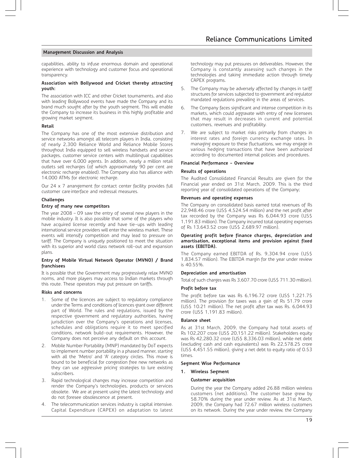capabilities, ability to infuse enormous domain and operational experience with technology and customer focus and operational transparency.

#### **Association with Bollywood and Cricket thereby attracting youth:**

The association with ICC and other Cricket tournaments, and also with leading Bollywood events have made the Company and its brand much sought after by the youth segment. This will enable the Company to increase its business in this highly profitable and growing market segment.

#### **Retail**

The Company has one of the most extensive distribution and service networks amongst all telecom players in India, consisting of nearly 2,300 Reliance World and Reliance Mobile Stores throughout India equipped to sell wireless handsets and service packages, customer service centers with multilingual capabilities that have over 6,000 agents. In addition, nearly a million retail outlets sell recharges (of which approximately 90 per cent are electronic recharge enabled). The Company also has alliance with 14,000 ATMs for electronic recharge.

Our 24 x 7 arrangement for contact center facility provides full customer careinterface and redressal measures.

#### **Challenges**

#### **Entry of many new competitors**

The year 2008 – 09 saw the entry of several new players in the mobile industry. It is also possible that some of the players who have acquired license recently and have tie-ups with leading international service providers will enter the wireless market. These events will intensify competition and may lead to pressure on tariff. The Company is uniquely positioned to meet the situation with its superior and world class network roll-out and expansion plans.

#### **Entry of Mobile Virtual Network Operator (MVNO) / Brand franchisees**

It is possible that the Government may progressively relax MVNO norms, and more players may access to Indian markets through this route. These operators may put pressure on tariffs.

#### **Risks and concerns**

- 1. Some of the licences are subject to regulatory compliance under the Terms and conditions of licences grant over different part of World. The rules and regulations, issued by the respective government and regulatory authorities, having jurisdiction over the Company's operations and licenses, schedules and obligations require it to meet specified conditions, network build-out requirements. However, the Company does not perceive any default on this account.
- 2. Mobile Number Portability (MNP) mandated by DoT expects to implement number portability in a phased manner, starting with all the 'Metro' and 'A' category circles. This move is bound to be beneficial for congestion free new networks as they can use aggressive pricing strategies to lure existing subscribers.
- 3. Rapid technological changes may increase competition and render the Company's technologies, products or services obsolete. We are at present using the latest technology and do not foresee obsolescence at present.
- 4. The telecommunication services industry is capital intensive. Capital Expenditure (CAPEX) on adaptation to latest

technology may put pressures on deliverables. However, the Company is constantly assessing such changes in the technologies and taking immediate action through timely CAPEX programs.

- 5. The Company may be adversely affected by changes in tariff structures for services subjected to government and regulator mandated regulations prevailing in the areas of services.
- 6. The Company faces significant and intense competition in its markets, which could aggravate with entry of new licensees that may result in decreases in current and potential customers, revenues and profitability.
- 7. We are subject to market risks primarily from changes in interest rates and foreign currency exchange rates. In managing exposure to these fluctuations, we may engage in various hedging transactions that have been authorized according to documented internal policies and procedures.

#### **Financial Performance - Overview**

#### **Results of operations**

The Audited Consolidated Financial Results are given for the Financial year ended on 31st March, 2009. This is the third reporting year of consolidated operations of the Company;

#### **Revenues and operating expenses**

The Company on consolidated basis earned total revenues of Rs 22,948.46 crore (US\$ 4,524.54 million) and the net profit after tax recorded by the Company was Rs 6,044.93 crore (US\$ 1,191.83 million). The Company incurred total operating expenses of Rs 13,643.52 crore (US\$ 2,689.97 million).

#### **Operating profit before finance charges, depreciation and amortisation, exceptional items and provision against fixed assets (EBITDA).**

The Company earned EBITDA of Rs. 9,304.94 crore (US\$ 1,834.57 million). The EBITDA margin for the year under review is 40.55%.

#### **Depreciation and amortisation**

Total of such charges was Rs 3,607.70 crore (US\$ 711.30 million).

#### **Profit before tax**

The profit before tax was Rs 6,196.72 crore (US\$ 1,221.75 million). The provision for taxes was a gain of Rs 51.79 crore (US\$ 10.21 million). The net profit after tax was Rs. 6,044.93 crore (US\$ 1,191.83 million).

#### **Balance sheet**

As at 31st March, 2009, the Company had total assets of Rs 102,207 crore (US\$ 20,151.22 million). Stakeholders equity was Rs 42,280.32 crore (US\$ 8,336.03 million), while net debt (excluding cash and cash equivalents) was Rs 22,578.25 crore (US\$ 4,451.55 million), giving a net debt to equity ratio of 0.53 times.

#### **Segment Wise Performance**

#### **1. Wireless Segment**

#### **Customer acquisition**

During the year the Company added 26.88 million wireless customers (net additions). The customer base grew by 58.70% during the year under review. As at 31st March, 2009, the Company had 72.67 million wireless customers on its network. During the year under review, the Company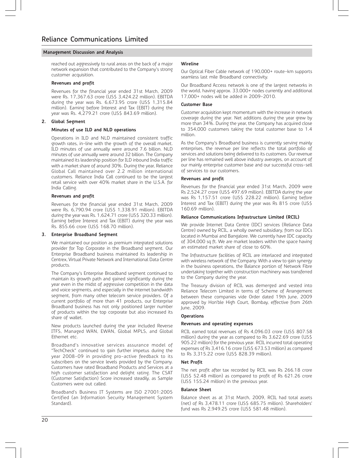reached out aggressively to rural areas on the back of a major network expansion that contributed to the Company's strong customer acquisition.

#### **Revenues and profit**

Revenues for the financial year ended 31st March, 2009 were Rs. 17,367.63 crore (US\$ 3,424.22 million). EBITDA during the year was Rs. 6,673.95 crore (US\$ 1,315.84 million). Earning before Interest and Tax (EBIT) during the year was Rs. 4,279.21 crore (US\$ 843.69 million).

#### **2. Global Segment**

#### **Minutes of use ILD and NLD operations**

Operations in ILD and NLD maintained consistent traffic growth rates, in-line with the growth of the overall market. ILD minutes of use annually were around 7.6 billion. NLD minutes of use annually were around 32 billion. The Company maintained its leadership position for ILD inbound India traffic with a market share of around 30%. During the year, Reliance Global Call maintained over 2.2 million international customers. Reliance India Call continued to be the largest retail service with over 40% market share in the U.S.A. for India Calling.

#### **Revenues and profit**

Revenues for the financial year ended 31st March, 2009 were Rs. 6,790.94 crore (US\$ 1,338.91 million). EBITDA during the year was Rs. 1,624.71 crore (US\$ 320.33 million). Earning before Interest and Tax (EBIT) during the year was Rs. 855.66 crore (US\$ 168.70 million).

#### **3. Enterprise Broadband Segment**

We maintained our position as premium integrated solutions provider for Top Corporate in the Broadband segment. Our Enterprise Broadband business maintained its leadership in Centrex, Virtual Private Network and International Data Centre products.

The Company's Enterprise Broadband segment continued to maintain its growth path and gained significantly during the year even in the midst of aggressive competition in the data and voice segments, and especially in the internet bandwidth segment, from many other telecom service providers. Of a current portfolio of more than 41 products, our Enterprise Broadband business has not only positioned larger number of products within the top corporate but also increased its share of wallet.

New products launched during the year included Reverse ITFS, Managed WAN, EWAN, Global MPLS, and Global Ethernet etc.

Broadband's innovative services assurance model of "TechCheck" continued to gain further impetus during the year 2008-09 in providing pro-active feedback to its subscribers on the service levels provided by the Company. Customers have rated Broadband Products and Services at a high customer satisfaction and delight rating. The CSAT (Customer Satisfaction) Score increased steadily, as Sample Customers were out called.

Broadband's Business IT Systems are ISO 27001:2005 Certified (an Information Security Management System Standard).

#### **Wireline**

Our Optical Fiber Cable network of 190,000+ route-km supports seamless last mile Broadband connectivity.

Our Broadband Access network is one of the largest networks in the world, having approx. 33,000+ nodes currently and additional 17,000+ nodes will be added in 2009-2010.

#### **Customer Base**

Customer acquisition kept momentum with the increase in network coverage during the year. Net additions during the year grew by more than 34%. During the year, the Company has acquired close to 354,000 customers taking the total customer base to 1.4 million.

As the Company's Broadband business is currently serving mainly enterprises, the revenue per line reflects the total portfolio of services and solutions being delivered to its customers. Our revenue per line has remained well above industry averages, on account of our mainly enterprise customer base and our successful cross-sell of services to our customers.

#### **Revenues and profit**

Revenues for the financial year ended 31st March, 2009 were Rs 2,524.27 crore (US\$ 497.69 million). EBITDA during the year was Rs 1,157.51 crore (US\$ 228.22 million). Earning before Interest and Tax (EBIT) during the year was Rs 815 crore (US\$ 160.69 million).

#### **Reliance Communications Infrastructure Limited (RCIL)**

We provide Internet Data Centre (IDC) services (Reliance Data Centre) owned by RCIL, a wholly owned subsidiary, from our IDCs located in Mumbai and Bangalore. We currently have IDC capacity of 304,000 sq ft. We are market leaders within the space having an estimated market share of close to 60%.

The Infrastructure facilities of RCIL are interlaced and integrated with wireless network of the Company. With a view to gain synergy in the business operations, the Balance portion of Network Fibre undertaking together with construction machinery was transferred to the Company during the year.

The Treasury division of RCIL was demerged and vested into Reliance Telecom Limited in terms of Scheme of Arrangement between these companies vide Order dated 19th June, 2009 approved by Hon'ble High Court, Bombay, effective from 26th June, 2009.

#### **Operations**

#### **Revenues and operating expenses**

RCIL earned total revenues of Rs 4,096.03 crore (US\$ 807.58 million) during the year as compared to Rs 3,622.69 crore (US\$ 905.22 million) for the previous year. RCIL incurred total operating expenses of Rs 3,416.16 crore (US\$ 673.53 million) as compared to Rs 3,315.22 crore (US\$ 828.39 million).

#### **Net Profit**

The net profit after tax recorded by RCIL was Rs 266.18 crore (US\$ 52.48 million) as compared to profit of Rs 621.26 crore (US\$ 155.24 million) in the previous year.

#### **Balance Sheet**

Balance sheet as at 31st March, 2009, RCIL had total assets (net) of Rs 3,478.11 crore (US\$ 685.75 million). Shareholders' fund was Rs 2,949.25 crore (US\$ 581.48 million).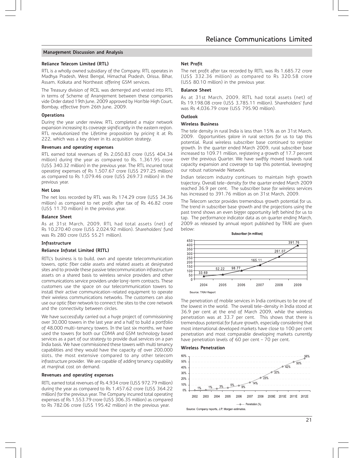#### **Reliance Telecom Limited (RTL)**

RTL is a wholly owned subsidiary of the Company. RTL operates in Madhya Pradesh, West Bengal, Himachal Pradesh, Orissa, Bihar, Assam, Kolkata and Northeast offering GSM services.

The Treasury division of RCIL was demerged and vested into RTL in terms of Scheme of Arrangement between these companies vide Order dated 19th June, 2009 approved by Hon'ble High Court, Bombay, effective from 26th June, 2009.

#### **Operations**

During the year under review, RTL completed a major network expansion increasing its coverage significantly in the eastern region. RTL revolutionized the Lifetime proposition by pricing it at Rs 222, which was a key driver in its acquisition strategy.

#### **Revenues and operating expenses**

RTL earned total revenues of Rs 2,050.83 crore (US\$ 404.34 million) during the year as compared to Rs. 1,361.95 crore (US\$ 340.32 million) in the previous year. The RTL incurred total operating expenses of Rs 1,507.67 crore (US\$ 297.25 million) as compared to Rs 1,079.46 crore (US\$ 269.73 million) in the previous year.

#### **Net Loss**

The net loss recorded by RTL was Rs 174.29 crore (US\$ 34.36 million) as compared to net profit after tax of Rs 46.82 crore (US\$ 11.70 million) in the previous year.

#### **Balance Sheet**

As at 31st March, 2009, RTL had total assets (net) of Rs 10,270.40 crore (US\$ 2,024.92 million). Shareholders' fund was Rs 280 crore (US\$ 55.21 million).

#### **Infrastructure**

#### **Reliance Infratel Limited (RITL)**

RITL's business is to build, own and operate telecommunication towers, optic fiber cable assets and related assets at designated sites and to provide these passive telecommunication infrastructure assets on a shared basis to wireless service providers and other communications service providers under long-term contracts. These customers use the space on our telecommunication towers to install their active communication-related equipment to operate their wireless communications networks. The customers can also use our optic fiber network to connect the sites to the core network and the connectivity between circles.

We have successfully carried out a huge project of commissioning over 30,000 towers in the last year and a half to build a portfolio of 48,000 multi-tenancy towers. In the last six months, we have used the towers for both our CDMA and GSM technology based services as a part of our strategy to provide dual services on a pan India basis. We have commissioned these towers with multi tenancy capabilities and they would have the capacity of over 200,000 slots, the most extensive compared to any other telecom infrastructure provider. We are capable of adding tenancy capability at marginal cost on demand.

#### **Revenues and operating expenses**

RITL earned total revenues of Rs 4,934 crore (US\$ 972.79 million) during the year as compared to Rs 1,457.62 crore (US\$ 364.22 million) for the previous year. The Company incurred total operating expenses of Rs 1,553.79 crore (US\$ 306.35 million) as compared to Rs 782.06 crore (US\$ 195.42 million) in the previous year.

#### **Net Profit**

The net profit after tax recorded by RITL was Rs 1,685.72 crore (US\$ 332.36 million) as compared to Rs 320.58 crore (US\$ 80.10 million) in the previous year.

#### **Balance Sheet**

As at 31st March, 2009, RITL had total assets (net) of Rs 19,198.08 crore (US\$ 3,785.11 million). Shareholders' fund was Rs 4,036.79 crore (US\$ 795.90 million).

#### **Outlook**

#### **Wireless Business**

The tele density in rural India is less than 15% as on 31st March, 2009. Opportunities galore in rural sectors for us to tap this potential. Rural wireless subscriber base continued to register growth. In the quarter ended March 2009, rural subscriber base increased to 109.71 million, registering a growth of 17.7 percent over the previous Quarter. We have swiftly moved towards rural capacity expansion and coverage to tap this potential, leveraging our robust nationwide Network.

Indian telecom industry continues to maintain high growth trajectory. Overall tele-density for the quarter ended March 2009 reached 36.9 per cent. The subscriber base for wireless services has increased to 391.76 million as on 31st March, 2009.

The Telecom sector provides tremendous growth potential for us. The trend in subscriber base growth and the projections using the past trend shows an even bigger opportunity left behind for us to tap. The performance indicator data as on quarter ending March, 2009 as released by annual report published by TRAI are given below:



The penetration of mobile services in India continues to be one of the lowest in the world. The overall tele-density in India stood at 36.9 per cent at the end of March 2009, while the wireless penetration was at 33.7 per cent. This shows that there is tremendous potential for future growth, especially considering that most international developed markets have close to 100 per cent penetration and most comparable developing markets currently have penetration levels of 60 per cent - 70 per cent.

#### **Wireless Penetration**



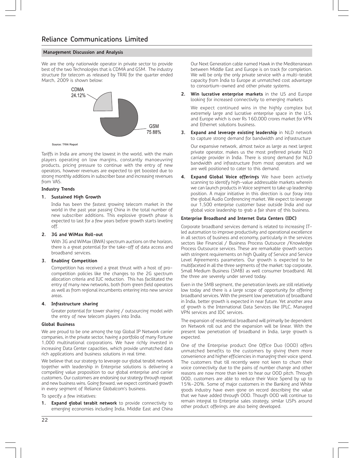We are the only nationwide operator in private sector to provide best of the two Technologies that is CDMA and GSM. The industry structure for telecom as released by TRAI for the quarter ended March, 2009 is shown below:



Source: TRAI Report

Tariffs in India are among the lowest in the world, with the main players operating on low margins, constantly manoeuvring products, pricing pressure to continue with the entry of new operators, however revenues are expected to get boosted due to strong monthly additions in subscriber base and increasing revenues from VAS.

#### **Industry Trends**

#### **1. Sustained High Growth**

India has been the fastest growing telecom market in the world in the past year passing China in the total number of new subscriber additions. This explosive growth phase is expected to last for a few years before growth starts leveling off.

#### **2. 3G and WiMax Roll-out**

With 3G and WiMax (BWA) spectrum auctions on the horizon, there is a great potential for the take-off of data access and broadband services.

#### **3. Enabling Competition**

Competition has received a great thrust with a host of procompetition policies like the changes to the 2G spectrum allocation criteria and IUC reduction. This has facilitated the entry of many new networks, both from green field operators as well as from regional incumbents entering into new service areas.

#### **4. Infrastructure sharing**

Greater potential for tower sharing / outsourcing model with the entry of new telecom players into India.

#### **Global Business**

We are proud to be one among the top Global IP Network carrier companies, in the private sector, having a portfolio of many Fortune 1,000 multinational corporations. We have richly invested in increasing Data Center capacities, which provide unmatched data rich applications and business solutions in real time.

We believe that our strategy to leverage our global terabit network together with leadership in Enterprise solutions is delivering a compelling value proposition to our global enterprise and carrier customers. Our customers are endorsing our strategy through repeat and new business wins. Going forward, we expect continued growth in every segment of Reliance Globalcom's business.

To specify a few initiatives:

**1. Expand global terabit network** to provide connectivity to emerging economies including India, Middle East and China Our Next Generation cable named Hawk in the Mediterranean between Middle East and Europe is on track for completion. We will be only the only private service with a multi-terabit capacity from India to Europe at unmatched cost advantage to consortium-owned and other private systems.

**2. Win lucrative enterprise markets** in the US and Europe looking for increased connectivity to emerging markets

We expect continued wins in the highly complex but extremely large and lucrative enterprise space in the U.S. and Europe which is over Rs 160,000 crores market for VPN and Ethernet solutions business.

**3. Expand and leverage existing leadership** in NLD network to capture strong demand for bandwidth and infrastructure

Our expansive network, almost twice as large as next largest private operator, makes us the most preferred private NLD carriage provider in India. There is strong demand for NLD bandwidth and infrastructure from most operators and we are well positioned to cater to this demand.

**4. Expand Global Voice offerings** We have been actively scanning to identify high-value addressable markets wherein we can launch products in Voice segment to take up leadership position. A major initiative in this direction is our foray into the global Audio Conferencing market. We expect to leverage our 1,500 enterprise customer base outside India and our global voice leadership to grab a fair share of this business.

#### **Enterprise Broadband and Internet Data Centers (IDC)**

Corporate broadband services demand is related to increasing ITled automation to improve productivity and operational excellence in all sectors of business and economy, particularly in the services sectors like Financial / Business Process Outsource /Knowledge Process Outsource services. These are remarkable growth sectors with stringent requirements on high Quality of Service and Service Level Agreements parameters. Our growth is expected to be multifaceted in all the three segments of the market: top corporate, Small Medium Business (SMB) as well consumer broadband. All the three are severely under served today.

Even in the SMB segment, the penetration levels are still relatively low today and there is a large scope of opportunity for offering broadband services. With the present low penetration of broadband in India, better growth is expected in near future. Yet another area of growth is the International Data Services like IPLC, Managed VPN services and IDC services.

The expansion of residential broadband will primarily be dependent on Network roll out and the expansion will be linear. With the present low penetration of broadband in India, large growth is expected.

One of the Enterprise product One Office Duo (OOD) offers unmatched benefits to the customers by giving them more convenience and higher efficiencies in managing their voice spend. The customers that till recently were not keen to churn their voice connectivity due to the pains of number change and other reasons are now more than keen to hear our OOD pitch. Through OOD, customers are able to reduce their Voice Spend by up to 15%-20%. Some of major customers in the Banking and White goods industry have even gone on record describing the value that we have added through OOD. Though OOD will continue to remain integral to Enterprise sales strategy, similar USPs around other product offerings are also being developed.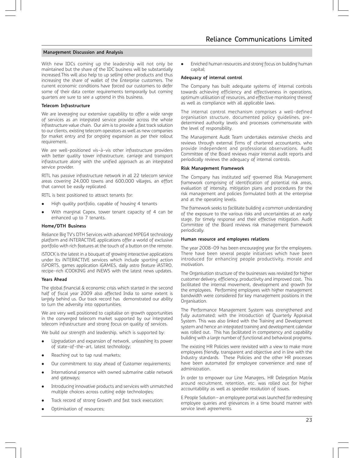With new IDCs coming up the leadership will not only be maintained but the share of the IDC business will be substantially increased.This will also help to up selling other products and thus increasing the share of wallet of the Enterprise customers. The current economic conditions have forced our customers to defer some of their data center requirements temporarily but coming quarters are sure to see a uptrend in this business.

#### **Telecom Infrastructure**

We are leveraging our extensive capability to offer a wide range of services as an integrated service provider across the whole infrastructure value chain. Our aim is to provide a fast track solution to our clients, existing telecom operators as well as new companies for market entry and for ongoing expansion as per their rollout requirement.

We are well-positioned vis-à-vis other infrastructure providers with better quality tower infrastructure, carriage and transport infrastructure along with the unified approach as an integrated service provider.

RITL has passive infrastructure network in all 22 telecom service areas covering 24,000 towns and 600,000 villages, an effort that cannot be easily replicated.

RITL is best positioned to attract tenants for:

- $\bullet$ High quality portfolio, capable of housing 4 tenants
- - With marginal Capex, tower tenant capacity of 4 can be enhanced up to 7 tenants.

#### **Home/DTH Business**

Reliance Big TV's DTH Services with advanced MPEG4 technology platform and iNTERACTIVE applications offer a world of exclusive portfolio with rich features at the touch of a button on the remote.

iSTOCK is the latest in a bouquet of growing interactive applications under its iNTERACTIVE services which include sporting action iSPORTS, games application iGAMES, daily astro feature iASTRO, recipe-rich iCOOKING and iNEWS with the latest news updates.

#### **Years Ahead**

The global financial & economic crisis which started in the second half of fiscal year 2009 also affected India to some extent is largely behind us. Our track record has demonstrated our ability to turn the adversity into opportunities.

We are very well positioned to capitalise on growth opportunities in the converged telecom market supported by our integrated telecom infrastructure and strong focus on quality of services.

We build our strength and leadership, which is supported by:

- - Upgradation and expansion of network, unleashing its power of state-of-the-art, latest technology;
- $\bullet$ Reaching out to tap rural markets;
- $\bullet$ Our commitment to stay ahead of Customer requirements;
- $\bullet$  International presence with owned submarine cable network and gateways;
- - Introducing innovative products and services with unmatched multiple choices across cutting edge technologies;
- $\bullet$ Track record of strong Growth and fast track execution;
- $\bullet$ Optimisation of resources;

 $\bullet$  Enriched human resources and strong focus on building human capital;

#### **Adequacy of internal control**

The Company has built adequate systems of internal controls towards achieving efficiency and effectiveness in operations, optimum utilisation of resources, and effective monitoring thereof as well as compliance with all applicable laws.

The internal control mechanism comprises a well-defined organisation structure, documented policy guidelines, predetermined authority levels and processes commensurate with the level of responsibility.

The Management Audit Team undertakes extensive checks and reviews through external firms of chartered accountants, who provide independent and professional observations. Audit Committee of the Board reviews major internal audit reports and periodically reviews the adequacy of internal controls.

#### **Risk Management Framework**

The Company has instituted self governed Risk Management framework comprising of identification of potential risk areas, evaluation of intensity, mitigation plans and procedures for the risk management and policies formulated both at the enterprise and at the operating levels.

The framework seeks to facilitate building a common understanding of the exposure to the various risks and uncertainties at an early stage, for timely response and their effective mitigation. Audit Committee of the Board reviews risk management framework periodically.

#### **Human resource and employees relations**

The year 2008-09 has been encouraging year for the employees. There have been several people initiatives which have been introduced for enhancing people productivity, morale and motivation.

The Organisation structure of the businesses was revisited for higher customer delivery, efficiency, productivity and improved cost. This facilitated the internal movement, development and growth for the employees. Performing employees with higher management bandwidth were considered for key management positions in the Organisation.

The Performance Management System was strengthened and fully automated; with the introduction of Quarterly Appraisal System. This was also linked with the Training and Development system and hence an integrated training and development calendar was rolled out. This has facilitated in competency and capability building with a large number of functional and behavioral programs.

The existing HR Policies were revisited with a view to make more employees friendly, transparent and objective and in line with the Industry standards. These Policies and the other HR processes have been automated for employee convenience and ease of administration.

In order to empower our Line Managers, HR Delegation Matrix around recruitment, retention, etc. was rolled out for higher accountability as well as speedier resolution of issues.

E People Solution – an employee portal was launched for redressing employee queries and grievances in a time bound manner with service level agreements.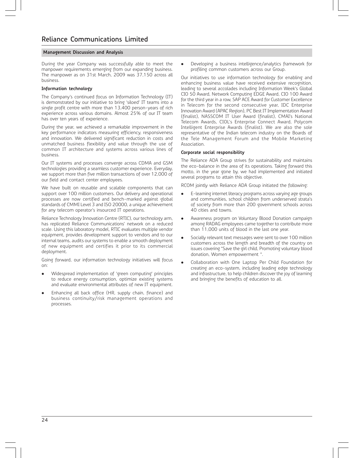During the year Company was successfully able to meet the manpower requirements emerging from our expanding business. The manpower as on 31st March, 2009 was 37,150 across all business.

#### **Information technology**

The Company's continued focus on Information Technology (IT) is demonstrated by our initiative to bring 'siloed' IT teams into a single profit centre with more than 13,400 person-years of rich experience across various domains. Almost 25% of our IT team has over ten years of experience.

During the year, we achieved a remarkable improvement in the key performance indicators measuring efficiency, responsiveness and innovation. We delivered significant reduction in costs and unmatched business flexibility and value through the use of common IT architecture and systems across various lines of business.

Our IT systems and processes converge across CDMA and GSM technologies providing a seamless customer experience. Everyday, we support more than five million transactions of over 12,000 of our field and contact center employees.

We have built on reusable and scalable components that can support over 100 million customers. Our delivery and operational processes are now certified and bench-marked against global standards of CMMI Level 3 and ISO 20000, a unique achievement for any telecom operator's insourced IT operations.

Reliance Technology Innovation Centre (RTIC), our technology arm, has replicated Reliance Communications' network on a reduced scale. Using this laboratory model, RTIC evaluates multiple vendor equipment, provides development support to vendors and to our internal teams, audits our systems to enable a smooth deployment of new equipment and certifies it prior to its commercial deployment.

Going forward, our information technology initiatives will focus on:

- - Widespread implementation of 'green computing' principles to reduce energy consumption, optimize existing systems and evaluate environmental attributes of new IT equipment.
- $\bullet$  Enhancing all back office (HR, supply chain, finance) and business continuity/risk management operations and processes.

- Developing a business intelligence/analytics framework for profiling common customers across our Group.

Our initiatives to use information technology for enabling and enhancing business value have received extensive recognition, leading to several accolades including Information Week's Global CIO 50 Award, Network Computing EDGE Award, CIO 100 Award for the third year in a row, SAP ACE Award for Customer Excellence in Telecom for the second consecutive year, IDC Enterprise Innovation Award (APAC Region), PC Best IT Implementation Award (finalist), NASSCOM IT User Award (finalist), CMAI's National Telecom Awards, CIOL's Enterprise Connect Award, Polycom Intelligent Enterprise Awards (finalist). We are also the sole representative of the Indian telecom industry on the Boards of the Tele Management Forum and the Mobile Marketing Association.

#### **Corporate social responsibility**

The Reliance ADA Group strives for sustainability and maintains the eco-balance in the area of its operations. Taking forward this motto, in the year gone by, we had implemented and initiated several programs to attain this objective.

RCOM jointly with Reliance ADA Group initiated the following:

- $\bullet$  E-learning internet literacy programs across varying age groups and communities, school children from underserved strata's of society from more than 200 government schools across 40 cities and towns.
- $\bullet$  Awareness program on Voluntary Blood Donation campaign among RADAG employees came together to contribute more than 11,000 units of blood in the last one year.
- - Socially relevant text messages were sent to over 100 million customers across the length and breadth of the country on issues covering "Save the girl child, Promoting voluntary blood donation, Women empowerment ".
- $\bullet$  Collaboration with One Laptop Per Child Foundation for creating an eco-system, including leading edge technology and infrastructure, to help children discover the joy of learning and bringing the benefits of education to all.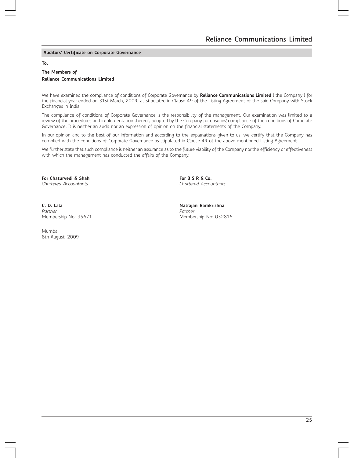#### **Auditors' Certificate on Corporate Governance**

**To,**

#### **The Members of Reliance Communications Limited**

We have examined the compliance of conditions of Corporate Governance by **Reliance Communications Limited** ('the Company') for the financial year ended on 31st March, 2009, as stipulated in Clause 49 of the Listing Agreement of the said Company with Stock Exchanges in India.

The compliance of conditions of Corporate Governance is the responsibility of the management. Our examination was limited to a review of the procedures and implementation thereof, adopted by the Company for ensuring compliance of the conditions of Corporate Governance. It is neither an audit nor an expression of opinion on the financial statements of the Company.

In our opinion and to the best of our information and according to the explanations given to us, we certify that the Company has complied with the conditions of Corporate Governance as stipulated in Clause 49 of the above mentioned Listing Agreement.

We further state that such compliance is neither an assurance as to the future viability of the Company nor the efficiency or effectiveness with which the management has conducted the affairs of the Company.

**For Chaturvedi & Shah For B S R & Co.**<br>Chartered Accountants and **For B S R & Co.** *Chartered Accountants Chartered Accountants*

**C. D. Lala C. D. Lala C. D. Lala C. D. Lala Natrajan Ramkrishna** *Partner Partner*

Mumbai 8th August, 2009

Membership No: 35671 Membership No: 032815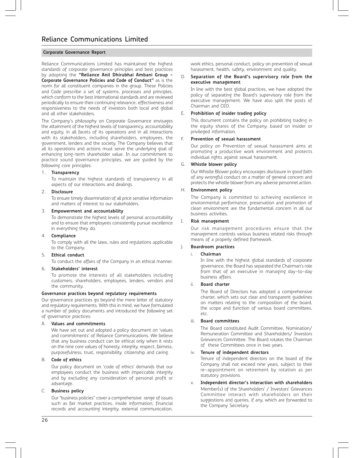Reliance Communications Limited has maintained the highest standards of corporate governance principles and best practices by adopting the **"Reliance Anil Dhirubhai Ambani Group - Corporate Governance Policies and Code of Conduct"** as is the norm for all constituent companies in the group. These Policies and Code prescribe a set of systems, processes and principles, which conform to the best international standards and are reviewed periodically to ensure their continuing relevance, effectiveness and responsiveness to the needs of investors both local and global and all other stakeholders.

The Company's philosophy on Corporate Governance envisages the attainment of the highest levels of transparency, accountability and equity, in all facets of its operations and in all interactions with its stakeholders, including shareholders, employees, the government, lenders and the society. The Company believes that all its operations and actions must serve the underlying goal of enhancing long-term shareholder value. In our commitment to practice sound governance principles, we are guided by the following core principles:

#### 1. **Transparency**

To maintain the highest standards of transparency in all aspects of our interactions and dealings.

#### 2. **Disclosure**

To ensure timely dissemination of all price sensitive information and matters of interest to our stakeholders.

#### 3. **Empowerment and accountability**

To demonstrate the highest levels of personal accountability and to ensure that employees consistently pursue excellence in everything they do.

4. **Compliance**

To comply with all the laws, rules and regulations applicable to the Company.

#### 5. **Ethical conduct**

To conduct the affairs of the Company in an ethical manner.

#### 6. **Stakeholders' interest**

To promote the interests of all stakeholders including customers, shareholders, employees, lenders, vendors and the community.

#### **Governance practices beyond regulatory requirements**

Our governance practices go beyond the mere letter of statutory and regulatory requirements. With this in mind, we have formulated a number of policy documents and introduced the following set of governance practices:

#### A. **Values and commitments**

We have set out and adopted a policy document on 'values and commitments' of Reliance Communications. We believe that any business conduct can be ethical only when it rests on the nine core values of honesty, integrity, respect, fairness, purposefulness, trust, responsibility, citizenship and caring.

#### B. **Code of ethics**

Our policy document on 'code of ethics' demands that our employees conduct the business with impeccable integrity and by excluding any consideration of personal profit or advantage.

#### C. **Business policy**

Our "business policies" cover a comprehensive range of issues such as fair market practices, inside information, financial records and accounting integrity, external communication, work ethics, personal conduct, policy on prevention of sexual harassment, health, safety, environment and quality.

#### D. **Separation of the Board's supervisory role from the executive management**

In line with the best global practices, we have adopted the policy of separating the Board's supervisory role from the executive management. We have also split the posts of Chairman and CEO.

#### E. **Prohibition of insider trading policy**

This document contains the policy on prohibiting trading in the equity shares of the Company, based on insider or privileged information.

#### F. **Prevention of sexual harassment**

Our policy on Prevention of sexual harassment aims at promoting a productive work environment and protects individual rights against sexual harassment.

#### G. **Whistle blower policy**

Our Whistle Blower policy encourages disclosure in good faith of any wrongful conduct on a matter of general concern and protects the whistle blower from any adverse personnel action.

#### H. **Environment policy**

The Company is committed to achieving excellence in environmental performance, preservation and promotion of clean environment are the fundamental concern in all our business activities.

#### I. **Risk management**

Our risk management procedures ensure that the management controls various business related risks through means of a properly defined framework.

#### J. **Boardroom practices**

#### i. **Chairman**

In line with the highest global standards of corporate governance, the Board has separated the Chairman's role from that of an executive in managing day-to-day business affairs.

#### ii. **Board charter**

The Board of Directors has adopted a comprehensive charter, which sets out clear and transparent guidelines on matters relating to the composition of the board, the scope and function of various board committees, etc.

#### iii. **Board committees**

The Board constituted Audit Committee, Nomination/ Remuneration Committee and Shareholders/ Investors Grievances Committee. The Board rotates the Chairman of these Committees once in two years.

#### iv. **Tenure of independent directors**

Tenure of independent directors on the board of the Company shall not exceed nine years, subject to their re-appointment on retirement by rotation as per statutory provisions.

#### Independent director's interaction with shareholders Member(s) of the Shareholders' / Investors' Grievances Committee interact with shareholders on their suggestions and queries, if any, which are forwarded to the Company Secretary.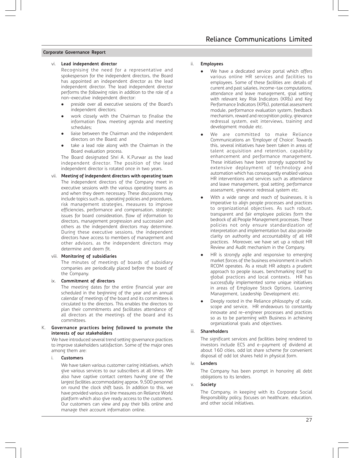#### vi. **Lead independent director**

Recognising the need for a representative and spokesperson for the independent directors, the Board has appointed an independent director as the lead independent director. The lead independent director performs the following roles in addition to the role of a non-executive independent director:

- $\bullet$  preside over all executive sessions of the Board's independent directors;
- $\bullet$  work closely with the Chairman to finalise the information flow, meeting agenda and meeting schedules;
- $\bullet$  liaise between the Chairman and the independent directors on the Board; and
- $\bullet$  take a lead role along with the Chairman in the Board evaluation process.

The Board designated Shri A. K.Purwar as the lead independent director. The position of the lead independent director is rotated once in two years.

vii. **Meeting of independent directors with operating team** The independent directors of the Company meet in executive sessions with the various operating teams as and when they deem necessary. These discussions may include topics such as, operating policies and procedures, risk management strategies, measures to improve efficiencies, performance and compensation, strategic issues for board consideration, flow of information to directors, management progression and succession and others as the independent directors may determine. During these executive sessions, the independent directors have access to members of management and other advisors, as the independent directors may determine and deem fit.

#### viii. **Monitoring of subsidiaries**

The minutes of meetings of boards of subsidiary companies are periodically placed before the board of the Company.

#### ix. **Commitment of directors**

The meeting dates for the entire financial year are scheduled in the beginning of the year and an annual calendar of meetings of the board and its committees is circulated to the directors. This enables the directors to plan their commitments and facilitates attendance of all directors at the meetings of the board and its committees.

#### K. **Governance practices being followed to promote the interests of our stakeholders**

We have introduced several trend setting governance practices to improve stakeholders satisfaction. Some of the major ones among them are:

#### i. **Customers**

We have taken various customer caring initiatives, which give various services to our subscribers at all times. We also have captive contact centers having one of the largest facilities accommodating approx. 9,500 personnel on round the clock shift basis. In addition to this, we have provided various on line measures on Reliance World platform which also give ready access to the customers. Our customers can view and pay their bills online and manage their account information online.

#### ii. **Employees**

- $\bullet$  We have a dedicated service portal which offers various online HR services and facilities to employees. Some of these facilities are: details of current and past salaries, income-tax computations, attendance and leave management, goal setting with relevant key Risk Indicators (KRIs) and Key Performance Indicators (KPIs), potential assessment module, performance evaluation system, feedback mechanism, reward and recognition policy, grievance redressal system, exit interviews, training and development module etc.
- $\bullet$  We are committed to make Reliance Communications an 'Employer of Choice'. Towards this, several initiatives have been taken in areas of talent acquisition and retention, capability enhancement and performance management. These initiatives have been strongly supported by extensive deployment of technology and automation which has consequently enabled various HR interventions and services such as attendance and leave management, goal setting, performance assessment, grievance redressal system etc.
- $\bullet$  With a wide range and reach of businesses, it is imperative to align people processes and practices to organizational objectives. As such robust, transparent and fair employee policies form the bedrock of all People Management processes. These policies not only ensure standardization of interpretation and implementation but also provide clarity on authority and accountability of all HR practices. Moreover, we have set up a robust HR Review and Audit mechanism in the Company.
- $\bullet$  HR is strongly agile and responsive to emerging market forces of the business environment in which RCOM operates. As a result HR adopts a prudent approach to people issues, benchmarking itself to global practices and local contexts. HR has successfully implemented some unique initiatives in areas of Employee Stock Options, Learning Management, Leadership Development etc.
- $\bullet$  Deeply rooted in the Reliance philosophy of scale, scope and service, HR endeavours to constantly innovate and re-engineer processes and practices so as to be parterning with Business in achieving organizational goals and objectives.

#### iii. **Shareholders**

The significant services and facilities being rendered to investors include ECS and e-payment of dividend at about 160 cities, odd lot share scheme for convenient disposal of odd lot shares held in physical form.

#### iv. **Lenders**

The Company has been prompt in honoring all debt obligations to its lenders.

#### Society

The Company, in keeping with its Corporate Social Responsibility policy, focuses on healthcare, education, and other social initiatives.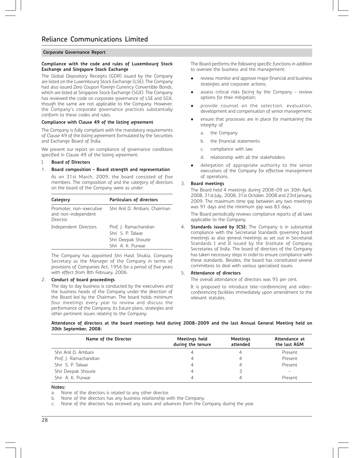#### **Compliance with the code and rules of Luxembourg Stock Exchange and Singapore Stock Exchange**

The Global Depository Receipts (GDR) issued by the Company are listed on the Luxembourg Stock Exchange (LSE). The Company had also issued Zero Coupon Foreign Currency Convertible Bonds, which are listed at Singapore Stock Exchange (SGX). The Company has reviewed the code on corporate governance of LSE and SGX, though the same are not applicable to the Company. However, the Company's corporate governance practices substantially conform to these codes and rules.

#### **Compliance with Clause 49 of the listing agreement**

The Company is fully compliant with the mandatory requirements of Clause 49 of the listing agreement formulated by the Securities and Exchange Board of India.

We present our report on compliance of governance conditions specified in Clause 49 of the listing agreement:

#### I. **Board of Directors**

#### 1. **Board composition – Board strength and representation**

As on 31st March, 2009, the board consisted of five members. The composition of and the category of directors on the board of the Company were as under:

| Category                                                   | <b>Particulars of directors</b>                                                        |
|------------------------------------------------------------|----------------------------------------------------------------------------------------|
| Promoter, non-executive<br>and non-independent<br>Director | Shri Anil D. Ambani, Chairman                                                          |
| Independent Directors                                      | Prof. J. Ramachandran<br>Shri S. P. Talwar<br>Shri Deepak Shourie<br>Shri A. K. Purwar |

The Company has appointed Shri Hasit Shukla, Company Secretary as the Manager of the Company in terms of provisions of Companies Act, 1956 for a period of five years with effect from 8th February, 2006.

#### 2. **Conduct of board proceedings**

The day to day business is conducted by the executives and the business heads of the Company under the direction of the Board led by the Chairman. The board holds minimum four meetings every year to review and discuss the performance of the Company, its future plans, strategies and other pertinent issues relating to the Company.

The Board performs the following specific functions in addition to oversee the business and the management:

- $\bullet$  review, monitor and approve major financial and business strategies and corporate actions;
- $\bullet$  assess critical risks facing by the Company – review options for their mitigation;
- $\bullet$  provide counsel on the selection, evaluation, development and compensation of senior management;
- $\bullet$  ensure that processes are in place for maintaining the integrity of
	- a. the Company
	- b. the financial statements
	- c. compliance with law
	- d. relationship with all the stakeholders
- $\bullet$  delegation of appropriate authority to the senior executives of the Company for effective management of operations.

#### 3. **Board meetings**

The Board held 4 meetings during 2008-09 on 30th April, 2008, 31st July,, 2008, 31st October, 2008 and 23rd January, 2009. The maximum time gap between any two meetings was 91 days and the minimum gap was 83 days.

The Board periodically reviews compliance reports of all laws applicable to the Company.

4. **Standards issued by ICSI:** The Company is in substantial compliance with the Secretarial Standards governing board meetings as also general meetings as set out in Secretarial Standards I and II issued by the Institute of Company Secretaries of India. The board of directors of the Company has taken necessary steps in order to ensure compliance with these standards. Besides, the board has constituted several committees to deal with various specialised issues.

#### 5. **Attendance of directors**

The overall attendance of directors was 95 per cent.

It is proposed to introduce tele-conferencing and videoconferencing facilities immediately upon amendment to the relevant statutes.

**Attendance of directors at the board meetings held during 2008-2009 and the last Annual General Meeting held on 30th September, 2008:**

| Name of the Director  | Meetings held<br>during the tenure | Meetings<br>attended | Attendance at<br>the last AGM |
|-----------------------|------------------------------------|----------------------|-------------------------------|
| Shri Anil D. Ambani   | 4                                  | 4                    | Present                       |
| Prof. J. Ramachandran | 4                                  | 4                    | Present                       |
| Shri S. P. Talwar     | 4                                  | 4                    | Present                       |
| Shri Deepak Shourie   | 4                                  |                      |                               |
| Shri A. K. Purwar     |                                    |                      | Present                       |

#### Notes:

a. None of the directors is related to any other director.

b. None of the directors has any business relationship with the Company.

c. None of the directors has received any loans and advances from the Company during the year.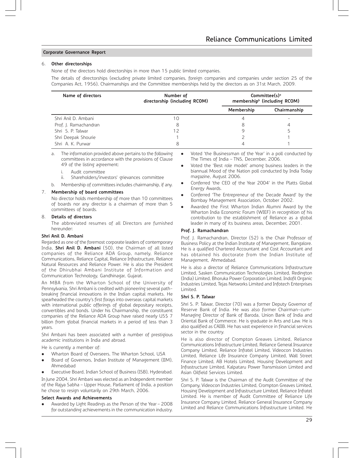#### 6. **Other directorships**

None of the directors hold directorships in more than 15 public limited companies.

The details of directorships (excluding private limited companies, foreign companies and companies under section 25 of the Companies Act, 1956), Chairmanships and the Committee memberships held by the directors as on 31st March, 2009.

| Name of directors     | Number of<br>directorship (including RCOM) | Committee(s) <sup>a</sup><br>membership <sup>b</sup> (including RCOM) |              |
|-----------------------|--------------------------------------------|-----------------------------------------------------------------------|--------------|
|                       |                                            | Membership                                                            | Chairmanship |
| Shri Anil D. Ambani   | 10                                         |                                                                       |              |
| Prof. J. Ramachandran | 8                                          | 8                                                                     |              |
| Shri S. P. Talwar     | 12                                         |                                                                       |              |
| Shri Deepak Shourie   |                                            |                                                                       |              |
| Shri A. K. Purwar     | 8                                          |                                                                       |              |

a. The information provided above pertains to the following committees in accordance with the provisions of Clause 49 of the listing agreement:

i. Audit committee

ii. Shareholders/investors' grievances committee

b. Membership of committees includes chairmanship, if any.

#### 7. **Membership of board committees**

No director holds membership of more than 10 committees of boards nor any director is a chairman of more than 5 committees of boards.

#### 8. **Details of directors**

The abbreviated resumes of all Directors are furnished hereunder:

#### **Shri Anil D. Ambani**

Regarded as one of the foremost corporate leaders of contemporary India, **Shri Anil D. Ambani** (50), the Chairman of all listed companies of the Reliance ADA Group, namely, Reliance Communications, Reliance Capital, Reliance Infrastructure, Reliance Natural Resources and Reliance Power. He is also the President of the Dhirubhai Ambani Institute of Information and Communication Technology, Gandhinagar, Gujarat.

An MBA from the Wharton School of the University of Pennsylvania, Shri Ambani is credited with pioneering several pathbreaking financial innovations in the Indian capital markets. He spearheaded the country's first forays into overseas capital markets with international public offerings of global depositary receipts, convertibles and bonds. Under his Chairmanship, the constituent companies of the Reliance ADA Group have raised nearly US\$ 7 billion from global financial markets in a period of less than 3 years.

Shri Ambani has been associated with a number of prestigious academic institutions in India and abroad.

He is currently a member of:

- $\bullet$ Wharton Board of Overseers, The Wharton School, USA
- $\bullet$  Board of Governors, Indian Institute of Management (IIM), Ahmedabad
- $\bullet$ Executive Board, Indian School of Business (ISB), Hyderabad.

In June 2004, Shri Ambani was elected as an Independent member of the Rajya Sabha – Upper House, Parliament of India, a position he chose to resign voluntarily on 29th March, 2006.

#### **Select Awards and Achievements**

 $\bullet$  Awarded by Light Readings as the Person of the Year – 2008 for outstanding achievements in the communication industry.

- - Voted 'the Businessman of the Year' in a poll conducted by The Times of India – TNS, December, 2006.
- - Voted the 'Best role model' among business leaders in the biannual Mood of the Nation poll conducted by India Today magazine, August 2006.
- $\bullet$  Conferred 'the CEO of the Year 2004' in the Platts Global Energy Awards.
- $\bullet$  Conferred 'The Entrepreneur of the Decade Award' by the Bombay Management Association, October 2002.
- $\bullet$  Awarded the First Wharton Indian Alumni Award by the Wharton India Economic Forum (WIEF) in recognition of his contribution to the establishment of Reliance as a global leader in many of its business areas, December, 2001.

#### **Prof. J. Ramachandran**

Prof. J. Ramachandran, Director (52) is the Chair Professor of Business Policy at the Indian Institute of Management, Bangalore. He is a qualified Chartered Accountant and Cost Accountant and has obtained his doctorate from the Indian Institute of Management, Ahmedabad.

He is also a director of Reliance Communications Infrastructure Limited, Sasken Communication Technologies Limited, Redington (India) Limited, Bhoruka Power Corporation Limited, Indofil Organic Industries Limited, Tejas Networks Limited and Infotech Enterprises Limited.

#### **Shri S. P. Talwar**

Shri S. P. Talwar, Director (70) was a former Deputy Governor of Reserve Bank of India. He was also former Chairman-cum-Managing Director of Bank of Baroda, Union Bank of India and Oriental Bank of Commerce. He is graduate in Arts and Law. He is also qualified as CAIIB. He has vast experience in financial services sector in the country.

He is also director of Crompton Greaves Limited, Reliance Communications Infrastructure Limited, Reliance General Insurance Company Limited, Reliance Infratel Limited, Videocon Industries Limited, Reliance Life Insurance Company Limited, Wall Street Finance Limited, AB Hotels Limited, Housing Development and Infrastructure Limited, Kalpataru Power Transmission Limited and Asian Oilfield Services Limited.

Shri S. P. Talwar is the Chairman of the Audit Committee of the Company, Videocon Industries Limited, Crompton Greaves Limited, Housing Development and Infrastructure Limited, Reliance Infratel Limited. He is member of Audit Committee of Reliance Life Insurance Company Limited, Reliance General Insurance Company Limited and Reliance Communications Infrastructure Limited. He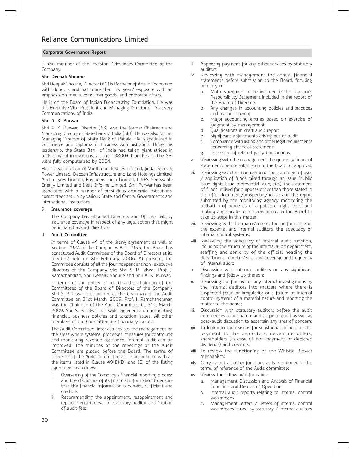is also member of the Investors Grievances Committee of the Company.

#### **Shri Deepak Shourie**

Shri Deepak Shourie, Director (60) is Bachelor of Arts in Economics with Honours and has more than 39 years' exposure with an emphasis on media, consumer goods, and corporate affairs.

He is on the Board of Indian Broadcasting Foundation. He was the Executive Vice President and Managing Director of Discovery Communications of India.

#### **Shri A. K. Purwar**

Shri A. K. Purwar, Director (63) was the former Chairman and Managing Director of State Bank of India (SBI). He was also former Managing Director of State Bank of Patiala. He is graduated in Commerce and Diploma in Business Administration. Under his leadership, the State Bank of India had taken giant strides in technological innovations, all the 13800+ branches of the SBI were fully computerized by 2004.

He is also Director of Vardhman Textiles Limited, Jindal Steel & Power Limited, Deccan Infrastructure and Land Holdings Limited, Apollo Tyres Limited, Engineers India Limited, IL&FS Renewable Energy Limited and India Infoline Limited. Shri Purwar has been associated with a number of prestigious academic institutions, committees set up by various State and Central Governments and international institutions.

#### 9. **Insurance coverage**

The Company has obtained Directors and Officers liability insurance coverage in respect of any legal action that might be initiated against directors.

#### II. **Audit Committee**

In terms of Clause 49 of the listing agreement as well as Section 292A of the Companies Act, 1956, the Board has constituted Audit Committee of the Board of Directors at its meeting held on 8th February, 2006. At present, the Committee consists of all the four independent non– executive directors of the Company. viz; Shri S. P. Talwar, Prof. J. Ramachandran, Shri Deepak Shourie and Shri A. K. Purwar.

In terms of the policy of rotating the chairman of the Committees of the Board of Directors of the Company, Shri S. P. Talwar is appointed as the Chairman of the Audit Committee on 31st March, 2009. Prof. J. Ramchandranan was the Chairman of the Audit Committee till 31st March, 2009. Shri S. P. Talwar has wide experience on accounting, financial, business policies and taxation issues. All other members of the Committee are financially literate.

The Audit Committee, inter alia advises the management on the areas where systems, processes, measures for controlling and monitoring revenue assurance, internal audit can be improved. The minutes of the meetings of the Audit Committee are placed before the Board. The terms of reference of the Audit Committee are in accordance with all the items listed in Clause 49(II)(D) and (E) of the listing agreement as follows:

- i. Overseeing of the Company's financial reporting process and the disclosure of its financial information to ensure that the financial information is correct, sufficient and credible;
- Recommending the appointment, reappointment and replacement/removal of statutory auditor and fixation of audit fee;
- iii. Approving payment for any other services by statutory auditors;
- iv. Reviewing with management the annual financial statements before submission to the Board, focusing primarily on;
	- a. Matters required to be included in the Director's Responsibility Statement included in the report of the Board of Directors
	- b. Any changes in accounting policies and practices and reasons thereof
	- c. Major accounting entries based on exercise of judgment by management
	- d. Qualifications in draft audit report
	- e. Significant adjustments arising out of audit
	- f. Compliance with listing and other legal requirements concerning financial statements
	- g. Disclosure of related party transactions
- v. Reviewing with the management the quarterly financial statements before submission to the Board for approval;
- vi. Reviewing with the management, the statement of uses / application of funds raised through an issue (public issue, rights issue, preferential issue, etc.), the statement of funds utilised for purposes other than those stated in the offer document/prospectus/notice and the report submitted by the monitoring agency monitoring the utilisation of proceeds of a public or right issue, and making appropriate recommendations to the Board to take up steps in this matter;
- vii. Reviewing with the management, the performance of the external and internal auditors, the adequacy of internal control systems;
- viii. Reviewing the adequacy of internal audit function, including the structure of the internal audit department, staffing and seniority of the official heading the department, reporting structure coverage and frequency of internal audit;
- ix. Discussion with internal auditors on any significant findings and follow up thereon;
- Reviewing the findings of any internal investigations by the internal auditors into matters where there is suspected fraud or irregularity or a failure of internal control systems of a material nature and reporting the matter to the board;
- xi. Discussion with statutory auditors before the audit commences about nature and scope of audit as well as post-audit discussion to ascertain any area of concern;
- xii. To look into the reasons for substantial defaults in the payment to the depositors, debentureholders, shareholders (in case of non-payment of declared dividends) and creditors;
- xiii. To review the functioning of the Whistle Blower mechanism;
- xiv. Carrying out all other functions as is mentioned in the terms of reference of the Audit committee;
- xv. Review the following information:
	- Management Discussion and Analysis of Financial Condition and Results of Operations
	- b. Internal audit reports relating to internal control weaknesses
	- c. Management letters / letters of internal control weaknesses issued by statutory / internal auditors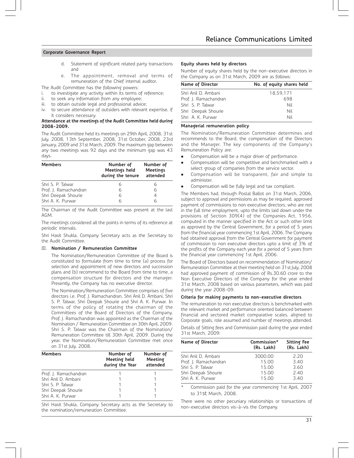- d. Statement of significant related party transactions and
- e. The appointment, removal and terms of remuneration of the Chief internal auditor.

The Audit Committee has the following powers:

- i. to investigate any activity within its terms of reference;
- ii. to seek any information from any employee;
- iii. to obtain outside legal and professional advice;
- iv. to secure attendance of outsiders with relevant expertise, if it considers necessary.

#### **Attendance at the meetings of the Audit Committee held during 2008-2009.**

The Audit Committee held its meetings on 29th April, 2008, 31st July, 2008, 13th September, 2008, 31st October, 2008, 23rd January, 2009 and 31st March, 2009. The maximum gap between any two meetings was 92 days and the minimum gap was 43 days.

| <b>Members</b><br>Number of<br>Meetings held<br>during the tenure |   | Number of<br>Meetings<br>attended |
|-------------------------------------------------------------------|---|-----------------------------------|
| Shri S. P. Talwar                                                 | 6 | 6                                 |
| Prof. J. Ramachandran                                             | 6 | 6                                 |
| Shri Deepak Shourie                                               | 6 | 4                                 |
| Shri A. K. Purwar                                                 | 6 | 6                                 |

The Chairman of the Audit Committee was present at the last AGM.

The meetings considered all the points in terms of its reference at periodic intervals.

Shri Hasit Shukla, Company Secretary acts as the Secretary to the Audit Committee.

#### III. **Nomination / Remuneration Committee**

The Nomination/Remuneration Committee of the Board is constituted to formulate from time to time (a) process for selection and appointment of new directors and succession plans and (b) recommend to the Board from time to time, a compensation structure for directors and the manager. Presently, the Company has no executive director.

The Nomination/Remuneration Committee comprises of five directors i.e. Prof. J. Ramachandran, Shri Anil D. Ambani, Shri S. P. Talwar, Shri Deepak Shourie and Shri A. K. Purwar. In terms of the policy of rotating the chairman of the Committees of the Board of Directors of the Company, Prof. J. Ramachandran was appointed as the Chairman of the Nomination / Remuneration Committee on 30th April, 2009. Shri S. P. Talwar was the Chairman of the Nomination/ Remuneration Committee till 30th April, 2009. During the year, the Nomination/Remuneration Committee met once on 31st July, 2008.

| <b>Members</b>        | Number of<br>Number of<br>Meeting held<br>Meeting<br>during the Year<br>attended |  |
|-----------------------|----------------------------------------------------------------------------------|--|
| Prof. J. Ramachandran |                                                                                  |  |
| Shri Anil D. Ambani   |                                                                                  |  |
| Shri S. P. Talwar     |                                                                                  |  |
| Shri Deepak Shourie   |                                                                                  |  |
| Shri A. K. Purwar     |                                                                                  |  |

Shri Hasit Shukla, Company Secretary acts as the Secretary to the nomination/remuneration Committee.

#### **Equity shares held by directors**

Number of equity shares held by the non-executive directors in the Company as on 31st March, 2009 are as follows:

| Name of Director                 | No. of equity shares held |  |  |
|----------------------------------|---------------------------|--|--|
| Shri Anil D. Ambani<br>18.59.171 |                           |  |  |
| Prof. J. Ramachandran            | 698                       |  |  |
| Shri S. P. Talwar                | Nil                       |  |  |
| Shri Deepak Shourie              | Nil                       |  |  |
| Shri A. K. Purwar                | Nil                       |  |  |

#### **Managerial remuneration policy**

The Nomination/Remuneration Committee determines and recommends to the Board, the compensation of the Directors and the Manager. The key components of the Company's Remuneration Policy are:

- $\bullet$ Compensation will be a major driver of performance.
- - Compensation will be competitive and benchmarked with a select group of companies from the service sector.
- - Compensation will be transparent, fair and simple to administer.
- -Compensation will be fully legal and tax compliant.

The Members had, through Postal Ballot on 31st March, 2006, subject to approval and permissions as may be required, approved payment of commissions to non executive directors, who are not in the full time employment, upto the limits laid down under the provisions of Section 309(4) of the Companies Act, 1956, computed in the manner specified in the Act or such other limit as approved by the Central Government, for a period of 5 years from the financial year commencing 1st April, 2006. The Company had obtained approval from the Central Government for payment of commission to non executive directors upto a limit of 3% of the profits of the Company each year for a period of 5 years from the financial year commencing 1st April, 2006.

The Board of Directors based on recommendation of Nomination/ Remuneration Committee at their meeting held on 31st July, 2008 had approved payment of commission of Rs.30.60 crore to the Non Executive Directors of the Company for the year ended 31st March, 2008 based on various parameters, which was paid during the year 2008-09.

#### **Criteria for making payments to non-executive directors**

The remuneration to non executive directors is benchmarked with the relevant market and performance oriented balanced between financial and sectored market comparative scales, aligned to Corporate goals, role assumed and number of meetings attended.

Details of Sitting fees and Commission paid during the year ended 31st March, 2009:

| Name of Director                                                                         | Commission*<br>(Rs. Lakh)          | <b>Sitting Fee</b><br>(Rs. Lakh) |
|------------------------------------------------------------------------------------------|------------------------------------|----------------------------------|
| Shri Anil D. Ambani<br>Prof. J. Ramachandran<br>Shri S. P. Talwar<br>Shri Deepak Shourie | 3000.00<br>15.00<br>15.00<br>15.00 | 2.20<br>3.40<br>3.60<br>2.40     |
| Shri A. K. Purwar                                                                        | 15.00                              | 3.40                             |

Commission paid for the year commencing 1st April, 2007 to 31st March, 2008.

There were no other pecuniary relationships or transactions of non-executive directors vis-à-vis the Company.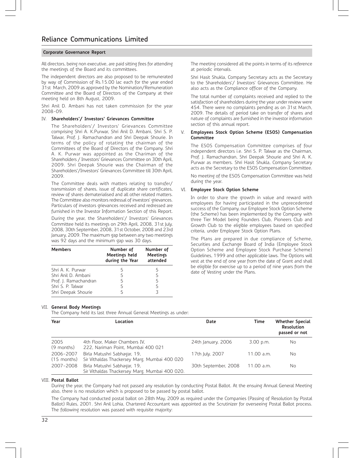All directors, being non executive, are paid sitting fees for attending the meetings of the Board and its committees.

The independent directors are also proposed to be remunerated by way of Commission of Rs.15.00 lac each for the year ended 31st March, 2009 as approved by the Nomination/Remuneration Committee and the Board of Directors of the Company at their meeting held on 8th August, 2009.

Shri Anil D. Ambani has not taken commission for the year 2008-09.

#### IV. **Shareholders'/ Investors' Grievances Committee**

The Shareholders'/ Investors' Grievances Committee comprising Shri A. K.Purwar, Shri Anil D. Ambani, Shri S. P. Talwar, Prof. J. Ramachandran and Shri Deepak Shourie. In terms of the policy of rotating the chairman of the Committees of the Board of Directors of the Company. Shri A. K. Purwar was appointed as the Chariman of the Shareholders / Investors' Grievances Committee on 30th April, 2009. Shri Deepak Shourie was the Chairman of the Shareholders'/Investors' Grievances Committee till 30th April, 2009.

The Committee deals with matters relating to transfer/ transmission of shares, issue of duplicate share certificates, review of shares dematerialised and all other related matters. The Committee also monitors redressal of investors' grievances. Particulars of investors grievances received and redressed are furnished in the Investor Information Section of this Report.

During the year, the Shareholders'/ Investors' Grievances Committee held its meetings on 29th April, 2008, 31st July, 2008, 30th September, 2008, 31st October, 2008 and 23rd January, 2009. The maximum gap between any two meetings was 92 days and the minimum gap was 30 days.

| <b>Members</b>        | Number of<br>Meetings held<br>during the Year | Number of<br>Meetings<br>attended |
|-----------------------|-----------------------------------------------|-----------------------------------|
| Shri A. K. Purwar     | 5                                             | 5                                 |
| Shri Anil D. Ambani   | 5                                             | 5                                 |
| Prof. J. Ramachandran | 5                                             | 5                                 |
| Shri S. P. Talwar     | 5                                             | 5                                 |
| Shri Deepak Shourie   | 5                                             | 3                                 |

The meeting considered all the points in terms of its reference at periodic intervals.

Shri Hasit Shukla, Company Secretary acts as the Secretary to the Shareholders'/ Investors' Grievances Committee. He also acts as the Compliance officer of the Company.

The total number of complaints received and replied to the satisfaction of shareholders during the year under review were 454. There were no complaints pending as on 31st March, 2009. The details of period take on transfer of shares and nature of complaints are furnished in the investor information section of this annual report.

#### V. **Employees Stock Option Scheme (ESOS) Compensation Committee**

The ESOS Compensation Committee comprises of four independent directors i.e. Shri S. P. Talwar as the Chairman, Prof. J. Ramachandran, Shri Deepak Shourie and Shri A. K. Purwar as members. Shri Hasit Shukla, Company Secretary acts as the Secretary to the ESOS Compensation Committee.

No meeting of the ESOS Compensation Committee was held during the year.

#### VI. **Employee Stock Option Scheme**

In order to share the growth in value and reward with employees for having participated in the unprecedented success of the Company, our Employee Stock Option Scheme (the Scheme) has been implemented by the Company with three Tier Model being Founders Club, Pioneers Club and Growth Club to the eligible employees based on specified criteria, under Employee Stock Option Plans.

The Plans are prepared in due compliance of Scheme, Securities and Exchange Board of India (Employee Stock Option Scheme and Employee Stock Purchase Scheme) Guidelines, 1999 and other applicable laws. The Options will vest at the end of one year from the date of Grant and shall be eligible for exercise up to a period of nine years from the date of Vesting under the Plans.

#### VII. **General Body Meetings**

The Company held its last three Annual General Meetings as under:

| Year                       | Location                                                                       | Date                 | Time       | <b>Whether Special</b><br><b>Resolution</b><br>passed or not |
|----------------------------|--------------------------------------------------------------------------------|----------------------|------------|--------------------------------------------------------------|
| 2005<br>(9 months)         | 4th Floor. Maker Chambers IV.<br>222. Nariman Point. Mumbai 400 021            | 24th January, 2006   | 3.00 p.m.  | No.                                                          |
| 2006-2007<br>$(15$ months) | Birla Matushri Sabhagar, 19,<br>Sir Vithaldas Thackersey Marg, Mumbai 400 020  | 17th July, 2007      | 11.00 a.m. | No.                                                          |
| 2007-2008                  | Birla Matushri Sabhagar, 19,<br>Sir Vithaldas Thackersey Marg, Mumbai 400 020. | 30th September, 2008 | 11.00 a.m. | No.                                                          |

#### VIII. **Postal Ballot**

During the year, the Company had not passed any resolution by conducting Postal Ballot. At the ensuing Annual General Meeting also, there is no resolution which is proposed to be passed by postal ballot.

The Company had conducted postal ballot on 28th May, 2009 as required under the Companies (Passing of Resolution by Postal Ballot) Rules, 2001. Shri Anil Lohia, Chartered Accountant was appointed as the Scrutinizer for overseeing Postal Ballot process. The following resolution was passed with requisite majority: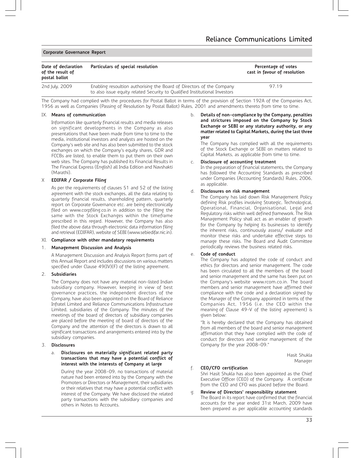| Date of declaration<br>of the result of<br>postal ballot | Particulars of special resolution                                                                                                                   | Percentage of votes<br>cast in favour of resolution |
|----------------------------------------------------------|-----------------------------------------------------------------------------------------------------------------------------------------------------|-----------------------------------------------------|
| 2nd July, 2009                                           | Enabling resoultion authorising the Board of Directors of the Company<br>to also issue equity related Security to Qualified Institutional Investors | 97.19                                               |

The Company had complied with the procedures for Postal Ballot in terms of the provision of Section 192A of the Companies Act, 1956 as well as Companies (Passing of Resolution by Postal Ballot) Rules, 2001 and amendments thereto from time to time.

#### IX. **Means of communication**

Information like quarterly financial results and media releases on significant developments in the Company as also presentations that have been made from time to time to the media, institutional investors and analysts are hosted on the Company's web site and has also been submitted to the stock exchanges on which the Company's equity shares, GDR and FCCBs are listed, to enable them to put them on their own web sites. The Company has published its Financial Results in The Financial Express (English) all India Edition and Navshakti (Marathi).

#### X **EDIFAR / Corporate Filing**

As per the requirements of clauses 51 and 52 of the listing agreement with the stock exchanges, all the data relating to quarterly financial results, shareholding pattern, quarterly report on Corporate Governance etc. are being electronically filed on www.corpfiling.co.in in addition to the filling the same with the Stock Exchanges within the timeframe prescribed in this regard. However, the Company has also filed the above data through electronic data information filing and retrieval (EDIFAR), website of SEBI (www.sebiedifar.nic.in).

#### XI. **Compliance with other mandatory requirements**

#### 1. **Management Discussion and Analysis**

A Management Discussion and Analysis Report forms part of this Annual Report and includes discussions on various matters specified under Clause 49(IV)(F) of the listing agreement.

#### 2. **Subsidiaries**

The Company does not have any material non-listed Indian subsidiary company. However, keeping in view of best governance practices, the independent directors of the Company, have also been appointed on the Board of Reliance Infratel Limited and Reliance Communications Infrastructure Limited, subsidiaries of the Company. The minutes of the meetings of the board of directors of subsidiary companies are placed before the meeting of board of directors of the Company and the attention of the directors is drawn to all significant transactions and arrangements entered into by the subsidiary companies.

#### 3. **Disclosures**

#### a. **Disclosures on materially significant related party transactions that may have a potential conflict of interest with the interests of Company at large**

During the year 2008-09, no transactions of material nature had been entered into by the Company with the Promoters or Directors or Management, their subsidiaries or their relatives that may have a potential conflict with interest of the Company. We have disclosed the related party transactions with the subsidiary companies and others in Notes to Accounts.

#### b. **Details of non-compliance by the Company, penalties and strictures imposed on the Company by Stock Exchange or SEBI or any statutory authority, or any matter related to Capital Markets, during the last three year**

The Company has complied with all the requirements of the Stock Exchange or SEBI on matters related to Capital Markets, as applicable from time to time.

#### c. **Disclosure of accounting treatment**

In the preparation of financial statements, the Company has followed the Accounting Standards as prescribed under Companies (Accounting Standards) Rules, 2006, as applicable.

#### d. **Disclosures on risk management**

The Company has laid down Risk Management Policy defining Risk profiles involving Strategic, Technological, Operational, Financial, Organisational, Legal and Regulatory risks within well defined framework. The Risk Management Policy shall act as an enabler of growth for the Company by helping its businesses to identify the inherent risks, continuously assess/ evaluate and monitor these risks and undertake effective steps to manage these risks. The Board and Audit Committee periodically reviews the business related risks.

#### e. **Code of conduct**

The Company has adopted the code of conduct and ethics for directors and senior management. The code has been circulated to all the members of the board and senior management and the same has been put on the Company's website www.rcom.co.in. The board members and senior management have affirmed their compliance with the code and a declaration signed by the Manager of the Company appointed in terms of the Companies Act, 1956 (i.e. the CEO within the meaning of Clause 49-V of the listing agreement) is given below:

"It is hereby declared that the Company has obtained from all members of the board and senior management affirmation that they have complied with the code of conduct for directors and senior management of the Company for the year 2008-09."

> Hasit Shukla Manager

#### f. **CEO/CFO certification**

Shri Hasit Shukla has also been appointed as the Chief Executive Officer (CEO) of the Company. A certificate from the CEO and CFO was placed before the Board.

been prepared as per applicable accounting standards

#### g. **Review of Directors' responsibility statement** The Board in its report have confirmed that the financial accounts for the year ended 31st March, 2009 have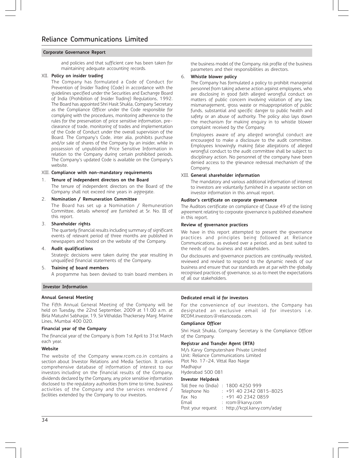and policies and that sufficient care has been taken for maintaining adequate accounting records.

#### XII. **Policy on insider trading**

The Company has formulated a Code of Conduct for Prevention of Insider Trading (Code) in accordance with the guidelines specified under the Securities and Exchange Board of India (Prohibition of Insider Trading) Regulations, 1992. The Board has appointed Shri Hasit Shukla, Company Secretary as the Compliance Officer under the Code responsible for complying with the procedures, monitoring adherence to the rules for the preservation of price sensitive information, preclearance of trade, monitoring of trades and implementation of the Code of Conduct under the overall supervision of the Board. The Company's Code, inter alia, prohibits purchase and/or sale of shares of the Company by an insider, while in possession of unpublished Price Sensitive Information in relation to the Company during certain prohibited periods. The Company's updated Code is available on the Company's website.

#### XIII. **Compliance with non-mandatory requirements**

#### 1. **Tenure of independent directors on the Board**

The tenure of independent directors on the Board of the Company shall not exceed nine years in aggregate.

#### 2. **Nomination / Remuneration Committee**

The Board has set up a Nomination / Remuneration Committee, details whereof are furnished at Sr. No. III of this report.

#### 3. **Shareholder rights**

The quarterly financial results including summary of significant events of relevant period of three months are published in newspapers and hosted on the website of the Company.

#### 4. **Audit qualifications**

Strategic decisions were taken during the year resulting in unqualified financial statements of the Company.

#### 5. **Training of board members**

A programme has been devised to train board members in

#### **Investor Information**

#### **Annual General Meeting**

The Fifth Annual General Meeting of the Company will be held on Tuesday, the 22nd September, 2009 at 11.00 a.m. at Birla Matushri Sabhagar, 19, Sir Vithaldas Thackersey Marg, Marine Lines, Mumbai 400 020.

#### **Financial year of the Company**

The financial year of the Company is from 1st April to 31st March each year.

#### **Website**

The website of the Company www.rcom.co.in contains a section about Investor Relations and Media Section. It carries comprehensive database of information of interest to our investors including on the financial results of the Company, dividends declared by the Company, any price sensitive information disclosed to the regulatory authorities from time to time, business activities of the Company and the services rendered / facilities extended by the Company to our investors.

the business model of the Company, risk profile of the business parameters and their responsibilities as directors.

#### 6. **Whistle blower policy**

The Company has formulated a policy to prohibit managerial personnel from taking adverse action against employees, who are disclosing in good faith alleged wrongful conduct on matters of public concern involving violation of any law, mismanagement, gross waste or misappropriation of public funds, substantial and specific danger to public health and safety or an abuse of authority. The policy also lays down the mechanism for making enquiry in to whistle blower complaint received by the Company.

Employees aware of any alleged wrongful conduct are encouraged to make a disclosure to the audit committee. Employees knowingly making false allegations of alleged wrongful conduct to the audit committee shall be subject to disciplinary action. No personnel of the company have been denied access to the grievance redressal mechanism of the Company.

#### XIII. **General shareholder information**

The mandatory and various additional information of interest to investors are voluntarily furnished in a separate section on investor information in this annual report.

#### **Auditor's certificate on corporate governance**

The Auditors certificate on compliance of Clause 49 of the listing agreement relating to corporate governance is published elsewhere in this report.

#### **Review of governance practices**

We have in this report attempted to present the governance practices and principles being followed at Reliance Communications, as evolved over a period, and as best suited to the needs of our business and stakeholders.

Our disclosures and governance practices are continually revisited, reviewed and revised to respond to the dynamic needs of our business and ensure that our standards are at par with the globally recognised practices of governance, so as to meet the expectations of all our stakeholders.

#### **Dedicated email id for investors**

For the convenience of our investors, the Company has designated an exclusive email id for investors i.e. RCOM.investors@relianceada.com.

#### **Compliance Officer**

Shri Hasit Shukla, Company Secretary is the Compliance Officer of the Company.

#### **Registrar and Transfer Agent (RTA)**

M/s Karvy Computershare Private Limited Unit: Reliance Communications Limited Plot No. 17-24, Vittal Rao Nagar Madhapur Hyderabad 500 081

#### **Investor Helpdesk**

| Toll free no (India) : 1800 4250 999 |                                                |
|--------------------------------------|------------------------------------------------|
| Telephone No                         | $: +914023420815 - 8025$                       |
| Fax No                               | $: +914023420859$                              |
| Email                                | $:$ rcom@karvy.com                             |
|                                      | Post your request : http://kcpl.karvy.com/adag |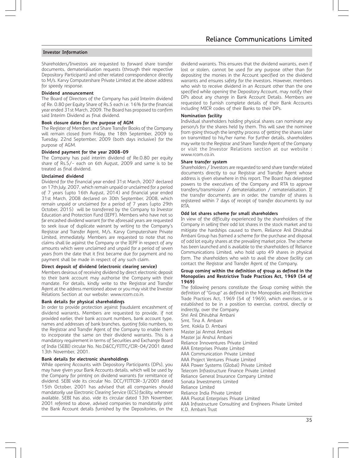#### **Investor Information**

Shareholders/Investors are requested to forward share transfer documents, dematerialisation requests (through their respective Depository Participant) and other related correspondence directly to M/s. Karvy Computershare Private Limited at the above address for speedy response.

#### **Dividend announcement**

The Board of Directors of the Company has paid Interim dividend of Re. 0.80 per Equity Share of Rs.5 each i.e. 16% for the financial year ended 31st March, 2009. The Board has proposed to confirm said Interim Dividend as final dividend.

#### **Book closure dates for the purpose of AGM**

The Register of Members and Share Transfer Books of the Company will remain closed from Friday, the 18th September, 2009 to Tuesday, 22nd September, 2009 (both days inclusive) for the purpose of AGM.

#### **Dividend payment for the year 2008-09**

The Company has paid interim dividend of Re.0.80 per equity share of Rs.5/- each on 6th August, 2009 and same is to be treated as final dividend.

#### **Unclaimed dividend**

Dividend for the financial year ended 31st March, 2007 declared on 17th July, 2007, which remain unpaid or unclaimed for a period of 7 years (upto 16th August, 2014) and financial year ended 31st March, 2008 declared on 30th September, 2008, which remain unpaid or unclaimed for a period of 7 years (upto 29th October, 2015) will be transferred by the Company to Investor Education and Protection Fund (IEPF). Members who have not so far encashed dividend warrant for the aforesaid years are requested to seek issue of duplicate warrant by writing to the Company's Registrar and Transfer Agent, M/s. Karvy Computershare Private Limited, immediately. Members are requested to note that no claims shall lie against the Company or the IEPF in respect of any amounts which were unclaimed and unpaid for a period of seven years from the date that it first became due for payment and no payment shall be made in respect of any such claim.

#### **Direct deposit of dividend (electronic clearing service)**

Members desirous of receiving dividend by direct electronic deposit to their bank account may authorise the Company with their mandate. For details, kindly write to the Registrar and Transfer Agent at the address mentioned above or you may visit the Investor Relations Section at our website: www.rcom.co.in.

#### **Bank details for physical shareholdings**

In order to provide protection against fraudulent encashment of dividend warrants, Members are requested to provide, if not provided earlier, their bank account numbers, bank account type, names and addresses of bank branches, quoting folio numbers, to the Registrar and Transfer Agent of the Company to enable them to incorporate the same on their dividend warrants. This is a mandatory requirement in terms of Securities and Exchange Board of India (SEBI) circular No. No.D&CC/FITTC/CIR-04/2001 dated 13th November, 2001.

#### **Bank details for electronic shareholdings**

While opening Accounts with Depository Participants (DPs), you may have given your Bank Accounts details, which will be used by the Company for printing on dividend warrants for remittance of dividend. SEBI vide its circular No. DCC/FITTCIR-3/2001 dated 15th October, 2001 has advised that all companies should mandatorily use Electronic Clearing Service (ECS) facility, wherever available. SEBI has also, vide its circular dated 13th November, 2001 referred to above, advised companies to mandatorily print the Bank Account details furnished by the Depositories, on the

dividend warrants. This ensures that the dividend warrants, even if lost or stolen, cannot be used for any purpose other than for depositing the monies in the Account specified on the dividend warrants and ensures safety for the investors. However, members who wish to receive dividend in an Account other than the one specified while opening the Depository Account, may notify their DPs about any change in Bank Account Details. Members are requested to furnish complete details of their Bank Accounts including MICR codes of their Banks to their DPs.

#### **Nomination facility**

Individual shareholders holding physical shares can nominate any person/s for the shares held by them. This will save the nominee from going through the lengthy process of getting the shares later on transmitted to his/her name. For further details, shareholders may write to the Registrar and Share Transfer Agent of the Company or visit the Investor Relations section at our website : www.rcom.co.in.

#### **Share transfer system**

Shareholders / Investors are requested to send share transfer related documents directly to our Registrar and Transfer Agent whose address is given elsewhere in this report. The Board has delegated powers to the executives of the Company and RTA to approve transfers/transmission / dematerialisation / rematerialisation. If the transfer documents are in order, the transfer of shares is registered within 7 days of receipt of transfer documents by our RTA.

#### **Odd lot shares scheme for small shareholders**

In view of the difficulty experienced by the shareholders of the Company in selling their odd lot shares in the stock market and to mitigate the hardships caused to them, Reliance Anil Dhirubhai Ambani Group has framed a scheme for the purchase and disposal of odd lot equity shares at the prevailing market price. The scheme has been launched and is available to the shareholders of Reliance Communications Limited, who hold upto 49 shares in physical form. The shareholders who wish to avail the above facility can contact the Registrar and Transfer Agent of the Company.

#### **Group coming within the definition of group as defined in the Monopolies and Restrictive Trade Practices Act, 1969 (54 of 1969)**

The following persons constitute the Group coming within the definition of "Group" as defined in the Monopolies and Restrictive Trade Practices Act, 1969 (54 of 1969), which exercises, or is established to be in a position to exercise, control, directly or indirectly, over the Company. Shri Anil Dhirubhai Ambani

Smt. Tina A. Ambani

Smt. Kokila D. Ambani

Master Jai Anmol Ambani

Master Jai Anshul Ambani

Reliance Innoventures Private Limited

AAA Enterprises Private Limited

AAA Communication Private Limited

AAA Project Ventures Private Limited

AAA Power Systems (Global) Private Limited

Telecom Infrastructure Finance Private Limited

Reliance General Insurance Company Limited

Sonata Investments Limited

Reliance Limited

Reliance India Private Limited

AAA Pivotal Enterprises Private Limited

AAA Infrastructure Consulting and Engineers Private Limited K.D. Ambani Trust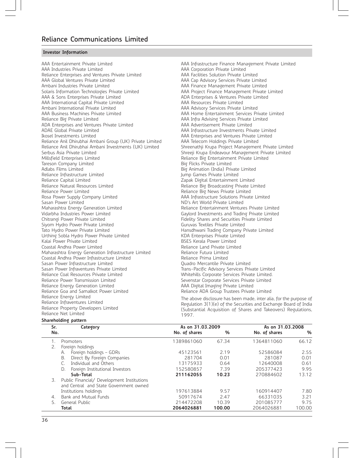#### **Investor Information**

AAA Entertainment Private Limited AAA Industries Private Limited Reliance Enterprises and Ventures Private Limited AAA Global Ventures Private Limited Ambani Industries Private Limited Solaris Information Technologies Private Limited AAA & Sons Enterprises Private Limited AAA International Capital Private Limited Ambani International Private Limited AAA Business Machines Private Limited Reliance Big Private Limited ADA Enterprises and Ventures Private Limited ADAE Global Private Limited Ikosel Investments Limited Reliance Anil Dhirubhai Ambani Group (UK) Private Limited Reliance Anil Dhirubhai Ambani Investments (UK) Limited Serbus Asia Private Limited Millsfield Enterprises Limited Tareson Company Limited Adlabs Films Limited Reliance Infrastructure Limited Reliance Capital Limited Reliance Natural Resources Limited Reliance Power Limited Rosa Power Supply Company Limited Sasan Power Limited Maharashtra Energy Generation Limited Vidarbha Industries Power Limited Chitrangi Power Private Limited Siyom Hydro Power Private Limited Tato Hydro Power Private Limited Urthing Sobla Hydro Power Private Limited Kalai Power Private Limited Coastal Andhra Power Limited Maharashtra Energy Generation Infrastructure Limited Coastal Andhra Power Infrastructure Limited Sasan Power Infrastructure Limited Sasan Power Infraventures Private Limited Reliance Coal Resources Private Limited Reliance Power Transmission Limited Reliance Energy Generation Limited Reliance Goa and Samalkot Power Limited Reliance Energy Limited Reliance Infraventures Limited Reliance Property Developers Limited Reliance Net Limited

AAA Infrastructure Finance Management Private Limited AAA Corporation Private Limited AAA Facilities Solution Private Limited AAA Cap Advisory Services Private Limited AAA Finance Management Private Limited AAA Project Finance Management Private Limited ADA Enterprises & Ventures Private Limited AAA Resources Private Limited AAA Advisory Services Private Limited AAA Home Entertainment Services Private Limited AAA Infra Advising Services Private Limited AAA Advertisement Private Limited AAA Infrastructure Investments Private Limited AAA Enterprises and Ventures Private Limited AAA Telecom Holdings Private Limited Shreenathji Krupa Project Management Private Limited Shreeji Krupa Endeavour Management Private Limited Reliance Big Entertainment Private Limited Big Flicks Private Limited Big Animation (India) Private Limited Jump Games Private Limited Zapak Digital Entertainment Limited Reliance Big Broadcasting Private Limited Reliance Big News Private Limited AAA Infrastructure Solutions Private Limited ND's Art World Private Limited Reliance Entertainment Ventures Private Limited Gaylord Investments and Trading Private Limited Fidelity Shares and Securities Private Limited Guruvas Textiles Private Limited Hansdhwani Trading Company Private Limited KDA Enterprises Private Limited BSES Kerala Power Limited Reliance Land Private Limited Reliance Futura Limited Reliance Prima Limited Quadro Mercantile Private Limited Trans-Pacific Advisory Services Private Limited Whitehills Corporate Services Private Limited. Sevenstar Corporate Services Private Limited AAA Digital Imaging Private Limited Reliance ADA Group Trustees Private Limited

The above disclosure has been made, inter alia, for the purpose of Regulation 3(1)(e) of the Securities and Exchange Board of India (Substantial Acquisition of Shares and Takeovers) Regulations, 1997.

#### **Shareholding pattern**

| Category                               | As on 31.03.2009                                                                               |        | As on 31.03.2008 |        |
|----------------------------------------|------------------------------------------------------------------------------------------------|--------|------------------|--------|
| No.                                    | No. of shares                                                                                  | $\%$   | No. of shares    | %      |
| Promoters                              | 1389861060                                                                                     | 67.34  | 1364811060       | 66.12  |
| Foreign holdings                       |                                                                                                |        |                  |        |
| А.                                     | 45123561                                                                                       | 2.19   | 52586084         | 2.55   |
| Direct By Foreign Companies<br>В.      | 281704                                                                                         | 0.01   | 281087           | 0.01   |
| Individual and Others                  | 13175933                                                                                       | 0.64   | 12640008         | 0.61   |
| Foreign Institutional Investors<br>D.  | 152580857                                                                                      | 7.39   | 205377423        | 9.95   |
| Sub-Total                              | 211162055                                                                                      | 10.23  | 270884602        | 13.12  |
| 3.                                     |                                                                                                |        |                  |        |
| and Central and State Government owned |                                                                                                |        |                  |        |
|                                        | 197613884                                                                                      | 9.57   | 160914407        | 7.80   |
| Bank and Mutual Funds                  | 50917674                                                                                       | 2.47   | 66331035         | 3.21   |
| General Public                         | 214472208                                                                                      | 10.39  | 201085777        | 9.75   |
| <b>Total</b>                           | 2064026881                                                                                     | 100.00 | 2064026881       | 100.00 |
| Sr.                                    | Foreign holdings - GDRs<br>Public Financial/ Development Institutions<br>Institutions holdings |        |                  |        |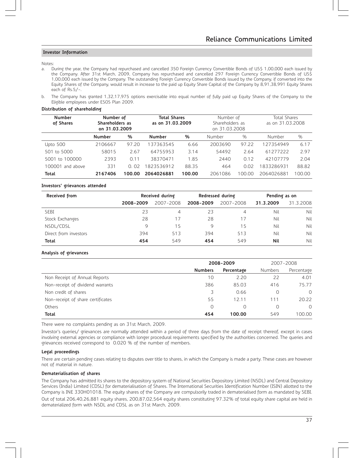#### **Investor Information**

#### Notes:

a. During the year, the Company had repurchased and cancelled 350 Foreign Currency Convertible Bonds of US\$ 1,00,000 each issued by the Company. After 31st March, 2009, Company has repurchased and cancelled 297 Foreign Currency Convertible Bonds of US\$ 1,00,000 each issued by the Company. The outstanding Foreign Currency Convertible Bonds issued by the Company, if converted into the Equity Shares of the Company, would result in increase to the paid up Equity Share Capital of the Company by 8,91,38,991 Equity Shares each of Rs.5/-.

b. The Company has granted 1,32,17,975 options exercisable into equal number of fully paid up Equity Shares of the Company to the Eligible employees under ESOS Plan 2009.

#### **Distribution of shareholding**

| <b>Number</b><br>of Shares | Number of<br>Shareholders as<br>on 31.03.2009 |        | <b>Total Shares</b><br>as on 31.03.2009 |        | Number of<br>Shareholders as<br>on 31.03.2008 |        | <b>Total Shares</b><br>as on 31.03.2008 |        |
|----------------------------|-----------------------------------------------|--------|-----------------------------------------|--------|-----------------------------------------------|--------|-----------------------------------------|--------|
|                            | <b>Number</b>                                 | %      | <b>Number</b>                           | %      | Number                                        | %      | Number                                  | %      |
| <b>Upto 500</b>            | 2106667                                       | 97.20  | 137363545                               | 6.66   | 2003690                                       | 97.22  | 127354949                               | 6.17   |
| 501 to 5000                | 58015                                         | 2.67   | 64755953                                | 3.14   | 54492                                         | 2.64   | 61277222                                | 2.97   |
| 5001 to 100000             | 2393                                          | 0.11   | 38370471                                | 1.85   | 2440                                          | 0.12   | 42107779                                | 2.04   |
| 100001 and above           | 331                                           | 0.02   | 1823536912                              | 88.35  | 464                                           | 0.02   | 1833286931                              | 88.82  |
| <b>Total</b>               | 2167406                                       | 100.00 | 2064026881                              | 100.00 | 2061086                                       | 100.00 | 2064026881                              | 100.00 |

#### **Investors' grievances attended**

| Received from         |              | Received during |           | Redressed during | Pending as on |           |  |
|-----------------------|--------------|-----------------|-----------|------------------|---------------|-----------|--|
|                       | 2008-2009    | 2007-2008       | 2008-2009 | 2007-2008        | 31.3.2009     | 31.3.2008 |  |
| <b>SEBI</b>           | 23           | 4               | 23        | 4                | Nil           | Nil       |  |
| Stock Exchanges       | 28           | 17              | 28        | 17               | Nil           | Nil       |  |
| NSDL/CDSL             | $\mathsf{Q}$ | 15              | Q         | 15               | Nil           | Nil       |  |
| Direct from investors | 394          | 513             | 394       | 513              | Nil           | Nil       |  |
| <b>Total</b>          | 454          | 549             | 454       | 549              | Nil           | Nil       |  |

#### **Analysis of grievances**

|                                   | 2008-2009      |            |         | 2007-2008  |
|-----------------------------------|----------------|------------|---------|------------|
|                                   | <b>Numbers</b> | Percentage | Numbers | Percentage |
| Non Receipt of Annual Reports     | 10             | 2.20       | 22      | 4.01       |
| Non-receipt of dividend warrants  | 386            | 85.03      | 416     | 75.77      |
| Non credit of shares              |                | 0.66       | O       | $\Omega$   |
| Non-receipt of share certificates | 55             | 12.11      | 111     | 20.22      |
| Others                            |                | Ω          | Ω       | $\Omega$   |
| <b>Total</b>                      | 454            | 100.00     | 549     | 100.00     |

There were no complaints pending as on 31st March, 2009.

Investor's queries/ grievances are normally attended within a period of three days from the date of receipt thereof, except in cases involving external agencies or compliance with longer procedural requirements specified by the authorities concerned. The queries and grievances received correspond to 0.020 % of the number of members.

#### **Legal proceedings**

There are certain pending cases relating to disputes over title to shares, in which the Company is made a party. These cases are however not of material in nature.

#### **Dematerialisation of shares**

The Company has admitted its shares to the depository system of National Securities Depository Limited (NSDL) and Central Depository Services (India) Limited (CDSL) for dematerialisation of Shares. The International Securities Identification Number (ISIN) allotted to the Company is INE 330H01018. The equity shares of the Company are compulsorily traded in dematerialised form as mandated by SEBI.

Out of total 206,40,26,881 equity shares, 200,87,02,564 equity shares constituting 97.32% of total equity share capital are held in dematerialized form with NSDL and CDSL as on 31st March, 2009.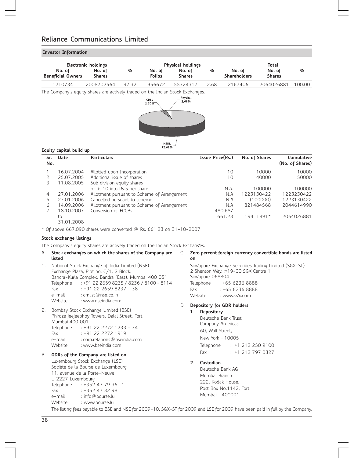# **Investor Information**

| Electronic holdings                |                         |       | <b>Physical holdings</b> |                         |      |                               | Total                   |        |
|------------------------------------|-------------------------|-------|--------------------------|-------------------------|------|-------------------------------|-------------------------|--------|
| No. of<br><b>Beneficial Owners</b> | No. of<br><b>Shares</b> | %     | No. of<br><b>Folios</b>  | No. of<br><b>Shares</b> | %    | No. of<br><b>Shareholders</b> | No. of<br><b>Shares</b> | %      |
| 1210734                            | 2008702564              | 97.32 | 956672                   | 55324317                | 2.68 | 2167406                       | 2064026881              | 100.00 |

The Company's equity shares are actively traded on the Indian Stock Exchanges.<br>  $\overline{P}_{\text{2.68\%}}^{\text{Physical}}$ 



# **Equity capital build up**

| Sr.<br>No. | Date       | <b>Particulars</b>                          | Issue Price(Rs.) | No. of Shares | Cumulative<br>(No. of Shares) |
|------------|------------|---------------------------------------------|------------------|---------------|-------------------------------|
|            |            |                                             |                  |               |                               |
|            | 16.07.2004 | Allotted upon Incorporation                 | 10               | 10000         | 10000                         |
|            | 25.07.2005 | Additional issue of shares                  | 10               | 40000         | 50000                         |
|            | 11.08.2005 | Sub division equity shares                  |                  |               |                               |
|            |            | of Rs.10 into Rs.5 per share                | N.A.             | 100000        | 100000                        |
| 4          | 27.01.2006 | Allotment pursuant to Scheme of Arrangement | N.A              | 1223130422    | 1223230422                    |
|            | 27.01.2006 | Cancelled pursuant to scheme                | N.A              | (100000)      | 1223130422                    |
| 6          | 14.09.2006 | Allotment pursuant to Scheme of Arrangement | N.A              | 821484568     | 2044614990                    |
|            | 18.10.2007 | Conversion of FCCBs                         | 480.68/          |               |                               |
|            | to         |                                             | 661.23           | 19411891*     | 2064026881                    |
|            | 31.01.2008 |                                             |                  |               |                               |

\* Of above 667,090 shares were converted @ Rs. 661.23 on 31-10-2007

# **Stock exchange listings**

The Company's equity shares are actively traded on the Indian Stock Exchanges.<br>And Start surface the contribution the change of the Company are also Serves as

| А.          | Stock exchanges on which the shares of the Company are<br>listed                                                                                                                                                                                                                                       | C. | Zero percent foreign currency convertible bonds are listed<br>on |                                    |                                                                                                                                                              |  |
|-------------|--------------------------------------------------------------------------------------------------------------------------------------------------------------------------------------------------------------------------------------------------------------------------------------------------------|----|------------------------------------------------------------------|------------------------------------|--------------------------------------------------------------------------------------------------------------------------------------------------------------|--|
| $1_{\cdot}$ | National Stock Exchange of India Limited (NSE)<br>Exchange Plaza, Plot no. C/1, G Block,<br>Bandra-Kurla Complex, Bandra (East), Mumbai 400 051<br>: +91 22 2659 8235 / 8236 / 8100 - 8114<br>Telephone<br>$: +912226598237 - 38$<br>Fax<br>: cmlist@nse.co.in<br>e-mail<br>Website : www.nseindia.com |    |                                                                  | Singapore 068804<br>Fax<br>Website | Singapore Exchange Securities Trading Limited (SGX-ST)<br>2 Shenton Way, #19-00 SGX Centre 1<br>Telephone : +65 6236 8888<br>$: +656236888$<br>: www.sqx.com |  |
| 2.          | Bombay Stock Exchange Limited (BSE)<br>Phiroze Jeejeebhoy Towers, Dalal Street, Fort,<br>Mumbai 400 001<br>$: +91$ 22 2272 1233 - 34<br>Telephone<br>$: +912222721919$<br>Fax<br>e-mail : corp.relations@bseindia.com<br>: www.bseindia.com<br>Website                                                 | D. |                                                                  | 1. Depository<br>Telephone         | Depository for GDR holders<br>Deutsche Bank Trust<br>Company Americas<br>60, Wall Street,<br>New York - 10005<br>$: +12122509100$                            |  |
| В.          | GDRs of the Company are listed on<br>Luxembourg Stock Exchange (LSE)<br>Société de la Bourse de Luxembourg<br>11, avenue de la Porte-Neuve<br>L-2227 Luxembourg<br>Telephone<br>: +352 47 79 36 -1<br>$: +352473298$<br>Fax<br>e-mail : info@bourse.lu<br>Website : www.bourse.lu                      |    | 2.                                                               | <b>Fax</b><br>Custodian            | $: +12127970327$<br>Deutsche Bank AG<br>Mumbai Branch<br>222, Kodak House,<br>Post Box No.1142. Fort<br>Mumbai - 400001                                      |  |
|             | The listing fees payable to BSE and NSE for 2009-10, SGX-ST for 2009 and LSE for 2009 have been paid in full by the Company.                                                                                                                                                                           |    |                                                                  |                                    |                                                                                                                                                              |  |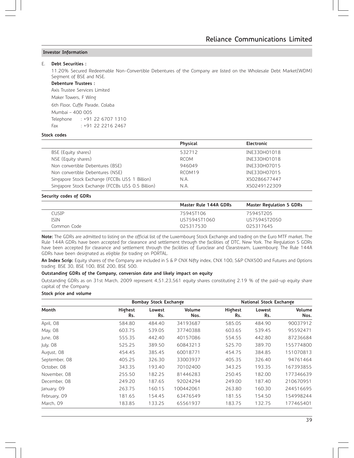# **Investor Information**

# E. **Debt Securities :**

11.20% Secured Redeemable Non-Convertible Debentures of the Company are listed on the Wholesale Debt Market(WDM) Segment of BSE and NSE.

# **Debenture Trustees :**

Axis Trustee Services Limited

Maker Towers, F Wing

6th Floor, Cuffe Parade, Colaba

Mumbai – 400 005

Telephone : +91 22 6707 1310 Fax : +91 22 2216 2467

#### **Stock codes**

|                                                   | <b>Physical</b> | Electronic   |
|---------------------------------------------------|-----------------|--------------|
| BSE (Equity shares)                               | 532712          | INE330H01018 |
| NSE (Equity shares)                               | <b>RCOM</b>     | INE330H01018 |
| Non convertible Debentures (BSE)                  | 946049          | INE330H07015 |
| Non convertible Debentures (NSE)                  | RCOM19          | INE330H07015 |
| Singapore Stock Exchange (FCCBs US\$ 1 Billion)   | N.A.            | XS0286677447 |
| Singapore Stock Exchange (FCCBs US\$ 0.5 Billion) | N.A.            | XS0249122309 |

#### **Security codes of GDRs**

|             | Master Rule 144A GDRs | <b>Master Regulation S GDRs</b> |
|-------------|-----------------------|---------------------------------|
| cusip       | 75945T106             | 75945T205                       |
| isin        | US75945T1060          | US75945T2050                    |
| Common Code | 025317530             | 025317645                       |

**Note:** The GDRs are admitted to listing on the official list of the Luxembourg Stock Exchange and trading on the Euro MTF market. The Rule 144A GDRs have been accepted for clearance and settlement through the facilities of DTC, New York. The Regulation S GDRs have been accepted for clearance and settlement through the facilities of Euroclear and Clearstream, Luxembourg. The Rule 144A GDRs have been designated as eligible for trading on PORTAL.

**An Index Scrip:** Equity shares of the Company are included in S & P CNX Nifty index, CNX 100, S&P CNX500 and Futures and Options trading. BSE 30, BSE 100, BSE 200, BSE 500.

# **Outstanding GDRs of the Company, conversion date and likely impact on equity**

Outstanding GDRs as on 31st March, 2009 represent 4,51,23,561 equity shares constituting 2.19 % of the paid-up equity share capital of the Company.

#### **Stock price and volume**

|               |                | <b>Bombay Stock Exchange</b> |                |                | National Stock Exchange |                |
|---------------|----------------|------------------------------|----------------|----------------|-------------------------|----------------|
| Month         | Highest<br>Rs. | Lowest<br>Rs.                | Volume<br>Nos. | Highest<br>Rs. | Lowest<br>Rs.           | Volume<br>Nos. |
| April, 08     | 584.80         | 484.40                       | 34193687       | 585.05         | 484.90                  | 90037912       |
| May, 08       | 603.75         | 539.05                       | 37740388       | 603.65         | 539.45                  | 95592471       |
| June, 08      | 555.35         | 442.40                       | 40157086       | 554.55         | 442.80                  | 87236684       |
| July, 08      | 525.25         | 389.50                       | 60843213       | 525.70         | 389.70                  | 155774800      |
| August, 08    | 454.45         | 385.45                       | 60018771       | 454.75         | 384.85                  | 151070813      |
| September, 08 | 405.25         | 326.30                       | 33003937       | 405.35         | 326.40                  | 94761464       |
| October, 08   | 343.35         | 193.40                       | 70102400       | 343.25         | 193.35                  | 167393855      |
| November, 08  | 255.50         | 182.25                       | 81446283       | 250.45         | 182.00                  | 177346639      |
| December, 08  | 249.20         | 187.65                       | 92024294       | 249.00         | 187.40                  | 210670951      |
| January, 09   | 263.75         | 160.15                       | 100442061      | 263.80         | 160.30                  | 244516695      |
| February, 09  | 181.65         | 154.45                       | 63476549       | 181.55         | 154.50                  | 154998244      |
| March, 09     | 183.85         | 133.25                       | 65561937       | 183.75         | 132.75                  | 177465401      |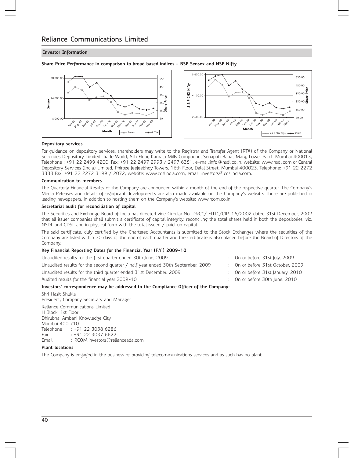# **Investor Information**

**Share Price Performance in comparison to broad based indices - BSE Sensex and NSE Nifty**



#### **Depository services**

For guidance on depository services, shareholders may write to the Registrar and Transfer Agent (RTA) of the Company or National Securities Depository Limited, Trade World, 5th Floor, Kamala Mills Compound, Senapati Bapat Marg, Lower Parel, Mumbai 400013, Telephone : +91 22 2499 4200, Fax: +91 22 2497 2993 / 2497 6351, e-mail:info@nsdl.co.in, website: www.nsdl.com or Central Depository Services (India) Limited, Phiroze Jeejeebhoy Towers, 16th Floor, Dalal Street, Mumbai 400023. Telephone: +91 22 2272 3333 Fax: +91 22 2272 3199 / 2072, website: www.cdslindia.com, email: investors@cdslindia.com.

#### **Communication to members**

The Quarterly Financial Results of the Company are announced within a month of the end of the respective quarter. The Company's Media Releases and details of significant developments are also made available on the Company's website. These are published in leading newspapers, in addition to hosting them on the Company's website: www.rcom.co.in

# **Secretarial audit for reconciliation of capital**

The Securities and Exchange Board of India has directed vide Circular No. D&CC/ FITTC/CIR-16/2002 dated 31st December, 2002 that all issuer companies shall submit a certificate of capital integrity, reconciling the total shares held in both the depositories, viz. NSDL and CDSL and in physical form with the total issued / paid-up capital.

The said certificate, duly certified by the Chartered Accountants is submitted to the Stock Exchanges where the securities of the Company are listed within 30 days of the end of each quarter and the Certificate is also placed before the Board of Directors of the Company.

# **Key Financial Reporting Dates for the Financial Year (F.Y.) 2009-10**

Unaudited results for the first quarter ended 30th June, 2009 : Contract the only on or before 31st July, 2009

- Unaudited results for the second quarter / half year ended 30th September, 2009 : On or before 31st October, 2009
- Unaudited results for the third quarter ended 31st December, 2009 : On or before 31st January, 2010

Audited results for the financial year 2009-10 : On or before 30th June, 2010

- -
- 
- 

# **Investors' correspondence may be addressed to the Compliance Officer of the Company:**

Shri Hasit Shukla President, Company Secretary and Manager

Reliance Communications Limited H Block, 1st Floor Dhirubhai Ambani Knowledge City Mumbai 400 710 Telephone : +91 22 3038 6286<br>Fax : +91 22 3037 6622 Fax : +91 22 3037 6622<br>Email : RCOM.investors@reli Email : RCOM.investors@relianceada.com

#### **Plant locations**

The Company is engaged in the business of providing telecommunications services and as such has no plant.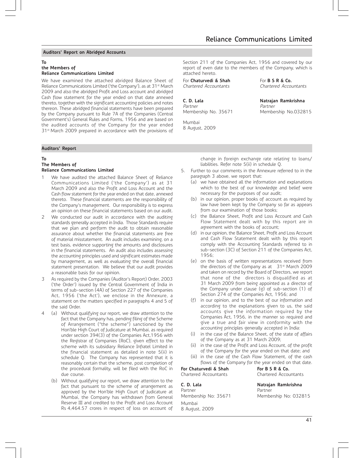#### **Auditors' Report on Abridged Accounts**

#### **To the Members of Reliance Communications Limited**

We have examined the attached abridged Balance Sheet of Reliance Communications Limited ('the Company'), as at 31<sup>st</sup> March 2009 and also the abridged Profit and Loss account and abridged Cash flow statement for the year ended on that date annexed thereto, together with the significant accounting policies and notes thereon. These abridged financial statements have been prepared by the Company pursuant to Rule 7A of the Companies (Central Government's) General Rules and Forms, 1956 and are based on the audited accounts of the Company for the year ended 31<sup>st</sup> March 2009 prepared in accordance with the provisions of

#### **Auditors' Report**

# **To**

# **The Members of Reliance Communications Limited**

- 1 We have audited the attached Balance Sheet of Reliance Communications Limited ('the Company') as at 31 March 2009 and also the Profit and Loss Account and the Cash flow statement for the year ended on that date, annexed thereto. These financial statements are the responsibility of the Company's management. Our responsibility is to express an opinion on these financial statements based on our audit.
- 2 We conducted our audit in accordance with the auditing standards generally accepted in India. Those Standards require that we plan and perform the audit to obtain reasonable assurance about whether the financial statements are free of material misstatement. An audit includes examining, on a test basis, evidence supporting the amounts and disclosures in the financial statements. An audit also includes assessing the accounting principles used and significant estimates made by management, as well as evaluating the overall financial statement presentation. We believe that our audit provides a reasonable basis for our opinion.
- 3 As required by the Companies (Auditor's Report) Order, 2003 ('the Order') issued by the Central Government of India in terms of sub-section (4A) of Section 227 of the Companies Act, 1956 ('the Act'), we enclose in the Annexure, a statement on the matters specified in paragraphs 4 and 5 of the said Order.
- 4 (a) Without qualifying our report, we draw attention to the fact that the Company has, pending filing of the Scheme of Arrangement ("the scheme") sanctioned by the Hon'ble High Court of Judicature at Mumbai, as required under section 394(3) of the Companies Act,1956 with the Registrar of Companies (RoC), given effect to the scheme with its subsidiary Reliance Infratel Limited in the financial statement as detailed in note 5(ii) in schedule Q. The Company has represented that it is reasonably certain that the scheme, post completion of the procedural formality, will be filed with the RoC in due course.
	- (b) Without qualifying our report, we draw attention to the fact that pursuant to the scheme of arrangement as approved by the Hon'ble High Court of Judicature at Mumbai, the Company has withdrawn from General Reserve III and credited to the Profit and Loss Account Rs 4,464.57 crores in respect of loss on account of

Section 211 of the Companies Act, 1956 and covered by our report of even date to the members of the Company, which is attached hereto.

For **Chaturvedi & Shah** For **B S R & Co.**<br>Chartered Accountants **For Schartered Accountants** Chartered Accountants Chartered Accountants

Partner Partner Membership No. 35671 Membership No.032815

Mumbai 8 August, 2009

# **C. D. Lala Natrajan Ramkrishna**

change in foreign exchange rate relating to loans/ liabilities. Refer note 5(ii) in schedule Q.

- 5. Further to our comments in the Annexure referred to in the paragraph 3 above, we report that:
	- (a) we have obtained all the information and explanations which to the best of our knowledge and belief were necessary for the purposes of our audit;
	- (b) in our opinion, proper books of account as required by law have been kept by the Company so far as appears from our examination of those books;
	- (c) the Balance Sheet, Profit and Loss Account and Cash Flow Statement dealt with by this report are in agreement with the books of account;
	- (d) in our opinion, the Balance Sheet, Profit and Loss Account and Cash Flow Statement dealt with by this report comply with the Accounting Standards referred to in sub-section (3C) of Section 211 of the Companies Act, 1956;
	- (e) on the basis of written representations received from the directors of the Company as at  $31<sup>st</sup>$  March 2009 and taken on record by the Board of Directors, we report that none of the directors is disqualified as at 31 March 2009 from being appointed as a director of the Company under clause (g) of sub-section (1) of Section 274 of the Companies Act, 1956; and
	- (f) in our opinion, and to the best of our information and according to the explanations given to us, the said accounts give the information required by the Companies Act, 1956, in the manner so required and give a true and fair view in conformity with the accounting principles generally accepted in India:
	- (i) in the case of the Balance Sheet, of the state of affairs of the Company as at 31 March 2009;
	- (ii) in the case of the Profit and Loss Account, of the profit of the Company for the year ended on that date; and
	- (iii) in the case of the Cash Flow Statement, of the cash flows of the Company for the year ended on that date.

For Chaturvedi & Shah For B S R & Co. Chartered Accountants Chartered Accountants

Partner Mumbai 8 August, 2009

**C. D. Lala Natrajan Ramkrishna**<br>Partner Natragan Derbert Partner

Membership No: 35671 Membership No: 032815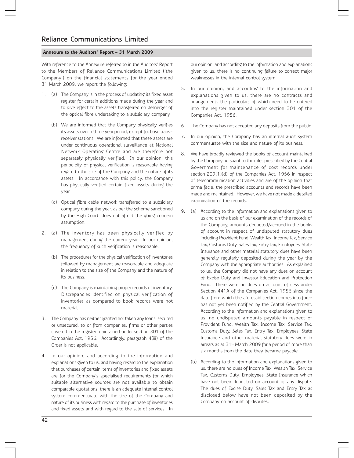# **Annexure to the Auditors' Report – 31 March 2009**

With reference to the Annexure referred to in the Auditors' Report to the Members of Reliance Communications Limited ('the Company') on the financial statements for the year ended 31 March 2009, we report the following:

- 1. (a) The Company is in the process of updating its fixed asset register for certain additions made during the year and to give effect to the assets transferred on demerger of the optical fibre undertaking to a subsidiary company.
	- (b) We are informed that the Company physically verifies its assets over a three year period, except for base transreceiver stations. We are informed that these assets are under continuous operational surveillance at National Network Operating Centre and are therefore not separately physically verified. In our opinion, this periodicity of physical verification is reasonable having regard to the size of the Company and the nature of its assets. In accordance with this policy, the Company has physically verified certain fixed assets during the year.
	- (c) Optical fibre cable network transferred to a subsidiary company during the year, as per the scheme sanctioned by the High Court, does not affect the going concern assumption.
- 2. (a) The inventory has been physically verified by management during the current year. In our opinion, the frequency of such verification is reasonable.
	- (b) The procedures for the physical verification of inventories followed by management are reasonable and adequate in relation to the size of the Company and the nature of its business.
	- (c) The Company is maintaining proper records of inventory. Discrepancies identified on physical verification of inventories as compared to book records were not material.
- 3. The Company has neither granted nor taken any loans, secured or unsecured, to or from companies, firms or other parties covered in the register maintained under section 301 of the Companies Act, 1956. Accordingly, paragraph 4(iii) of the Order is not applicable.
- 4. In our opinion, and according to the information and explanations given to us, and having regard to the explanation that purchases of certain items of inventories and fixed assets are for the Company's specialised requirements for which suitable alternative sources are not available to obtain comparable quotations, there is an adequate internal control system commensurate with the size of the Company and nature of its business with regard to the purchase of inventories and fixed assets and with regard to the sale of services. In

our opinion, and according to the information and explanations given to us, there is no continuing failure to correct major weaknesses in the internal control system.

- 5. In our opinion, and according to the information and explanations given to us, there are no contracts and arrangements the particulars of which need to be entered into the register maintained under section 301 of the Companies Act, 1956.
- 6. The Company has not accepted any deposits from the public.
- 7. In our opinion, the Company has an internal audit system commensurate with the size and nature of its business.
- 8. We have broadly reviewed the books of account maintained by the Company pursuant to the rules prescribed by the Central Government for maintenance of cost records under section 209(1)(d) of the Companies Act, 1956 in respect of telecommunication activities and are of the opinion that prima facie, the prescribed accounts and records have been made and maintained. However, we have not made a detailed examination of the records.
- 9. (a) According to the information and explanations given to us and on the basis of our examination of the records of the Company, amounts deducted/accrued in the books of account in respect of undisputed statutory dues including Provident Fund, Wealth Tax, Income Tax, Service Tax, Customs Duty, Sales Tax, Entry Tax, Employees' State Insurance and other material statutory dues have been generally regularly deposited during the year by the Company with the appropriate authorities. As explained to us, the Company did not have any dues on account of Excise Duty and Investor Education and Protection Fund. There were no dues on account of cess under Section 441A of the Companies Act, 1956 since the date from which the aforesaid section comes into force has not yet been notified by the Central Government. According to the information and explanations given to us, no undisputed amounts payable in respect of Provident Fund, Wealth Tax, Income Tax, Service Tax, Customs Duty, Sales Tax, Entry Tax, Employees' State Insurance and other material statutory dues were in arrears as at 31<sup>st</sup> March 2009 for a period of more than six months from the date they became payable.
	- (b) According to the information and explanations given to us, there are no dues of Income Tax, Wealth Tax, Service Tax, Customs Duty, Employees' State Insurance which have not been deposited on account of any dispute. The dues of Excise Duty, Sales Tax and Entry Tax as disclosed below have not been deposited by the Company on account of disputes.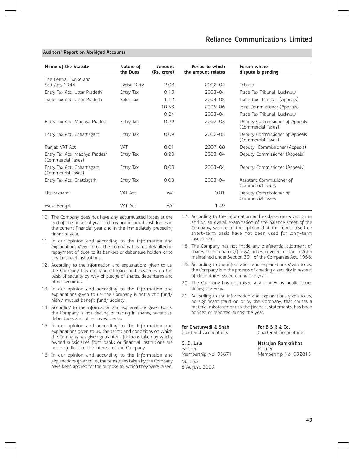# **Auditors' Report on Abridged Accounts**

| Name of the Statute                                 | Nature of<br>the Dues | Amount<br>(Rs. crore) | Period to which<br>the amount relates | Forum where<br>dispute is pending                    |
|-----------------------------------------------------|-----------------------|-----------------------|---------------------------------------|------------------------------------------------------|
| The Central Excise and                              |                       |                       |                                       |                                                      |
| Salt Act, 1944                                      | Excise Duty           | 2.08                  | $2002 - 04$                           | Tribunal                                             |
| Entry Tax Act, Uttar Pradesh                        | Entry Tax             | 0.13                  | $2003 - 04$                           | Trade Tax Tribunal, Lucknow                          |
| Trade Tax Act. Uttar Pradesh                        | Sales Tax             | 1.12                  | $2004 - 05$                           | Trade tax Tribunal, (Appeals)                        |
|                                                     |                       | 10.53                 | $2005 - 06$                           | Joint Commissioner (Appeals)                         |
|                                                     |                       | 0.24                  | $2003 - 04$                           | Trade Tax Tribunal, Lucknow                          |
| Entry Tax Act, Madhya Pradesh                       | Entry Tax             | 0.29                  | $2002 - 03$                           | Deputy Commissioner of Appeals<br>(Commercial Taxes) |
| Entry Tax Act, Chhattisgarh                         | Entry Tax             | 0.09                  | $2002 - 03$                           | Deputy Commissioner of Appeals<br>(Commercial Taxes) |
| Punjab VAT Act                                      | <b>VAT</b>            | 0.01                  | $2007 - 08$                           | Deputy Commissioner (Appeals)                        |
| Entry Tax Act, Madhya Pradesh<br>(Commercial Taxes) | Entry Tax             | 0.20                  | 2003-04                               | Deputy Commissioner (Appeals)                        |
| Entry Tax Act, Chhattisgarh<br>(Commercial Taxes)   | Entry Tax             | 0.03                  | $2003 - 04$                           | Deputy Commissioner (Appeals)                        |
| Entry Tax Act, Chattisgarh                          | Entry Tax             | 0.08                  | $2003 - 04$                           | Assistant Commissioner of<br>Commercial Taxes        |
| Uttarakhand                                         | VAT Act               | <b>VAT</b>            | 0.01                                  | Deputy Commissioner of<br>Commercial Taxes           |
| West Bengal                                         | VAT Act               | <b>VAT</b>            | 1.49                                  |                                                      |

- 10. The Company does not have any accumulated losses at the end of the financial year and has not incurred cash losses in the current financial year and in the immediately preceding financial year.
- 11. In our opinion and according to the information and explanations given to us, the Company has not defaulted in repayment of dues to its bankers or debenture holders or to any financial institutions.
- 12. According to the information and explanations given to us, the Company has not granted loans and advances on the basis of security by way of pledge of shares, debentures and other securities.
- 13. In our opinion and according to the information and explanations given to us, the Company is not a chit fund/ nidhi/ mutual benefit fund/ society.
- 14. According to the information and explanations given to us, the Company is not dealing or trading in shares, securities, debentures and other investments.
- 15. In our opinion and according to the information and explanations given to us, the terms and conditions on which the Company has given guarantees for loans taken by wholly owned subsidiaries from banks or financial institutions are not prejudicial to the interest of the Company.
- 16. In our opinion and according to the information and explanations given to us, the term loans taken by the Company have been applied for the purpose for which they were raised.
- 17. According to the information and explanations given to us and on an overall examination of the balance sheet of the Company, we are of the opinion that the funds raised on short-term basis have not been used for long-term investment.
- 18. The Company has not made any preferential allotment of shares to companies/firms/parties covered in the register maintained under Section 301 of the Companies Act, 1956.
- 19. According to the information and explanations given to us, the Company is in the process of creating a security in respect of debentures issued during the year.
- 20. The Company has not raised any money by public issues during the year.
- 21. According to the information and explanations given to us, no significant fraud on or by the Company, that causes a material misstatement to the financial statements, has been noticed or reported during the year.

# For Chaturvedi & Shah For B S R & Co.

C. D. Lala **Natrajan Ramkrishna** Partner Partner Mumbai 8 August, 2009

Chartered Accountants Chartered Accountants

Membership No: 35671 Membership No: 032815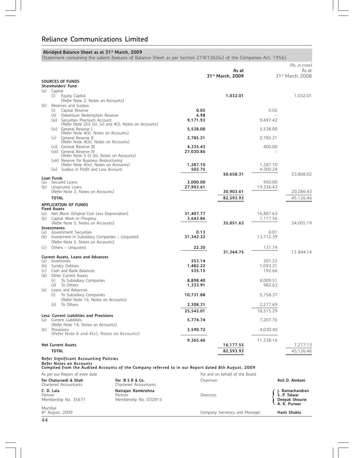# **Abridged Balance Sheet as at 31st March, 2009**

(Statement containing the salient features of Balance Sheet as per Section 219(1)(b)(iv) of the Companies Act, 1956)

|         |                                                                                    |                                                                                                    |                       | As at<br>31st March, 2009      |           | (Rs. in crore)<br>As at<br>31st March, 2008 |
|---------|------------------------------------------------------------------------------------|----------------------------------------------------------------------------------------------------|-----------------------|--------------------------------|-----------|---------------------------------------------|
|         | <b>SOURCES OF FUNDS</b>                                                            |                                                                                                    |                       |                                |           |                                             |
|         | Shareholders' Fund<br>(a) Capital                                                  |                                                                                                    |                       |                                |           |                                             |
|         | (i)<br>Equity Capital                                                              |                                                                                                    |                       | 1,032.01                       |           | 1,032.01                                    |
| (b)     | (Refer Note 2, Notes on Accounts)<br>Reserves and Surplus                          |                                                                                                    |                       |                                |           |                                             |
|         | Capital Reserve<br>(i)                                                             |                                                                                                    | 0.05                  |                                | 0.05      |                                             |
|         | (ii) Debenture Redemption Reserve                                                  |                                                                                                    | 6.98                  |                                |           |                                             |
|         | (iii) Securities Premium Account                                                   | (Refer Note 2(i), (ii), (v) and 4(i), Notes on Accounts)                                           | 9.171.93              |                                | 9,497.42  |                                             |
|         | (iv) General Reserve I<br>(Refer Note 4(ii), Notes on Accounts)                    |                                                                                                    | 5,538.00              |                                | 5,538.00  |                                             |
|         | General Reserve II<br>(v)                                                          |                                                                                                    | 2,785.21              |                                | 2,785.21  |                                             |
|         | (Refer Note 4(iii), Notes on Accounts)<br>(vi) General Reserve III                 |                                                                                                    | 4,335.43              |                                | 400.00    |                                             |
|         | (vii) General Reserve IV                                                           |                                                                                                    | 27,030.86             |                                |           |                                             |
|         | (Refer Note 5 (i) (b), Notes on Accounts)                                          |                                                                                                    |                       |                                |           |                                             |
|         | (viii) Reserve for Business Restructuring<br>(Refer Note 4(iv), Notes on Accounts) |                                                                                                    | 1,287.10              |                                | 1,287.10  |                                             |
|         | (ix) Surplus in Profit and Loss Account                                            |                                                                                                    | 502.75                | 50,658.31                      | 4,300.24  | 23,808.02                                   |
| (a)     | Loan Funds<br>Secured Loans                                                        |                                                                                                    | 3,000.00              |                                | 950.00    |                                             |
|         | (b) Unsecured Loans                                                                |                                                                                                    | 27,903.61             |                                | 19,336.43 |                                             |
|         | (Refer Note 2, Notes on Accounts)                                                  |                                                                                                    |                       | 30,903.61                      |           | 20,286.43                                   |
|         | <b>TOTAL</b>                                                                       |                                                                                                    |                       | 82,593.93                      |           | 45,126.46                                   |
|         | <b>APPLICATION OF FUNDS</b><br><b>Fixed Assets</b>                                 |                                                                                                    |                       |                                |           |                                             |
| (b)     | (a) Net Block (Original Cost Less Depreciation)                                    |                                                                                                    | 31,407.77<br>3,643.86 |                                | 16,887.63 |                                             |
|         | Capital Work-in-Progress<br>(Refer Note 5. Notes on Accounts)                      |                                                                                                    |                       | 35,051.63                      | 7,117.56  | 24,005.19                                   |
|         | Investments<br>(a) Government Securities                                           |                                                                                                    | 0.13                  |                                | 0.01      |                                             |
|         | (b) Investment in Subsidiary Companies - Unquoted                                  |                                                                                                    | 31,342.32             |                                | 13,712.39 |                                             |
|         | (Refer Note 5, Notes on Accounts)                                                  |                                                                                                    |                       |                                |           |                                             |
| (c)     | Others - Unguoted                                                                  |                                                                                                    | 22.30                 | 31,364.75                      | 131.74    | 13 844.14                                   |
|         | Current Assets, Loans and Advances                                                 |                                                                                                    |                       |                                | 201.22    |                                             |
| (b)     | (a) Inventories<br>Sundry Debtors                                                  |                                                                                                    | 253.14<br>1,482.22    |                                | 1,093.21  |                                             |
|         | (c) Cash and Bank Balances                                                         |                                                                                                    | 535.15                |                                | 192.66    |                                             |
| (d)     | Other Current Assets<br>To Subsidiary Companies<br>(i)                             |                                                                                                    | 8,898.40              |                                | 8,009.51  |                                             |
|         | (ii) To Others                                                                     |                                                                                                    | 1,333.91              |                                | 982.63    |                                             |
| (e)     | Loans and Advances<br>To Subsidiary Companies<br>(i)                               |                                                                                                    | 10,731.88             |                                | 5,758.37  |                                             |
|         | (Refer Note 16, Notes on Accounts)                                                 |                                                                                                    |                       |                                |           |                                             |
|         | To Others<br>(ii)                                                                  |                                                                                                    | 2,308.31              |                                | 2,277.69  |                                             |
|         | Less: Current Liabilities and Provisions                                           |                                                                                                    | 25,543.01             |                                | 18,515.29 |                                             |
| (a)     | Current Liabilities<br>(Refer Note 14, Notes on Accounts)                          |                                                                                                    | 5,774.74              |                                | 7,207.76  |                                             |
| (b)     | Provisions                                                                         |                                                                                                    | 3,590.72              |                                | 4,030.40  |                                             |
|         | (Refer Note 6 and 4(v), Notes on Accounts)                                         |                                                                                                    |                       |                                |           |                                             |
|         | <b>Net Current Assets</b>                                                          |                                                                                                    | 9,365.46              | 16,177.55                      | 11,238.16 | 7,277.13                                    |
|         | TOTAL                                                                              |                                                                                                    |                       | 82,593.93                      |           | 45,126.46                                   |
|         | Refer Significant Accounting Policies                                              |                                                                                                    |                       |                                |           |                                             |
|         | <b>Refer Notes on Accounts</b>                                                     |                                                                                                    |                       |                                |           |                                             |
|         | As per our Report of even date                                                     | Compiled from the Audited Accounts of the Company referred to in our Report dated 8th August, 2009 |                       |                                |           |                                             |
|         | For Chaturvedi & Shah                                                              | For B S R & Co.                                                                                    | Chairman              | For and on behalf of the Board |           | Anil D. Ambani                              |
|         | Chartered Accountants                                                              | Chartered Accountants                                                                              |                       |                                |           |                                             |
| Partner | C. D. Lala                                                                         | Natrajan Ramkrishna<br>Partner                                                                     | Directors             |                                |           | J. Ramachandran<br>S. P. Talwar             |
|         | Membership No. 35671                                                               | Membership No. 032815                                                                              |                       |                                |           | Deepak Shourie<br>A. K. Purwar              |

Company Secretary and Manager **Hasit Shukla** 

Mumbai<br>8<sup>th</sup> August, 2009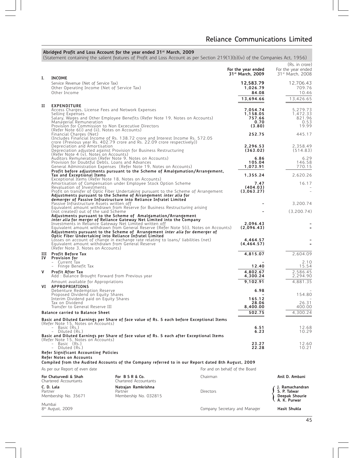#### **Abridged Profit and Loss Account for the year ended 31st March, 2009**

(Statement containing the salient features of Profit and Loss Account as per Section 219(1)(b)(iv) of the Companies Act, 1956)

| I.      | <b>INCOME</b>                                                                                                                                                                  |                                                                                                                                                                                                                                                 |                                | For the year ended<br>31 <sup>st</sup> March, 2009 | (Rs. in crore)<br>For the year ended<br>31 <sup>st</sup> March, 2008 |
|---------|--------------------------------------------------------------------------------------------------------------------------------------------------------------------------------|-------------------------------------------------------------------------------------------------------------------------------------------------------------------------------------------------------------------------------------------------|--------------------------------|----------------------------------------------------|----------------------------------------------------------------------|
|         | Service Revenue (Net of Service Tax)<br>Other Operating Income (Net of Service Tax)<br>Other Income                                                                            |                                                                                                                                                                                                                                                 |                                | 12,583.79<br>1,026.79<br>84.08<br>13,694.66        | 12,706.43<br>709.76<br>10.46<br>13,426.65                            |
| и       | <b>EXPENDITURE</b><br>Access Charges, License Fees and Network Expenses<br>Selling Expenses<br>Managerial Remuneration<br>Provision for Commission to Non Excecutive Directors | Salary, Wages and Other Employee Benefits (Refer Note 19, Notes on Accounts)                                                                                                                                                                    |                                | 7,054.74<br>1,158.05<br>757.66<br>0.70<br>(3.80)   | 5,279.73<br>1,472.33<br>821.96<br>0.53<br>19.99                      |
|         | (Refer Note 6(i) and (ii), Notes on Accounts)<br>Financial Charges (Net)                                                                                                       | (Includes Financial Income of Rs. 138.72 crore and Interest Income Rs. 572.05)                                                                                                                                                                  |                                | 252.75                                             | 445.17                                                               |
|         | Depreciation and Amortisation<br>(Refer Note 4 (v), Notes on Accounts)                                                                                                         | crore (Previous year Rs. 402.79 crore and Rs. 22.09 crore respectively))<br>Depreciation adjusted against Provision for Business Restructuring                                                                                                  |                                | 2,296.53<br>(363.02)                               | 2,358.49<br>(514.83)                                                 |
|         | Auditors Remuneration (Refer Note 9, Notes on Accounts)<br>Provision for Doubtful Debts, Loans and Advances                                                                    | General Administration Expenses (Refer Note 19, Notes on Accounts)                                                                                                                                                                              |                                | 6.86<br>105.04<br>1,073.91                         | 6.29<br>146.58<br>770.15                                             |
|         | Tax and Exceptional Items<br>Exceptional Items (Refer Note 18, Notes on Accounts)                                                                                              | Profit before adjustments pursuant to the Scheme of Amalgamation/Arrangement,                                                                                                                                                                   |                                | 1,355.24                                           | 2,620.26                                                             |
|         | Revaluation of Investments                                                                                                                                                     | Amortisation of Compensation under Employee Stock Option Scheme<br>Profit on transfer of Optic Fiber Undertaking pursuant to the Scheme of Arrangement<br>Adjustments pursuant to the Scheme of Arrangement inter alia for                      |                                | 7.47<br>(404.03)<br>(3,063.27)                     | 16.17                                                                |
|         | Passive Infrastructure Assets written off                                                                                                                                      | demerger of Passive Infrastructure into Reliance Infratel Limited<br>Equivalent amount withdrawn from Reserve for Business Restructuring arising                                                                                                |                                |                                                    | 3,200.74                                                             |
|         | (not created) out of the said Scheme                                                                                                                                           | Adjustments pursuant to the Scheme of Amalgamation/Arrangement                                                                                                                                                                                  |                                |                                                    | (3,200.74)                                                           |
|         | Investments in Reliance Gateway Net Limited written off                                                                                                                        | inter alia for merger of Reliance Gateway Net Limited into the Company<br>Equivalent amount withdrawn from General Reserve (Refer Note 5(i), Notes on Accounts)<br>Adjustments pursuant to the Scheme of Arrangement inter alia for demerger of |                                | 2,096.43<br>(2,096.43)                             |                                                                      |
|         | Optic Fiber Undertaking into Reliance Infratel Limited<br>Equivalent amount withdrawn from General Reserve<br>(Refer Note 3, Notes on Accounts)                                | Losses on account of change in exchange rate relating to loans/ liabilities (net)                                                                                                                                                               |                                | 4,464.57<br>(4, 464.57)                            |                                                                      |
| IV      | III Profit Before Tax<br>Provision for<br>- Current Tax                                                                                                                        |                                                                                                                                                                                                                                                 |                                | 4,815.07                                           | 2,604.09<br>2.10                                                     |
| v       | - Fringe Benefit Tax<br><b>Profit After Tax</b><br>Add: Balance Brought Forward from Previous year                                                                             |                                                                                                                                                                                                                                                 |                                | 12.40<br>4,802.67<br>4,300.24                      | 15.54<br>2,586.45<br>2,294.90                                        |
|         | Amount available for Appropriations<br>VI APPROPRIATIONS                                                                                                                       |                                                                                                                                                                                                                                                 |                                | 9,102.91                                           | 4,881.35                                                             |
|         | Debenture Redemption Reserve<br>Proposed Dividend on Equity Shares<br>Interim Dividend paid on Equity Shares                                                                   |                                                                                                                                                                                                                                                 |                                | 6.98<br>165.12                                     | 154.80                                                               |
|         | Tax on Dividend<br>Transfer to General Reserve III                                                                                                                             |                                                                                                                                                                                                                                                 |                                | 28.06<br>8,400.00<br>502.75                        | 26.31<br>400.00<br>4,300.24                                          |
|         | Balance carried to Balance Sheet                                                                                                                                               | Basic and Diluted Earnings per Share of face value of Rs. 5 each before Exceptional Items                                                                                                                                                       |                                |                                                    |                                                                      |
|         | (Refer Note 15, Notes on Accounts)<br>Basic (Rs.)<br>Diluted (Rs.)                                                                                                             | Basic and Diluted Earnings per Share of face value of Rs. 5 each after Exceptional Items                                                                                                                                                        |                                | 6.51<br>6.23                                       | 12.68<br>10.29                                                       |
|         | (Refer Note 15, Notes on Accounts)<br>- Basic (Rs.)<br>Diluted (Rs.)<br>Refer Significant Accounting Policies                                                                  |                                                                                                                                                                                                                                                 |                                | 23.27<br>22.28                                     | 12.60<br>10.21                                                       |
|         | <b>Refer Notes on Accounts</b>                                                                                                                                                 | Compiled from the Audited Accounts of the Company referred to in our Report dated 8th August, 2009                                                                                                                                              |                                |                                                    |                                                                      |
|         | As per our Report of even date                                                                                                                                                 |                                                                                                                                                                                                                                                 | For and on behalf of the Board |                                                    |                                                                      |
|         | For Chaturvedi & Shah<br>Chartered Accountants                                                                                                                                 | For BSR&Co.<br>Chartered Accountants                                                                                                                                                                                                            | Chairman                       |                                                    | Anil D. Ambani                                                       |
| Partner | C. D. Lala<br>Membership No. 35671                                                                                                                                             | Natrajan Ramkrishna<br>Partner<br>Membership No. 032815                                                                                                                                                                                         | <b>Directors</b>               |                                                    | J. Ramachandran<br>S. P. Talwar<br>Deepak Shourie<br>A. K. Purwar    |
|         |                                                                                                                                                                                |                                                                                                                                                                                                                                                 |                                |                                                    |                                                                      |

Mumbai<br>8<sup>th</sup> August, 2009

Company Secretary and Manager **Hasit Shukla**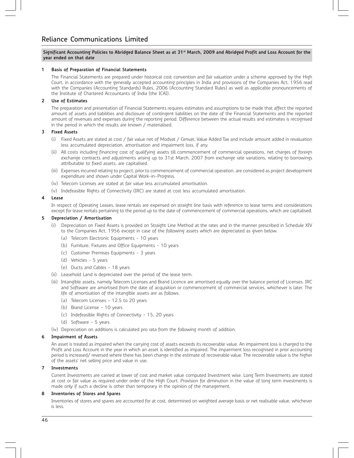# **Significant Accounting Policies to Abridged Balance Sheet as at 31st March, 2009 and Abridged Profit and Loss Account for the year ended on that date**

# **1 Basis of Preparation of Financial Statements**

The Financial Statements are prepared under historical cost convention and fair valuation under a scheme approved by the High Court, in accordance with the generally accepted accounting principles in India and provisions of the Companies Act, 1956 read with the Companies (Accounting Standards) Rules, 2006 (Accounting Standard Rules) as well as applicable pronouncements of the Institute of Chartered Accountants of India (the ICAI).

# **2 Use of Estimates**

The preparation and presentation of Financial Statements requires estimates and assumptions to be made that affect the reported amount of assets and liabilities and disclosure of contingent liabilities on the date of the Financial Statements and the reported amount of revenues and expenses during the reporting period. Difference between the actual results and estimates is recognised in the period in which the results are known / materialised.

# **3 Fixed Assets**

- (i) Fixed Assets are stated at cost / fair value net of Modvat / Cenvat, Value Added Tax and include amount added in revaluation less accumulated depreciation, amortisation and impairment loss, if any.
- (ii) All costs including financing cost of qualifying assets till commencement of commercial operations, net charges of foreign exchange contracts and adjustments arising up to 31st March, 2007 from exchange rate variations, relating to borrowings attributable to fixed assets, are capitalised.
- (iii) Expenses incurred relating to project, prior to commencement of commercial operation, are considered as project development expenditure and shown under Capital Work-in-Progress.
- (iv) Telecom Licenses are stated at fair value less accumulated amortisation.
- (v) Indefeasible Rights of Connectivity (IRC) are stated at cost less accumulated amortisation.

# **4 Lease**

In respect of Operating Leases, lease rentals are expensed on straight line basis with reference to lease terms and considerations except for lease rentals pertaining to the period up to the date of commencement of commercial operations, which are capitalised.

# **5 Depreciation / Amortisation**

- (i) Depreciation on Fixed Assets is provided on Straight Line Method at the rates and in the manner prescribed in Schedule XIV to the Companies Act, 1956 except in case of the following assets which are depreciated as given below.
	- (a) Telecom Electronic Equipments 10 years
	- (b) Furniture, Fixtures and Office Equipments 10 years
	- (c) Customer Premises Equipments 3 years
	- (d) Vehicles 5 years
	- (e) Ducts and Cables 18 years
- (ii) Leasehold Land is depreciated over the period of the lease term.
- (iii) Intangible assets, namely Telecom Licenses and Brand Licence are amortised equally over the balance period of Licenses. IRC and Software are amortised from the date of acquisition or commencement of commercial services, whichever is later. The life of amortisation of the intangible assets are as follows.
	- (a) Telecom Licenses 12.5 to 20 years
	- (b) Brand License 10 years
	- (c) Indefeasible Rights of Connectivity 15, 20 years
	- (d) Software 5 years
- (iv) Depreciation on additions is calculated pro rata from the following month of addition.

# **6 Impairment of Assets**

An asset is treated as impaired when the carrying cost of assets exceeds its recoverable value. An impairment loss is charged to the Profit and Loss Account in the year in which an asset is identified as impaired. The impairment loss recognised in prior accounting period is increased/ reversed where there has been change in the estimate of recoverable value. The recoverable value is the higher of the assets' net selling price and value in use.

# **7 Investments**

Current Investments are carried at lower of cost and market value computed Investment wise. Long Term Investments are stated at cost or fair value as required under order of the High Court. Provision for diminution in the value of long term investments is made only if such a decline is other than temporary in the opinion of the management.

# **8 Inventories of Stores and Spares**

Inventories of stores and spares are accounted for at cost, determined on weighted average basis or net realisable value, whichever is less.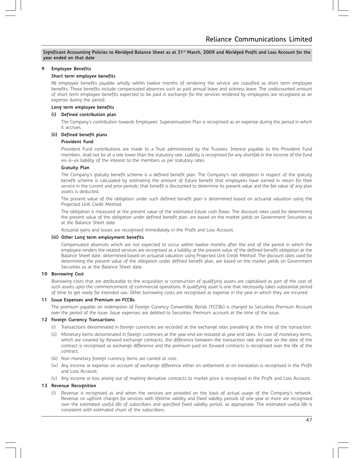**Significant Accounting Policies to Abridged Balance Sheet as at 31st March, 2009 and Abridged Profit and Loss Account for the year ended on that date**

#### **9 Employee Benefits**

#### **Short term employee benefits**

All employee benefits payable wholly within twelve months of rendering the service are classified as short term employee benefits. These benefits include compensated absences such as paid annual leave and sickness leave. The undiscounted amount of short term employee benefits expected to be paid in exchange for the services rendered by employees are recogsized as an expense during the period.

# **Long term employee benefits**

#### **(i) Defined contribution plan**

The Company's contribution towards Employees' Superannuation Plan is recognised as an expense during the period in which it accrues.

#### **(ii) Defined benefit plans**

#### **Provident Fund**

Provident Fund contributions are made to a Trust administered by the Trustees. Interest payable to the Provident Fund members, shall not be at a rate lower than the statutory rate. Liability is recognised for any shortfall in the income of the fund vis-à-vis liability of the interest to the members as per statutory rates.

#### **Gratuity Plan**

The Company's gratuity benefit scheme is a defined benefit plan. The Company's net obligation in respect of the gratuity benefit scheme is calculated by estimating the amount of future benefit that employees have earned in return for their service in the current and prior periods; that benefit is discounted to determine its present value and the fair value of any plan assets is deducted.

The present value of the obligation under such defined benefit plan is determined based on actuarial valuation using the Projected Unit Credit Method.

The obligation is measured at the present value of the estimated future cash flows. The discount rates used for determining the present value of the obligation under defined benefit plan, are based on the market yields on Government Securities as at the Balance Sheet date.

Actuarial gains and losses are recognised immediately in the Profit and Loss Account.

#### **(iii) Other Long term employment benefits**

Compensated absences which are not expected to occur within twelve months after the end of the period in which the employee renders the related services are recognised as a liability at the present value of the defined benefit obligation at the Balance Sheet date, determined based on actuarial valuation using Projected Unit Credit Method. The discount rates used for determining the present value of the obligation under defined benefit plan, are based on the market yields on Government Securities as at the Balance Sheet date.

# **10 Borrowing Cost**

Borrowing costs that are attributable to the acquisition or construction of qualifying assets are capitalised as part of the cost of such assets upto the commencement of commercial operations. A qualifying asset is one that necessarily takes substantial period of time to get ready for intended use. Other borrowing costs are recognised as expense in the year in which they are incurred.

#### **11 Issue Expenses and Premium on FCCBs**

The premium payable on redemption of Foreign Currency Convertible Bonds (FCCBs) is charged to Securities Premium Account over the period of the issue. Issue expenses are debited to Securities Premium account at the time of the issue.

#### **12 Foreign Currency Transactions**

- (i) Transactions denominated in foreign currencies are recorded at the exchange rates prevailing at the time of the transaction.
- (ii) Monetary items denominated in foreign currencies at the year end are restated at year end rates. In case of monetary items, which are covered by forward exchange contracts, the difference between the transaction rate and rate on the date of the contract is recognised as exchange difference and the premium paid on forward contracts is recognised over the life of the contract.
- (iii) Non monetary foreign currency items are carried at cost.
- (iv) Any income or expense on account of exchange difference either on settlement or on translation is recognised in the Profit and Loss Account.
- (v) Any income or loss arising out of marking derivative contracts to market price is recognised in the Profit and Loss Account.

#### **13 Revenue Recognition**

(i) Revenue is recognised as and when the services are provided on the basis of actual usage of the Company's network. Revenue on upfront charges for services with lifetime validity and fixed validity periods of one year or more are recognised over the estimated useful life of subscribers and specified fixed validity period, as appropriate. The estimated useful life is consistent with estimated churn of the subscribers.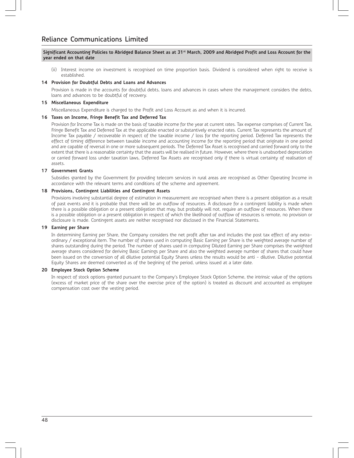# **Significant Accounting Policies to Abridged Balance Sheet as at 31st March, 2009 and Abridged Profit and Loss Account for the year ended on that date**

(ii) Interest income on investment is recognised on time proportion basis. Dividend is considered when right to receive is established.

# **14 Provision for Doubtful Debts and Loans and Advances**

Provision is made in the accounts for doubtful debts, loans and advances in cases where the management considers the debts, loans and advances to be doubtful of recovery.

#### **15 Miscellaneous Expenditure**

Miscellaneous Expenditure is charged to the Profit and Loss Account as and when it is incurred.

# **16 Taxes on Income, Fringe Benefit Tax and Deferred Tax**

Provision for Income Tax is made on the basis of taxable income for the year at current rates. Tax expense comprises of Current Tax, Fringe Benefit Tax and Deferred Tax at the applicable enacted or substantively enacted rates. Current Tax represents the amount of Income Tax payable / recoverable in respect of the taxable income / loss for the reporting period. Deferred Tax represents the effect of timing difference between taxable income and accounting income for the reporting period that originate in one period and are capable of reversal in one or more subsequent periods. The Deferred Tax Asset is recognised and carried forward only to the extent that there is a reasonable certainty that the assets will be realised in future. However, where there is unabsorbed depreciation or carried forward loss under taxation laws, Deferred Tax Assets are recognised only if there is virtual certainty of realisation of assets.

# **17 Government Grants**

Subsidies granted by the Government for providing telecom services in rural areas are recognised as Other Operating Income in accordance with the relevant terms and conditions of the scheme and agreement.

#### **18 Provisions, Contingent Liabilities and Contingent Assets**

Provisions involving substantial degree of estimation in measurement are recognised when there is a present obligation as a result of past events and it is probable that there will be an outflow of resources. A disclosure for a contingent liability is made when there is a possible obligation or a present obligation that may, but probably will not, require an outflow of resources. When there is a possible obligation or a present obligation in respect of which the likelihood of outflow of resources is remote, no provision or disclosure is made. Contingent assets are neither recognised nor disclosed in the Financial Statements.

#### **19 Earning per Share**

In determining Earning per Share, the Company considers the net profit after tax and includes the post tax effect of any extraordinary / exceptional item. The number of shares used in computing Basic Earning per Share is the weighted average number of shares outstanding during the period. The number of shares used in computing Diluted Earning per Share comprises the weighted average shares considered for deriving Basic Earnings per Share and also the weighted average number of shares that could have been issued on the conversion of all dilutive potential Equity Shares unless the results would be anti - dilutive. Dilutive potential Equity Shares are deemed converted as of the begining of the period, unless issued at a later date.

#### **20 Employee Stock Option Scheme**

In respect of stock options granted pursuant to the Company's Employee Stock Option Scheme, the intrinsic value of the options (excess of market price of the share over the exercise price of the option) is treated as discount and accounted as employee compensation cost over the vesting period.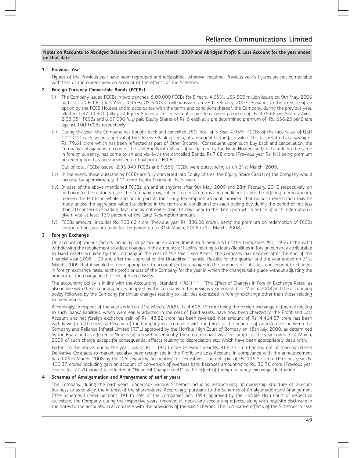# **1 Previous Year**

Figures of the Previous year have been regrouped and reclassified, wherever required. Previous year's figures are not comparable with that of the current year on account of the effects of the Schemes.

# **2 Foreign Currency Convertible Bonds (FCCBs)**

- (i) The Company issued FCCBs in two tranches; 5,00,000 FCCBs for 5 Years, 4.65%, US\$ 500 million issued on 9th May, 2006 and 10,000 FCCBs for 5 Years, 4.95%, US \$ 1000 million issued on 28th February, 2007. Pursuant to the exercise of an option by the FCCB Holders and in accordance with the terms and conditions thereof, the Company, during the previous year, allotted 1,87,44,801 fully paid Equity Shares of Rs. 5 each at a pre determined premium of Rs. 475.68 per Share against 2,03,051 FCCBs and 6,67,090 fully paid Equity Shares of Rs. 5 each at a pre determined premium of Rs. 656.23 per Share against 100 FCCBs respectively.
- (ii) During the year, the Company has bought back and cancelled 350 nos. of 5 Year, 4.95%, FCCBs of the face value of USD 1,00,000 each, as per approval of the Reserve Bank of India, at a discount to the face value. This has resulted in a saving of Rs. 79.61 crore which has been reflected as part of Other Income. Consequent upon such buy back and cancellation, the Company's obligations to convert the said Bonds into Shares, if so claimed by the Bond Holders and/ or to redeem the same in foreign currency, has come to an end vis-à-vis the cancelled Bonds. Rs.7.68 crore (Previous year Rs. Nil) being premium on redemption has been reversed on buyback of FCCBs.

Out of total FCCBs issued, 2,96,949 FCCBs and 9,550 FCCBs were outstanding as on 31st March, 2009.

- (iii) In the event, these outstanding FCCBs are fully converted into Equity Shares, the Equity Share Capital of the Company would increase by approximately 9.11 crore Equity Shares of Rs. 5 each.
- (iv) In case of the above mentioned FCCBs, on and at anytime after 9th May, 2009 and 28th February, 2010 respectively, on and prior to the maturity date, the Company may, subject to certain terms and conditions as per the offering memorandum, redeem the FCCBs in whole and not in part at their Early Redemption amount, provided that no such redemption may be made unless the aggregate value (as defined in the terms and conditions) on each trading day during the period of not less than 30 consecutive trading days, ending not earlier than 14 days prior to the date upon which notice of such redemption is given, was at least 130 percent of the Early Redemption amount.
- (v) FCCBs amount includes Rs. 733.62 crore (Previous year Rs. 330.00 crore), being the premium on redemption of FCCBs computed on pro rata basis for the period up to 31st March, 2009 (31st March, 2008).

# **3 Foreign Exchange**

On account of various factors including, in particular, an amendment to Schedule VI of the Companies Act, 1956 ("the Act") withdrawing the requirement to adjust changes in the amounts of liability relating to loans/liabilities in foreign currency attributable to Fixed Assets acquired by the Company in the cost of the said Fixed Assets, the Company has decided after the end of the financial year 2008 - 09 and after the approval of the Unaudited Financial Results for the quarter and the year ended on 31st March, 2009 that it would be more appropriate to account for the changes in the amounts of liabilities, consequent to changes in foreign exchange rates, as the profit or loss of the Company for the year in which the changes take place without adjusting the amount of the change in the cost of Fixed Assets.

The accounting policy is in line with the Accounting Standard ("AS") 11, "The Effect of Changes in Foreign Exchange Rates" as also in line with the accounting policy adopted by the Company in the previous year ended 31st March, 2008 and the accounting policy followed by the Company for similar changes relating to liabilities expressed in foreign exchange other than those relating to fixed assets.

Accordingly, in respect of the year ended on 31st March, 2009, Rs. 4,608.39 crore being the foreign exchange difference relating to such loans/ liabilities, which were earlier adjusted in the cost of fixed assets, have now been charged to the Profit and Loss Account and net foreign exchange gain of Rs.143.82 crore has been reversed. Net amount of Rs. 4,464.57 crore has been withdrawn from the General Reserve of the Company in accordance with the terms of the Scheme of Arrangement between the Company and Reliance Infratel Limited (RITL) approved by the Hon'ble High Court of Bombay on 18th July, 2009, as determined by the Board and as referred in Note 5 (ii) below. Consequently, there is no impact vis-à-vis profits of the year ended 31st March, 2009 of such charge except for consequential effects relating to depreciation etc. which have been appropriately dealt with.

Further to the above, during the year, loss of Rs. 139.03 crore (Previous year Rs. 468.73 crore) arising out of marking related Derivative Contracts to market has also been recognised in the Profit and Loss Account, in compliance with the announcement dated 29th March, 2008 by the ICAI regarding Accounting for Derivatives. The net gain of Rs. 119.57 crore (Previous year Rs. 400.37 crores) including gain on account of conversion of overseas bank balances amounting to Rs. 32.76 crore (Previous year loss of Rs. 77.70 crores) is reflected in "Financial Charges (net)" as the effect of foreign currency exchange fluctuation.

# **4 Schemes of Amalgamation and Arrangement of earlier years**

The Company, during the past years, undertook various Schemes including restructuring of ownership structure of telecom business so as to align the interest of the shareholders. Accordingly, pursuant to the Schemes of Amalgamation and Arrangement ("the Schemes") under Sections 391 to 394 of the Companies Act, 1956 approved by the Hon'ble High Court of respective judicature, the Company, during the respective years, recorded all necessary accounting effects, along with requisite disclosure in the notes to the accounts, in accordance with the provisions of the said Schemes. The cumulative effects of the Schemes in case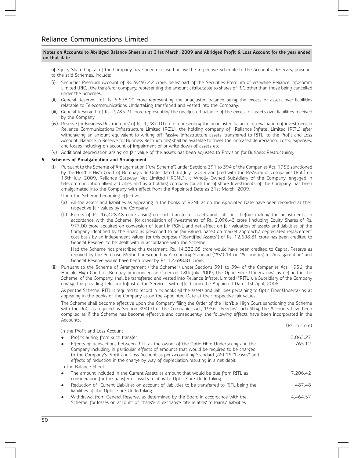of Equity Share Capital of the Company have been disclosed below the respective Schedule to the Accounts. Reserves, pursuant to the said Schemes, include;

- (i) Securities Premium Account of Rs. 9,497.42 crore, being part of the Securities Premium of erstwhile Reliance Infocomm Limited (RIC), the transferor company, representing the amount attributable to shares of RIC other than those being cancelled under the Schemes.
- (ii) General Reserve I of Rs. 5,538.00 crore representing the unadjusted balance being the excess of assets over liabilities relatable to Telecommunications Undertaking transferred and vested into the Company.
- (iii) General Reserve II of Rs. 2,785.21 crore representing the unadjusted balance of the excess of assets over liabilities received by the Company.
- (iv) Reserve for Business Restructuring of Rs. 1,287.10 crore representing the unadjusted balance of revaluation of investment in Reliance Communications Infrastructure Limited (RCIL), the holding company of Reliance Infratel Limited (RITL) after withdrawing an amount equivalent to writing off Passive Infrastructure assets, transferred to RITL, to the Profit and Loss Account. Balance in Reserve for Business Restructuring shall be available to meet the increased depreciation, costs, expenses, and losses including on account of impairment of or write down of assets etc.
- (v) Additional depreciation arising on fair value of the assets has been adjusted to Provision for Business Restructuring.

# **5 Schemes of Amalgamation and Arrangement**

(i) Pursuant to the Scheme of Amalgamation ("the Scheme") under Sections 391 to 394 of the Companies Act, 1956 sanctioned by the Hon'ble High Court of Bombay vide Order dated 3rd July, 2009 and filed with the Registrar of Companies (RoC) on 13th July, 2009, Reliance Gateway Net Limited ("RGNL"), a Wholly Owned Subsidiary of the Company, engaged in telecommunication allied activities and as a holding company for all the offshore Investments of the Company, has been amalgamated into the Company with effect from the Appointed Date as 31st March, 2009.

Upon the Scheme becoming effective;

- (a) All the assets and liabilities as appearing in the books of RGNL as on the Appointed Date have been recorded at their respective fair values by the Company.
- (b) Excess of Rs. 16,428.48 crore arising on such transfer of assets and liabilities, before making the adjustments, in accordance with the Scheme, for cancellation of investments of Rs. 2,096.43 crore (including Equity Shares of Rs. 977.00 crore acquired on conversion of loan) in RGNL and net effect on fair valuation of assets and liabilities of the Company identified by the Board as prescribed to be fair valued, based on market approach/ depreciated replacement cost basis by an independent valuer, for this purpose ("Identified Assets") of Rs. 12,698.81 crore has been credited to General Reserve, to be dealt with in accordance with the Scheme.

Had the Scheme not prescribed this treatment, Rs. 14,332.05 crore would have been credited to Capital Reserve as required by the Purchase Method prescribed by Accounting Standard ("AS") 14 on "Accounting for Amalgamation" and General Reserve would have been lower by Rs. 12,698.81 crore.

(ii) Pursuant to the Scheme of Arrangement ("the Scheme") under Sections 391 to 394 of the Companies Act, 1956, the Hon'ble High Court of Bombay pronounced an Order on 18th July 2009, the Optic Fibre Undertaking, as defined in the Scheme, of the Company, shall be transferred and vested into Reliance Infratel Limited ("RITL"), a Subsidiary of the Company engaged in providing Telecom Infrastructue Services, with effect from the Appointed Date, 1st April, 2008.

As per the Scheme, RITL is required to record in its books all the assets and liabilities pertaining to Optic Fiber Undertaking as appearing in the books of the Company as on the Appointed Date at their respective fair values.

The Scheme shall become effective upon the Company filing the Order of the Hon'ble High Court sanctioning the Scheme with the RoC, as required by Section 394(3) of the Companies Act, 1956. Pending such filing, the Accounts have been compiled as if the Scheme has become effective and consequently, the following effects have been incorporated in the Accounts.

|                                                                                                                                                                                                                                                                                                                                                                         | (Rs. in crore) |
|-------------------------------------------------------------------------------------------------------------------------------------------------------------------------------------------------------------------------------------------------------------------------------------------------------------------------------------------------------------------------|----------------|
| In the Profit and Loss Account:                                                                                                                                                                                                                                                                                                                                         |                |
| Profits arising from such transfer<br>$\bullet$                                                                                                                                                                                                                                                                                                                         | 3,063.27       |
| Effects of transactions between RITL as the owner of the Optic Fibre Undertaking and the<br>Company including, in particular, effects of amounts that would be required to be charged<br>to the Company's Profit and Loss Account as per Accounting Standard (AS) 19 "Leases" and<br>effects of reduction in the charge by way of depreciation resulting in a net debit | 765.12         |
| In the Balance Sheet:                                                                                                                                                                                                                                                                                                                                                   |                |
| The amount included in the Current Assets as amount that would be due from RITL as<br>$\bullet$<br>consideration for the transfer of assets relating to Optic Fibre Undertaking                                                                                                                                                                                         | 7.206.42       |
| Reduction of Current Liabilities on account of liabilities to be transferred to RITL being the<br>liabilities of the Optic Fibre Undertaking                                                                                                                                                                                                                            | 487.48         |
| Withdrawal from General Reserve, as determined by the Board in accordance with the<br>$\bullet$<br>Scheme, for losses on account of change in exchange rate relating to loans/ liabilities                                                                                                                                                                              | 4.464.57       |
|                                                                                                                                                                                                                                                                                                                                                                         |                |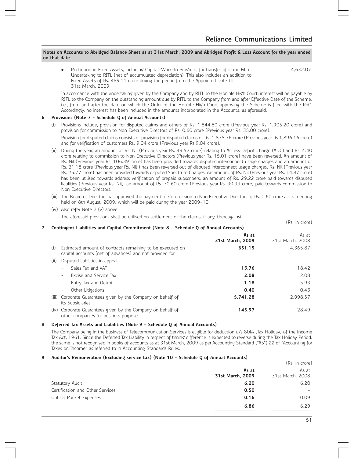$\bullet$ Reduction in Fixed Assets, including Capital-Work-In Progress, for transfer of Optic Fibre 4,632.07 Undertaking to RITL (net of accumulated depreciation). This also includes an addition to Fixed Assets of Rs. 489.11 crore during the period from the Appointed Date till 31st March, 2009.

In accordance with the undertaking given by the Company and by RITL to the Hon'ble High Court, interest will be payable by RITL to the Company on the outstanding amount due by RITL to the Company from and after Effective Date of the Scheme, i.e., from and after the date on which the Order of the Hon'ble High Court approving the Scheme is filed with the RoC. Accordingly, no interest has been included in the amounts incorporated in the Accounts, as aforesaid.

# **6 Provisions (Note 7 - Schedule Q of Annual Accounts)**

(i) Provisions include, provision for disputed claims and others of Rs. 1,844.80 crore (Previous year Rs. 1,905.20 crore) and provision for commission to Non Executive Directors of Rs. 0.60 crore (Previous year Rs. 35.00 crore).

Provision for disputed claims consists of provision for disputed claims of Rs. 1,835.76 crore (Previous year Rs.1,896.16 crore) and for verification of customers Rs. 9.04 crore (Previous year Rs.9.04 crore).

- (ii) During the year, an amount of Rs. Nil (Previous year Rs. 49.52 crore) relating to Access Deficit Charge (ADC) and Rs. 4.40 crore relating to commission to Non Executive Directors (Previous year Rs. 15.01 crore) have been reversed. An amount of Rs. Nil (Previous year Rs. 106.39 crore) has been provided towards disputed interconnect usage charges and an amount of Rs. 31.18 crore (Previous year Rs. Nil ) has been reversed out of disputed interconnect usage charges, Rs. Nil (Previous year Rs. 25.77 crore) has been provided towards disputed Spectrum Charges. An amount of Rs. Nil (Previous year Rs. 14.87 crore) has been utilised towards address verification of prepaid subscribers, an amount of Rs. 29.22 crore paid towards disputed liablities (Previous year Rs. Nil), an amount of Rs. 30.60 crore (Previous year Rs. 30.33 crore) paid towards commission to Non Executive Directors.
- (iii) The Board of Directors has approved the payment of Commission to Non Executive Directors of Rs. 0.60 crore at its meeting held on 8th August, 2009, which will be paid during the year 2009-10.
- (iv) Also refer Note 2 (v) above.

The aforesaid provisions shall be utilised on settlement of the claims, if any, thereagainst.

|       |                                                                                                                      |                           | (Rs. in crore)            |
|-------|----------------------------------------------------------------------------------------------------------------------|---------------------------|---------------------------|
| 7     | Contingent Liabilities and Capital Commitment (Note 8 - Schedule Q of Annual Accounts)                               |                           |                           |
|       |                                                                                                                      | As at<br>31st March, 2009 | As at<br>31st March, 2008 |
| (i)   | Estimated amount of contracts remaining to be executed on<br>capital accounts (net of advances) and not provided for | 651.15                    | 4.365.87                  |
| (ii)  | Disputed liabilities in appeal                                                                                       |                           |                           |
|       | Sales Tax and VAT<br>$\overline{\phantom{a}}$                                                                        | 13.76                     | 18.42                     |
|       | Excise and Service Tax<br>$\overline{\phantom{a}}$                                                                   | 2.08                      | 2.08                      |
|       | Entry Tax and Octroi<br>$\overline{\phantom{m}}$                                                                     | 1.18                      | 5.93                      |
|       | Other Litigations<br>$\overline{\phantom{a}}$                                                                        | 0.40                      | 0.43                      |
| (iii) | Corporate Guarantees given by the Company on behalf of<br>its Subsidiaries                                           | 5,741.28                  | 2,998.57                  |
| (iv)  | Corporate Guarantees given by the Company on behalf of<br>other companies for business purpose                       | 145.97                    | 28.49                     |

#### **8 Deferred Tax Assets and Liabilities (Note 9 - Schedule Q of Annual Accounts)**

The Company being in the business of Telecommunication Services is eligible for deduction u/s 80IA (Tax Holiday) of the Income Tax Act, 1961. Since the Deferred Tax Liability in respect of timing difference is expected to reverse during the Tax Holiday Period, the same is not recognised in books of accounts as at 31st March, 2009 as per Accounting Standard ("AS") 22 of "Accounting for Taxes on Income" as referred to in Accounting Standards Rules.

# **9 Auditor's Remuneration (Excluding service tax) (Note 10 - Schedule Q of Annual Accounts)**

|                                  |                           | (Rs. in crore)            |
|----------------------------------|---------------------------|---------------------------|
|                                  | As at<br>31st March, 2009 | As at<br>31st March, 2008 |
| Statutory Audit                  | 6.20                      | 6.20                      |
| Certification and Other Services | 0.50                      |                           |
| Out Of Pocket Expenses           | 0.16                      | 0.09                      |
|                                  | 6.86                      | 6.29                      |
|                                  |                           |                           |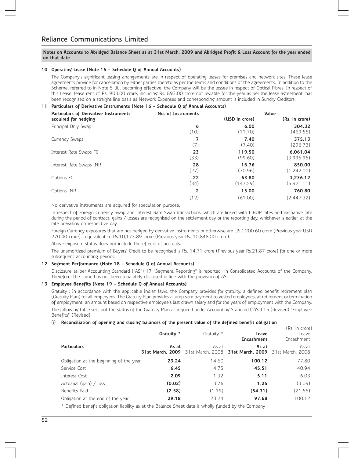# **10 Operating Lease (Note 15 - Schedule Q of Annual Accounts)**

The Company's significant leasing arrangements are in respect of operating leases for premises and network sites. These lease agreements provide for cancellation by either parties thereto as per the terms and conditions of the agreements. In addition to the Scheme, referred to in Note 5 (ii), becoming effective, the Company will be the lessee in respect of Optical Fibres. In respect of this Lease, lease rent of Rs. 903.00 crore, including Rs. 893.00 crore not leviable for the year as per the lease agreement, has been recognised on a straight line basis as Network Expenses and corresponding amount is included in Sundry Creditors.

# **11 Particulars of Derivative Instruments (Note 16 - Schedule Q of Annual Accounts)**

| <b>Particulars of Derivative Instruments</b> | No. of Instruments | Value          |                |
|----------------------------------------------|--------------------|----------------|----------------|
| acquired for hedging                         |                    | (USD in crore) | (Rs. in crore) |
| Principal Only Swap                          | 6                  | 6.00           | 304.32         |
|                                              | (10)               | (11.70)        | (469.55)       |
| Currency Swaps                               | 7                  | 7.40           | 375.13         |
|                                              | (7)                | (7.40)         | (296.73)       |
| Interest Rate Swaps FC                       | 23                 | 119.50         | 6.061.04       |
|                                              | (33)               | (99.60)        | (3,995.95)     |
| Interest Rate Swaps INR                      | 28                 | 16.76          | 850.00         |
|                                              | (27)               | (30.96)        | (1,242.00)     |
| Options FC                                   | 22                 | 63.80          | 3,236.12       |
|                                              | (34)               | (147.59)       | (5,921.11)     |
| Options INR                                  | 2                  | 15.00          | 760.80         |
|                                              | (12)               | (61.00)        | (2.447.32)     |

No derivative instruments are acquired for speculation purpose.

In respect of Foreign Currency Swap and Interest Rate Swap transactions, which are linked with LIBOR rates and exchange rate during the period of contract, gains / losses are recognised on the settlement day or the reporting day, whichever is earlier, at the rate prevailing on respective day.

Foreign Currency exposures that are not hedged by derivative instruments or otherwise are USD 200.60 crore (Previous year USD 270.40 crore), equivalent to Rs.10,173.89 crore (Previous year Rs. 10,848.00 crore).

Above exposure status does not include the effects of accruals.

The unamortized premium of Buyers' Credit to be recognised is Rs. 14.71 crore (Previous year Rs.21.87 crore) for one or more subsequent accounting periods.

# **12 Segment Performance (Note 18 - Schedule Q of Annual Accounts)**

Disclosure as per Accounting Standard ("AS") 17 "Segment Reporting" is reported in Consolidated Accounts of the Company. Therefore, the same has not been separately disclosed in line with the provision of AS.

#### **13 Employee Benefits (Note 19 - Schedule Q of Annual Accounts)**

Gratuity : In accordance with the applicable Indian laws, the Company provides for gratuity, a defined benefit retirement plan (Gratuity Plan) for all employees. The Gratuity Plan provides a lump sum payment to vested employees, at retirement or termination of employment, an amount based on respective employee's last drawn salary and for the years of employment with the Company.

The following table sets out the status of the Gratuity Plan as required under Accounting Standard ("AS") 15 (Revised) "Employee Benefits" (Revised).

#### (i) **Reconciliation of opening and closing balances of the present value of the defined benefit obligation**

|                                         | Gratuity * | Gratuity * | Leave<br>Encashment                                                          | (Rs. in crore)<br>Leave<br>Encashment |
|-----------------------------------------|------------|------------|------------------------------------------------------------------------------|---------------------------------------|
| <b>Particulars</b>                      | As at      | As at      | As at<br>31st March, 2009 31st March, 2008 31st March, 2009 31st March, 2008 | As at                                 |
| Obligation at the beginning of the year | 23.24      | 14.60      | 100.12                                                                       | 77.80                                 |
| Service Cost                            | 6.45       | 4.75       | 45.51                                                                        | 40.94                                 |
| Interest Cost                           | 2.09       | 1.32       | 5.11                                                                         | 6.03                                  |
| Actuarial (gain) / loss                 | (0.02)     | 3.76       | 1.25                                                                         | (3.09)                                |
| Benefits Paid                           | (2.58)     | (1.19)     | (54.31)                                                                      | (21.55)                               |
| Obligation at the end of the year       | 29.18      | 23.24      | 97.68                                                                        | 100.12                                |
|                                         |            |            |                                                                              |                                       |

\* Defined benefit obligation liability as at the Balance Sheet date is wholly funded by the Company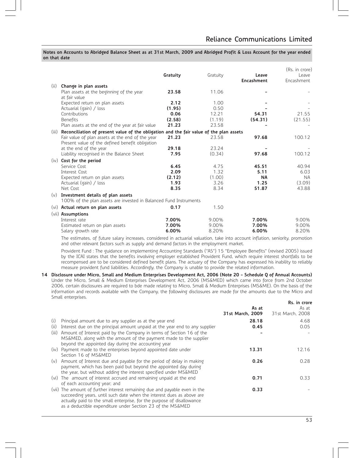|                                                                                                              | Gratuity | Gratuity | Leave<br>Encashment | (Rs. in crore)<br>Leave<br>Encashment |
|--------------------------------------------------------------------------------------------------------------|----------|----------|---------------------|---------------------------------------|
| (ii)<br>Change in plan assets                                                                                |          |          |                     |                                       |
| Plan assets at the beginning of the year<br>at fair value                                                    | 23.58    | 11.06    |                     |                                       |
| Expected return on plan assets                                                                               | 2.12     | 1.00     |                     |                                       |
| Actuarial (gain) / loss                                                                                      | (1.95)   | 0.50     |                     |                                       |
| Contributions                                                                                                | 0.06     | 12.21    | 54.31               | 21.55                                 |
| Benefits                                                                                                     | (2.58)   | (1.19)   | (54.31)             | (21.55)                               |
| Plan assets at the end of the year at fair value                                                             | 21.23    | 23.58    |                     |                                       |
| Reconciliation of present value of the obligation and the fair value of the plan assets<br>(iii)             |          |          |                     |                                       |
| Fair value of plan assets at the end of the year<br>Present value of the defined benefit obligation          | 21.23    | 23.58    | 97.68               | 100.12                                |
| at the end of the year                                                                                       | 29.18    | 23.24    |                     |                                       |
| Liability recognised in the Balance Sheet                                                                    | 7.95     | (0.34)   | 97.68               | 100.12                                |
| Cost for the period<br>(iv)                                                                                  |          |          |                     |                                       |
| Service Cost                                                                                                 | 6.45     | 4.75     | 45.51               | 40.94                                 |
| Interest Cost                                                                                                | 2.09     | 1.32     | 5.11                | 6.03                                  |
| Expected return on plan assets                                                                               | (2.12)   | (1.00)   | <b>NA</b>           | <b>NA</b>                             |
| Actuarial (gain) / loss                                                                                      | 1.93     | 3.26     | 1.25                | (3.09)                                |
| Net Cost                                                                                                     | 8.35     | 8.34     | 51.87               | 43.88                                 |
| $(v)$ Investment details of plan assets<br>100% of the plan assets are invested in Balanced Fund Instruments |          |          |                     |                                       |
| (vi) Actual return on plan assets                                                                            | 0.17     | 1.50     |                     |                                       |
| (vii) Assumptions                                                                                            |          |          |                     |                                       |
| Interest rate                                                                                                | 7.00%    | 9.00%    | 7.00%               | 9.00%                                 |
| Estimated return on plan assets                                                                              | 7.00%    | 9.00%    | 7.00%               | 9.00%                                 |
| Salary growth rate                                                                                           | 6.00%    | 8.20%    | 6.00%               | 8.20%                                 |

The estimates, of future salary increases, considered in actuarial valuation, take into account inflation, seniority, promotion and other relevant factors such as supply and demand factors in the employment market.

Provident Fund : The guidance on implementing Accounting Standards ("AS") 15 "Employee Benefits" (revised 2005) issued by the ICAI states that the benefits involving employer established Provident Fund, which require interest shortfalls to be recompensed are to be considered defined benefit plans. The actuary of the Company has expressed his inability to reliably measure provident fund liabilities. Accordingly, the Company is unable to provide the related information.

**14 Disclosure under Micro, Small and Medium Enterprises Development Act, 2006 (Note 20 - Schedule Q of Annual Accounts)** Under the Micro, Small & Medium Enterprises Development Act, 2006 (MS&MED) which came into force from 2nd October 2006, certain disclosures are required to bde made relating to Micro, Small & Medium Enterprises (MS&ME). On the basis of the information and records available with the Company, the following disclosures are made for the amounts due to the Micro and Small enterprises.

|       |                                                                             |                  | Rs. in crore     |
|-------|-----------------------------------------------------------------------------|------------------|------------------|
|       |                                                                             | As at            | As at            |
|       |                                                                             | 31st March, 2009 | 31st March, 2008 |
| (i)   | Principal amount due to any supplier as at the year end                     | 28.18            | 4.68             |
| (ii)  | Interest due on the principal amount unpaid at the year end to any supplier | 0.45             | 0.05             |
| (iii) | Amount of Interest paid by the Company in terms of Section 16 of the        |                  |                  |
|       | MS&MED, along with the amount of the payment made to the supplier           |                  |                  |
|       | beyond the appointed day during the accounting year                         |                  |                  |
|       | (iv) Payment made to the enterprises beyond appointed date under            | 13.31            | 12.16            |
|       | Section 16 of MS&MED                                                        |                  |                  |
|       | (v) Amount of Interest due and payable for the period of delay in making    | 0.26             | 0.28             |
|       | payment, which has been paid but beyond the appointed day during            |                  |                  |
|       | the year, but without adding the interest specified under MS&MED            |                  |                  |
|       | (vi) The amount of interest accrued and remaining unpaid at the end         | 0.71             | 0.33             |
|       | of each accounting year; and                                                |                  |                  |
|       | (vii) The amount of further interest remaining due and payable even in the  | 0.33             |                  |
|       | succeeding years, until such date when the interest dues as above are       |                  |                  |
|       | actually paid to the small enterprise, for the purpose of disallowance      |                  |                  |
|       | as a deductible expenditure under Section 23 of the MS&MED                  |                  |                  |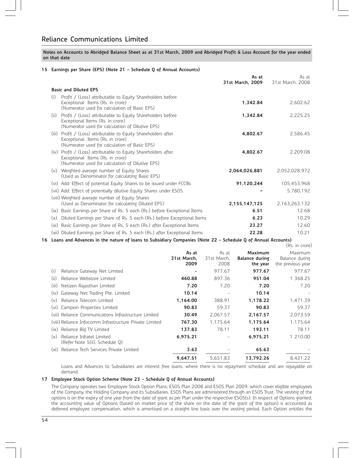# **15 Earnings per Share (EPS) (Note 21 - Schedule Q of Annual Accounts)**

|                                                                                                                                                            | As at<br>31st March, 2009 | As at<br>31st March, 2008 |
|------------------------------------------------------------------------------------------------------------------------------------------------------------|---------------------------|---------------------------|
| <b>Basic and Diluted EPS</b>                                                                                                                               |                           |                           |
| (i)<br>Profit / (Loss) attributable to Equity Shareholders before<br>Exceptional Items (Rs. in crore)<br>(Numerator used for calculation of Basic EPS)     | 1.342.84                  | 2.602.62                  |
| Profit / (Loss) attributable to Equity Shareholders before<br>(ii)<br>Exceptional Items (Rs. in crore)<br>(Numerator used for calculation of Dilutive EPS) | 1,342.84                  | 2,225.25                  |
| (iii) Profit / (Loss) attributable to Equity Shareholders after<br>Exceptional Items (Rs. in crore)<br>(Numerator used for calculation of Basic EPS)       | 4,802.67                  | 2.586.45                  |
| (iv) Profit / (Loss) attributable to Equity Shareholders after<br>Exceptional Items (Rs. in crore)<br>(Numerator used for calculation of Dilutive EPS)     | 4,802.67                  | 2,209.08                  |
| (v) Weighted average number of Equity Shares<br>(Used as Denominator for calculating Basic EPS)                                                            | 2,064,026,881             | 2,052,028,972             |
| (vi) Add: Effect of potential Equity Shares to be issued under FCCBs                                                                                       | 91,120,244                | 105,453,968               |
| (vii) Add: Effect of potentially dilutive Equity Shares under ESOS                                                                                         |                           | 5,780,192                 |
| (viii) Weighted average number of Equity Shares<br>(Used as Denominator for calculating Diluted EPS)                                                       | 2,155,147,125             | 2,163,263,132             |
| (ix) Basic Earnings per Share of Rs. 5 each (Rs.) before Exceptional Items                                                                                 | 6.51                      | 12.68                     |
| Diluted Earnings per Share of Rs. 5 each (Rs.) before Exceptional Items<br>(x)                                                                             | 6.23                      | 10.29                     |
| Basic Earnings per Share of Rs. 5 each (Rs.) after Exceptional Items<br>(x <sub>i</sub> )                                                                  | 23.27                     | 12.60                     |
| (xii) Diluted Earnings per Share of Rs. 5 each (Rs.) after Exceptional Items                                                                               | 22.28                     | 10.21                     |

**16 Loans and Advances in the nature of loans to Subsidiary Companies (Note 22 - Schedule Q of Annual Accounts)**

|                                                                    |                              |                              |                                       | (Rs. in crore)                                 |
|--------------------------------------------------------------------|------------------------------|------------------------------|---------------------------------------|------------------------------------------------|
|                                                                    | As at<br>31st March,<br>2009 | As at<br>31st March.<br>2008 | Maximum<br>Balance during<br>the year | Maximum<br>Balance during<br>the previous year |
| Reliance Gateway Net Limited<br>(i)                                |                              | 977.67                       | 977.67                                | 977.67                                         |
| Reliance Webstore Limited<br>(ii)                                  | 460.88                       | 897.36                       | 951.04                                | 1 368.25                                       |
| Netizen Rajasthan Limited<br>(iii)                                 | 7.20                         | 7.20                         | 7.20                                  | 7.20                                           |
| Gateway Net Trading Pte. Limited<br>(iv)                           | 10.14                        |                              | 10.14                                 |                                                |
| Reliance Telecom Limited<br>(v)                                    | 1,164.00                     | 388.91                       | 1,178.22                              | 1,471.39                                       |
| (vi) Campion Properties Limited                                    | 90.83                        | 59.37                        | 90.83                                 | 59.37                                          |
| (vii) Reliance Communications Infrastructure Limited               | 30.49                        | 2.067.57                     | 2,167.57                              | 2,073.59                                       |
| (viii) Reliance Infocomm Infrastructure Private Limited            | 767.30                       | 1.175.64                     | 1,175.64                              | 1,175.64                                       |
| Reliance Big TV Limited<br>(ix)                                    | 137.83                       | 78.11                        | 193.11                                | 78.11                                          |
| Reliance Infratel Limited<br>(x)<br>(Refer Note 5(ii), Schedule Q) | 6,975.21                     |                              | 6,975.21                              | 1 210.00                                       |
| (xi) Reliance Tech Services Private Limited                        | 3.63                         |                              | 65.63                                 |                                                |
|                                                                    | 9.647.51                     | 5,651.83                     | 13,792.26                             | 8.421.22                                       |

Loans and Advances to Subsidiaries are interest free loans, where there is no repayment schedule and are repayable on demand.

# **17 Employee Stock Option Scheme (Note 23 - Schedule Q of Annual Accounts)**

The Company operates two Employee Stock Option Plans; ESOS Plan 2008 and ESOS Plan 2009, which cover eligible employees of the Company, the Holding Company and its Subsidiaries. ESOS Plans are administered through an ESOS Trust. The vesting of the options is on the expiry of one year from the date of grant as per Plan under the respective ESOS(s). In respect of Options granted, the accounting value of Options (based on market price of the share on the date of the grant of the option) is accounted as deferred employee compensation, which is amortised on a straight line basis over the vesting period. Each Option entitles the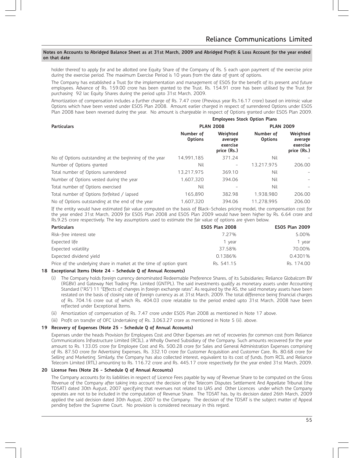holder thereof to apply for and be allotted one Equity Share of the Company of Rs. 5 each upon payment of the exercise price during the exercise period. The maximum Exercise Period is 10 years from the date of grant of options.

The Company has established a Trust for the implementation and management of ESOS for the benefit of its present and future employees. Advance of Rs. 159.00 crore has been granted to the Trust. Rs. 154.91 crore has been utilised by the Trust for purchasing 92 lac Equity Shares during the period upto 31st March, 2009.

Amortization of compensation includes a further charge of Rs. 7.47 crore (Previous year Rs.16.17 crore) based on intrinsic value Options which have been vested under ESOS Plan 2008. Amount earlier charged in respect of surrendered Options under ESOS Plan 2008 have been reversed during the year. No amount is chargeable in respect of Options granted under ESOS Plan 2009.

|                                                        |                             |                                                | <b>Employees Stock Option Plans</b> |                                                |
|--------------------------------------------------------|-----------------------------|------------------------------------------------|-------------------------------------|------------------------------------------------|
| <b>Particulars</b>                                     | <b>PLAN 2008</b>            |                                                | <b>PLAN 2009</b>                    |                                                |
|                                                        | Number of<br><b>Options</b> | Weighted<br>average<br>exercise<br>price (Rs.) | Number of<br><b>Options</b>         | Weighted<br>average<br>exercise<br>price (Rs.) |
| No of Options outstanding at the beginning of the year | 14.991.185                  | 371.24                                         | Nil                                 |                                                |
| Number of Options granted                              | Nil                         |                                                | 13.217.975                          | 206.00                                         |
| Total number of Options surrendered                    | 13.217.975                  | 369.10                                         | Nil                                 |                                                |
| Number of Options vested during the year               | 1.607.320                   | 394.06                                         | Nil                                 |                                                |
| Total number of Options exercised                      | Nil                         |                                                | Nil                                 |                                                |
| Total number of Options forfeited / lapsed             | 165.890                     | 382.98                                         | 1.938.980                           | 206.00                                         |
| No of Options outstanding at the end of the year       | 1.607.320                   | 394.06                                         | 11.278.995                          | 206.00                                         |

If the entity would have estimated fair value computed on the basis of Black-Scholes pricing model, the compensation cost for the year ended 31st March, 2009 for ESOS Plan 2008 and ESOS Plan 2009 would have been higher by Rs. 6.64 crore and Rs.9.25 crore respectively. The key assumptions used to estimate the fair value of options are given below.

| <b>Particulars</b>                                                  | <b>ESOS Plan 2008</b> | <b>ESOS Plan 2009</b> |
|---------------------------------------------------------------------|-----------------------|-----------------------|
| Risk-free interest rate                                             | 7.27%                 | 5.00%                 |
| Expected life                                                       | 1 vear                | 1 year                |
| Expected volatility                                                 | 37.58%                | 70.00%                |
| Expected dividend yield                                             | 0.1386%               | 0.4301%               |
| Price of the underlying share in market at the time of option grant | Rs. 541.15            | Rs. 174.00            |
|                                                                     |                       |                       |

# **18 Exceptional Items (Note 24 - Schedule Q of Annual Accounts)**

- (i) The Company holds foreign currency denominated Redeemable Preference Shares, of its Subsidiaries; Reliance Globalcom BV (RGBV) and Gateway Net Trading Pte. Limited (GNTPL). The said investments qualify as monetary assets under Accounting Standard ("AS") 11 "Effects of changes in foreign exchange rates". As required by the AS, the said monetary assets have been restated on the basis of closing rate of foreign currency as at 31st March, 2009. The total difference being financial charges of Rs. 704.16 crore out of which Rs. 404.03 crore relatable to the period ended upto 31st March, 2008 have been reflected under Exceptional Items.
- (ii) Amortization of compensation of Rs. 7.47 crore under ESOS Plan 2008 as mentioned in Note 17 above.
- (iii) Profit on transfer of OFC Undertaking of Rs. 3,063.27 crore as mentioned in Note 5 (ii). above.

# **19 Recovery of Expenses (Note 25 - Schedule Q of Annual Accounts)**

Expenses under the heads Provision for Employees Cost and Other Expenses are net of recoveries for common cost from Reliance Communications Infrastructure Limited (RCIL), a Wholly Owned Subsidiary of the Company. Such amounts recovered for the year amount to Rs. 133.05 crore for Employee Cost and Rs. 500.28 crore for Sales and General Administration Expenses comprising of Rs. 87.50 crore for Advertising Expenses, Rs. 332.10 crore for Customer Acquisition and Customer Care, Rs. 80.68 crore for Selling and Marketing. Similarly, the Company has also collected interest, equivalent to its cost of funds, from RCIL and Reliance Telecom Limited (RTL) amounting to Rs. 116.72 crore and Rs. 445.17 crore respectively for the year ended 31st March, 2009.

# **20 License Fees (Note 26 - Schedule Q of Annual Accounts)**

The Company accounts for its liabilities in respect of Licence Fees payable by way of Revenue Share to be computed on the Gross Revenue of the Company after taking into account the decision of the Telecom Disputes Settlement And Appellate Tribunal (the TDSAT) dated 30th August, 2007 specifying that revenues not related to UAS and Other Licences under which the Company operates are not to be included in the computation of Revenue Share. The TDSAT has, by its decision dated 26th March, 2009 applied the said decision dated 30th August, 2007 to the Company. The decision of the TDSAT is the subject matter of Appeal pending before the Supreme Court. No provision is considered necessary in this regard.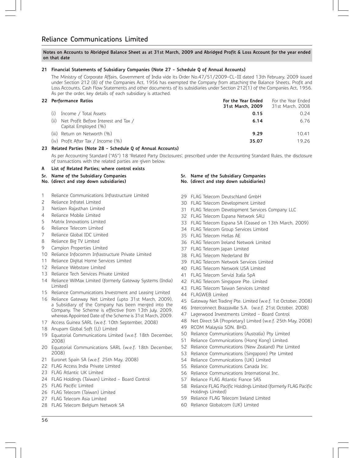# **21 Financial Statements of Subsidiary Companies (Note 27 - Schedule Q of Annual Accounts)**

The Ministry of Corporate Affairs, Government of India vide its Order No.47/51/2009-CL-III dated 13th February, 2009 issued under Section 212 (8) of the Companies Act, 1956 has exempted the Company from attaching the Balance Sheets, Profit and Loss Accounts, Cash Flow Statements and other documents of its subsidiaries under Section 212(1) of the Companies Act, 1956. As per the order, key details of each subsidiary is attached.

| 22 Performance Ratios                                                | For the Year Ended<br>31st March. 2009 | For the Year Ended<br>31st March, 2008 |
|----------------------------------------------------------------------|----------------------------------------|----------------------------------------|
| Income / Total Assets<br>(i)                                         | 0.15                                   | 0.24                                   |
| Net Profit Before Interest and Tax /<br>(ii)<br>Capital Employed (%) | 6.14                                   | 6.76                                   |
| (iii) Return on Networth (%)                                         | 9.29                                   | 10.41                                  |
| (iv) Profit After Tax / Income (%)                                   | 35.07                                  | 19.26                                  |

# **23 Related Parties (Note 28 - Schedule Q of Annual Accounts)**

As per Accounting Standard ("AS") 18 'Related Party Disclosures', prescribed under the Accounting Standard Rules, the disclosure of transactions with the related parties are given below.

# **A List of Related Parties; where control exists**

# Sr. Name of the Subsidiary Companies **Sr. Name of the Subsidiary Companies**<br>No. (direct and step down subsidiaries) **Step and Step down subsidiaries**)

- 
- 1 Reliance Communications Infrastructure Limited
- 2 Reliance Infratel Limited
- 3 Netizen Rajasthan Limited
- 4 Reliance Mobile Limited
- 5 Matrix Innovations Limited
- 6 Reliance Telecom Limited
- 7 Reliance Global IDC Limited
- 8 Reliance Big TV Limited
- 9 Campion Properties Limited
- 10 Reliance Infocomm Infrastructure Private Limited
- 11 Reliance Digital Home Services Limited
- 12 Reliance Webstore Limited
- 13 Reliance Tech Services Private Limited
- 14 Reliance WiMax Limited (formerly Gateway Systems (India) Limited)
- 15 Reliance Communications Investment and Leasing Limited
- 16 Reliance Gateway Net Limited (upto 31st March, 2009), a Subsidiary of the Company has been merged into the Company. The Scheme is effective from 13th July, 2009, whereas Appointed Date of the Scheme is 31st March, 2009.
- 17 Access Guinea SARL (w.e.f. 10th September, 2008)
- 18 Anupam Global Soft (U) Limited
- 19 Equatorial Communications Limited (w.e.f. 18th December, 2008)
- 20 Equatorial Communications SARL (w.e.f. 18th December, 2008)
- 21 Euronet Spain SA (w.e.f. 25th May, 2008)
- 22 FLAG Access India Private Limited
- 23 FLAG Atlantic UK Limited
- 24 FLAG Holdings (Taiwan) Limited Board Control
- 25 FLAG Pacific Limited
- 26 FLAG Telecom (Taiwan) Limited
- 27 FLAG Telecom Asia Limited
- 28 FLAG Telecom Belgium Network SA

#### **No. (direct and step down subsidiaries) No. (direct and step down subsidiaries)**

- 29 FLAG Telecom Deutschland GmbH
- 30 FLAG Telecom Development Limited
- 31 FLAG Telecom Development Services Company LLC
- 32 FLAG Telecom Espana Network SAU
- 33 FLAG Telecom Espana SA (Ceased on 13th March, 2009)
- 34 FLAG Telecom Group Services Limited
- 35 FLAG Telecom Hellas AE
- 36 FLAG Telecom Ireland Network Limited
- 37 FLAG Telecom Japan Limited
- 38 FLAG Telecom Nederland BV
- 39 FLAG Telecom Network Services Limited
- 40 FLAG Telecom Network USA Limited
- 41 FLAG Telecom Servizi Italia SpA
- 42 FLAG Telecom Singapore Pte. Limited
- 43 FLAG Telecom Taiwan Services Limited
- 44 FLAGWEB Limited
- 45 Gateway Net Trading Pte. Limited (w.e.f. 1st October, 2008)
- 46 Interconnect Brazzaville S.A. (w.e.f. 21st October, 2008)
- 47 Lagerwood Investments Limited Board Control
- 48 Net Direct SA (Proprietary) Limited (w.e.f. 25th May, 2008)
- 49 RCOM Malaysia SDN. BHD.
- 50 Reliance Communications (Australia) Pty Limited
- 51 Reliance Communications (Hong Kong) Limited.
- 52 Reliance Communications (New Zealand) Pte Limited
- 53 Reliance Communications (Singapore) Pte Limited
- 54 Reliance Communications (UK) Limited
- 55 Reliance Communications Canada Inc.
- 56 Reliance Communications International Inc.
- 57 Reliance FLAG Atlantic France SAS
- 58 Reliance FLAG Pacific Holdings Limited (formerly FLAG Pacific Holdings Limited)
- 59 Reliance FLAG Telecom Ireland Limited
- 60 Reliance Globalcom (UK) Limited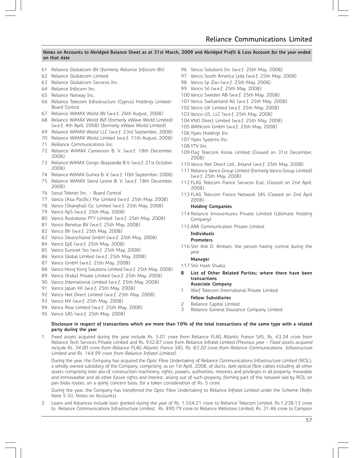- 61 Reliance Globalcom BV (formerly Reliance Infocom BV)
- 62 Reliance Globalcom Limited
- 63 Reliance Globalcom Services Inc.
- 64 Reliance Infocom Inc.
- 65 Reliance Netway Inc.
- 66 Reliance Telecom Infrastructure (Cyprus) Holdings Limited-Board Control
- 67 Reliance WiMAX World BV (w.e.f. 26th August, 2008)
- 68 Reliance WiMAX World BVI (formerly eWave World Limited) (w.e.f. 4th April, 2008) (formerly eWave World Limited)
- 69 Reliance WiMAX World LLC (w.e.f. 23rd September, 2008)
- 70 Reliance WiMAX World Limited (w.e.f. 11th August, 2008)
- 71 Relilance Communications Inc.
- 72 Reliance WiMAX Cameroon B. V. (w.e.f. 18th December, 2008)
- 73 Reliance WiMAX Congo-Brazzaville B.V. (w.e.f. 21st October, 2008)
- 74 Reliance WiMAX Guinea B. V. (w.e.f. 10th September, 2008)
- 75 Reliance WiMAX Sierra Leone B. V. (w.e.f. 18th December, 2008)
- 76 Seoul Telenet Inc. Board Control
- 77 Vanco (Asia Pacific) Pte Limited (w.e.f. 25th May, 2008)
- 78 Vanco (Shanghai) Co. Limited (w.e.f. 25th May, 2008)
- 79 Vanco ApS (w.e.f. 25th May, 2008)
- 80 Vanco Australasia PTY Limited. (w.e.f. 25th May, 2008)
- 81 Vanco Benelux BV (w.e.f. 25th May, 2008)
- 82 Vanco BV (w.e.f. 25th May, 2008)
- 83 Vanco Deutschland GmbH (w.e.f. 25th May, 2008)
- 84 Vanco EpE (w.e.f. 25th May, 2008)
- 85 Vanco Euronet Sro (w.e.f. 25th May, 2008)
- 86 Vanco Global Limited (w.e.f. 25th May, 2008)
- 87 Vanco GmbH (w.e.f. 25th May, 2008)
- 88 Vanco Hong Kong Solutions Limited (w.e.f. 25th May, 2008)
- 89 Vanco (India) Private Limited (w.e.f. 25th May, 2008)
- 90 Vanco International Limited (w.e.f. 25th May, 2008)
- 91 Vanco Japan KK (w.e.f. 25th May, 2008)
- 92 Vanco Net Direct Limited (w.e.f. 25th May, 2008)
- 93 Vanco NV (w.e.f. 25th May, 2008)
- 94 Vanco Row Limited (w.e.f. 25th May, 2008)
- 95 Vanco SAS (w.e.f. 25th May, 2008)
- 96 Vanco Solutions Inc (w.e.f. 25th May, 2008)
- 97 Vanco South America Ltda (w.e.f. 25th May, 2008)
- 98 Vanco Sp Zoo (w.e.f. 25th May, 2008)
- 99 Vanco Srl (w.e.f. 25th May, 2008)
- 100 Vanco Sweden AB (w.e.f. 25th May, 2008)
- 101 Vanco Switzerland AG (w.e.f. 25th May, 2008)
- 102 Vanco UK Limited (w.e.f. 25th May, 2008)
- 103 Vanco US, LLC (w.e.f. 25th May, 2008)
- 104 VNO Direct Limited (w.e.f. 25th May, 2008)
- 105 WANcom GmbH (w.e.f. 25th May, 2008)
- 106 Yipes Holdings Inc.
- 107 Yipes Systems Inc.
- 108 YTV Inc.
- 109 Flag Telecom Korea Limited (Ceased on 31st December, 2008)
- 110 Vanco Net Direct Ltd., Ireland (w.e.f. 25th May, 2008)
- 111 Reliance Vanco Group Limited (formerly Vanco Group Limited) (w.e.f. 25th May, 2008)
- 112 FLAG Telecom France Services Eurl, (Ceased on 2nd April, 2008)
- 113 FLAG Telecom France Network SAS (Ceased on 2nd April 2008)

# **Holding Companies**

- 114 Reliance Innoventures Private Limited (Ultimate Holding Company)
- 115 AAA Communication Private Limited

# **Individuals**

#### **Promoters**

116 Shri Anil D. Ambani, the person having control during the year

# **Manager**

- 117 Shri Hasit Shukla
- **B List of Other Related Parties; where there have been transactions Associate Company**
- 1 Warf Telecom International Private Limited

# **Fellow Subsidiaries**

- 2 Reliance Capital Limited
- 3 Reliance General Insurance Company Limited

#### **Disclosure in respect of transactions which are more than 10% of the total transactions of the same type with a related party during the year**

1 Fixed assets acquired during the year include Rs. 5.01 crore from Reliance FLAG Atlantic France SAS, Rs. 43.34 crore from Reliance Tech Services Private Limited and Rs. 932.87 crore from Reliance Infratel Limited.(Previous year - Fixed assets acquired include Rs. 34.00 crore from Reliance FLAG Atlantic France SAS, Rs. 83.20 crore from Reliance Communications Infrastructure Limited and Rs. 164.99 crore from Reliance Infratel Limited).

During the year, the Company has acquired the Optic Fibre Undertaking of Reliance Communications Infrastructure Limited (RCIL), a wholly owned subsidiary of the Company, comprising, as on 1st April, 2008, of ducts, dark optical fibre cables including all other assets comprising inter alia of construction machinery, rights, powers, authorities, interests and privileges in all property, moveable and immoveable and all other future rights and interest, arising out of such property, forming part of the network laid by RCIL on pan India routes, on a going concern basis, for a token consideration of Rs. 5 crore.

During the year, the Company has transferred the Optic Fibre Undertaking to Reliance Infratel Limited under the Scheme (Refer Note 5 (ii), Notes on Accounts).

2 Loans and Advances include loan granted during the year of Rs. 1,554.21 crore to Reliance Telecom Limited, Rs.1,238.13 crore to Reliance Communications Infrastructure Limited, Rs. 890.79 crore to Reliance Webstore Limited, Rs. 31.46 crore to Campion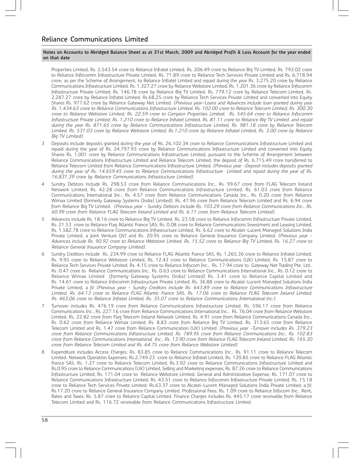Properties Limited, Rs. 2,543.54 crore to Reliance Infratel Limited, Rs. 206.49 crore to Reliance Big TV Limited, Rs. 793.02 crore to Reliance Infocomm Infrastructure Private Limited, Rs. 71.89 crore to Reliance Tech Services Private Limited and Rs. 6,718.94 crore, as per the Scheme of Arrangement, to Reliance Infratel Limited and repaid during the year Rs. 3,275.20 crore by Reliance Communications Infrastructure Limited, Rs. 1,327.27 crore by Reliance Webstore Limited, Rs. 1,201.36 crore by Reliance Infocomm Infrastructure Private Limited, Rs. 146.78 crore by Reliance Big TV Limited, Rs. 779.12 crore by Reliance Telecom Limited, Rs. 2,287.27 crore by Reliance Infratel Limited, Rs.68.25 crore by Reliance Tech Services Private Limited and converted into Equity Shares Rs. 977.62 crore by Reliance Gateway Net Limited. (Previous year-Loans and Advances include loan granted during year Rs. 1,434.63 crore to Reliance Communications Infrastructure Limited, Rs. 102.00 crore to Reliance Telecom Limited, Rs. 300.30 crore to Reliance Webstore Limited, Rs. 22.59 crore to Campion Properties Limited, Rs. 545.64 crore to Reliance Infocomm Infrastructure Private Limited, Rs. 1,210 crore to Reliance Infratel Limited, Rs. 81.11 crore to Reliance Big TV Limited. and repaid during the year Rs. 871.65 crore by Reliance Communications Infrastructure Limited, Rs. 981.18 crore by Reliance Telecom Limited, Rs. 531.03 crore by Reliance Webstore Limited, Rs.1,210 crore by Reliance Infratel Limited, Rs. 3.00 crore by Reliance Big TV Limited).

- 3 Deposits include deposits granted during the year of Rs. 26,102.34 crore to Reliance Communications Infrastructure Limited and repaid during the year of Rs. 24,797.93 crore by Reliance Communications Infrastructure Limited and converted into Equity Shares Rs. 1,001 crore by Reliance Communications Infrastructure Limited, pursuant to the Scheme of Arrangement between Reliance Communications Infrastructure Limited and Reliance Telecom Limited, the deposit of Rs. 6,715.49 crore transferred to Reliance Telecom Limited from Reliance Communications Infrastructure Limited. (Previous year -Deposit includes deposits granted during the year of Rs. 14,659.45 crore to Reliance Communications Infrastructure Limited and repaid during the year of Rs. 16,831.39 crore by Reliance Communications Infrastructure Limited).
- 4 Sundry Debtors include Rs. 298.53 crore from Reliance Communications Inc., Rs. 99.67 crore from FLAG Telecom Ireland Network Limited, Rs. 42.28 crore from Reliance Communications Infrastructure Limited, Rs. 61.03 crore from Reliance Communications International Inc., Rs. 4.57 crore from Reliance Communications Canada Inc., Rs. 0.20 crore from Reliance Wimax Limited (formerly Gateway Systems (India) Limited), Rs. 47.96 crore from Reliance Telecom Limited and Rs. 6.94 crore from Reliance Big TV Limited. (Previous year - Sundry Debtors include Rs. 103.29 crore from Reliance Communications Inc., Rs. 60.99 crore from Reliance FLAG Telecom Ireland Limited and Rs. 6.11 crore from Reliance Telecom Limited).
- Advances include Rs. 18.16 crore to Reliance Big TV Limited, Rs. 23.58 crore to Reliance Infocomm Infrastructure Private Limited, Rs. 21.53 crore to Reliance Flag Atlantic France SAS, Rs. 0.08 crore to Reliance Communications Investment and Leasing Limited, Rs. 1,582.78 crore to Reliance Communications Infrastructure Limited, Rs. 6.62 crore to Alcatel-Lucent Managed Solutions India Private Limited, a Joint Venture (JV) and Rs. 20.95 crore to Reliance General Insurance Company Limited. (Previous year -Advances include Rs. 90.92 crore to Reliance Webstore Limited, Rs. 15.52 crore to Reliance Big TV Limited, Rs. 16.27 crore to Reliance General Insurance Company Limited).
- 6 Sundry Creditors include Rs. 234.99 crore to Reliance FLAG Atlantic France SAS, Rs. 1,265.36 crore to Reliance Infratel Limited, Rs. 9.95 crore to Reliance Webstore Limited, Rs. 12.43 crore to Reliance Communications (UK) Limited, Rs. 15.87 crore to Reliance Tech Services Private Limited, Rs. 4.15 crore to Reliance Infocom Inc., Rs. 17.94 crore to Gateway Net Trading Pte. Ltd., Rs. 0.47 crore to Reliance Communications Inc., Rs. 0.63 crore to Reliance Communications International Inc., Rs. 0.12 crore to Reliance Wimax Limited (formerly Gateway Systems (India) Limited) Rs. 3.41 crore to Reliance Capital Limited and Rs. 14.61 crore to Reliance Infocomm Infrastructure Private Limited, Rs. 36.88 crore to Alcatel-Lucent Managed Solutions India Private Limited, a JV (Previous year - Sundry Creditors include Rs. 643.89 crore to Reliance Communications Infrastructure Limited, Rs. 64.13 crore to Reliance FLAG Atlantic France SAS, Rs. 17.06 crore to Reliance FLAG Telecom Ireland Limited, Rs. 463.06 crore to Reliance Infratel Limited, Rs. 35.07 crore to Reliance Communications International lnc.).
- 7 Turnover includes Rs. 476.19 crore from Reliance Communications Infrastructure Limited, Rs. 596.17 crore from Reliance Communications Inc., Rs. 227.16 crore from Reliance Communications International Inc., Rs. 76.04 crore from Reliance Webstore Limited, Rs. 22.82 crore from Flag Telecom Ireland Network Limited, Rs. 4.91 crore from Reliance Communications Canada Inc., Rs. 0.62 crore from Reliance Wimax Limited, Rs. 8.83 crore from Reliance Big TV Limited, Rs. 313.65 crore from Reliance Telecom Limited and Rs. 1.47 crore from Reliance Communication (UK) Limited. (Previous year -Turnover includes Rs. 379.23 crore from Reliance Communications Infrastructure Limited, Rs. 789.95 crore from Reliance Communications Inc., Rs. 102.83 crore from Reliance Communications International Inc., Rs. 13.90 crore from Reliance FLAG Telecom Ireland Limited, Rs. 165.30 crore from Reliance Telecom Limited and Rs. 64.75 crore from Reliance Webstore Limited).
- Expenditure includes Access Charges; Rs. 83.85 crore to Reliance Communications Inc., Rs. 91.11 crore to Reliance Telecom Limited, Network Operation Expenses; Rs.2,749.23 crore to Reliance Infratel Limited, Rs. 120.85 crore to Reliance FLAG Atlantic France SAS, Rs. 1.27 crore to Reliance Telecom Limited, Rs.3.92 crore to Reliance Communications Infrastructure Limited and Rs.0.95 crore to Reliance Communications (UK) Limited, Selling and Marketing expenses; Rs. 87.26 crore to Reliance Communications Infrastructure Limited, Rs. 171.04 crore to Reliance Webstore Limited, General and Administrative Expense; Rs. 171.07 crore to Reliance Communications Infrastructure Limited, Rs. 43.51 crore to Reliance Infocomm Infrastructure Private Limited, Rs. 15.18 crore to Reliance Tech Services Private Limited, Rs.63.37 crore to Alcatel-Lucent Managed Solutions India Private Limited, a JV, Rs.17.20 crore to Reliance General Insurance Company Limited, Professional Fees; Rs. 1.09 crore to Reliance Infocom Inc., Rent, Rates and Taxes; Rs. 5.87 crore to Reliance Capital Limited. Finance Charges includes Rs. 445.17 crore receivable from Reliance Telecom Limited and Rs. 116.72 receivable from Reliance Communications Infrastructure Limited.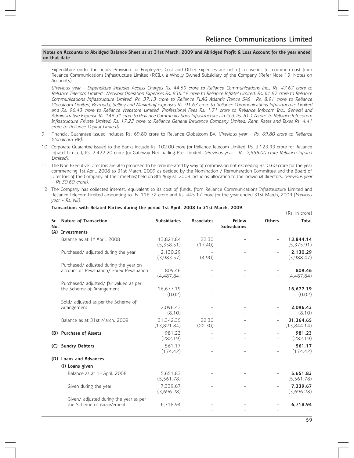Expenditure under the heads Provision for Employees Cost and Other Expenses are net of recoveries for common cost from Reliance Communications Infrastructure Limited (RCIL), a Wholly Owned Subsidiary of the Company (Refer Note 19, Notes on Accounts)

(Previous year - Expenditure includes Access Charges Rs. 44.59 crore to Reliance Communications Inc., Rs. 47.67 crore to Reliance Telecom Limited . Network Operation Expenses Rs. 936.19 crore to Reliance Infratel Limited, Rs. 61.97 crore to Reliance Communications Infrastructure Limited, Rs. 37.13 crore to Reliance FLAG Atlantic France SAS , Rs. 8.91 crore to Reliance Globalcom Limited, Bermuda, Selling and Marketing expenses Rs. 91.63 crore to Reliance Communications Infrastructure Limited and Rs. 96.43 crore to Reliance Webstore Limited, Professional Fees Rs. 1.71 crore to Reliance Infocom Inc., General and Administrative Expense Rs. 146.31 crore to Reliance Communications Infrastructure Limited, Rs. 61.17crore to Reliance Infocomm Infrastructure Private Limited, Rs. 17.23 crore to Reliance General Insurance Company Limited, Rent, Rates and Taxes Rs. 4.41 crore to Reliance Capital Limited).

- 9 Financial Guarantee issued includes Rs. 69.80 crore to Reliance Globalcom BV. (Previous year Rs. 69.80 crore to Reliance Globalcom BV).
- 10 Corporate Guarantee issued to the Banks include Rs. 102.00 crore for Reliance Telecom Limited, Rs. 3,123.93 crore for Reliance Infratel Limited, Rs. 2,422.20 crore for Gateway Net Trading Pte. Limited. (Previous year - Rs. 2,956.00 crore Reliance Infratel Limited).
- 11 The Non Executive Directors are also proposed to be remunerated by way of commission not exceeding Rs. 0.60 crore for the year commencing 1st April, 2008 to 31st March, 2009 as decided by the Nomination / Remuneration Committee and the Board of Directors of the Company, at their meeting held on 8th August, 2009 including allocation to the individual directors. (Previous year - Rs.30.60 crore).
- 12 The Company has collected interest, equivalent to its cost of funds, from Reliance Communications Infrastructure Limited and Reliance Telecom Limited amounting to Rs. 116.72 crore and Rs. 445.17 crore for the year ended 31st March, 2009 *(Previous year - Rs. Nil)*.

| No. | Sr. Nature of Transaction                                                           | <b>Subsidiaries</b>      | <b>Associates</b>        | <b>Fellow</b><br><b>Subsidiaries</b> | <b>Others</b> | <b>Total</b>             |
|-----|-------------------------------------------------------------------------------------|--------------------------|--------------------------|--------------------------------------|---------------|--------------------------|
|     | (A) Investments                                                                     |                          |                          |                                      |               |                          |
|     | Balance as at 1 <sup>st</sup> April, 2008                                           | 13,821.84<br>(5,358.51)  | 22.30<br>(17.40)         |                                      |               | 13,844.14<br>(5,375.91)  |
|     | Purchased/ adjusted during the year                                                 | 2.130.29<br>(3,983.57)   | (4.90)                   |                                      |               | 2,130.29<br>(3,988.47)   |
|     | Purchased/ adjusted during the year on<br>account of Revaluation/ Forex Revaluation | 809.46<br>(4,487.84)     |                          |                                      |               | 809.46<br>(4,487.84)     |
|     | Purchased/ adjusted/ fair valued as per<br>the Scheme of Arrangement                | 16.677.19<br>(0.02)      |                          |                                      |               | 16,677.19<br>(0.02)      |
|     | Sold/ adjusted as per the Scheme of<br>Arrangement                                  | 2,096.43<br>(8.10)       |                          |                                      |               | 2,096.43<br>(8.10)       |
|     | Balance as at 31st March, 2009                                                      | 31,342.35<br>(13,821.84) | 22.30<br>(22.30)         |                                      |               | 31,364.65<br>(13,844.14) |
|     | (B) Purchase of Assets                                                              | 981.23<br>(282.19)       | $\overline{\phantom{0}}$ |                                      |               | 981.23<br>(282.19)       |
|     | (C) Sundry Debtors                                                                  | 561.17<br>(174.42)       |                          |                                      |               | 561.17<br>(174.42)       |
|     | (D) Loans and Advances                                                              |                          |                          |                                      |               |                          |
|     | (i) Loans given                                                                     |                          |                          |                                      |               |                          |
|     | Balance as at 1 <sup>st</sup> April, 2008                                           | 5,651.83<br>(5,561.78)   |                          |                                      |               | 5,651.83<br>(5,561.78)   |
|     | Given during the year                                                               | 7,339.67<br>(3,696.28)   |                          |                                      |               | 7,339.67<br>(3,696.28)   |
|     | Given/ adjusted during the year as per<br>the Scheme of Arrangement                 | 6,718.94                 |                          |                                      |               | 6,718.94                 |

#### **Transactions with Related Parties during the period 1st April, 2008 to 31st March, 2009**

(Rs. in crore)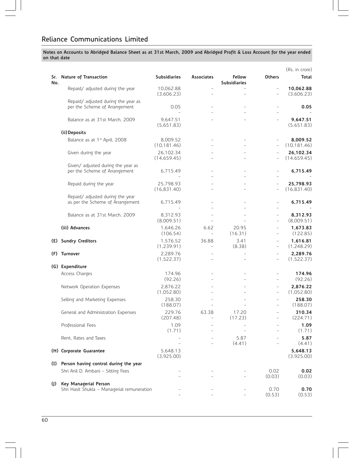|                            |                                                                      |                           |                                   |                                      |                                                      | (Rs. in crore)            |
|----------------------------|----------------------------------------------------------------------|---------------------------|-----------------------------------|--------------------------------------|------------------------------------------------------|---------------------------|
| Sr.<br>No.                 | Nature of Transaction                                                | <b>Subsidiaries</b>       | <b>Associates</b>                 | <b>Fellow</b><br><b>Subsidiaries</b> | <b>Others</b>                                        | <b>Total</b>              |
|                            | Repaid/ adjusted during the year                                     | 10,062.88<br>(3,606.23)   | ÷                                 |                                      | $\overline{a}$<br>$\overline{a}$                     | 10,062.88<br>(3,606.23)   |
|                            | Repaid/ adjusted during the year as<br>per the Scheme of Arrangement | 0.05                      |                                   | $\overline{\phantom{a}}$             | $\overline{\phantom{0}}$                             | 0.05                      |
|                            | Balance as at 31st March, 2009                                       | 9,647.51<br>(5,651.83)    |                                   |                                      |                                                      | 9,647.51<br>(5,651.83)    |
|                            | (ii) Deposits                                                        |                           |                                   |                                      |                                                      |                           |
|                            | Balance as at 1 <sup>st</sup> April, 2008                            | 8.009.52<br>(10, 181.46)  |                                   | $\overline{\phantom{a}}$             | $\overline{\phantom{0}}$                             | 8,009.52<br>(10, 181.46)  |
|                            | Given during the year                                                | 26,102.34<br>(14, 659.45) |                                   |                                      |                                                      | 26,102.34<br>(14, 659.45) |
|                            | Given/ adjusted during the year as<br>per the Scheme of Arrangement  | 6,715.49                  |                                   |                                      | -<br>÷,                                              | 6,715.49                  |
|                            | Repaid during the year                                               | 25.798.93<br>(16,831.40)  |                                   |                                      | $\overline{\phantom{0}}$                             | 25,798.93<br>(16,831.40)  |
|                            | Repaid/ adjusted during the year<br>as per the Scheme of Arrangement | 6,715.49                  |                                   |                                      | -<br>÷                                               | 6,715.49                  |
|                            | Balance as at 31st March, 2009                                       | 8,312.93<br>(8,009.51)    |                                   |                                      | $\overline{\phantom{0}}$<br>$\overline{\phantom{0}}$ | 8,312.93<br>(8,009.51)    |
|                            | (iii) Advances                                                       | 1,646.26<br>(106.54)      | 6.62<br>$\overline{\phantom{0}}$  | 20.95<br>(16.31)                     | $\overline{\phantom{0}}$                             | 1,673.83<br>(122.85)      |
|                            | (E) Sundry Creditors                                                 | 1,576.52<br>(1,239.91)    | 36.88<br>÷                        | 3.41<br>(8.38)                       | $\overline{\phantom{0}}$<br>$\bar{ }$                | 1,616.81<br>(1,248.29)    |
|                            | (F) Turnover                                                         | 2,289.76<br>(1,522.37)    | ÷                                 |                                      | $\overline{\phantom{0}}$<br>$\overline{\phantom{0}}$ | 2,289.76<br>(1,522.37)    |
|                            | (G) Expenditure                                                      |                           |                                   |                                      |                                                      |                           |
|                            | Access Charges                                                       | 174.96<br>(92.26)         |                                   |                                      | $\overline{\phantom{0}}$<br>$\overline{\phantom{0}}$ | 174.96<br>(92.26)         |
|                            | Network Operation Expenses                                           | 2,876.22<br>(1,052.80)    |                                   |                                      | $\overline{\phantom{0}}$                             | 2,876.22<br>(1,052.80)    |
|                            | Selling and Marketing Expenses                                       | 258.30<br>(188.07)        |                                   |                                      | $\overline{\phantom{0}}$<br>$\overline{\phantom{0}}$ | 258.30<br>(188.07)        |
|                            | General and Administration Expenses                                  | 229.76<br>(207.48)        | 63.38<br>$\overline{\phantom{0}}$ | 17.20<br>(17.23)                     | $\overline{a}$<br>$\overline{\phantom{0}}$           | 310.34<br>(224.71)        |
|                            | Professional Fees                                                    | 1.09<br>(1.71)            |                                   |                                      |                                                      | 1.09<br>(1.71)            |
|                            | Rent, Rates and Taxes                                                |                           |                                   | 5.87<br>(4.41)                       |                                                      | 5.87<br>(4.41)            |
|                            | (H) Corporate Guarantee                                              | 5,648.13<br>(3,925.00)    |                                   |                                      |                                                      | 5,648.13<br>(3,925.00)    |
|                            | (I) Person having control during the year                            |                           |                                   |                                      |                                                      |                           |
|                            | Shri Anil D. Ambani - Sitting Fees                                   |                           |                                   |                                      | 0.02<br>(0.03)                                       | 0.02<br>(0.03)            |
| $\left( \mathrm{J}\right)$ | Key Managerial Person<br>Shri Hasit Shukla - Managerial remuneration |                           |                                   |                                      | 0.70<br>(0.53)                                       | 0.70<br>(0.53)            |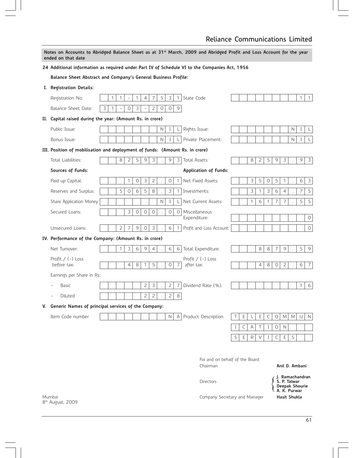**24 Additional information as required under Part IV of Schedule VI to the Companies Act, 1956**

**Balance Sheet Abstract and Company's General Business Profile:**

| I. Registration Details:                                                     |   |              |                |                |         |                |                |              |                |                |                                |             |   |              |                |             |                   |                                                                                                            |                |                |                |
|------------------------------------------------------------------------------|---|--------------|----------------|----------------|---------|----------------|----------------|--------------|----------------|----------------|--------------------------------|-------------|---|--------------|----------------|-------------|-------------------|------------------------------------------------------------------------------------------------------------|----------------|----------------|----------------|
| Registration No.                                                             |   | $\mathbf{1}$ | $\mathbf{1}$   |                | 1       | $\overline{4}$ | $\overline{7}$ | 5            | 3              |                | $1$ State Code                 |             |   |              |                |             |                   |                                                                                                            |                | 1              | 1              |
| Balance Sheet Date:                                                          | 3 | $\mathbf{1}$ |                | $\circ$        | 3       |                | $\overline{c}$ | $\circ$      | $\circ$        | 9              |                                |             |   |              |                |             |                   |                                                                                                            |                |                |                |
| II. Capital raised during the year: (Amount Rs. in crore)                    |   |              |                |                |         |                |                |              |                |                |                                |             |   |              |                |             |                   |                                                                                                            |                |                |                |
| Public Issue:                                                                |   |              |                |                |         |                |                | N            | $\mathbf{I}$   | L              | Rights Issue:                  |             |   |              |                |             |                   |                                                                                                            | N              | $\rm I$        | L.             |
| Bonus Issue:                                                                 |   |              |                |                |         |                |                | $\mathsf{N}$ | $\mathbf{I}$   | L.             | Private Placement:             |             |   |              |                |             |                   |                                                                                                            | N              | $\mathbf I$    | L              |
| III. Position of mobilisation and deployment of funds: (Amount Rs. in crore) |   |              |                |                |         |                |                |              |                |                |                                |             |   |              |                |             |                   |                                                                                                            |                |                |                |
| Total Liabilities:                                                           |   |              | 8              | 2              | 5       | 9              | 3              |              | 9              | 3              | Total Assets:                  |             |   | 8            | 2              | 5           | 9                 | 3                                                                                                          |                | 9              | $\overline{3}$ |
| Sources of Funds:                                                            |   |              |                |                |         |                |                |              |                |                | <b>Application of Funds:</b>   |             |   |              |                |             |                   |                                                                                                            |                |                |                |
| Paid up Capital:                                                             |   |              |                | $\mathbf{1}$   | 0       | 3              | $\overline{c}$ |              | 0              | $\mathbf{1}$   | Net Fixed Assets:              |             |   | 3            | 5              | O           | 5                 | 1                                                                                                          |                | 6              | $\overline{3}$ |
| Reserves and Surplus:                                                        |   |              | 5              | $\mathsf O$    | 6       | $\overline{5}$ | $\,8\,$        |              | 3              | $\mathbf{1}$   | Investments:                   |             |   | 3            | $\mathbf{1}$   | 3           | $\overline{6}$    | $\overline{4}$                                                                                             |                | $\overline{7}$ | $\overline{5}$ |
| Share Application Money:                                                     |   |              |                |                |         |                |                | $\mathsf{N}$ | $\mathbf I$    | L              | Net Current Assets:            |             |   | $\mathbf{1}$ | 6              | 1           | $\overline{7}$    | $\overline{7}$                                                                                             |                | 5              | $5\,$          |
| Secured Loans:                                                               |   |              |                | 3              | $\circ$ | 0              | 0              |              | 0              | $\circ$        | Miscellaneous<br>Expenditure:  |             |   |              |                |             |                   |                                                                                                            |                |                | $\circ$        |
| Unsecured Loans:                                                             |   |              | $\overline{c}$ | $\overline{7}$ | 9       | 0              | 3              |              | 6              | $\mathbf{1}$   | Profit and Loss Account:       |             |   |              |                |             |                   |                                                                                                            |                |                | $\circ$        |
| IV. Performance of the Company: (Amount Rs. in crore)                        |   |              |                |                |         |                |                |              |                |                |                                |             |   |              |                |             |                   |                                                                                                            |                |                |                |
| Net Turnover:                                                                |   |              | $\mathbf{1}$   | $\overline{3}$ | 6       | 9              | $\overline{4}$ |              | 6              | 6              | Total Expenditure:             |             |   |              | 8              | 8           | 7                 | $\overline{9}$                                                                                             |                | 5              | 9 <sup>1</sup> |
| Profit / $(-)$ Loss                                                          |   |              |                |                |         |                |                |              |                |                | Profit / $(-)$ Loss            |             |   |              |                |             |                   |                                                                                                            |                |                |                |
| before tax:                                                                  |   |              |                | $\overline{4}$ | 8       | 1              | 5              |              | 0              | 7              | after tax:                     |             |   |              | $\overline{4}$ | 8           | 0                 | $\overline{c}$                                                                                             |                | 6              | 7              |
| Earnings per Share in Rs:                                                    |   |              |                |                |         |                |                |              |                |                |                                |             |   |              |                |             |                   |                                                                                                            |                |                |                |
| <b>Basic</b>                                                                 |   |              |                |                |         | $\overline{c}$ | 3              |              | $\overline{c}$ | $\overline{7}$ | Dividend Rate (%):             |             |   |              |                |             |                   |                                                                                                            |                | $\mathbf{1}$   | 6              |
| Diluted                                                                      |   |              |                |                |         | $\overline{c}$ | $\overline{c}$ |              | $\overline{c}$ | $\,8\,$        |                                |             |   |              |                |             |                   |                                                                                                            |                |                |                |
| V. Generic Names of principal services of the Company:                       |   |              |                |                |         |                |                |              |                |                |                                |             |   |              |                |             |                   |                                                                                                            |                |                |                |
| Item Code number                                                             |   |              |                |                |         |                |                |              | N              | $\mathsf{A}$   | Product Description            | Τ           | E | L            | $\mathsf E$    | $\mathsf C$ | 0                 | $\mathsf{M}% _{T}=\mathsf{M}_{T}\!\left( a,b\right) ,\ \mathsf{M}_{T}=\mathsf{M}_{T}\!\left( a,b\right) ,$ | M              | U              | $\mathsf N$    |
|                                                                              |   |              |                |                |         |                |                |              |                |                |                                | $\mathbf I$ | C | Α            | Τ              | $\rm I$     | $\bigcirc$        | $\mathsf{N}$                                                                                               |                |                |                |
|                                                                              |   |              |                |                |         |                |                |              |                |                |                                | S           | Ε | R            | V              | Ι           | С                 | $\mathsf E$                                                                                                | $\mathsf S$    |                |                |
|                                                                              |   |              |                |                |         |                |                |              |                |                |                                |             |   |              |                |             |                   |                                                                                                            |                |                |                |
|                                                                              |   |              |                |                |         |                |                |              |                |                | For and on behalf of the Board |             |   |              |                |             |                   |                                                                                                            |                |                |                |
|                                                                              |   |              |                |                |         |                |                |              |                |                | Chairman                       |             |   |              |                |             |                   |                                                                                                            | Anil D. Ambani |                |                |
|                                                                              |   |              |                |                |         |                |                |              |                |                |                                |             |   |              |                |             | / J. Ramachandran |                                                                                                            |                |                |                |



Mumbai Company Secretary and Manager **Hasit Shukla**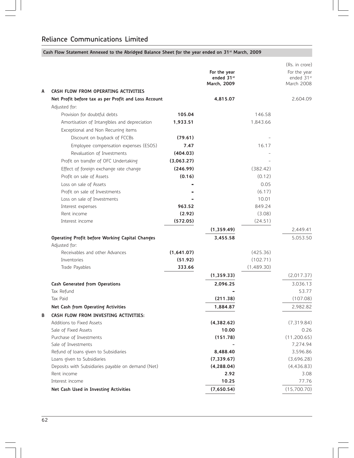# **Cash Flow Statement Annexed to the Abridged Balance Sheet for the year ended on 31st March, 2009**

| A | CASH FLOW FROM OPERATING ACTIVITIES                  |            | For the year<br>ended 31st<br>March, 2009 |            | (Rs. in crore)<br>For the year<br>ended 31st<br>March 2008 |
|---|------------------------------------------------------|------------|-------------------------------------------|------------|------------------------------------------------------------|
|   | Net Profit before tax as per Profit and Loss Account |            | 4.815.07                                  |            | 2,604.09                                                   |
|   | Adjusted for:                                        |            |                                           |            |                                                            |
|   | Provision for doubtful debts                         | 105.04     |                                           | 146.58     |                                                            |
|   | Amortisation of Intangibles and depreciation         | 1.933.51   |                                           | 1,843.66   |                                                            |
|   | Exceptional and Non Recurring items                  |            |                                           |            |                                                            |
|   | Discount on buyback of FCCBs                         | (79.61)    |                                           |            |                                                            |
|   | Employee compensation expenses (ESOS)                | 7.47       |                                           | 16.17      |                                                            |
|   | Revaluation of Investments                           | (404.03)   |                                           |            |                                                            |
|   | Profit on transfer of OFC Undertaking                | (3,063.27) |                                           |            |                                                            |
|   | Effect of foreign exchange rate change               | (246.99)   |                                           | (382.42)   |                                                            |
|   | Profit on sale of Assets                             | (0.16)     |                                           | (0.12)     |                                                            |
|   | Loss on sale of Assets                               |            |                                           | 0.05       |                                                            |
|   | Profit on sale of Investments                        |            |                                           | (6.17)     |                                                            |
|   | Loss on sale of Investments                          |            |                                           | 10.01      |                                                            |
|   | Interest expenses                                    | 963.52     |                                           | 849.24     |                                                            |
|   | Rent income                                          | (2.92)     |                                           | (3.08)     |                                                            |
|   | Interest income                                      | (572.05)   |                                           | (24.51)    |                                                            |
|   |                                                      |            | (1,359.49)                                |            | 2,449.41                                                   |
|   | Operating Profit before Working Capital Changes      |            | 3,455.58                                  |            | 5,053.50                                                   |
|   | Adjusted for:                                        |            |                                           |            |                                                            |
|   | Receivables and other Advances                       | (1,641.07) |                                           | (425.36)   |                                                            |
|   | Inventories                                          | (51.92)    |                                           | (102.71)   |                                                            |
|   | Trade Payables                                       | 333.66     |                                           | (1,489.30) |                                                            |
|   |                                                      |            | (1,359.33)                                |            | (2,017.37)                                                 |
|   | Cash Generated from Operations                       |            | 2,096.25                                  |            | 3,036.13                                                   |
|   | Tax Refund                                           |            |                                           |            | 53.77                                                      |
|   | Tax Paid                                             |            | (211.38)                                  |            | (107.08)                                                   |
|   | Net Cash from Operating Activities                   |            | 1,884.87                                  |            | 2.982.82                                                   |
| B | CASH FLOW FROM INVESTING ACTIVITIES:                 |            |                                           |            |                                                            |
|   | Additions to Fixed Assets                            |            | (4,382.62)                                |            | (7,319.84)                                                 |
|   | Sale of Fixed Assets                                 |            | 10.00                                     |            | 0.26                                                       |
|   | Purchase of Investments                              |            | (151.78)                                  |            | (11, 200.65)                                               |
|   | Sale of Investments                                  |            |                                           |            | 7,274.94                                                   |
|   | Refund of loans given to Subsidiaries                |            | 8,488.40                                  |            | 3,596.86                                                   |
|   | Loans given to Subsidiaries                          |            | (7, 339.67)                               |            | (3,696.28)                                                 |
|   | Deposits with Subsidiaries payable on demand (Net)   |            | (4, 288.04)                               |            | (4,436.83)                                                 |
|   | Rent income                                          |            | 2.92                                      |            | 3.08                                                       |
|   | Interest income                                      |            | 10.25                                     |            | 77.76                                                      |
|   | Net Cash Used in Investing Activities                |            | (7,650.54)                                |            | (15,700.70)                                                |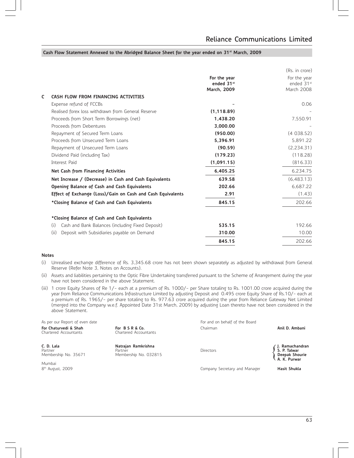# Cash Flow Statement Annexed to the Abridged Balance Sheet for the year ended on 31<sup>st</sup> March, 2009

|   |                                                             |                                           | (Rs. in crore)                           |
|---|-------------------------------------------------------------|-------------------------------------------|------------------------------------------|
|   |                                                             | For the year<br>ended 31st<br>March, 2009 | For the year<br>ended 31st<br>March 2008 |
| C | CASH FLOW FROM FINANCING ACTIVITIES                         |                                           |                                          |
|   | Expense refund of FCCBs                                     |                                           | 0.06                                     |
|   | Realised forex loss withdrawn from General Reserve          | (1, 118.89)                               |                                          |
|   | Proceeds from Short Term Borrowings (net)                   | 1,438.20                                  | 7,550.91                                 |
|   | Proceeds from Debentures                                    | 3.000.00                                  |                                          |
|   | Repayment of Secured Term Loans                             | (950.00)                                  | (4038.52)                                |
|   | Proceeds from Unsecured Term Loans                          | 5,396.91                                  | 5,891.22                                 |
|   | Repayment of Unsecured Term Loans                           | (90.59)                                   | (2, 234.31)                              |
|   | Dividend Paid (including Tax)                               | (179.23)                                  | (118.28)                                 |
|   | Interest Paid                                               | (1,091.15)                                | (816.33)                                 |
|   | Net Cash from Financing Activities                          | 6,405.25                                  | 6,234.75                                 |
|   | Net Increase / (Decrease) in Cash and Cash Equivalents      | 639.58                                    | (6,483.13)                               |
|   | Opening Balance of Cash and Cash Equivalents                | 202.66                                    | 6,687.22                                 |
|   | Effect of Exchange (Loss)/Gain on Cash and Cash Equivalents | 2.91                                      | (1.43)                                   |
|   | *Closing Balance of Cash and Cash Equivalents               | 845.15                                    | 202.66                                   |
|   | *Closing Balance of Cash and Cash Equivalents               |                                           |                                          |
|   | Cash and Bank Balances (including Fixed Deposit)<br>(i)     | 535.15                                    | 192.66                                   |
|   | (ii)<br>Deposit with Subsidiaries payable on Demand         | 310.00                                    | 10.00                                    |
|   |                                                             | 845.15                                    | 202.66                                   |
|   |                                                             |                                           |                                          |

# **Notes**

- (i) Unrealised exchange difference of Rs. 3,345.68 crore has not been shown separately as adjusted by withdrawal from General Reserve (Refer Note 3, Notes on Accounts).
- (ii) Assets and liabilities pertaining to the Optic Fibre Undertaking transferred pursuant to the Scheme of Arrangement during the year have not been considered in the above Statement.
- (iii) 1 crore Equity Shares of Re 1/- each at a premium of Rs. 1000/- per Share totaling to Rs. 1001.00 crore acquired during the year from Reliance Communications Infrastructure Limited by adjusting Deposit and 0.495 crore Equity Share of Rs.10/- each at a premium of Rs. 1965/- per share totaling to Rs. 977.63 crore acquired during the year from Reliance Gateway Net Limited (merged into the Company w.e.f. Appointed Date 31st March, 2009) by adjusting Loan thereto have not been considered in the above Statement.

**For Chaturvedi & Shah For B S R & Co.** Chairman **Anil D. Ambani**<br>Chartered Accountants Chartered Accountants

Mumbai<br>8<sup>th</sup> August, 2009

Chartered Accountants Chartered Accountants

**C. D. Lala Natrajan Ramkrishna J. Ramachandran** Partner **Partner Partner Communist Partner Communist Partner Communist Partner Partner Partner Partner Partner P** Membership No. 35671 Membership No. 032815 **Deepak Shourie**

As per our Report of even date **For and on behalf of the Board** For and on behalf of the Board

**A. K. Purwar**

Company Secretary and Manager **Hasit Shukla**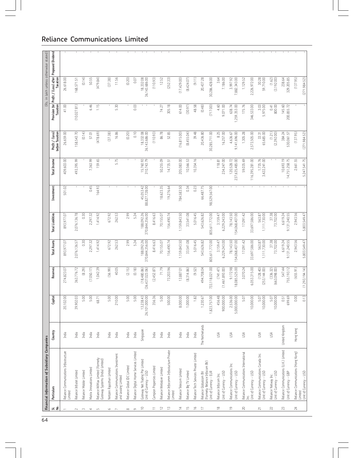|                | Financial information of Subsidiary Companies                        |                      |                               |                                    |                              |                              |                            |                              |                                    |                        | (Rs. in lakh unless otherwise stated)                             |  |
|----------------|----------------------------------------------------------------------|----------------------|-------------------------------|------------------------------------|------------------------------|------------------------------|----------------------------|------------------------------|------------------------------------|------------------------|-------------------------------------------------------------------|--|
| <u>ದ ತೆ</u>    | Particulars                                                          | Country              | Capital                       | <b>Reserves</b>                    | <b>Total Assets</b>          | <b>Total Liabilities</b>     | Investment                 | <b>Total Income</b>          | Profit / (Loss)<br>before Taxation | Taxation               | Provision for Profit / (Loss) after Proposed Dividend<br>Taxation |  |
|                | Reliance Communications Infrastructure<br>Limited                    | India                | 20,102.00                     | 274,823.07                         | 893,977.07                   | 893,977.07                   | 501.02                     | 409,603.00                   | 26,659.00                          | 41.00                  | 26,618.00                                                         |  |
| $\sim$         | Reliance Infratel Limited                                            | India                | 39,902.03                     | 363,776.72                         | 2,076,136.57                 | 2,076,136.78                 |                            | 493,395.99                   | 158,543.70                         | (10,027.81)            | 168,571.51                                                        |  |
| $\sim$         | Reliance Mobile Limited                                              | India                | 5.00                          | (8.29)                             | 0.30                         | 0.30                         |                            |                              | (0.14)                             |                        | (0.14)                                                            |  |
| 4              | Matrix Innovations Limited                                           | India                | 5.00                          | (7.050.17)                         | 2,297.32                     | 2,297.32                     | 0.45                       | 7,363.99                     | 57.01                              | 6.46                   | 50.55                                                             |  |
| S              | Reliance WiMax Limited (Formerly<br>Gateway Systems (India) Limited) | India                | 68.71                         | 1,042.39                           | 1,414.92                     | 1,414.92                     | 164.93                     | 159.65                       | (478.69)                           | 1.15                   | (479.84)                                                          |  |
| $\circ$        | Netizen Rajasthan Limited                                            | India                | 5.00                          | (56.99)                            | 672.92                       | 672.92                       |                            |                              | (37.38)                            |                        | (37.38)                                                           |  |
| $\overline{ }$ | Reliance Communications Investment<br>and Leasing Limited            | India                | 210.00                        | 40.05                              | 262.53                       | 262.53                       |                            | 5.75                         | 16.86                              | 5.30                   | 11.56                                                             |  |
| $\infty$       | Reliance Global IDC Limited                                          | India                | 5.00                          | (2.15)                             | 2.99                         | 2.99                         |                            |                              | (0.20)                             |                        | (0.20)                                                            |  |
| $\circ$        | Reliance Digital Home Services Limited                               | India                | 5.00                          | (0.18)                             | 5.24                         | 5.24                         |                            |                              | 0.10                               | 0.03                   | 0.07                                                              |  |
| $\approx$      | Gateway Net Trading Pte Limited<br>Unit of Currency - USD            | Singapore            | 13,238.43<br>01,000.00<br>26, | (18, 480.86)<br>(36, 437, 023, 06) | 188,092.26<br>370,844,356.00 | 188,092.26<br>370,844,356.00 | 45,053.42<br>88,827,728.00 | 15,760.93<br>310,743.79      | 18,332.08<br>36,143,686.00         |                        | 18,332.08<br>36,143,686.00                                        |  |
| $\overline{-}$ | Campion Properties Limited                                           | India                | 356.36                        | (2,452.87)                         | 8,416.63                     | 8,416.63                     |                            |                              | (110.93)                           |                        | (110.93)                                                          |  |
| $\bar{c}$      | Reliance Webstore Limited                                            | India                | 5.00                          | 71.79                              | 70,155.07                    | 70,155.07                    | 18,623.35                  | 50,255.09                    | 86.78                              | 74.27                  | 12.52                                                             |  |
| $\overline{1}$ | Reliance Infocomm Infrastucture Private<br>Limited                   | India                | 500.00                        | 73,203.96                          | 156,490.74                   | 156,490.74                   | 19,276.64                  | 14,735.51                    | 52.85                              | 305.18                 | (252.33)                                                          |  |
| $\overline{4}$ | Reliance Telecom Limited                                             | India                | 8,000.00                      | 13,887.01                          | 1,159,843.50                 | 1,159,843.50                 | 784,583.50                 | 205,083.00                   | (16, 815, 00)                      | 614.00                 | (17, 429.00)                                                      |  |
| $\frac{5}{1}$  | Reliance Big TV Limited                                              | India                | 1,000.00                      | (8, 314.86)                        | 33,541.08                    | 33,541.08                    | 0.34                       | 10,566.53                    | (8,455.04)                         | (30.97)                | (8,424.07)                                                        |  |
| $\frac{6}{1}$  | Reliance Tech Services Private Limited                               | India                | 1.82                          | (9.52)                             | 5,016.45                     | 5,016.45                     | 0.23                       | 10,354.16                    | 39.48                              | 48.58                  | (9.11)                                                            |  |
| $\overline{1}$ | (Formerly Reliance Infocom BV)<br>Reliance Globalcom BV              | The Netherlands      | 1,230.67                      | 494,708.04                         | 543,626.82                   | 543,626.82                   | 66,487.75                  |                              | 20,436.80                          | (0.48)                 | 20,437.28                                                         |  |
|                | Unit of Currency - EUR                                               |                      | 23,757.00<br>ž                | 733,118,021.00                     | 805, 611, 772.00             | 805,611,772.00               | 98,529,567.00              |                              | 30,285,711.00                      | (717.00)               | 30,286,428.00                                                     |  |
| $\frac{8}{1}$  | Unit of Currency - USD<br>Reliance Infocom Inc.                      | $\tilde{\mathbb{S}}$ | 456.48<br>900,000.00          | (741.47)<br>(1,461,893.00)         | 6,229,243.00<br>3,159.47     | 6,229,243.00<br>3,159.47     |                            | 234,247.00<br>118.81         | 8.25<br>16,257.00                  | 4.60<br>9,071.00       | 3.64<br>7,186.00                                                  |  |
| $\frac{6}{1}$  | Reliance Communications Inc.<br>Unit of Currency - USD               | š                    | 00,000,00<br>2,536.00<br>56   | 18,085,525.00<br>9,172.98          | 78,143.50<br>154,068,407.00  | 78,143.50<br>154,068,407.00  |                            | 237,635,485.00<br>120,528.72 | 9,141,696.00<br>4,636.67           | 638.74<br>1,259,353.00 | 7,882,343.00<br>3,997.92                                          |  |
| $\geqslant$    | Reliance Communications International                                | <b>ASL</b>           | 5.07                          | 3,070.24                           | 17,091.42                    | 17,091.42                    |                            | 59,035.69                    | 1,305.28                           | 175.76                 | 1,129.52                                                          |  |
|                | Unit of Currency - USD                                               |                      | 10,000,00                     | 6,053,315.00                       | 33,697,586.00                | 33,697,586.00                |                            | 116,395,281.00               | 2,573,505.00                       | 346,533.00             | 2,226,972.00                                                      |  |
| $\overline{c}$ | Reliance Communications Canada Inc.<br>Unit of Currency - USD        | USA                  | 5.07<br>10,000.00             | (128.40)<br>(253, 144.00)          | 1,111,730.00<br>563.87       | 563.87<br>1,111,730.00       |                            | 1,735.76<br>3,422,241.00     | 65,685.00<br>33.31                 | 3.03<br>5,975.00       | 30.28<br>59,710.00                                                |  |
| 22             | Unit of Currency - USD<br>Reliance Netway Inc                        | <b>USA</b>           | 10,000.00<br>5.07             | (336.32)<br>(663,098.00)           | 37.38                        | 37.38<br>73,702.00           |                            |                              | (1.21)<br>(2,392.00)               | 800.00<br>0.41         | (1.62)<br>(3, 192.00)                                             |  |
| 23             | Reliance Communications (U.K.) Limited<br>Unit of Currency - GBP     | United Kingdom       | 699.69<br>0.51                | 547.44<br>755,193.12               | 6,619.24<br>9,131,240.55     | 6,619.24<br>9,131,240.55     |                            | 10,693.19<br>14,751,258.75   | 384.24<br>530,061.57               | 145.60<br>200,855.72   | 238.64<br>329,205.85                                              |  |
| 24             | Reliance Communications (Hong Kong)                                  | Hong kong            | 0.00                          | (655.91)                           | 2,943.56                     | 2,943.56                     |                            | 2,661.55                     | (137.95)                           |                        | (137.95)                                                          |  |
|                | Unit of Currency - USD<br>Limited                                    |                      | 0.13                          | (1, 293, 194, 14)                  | 5,803,549.47                 | 5,803,549.47                 |                            | 5,247,541.75                 | (271, 984, 52)                     | $\mathbf{1}$           | (271, 984.52)                                                     |  |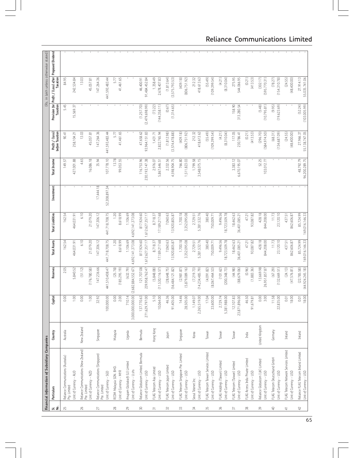|                | Financial information of Subsidiary Companies                   |                |                                          |                                    |                                |                                |               |                              |                                    |                               | (Rs. in lakh unless otherwise stated)                                    |  |
|----------------|-----------------------------------------------------------------|----------------|------------------------------------------|------------------------------------|--------------------------------|--------------------------------|---------------|------------------------------|------------------------------------|-------------------------------|--------------------------------------------------------------------------|--|
| <u>ವ ತೆ</u>    | Particulars                                                     | Country        | Capital                                  | <b>Reserves</b>                    | <b>Total Assets</b>            | Total Liabilities              | Investment    | <b>Total Income</b>          | before Taxation<br>Profit / (Loss) | Taxation                      | Provision for Profit / (Loss) after Proposed Dividend<br><b>Taxation</b> |  |
| 25             | Reliance Communications (Australia)<br>Pty. Limited             | Australia      | 0.00                                     | 2.05                               | 162.54                         | 162.54                         |               | 149.57                       | 90.41                              | 5.45                          | 84.95                                                                    |  |
|                | Unit of Currency - AUD                                          |                | 1.00                                     | 5,840.52                           | 464,031.91                     | 464,031.91                     |               | 427,001.88                   | 258,104.21                         | 15,569.37                     | 242,534.84                                                               |  |
| 26             | Reliance Communications (New Zealand)<br>Pte. Limited           | New Zealand    | 0.00                                     | (51.12)                            | 6.10                           | 6.10                           |               | 4.65                         | 13.03                              |                               | 13.03                                                                    |  |
|                | Unit of Currency - NZD                                          |                | 1.00                                     | (176, 780.58)                      | 21,079.20                      | 21,079.20                      |               | 16,086.18                    | 45,057.81                          |                               | 45,057.81                                                                |  |
| 27             | Reliance Communications (Singapore)<br>Pte. Limited             | Singapore      | 32.92                                    | 147,236.66                         | 147,306.12                     | 147,306.12                     | 17,444.18     | 35.94                        | 147,264.36                         |                               | 147,264.36                                                               |  |
|                | Unit of Currency - SGD                                          |                | ,000.00<br>$\frac{100}{2}$               | 441,510,408.47                     | 441,718,708.75                 | 441,718,708.75                 | 52,308,897.34 | 07,778.10                    | 441,593,483.44                     |                               | 441,593,483.44                                                           |  |
| $^{28}$        | RCOM Malaysia SDN. BHD.<br>Jnit of Currency - MYR               | Malaysia       | 0.00<br>2.00                             | (25.78)<br>(185, 295, 19)          | 1.20<br>8,618.99               | 1.20<br>8,618.99               |               | 13.78<br>99,053.55           | 41,461.65<br>5.77                  |                               | 41,461.65<br>5.77                                                        |  |
| $^{29}$        | Anupam Globalsoft (U) Limited<br>Jnit of Currency - U.shs       | Uganda         | 00.000<br>710.14<br>3,000,000            | (2,682,884,552.67)<br>(632.79)     | 4,692,141,373.08<br>1,106.69   | 1,106.69<br>4,692,141,373.08   |               |                              |                                    |                               |                                                                          |  |
| 50             | Reliance Globalcom Limited, Bermuda<br>Jnit of Currency - USD   | Bermuda        | 797.00<br>,770.63<br>137<br>271,629      | 239,958,762.47<br>121,707.08       | 1,612,627,357.17<br>817,924.60 | 817,924.60<br>1,612,627,357.17 |               | 116,753.96<br>230,193,147.38 | 47,658.62<br>93,964,151.83         | (1, 257.70)<br>(2,479,698.99) | 46,400.91<br>91,484,452.84                                               |  |
| 忘              | FLAG Telecom Asia Limited<br>Unit of Currency - USD             | Hong Kong      | 5.10<br>,064.00<br>$\approx$             | (5, 848.08)<br>(11,530,116.57)     | 17,189,217.68<br>8,718.37      | 17,189,217.68<br>8,718.37      |               | 2,976.07<br>5,867,646.51     | 2,822,765.94<br>1,431.71           | (73.22)<br>(144,358.11)       | 1,358.49<br>2,678,407.83                                                 |  |
| 32             | FLAG Telecom Japan Limited<br>Unit of Currency - USD            | Japan          | 46.36<br>,405.00<br>5                    | (28, 648.75)<br>56,484,121.82)     | 7,060.63<br>13,920,805.87      | 7,060.63<br>13,920,805.87      |               | 2,332.56<br>4,598,904.75     | (3,574,478.88)<br>(1, 812.98)      | (1,314.65)<br>(0.67)          | (1, 813.64)<br>(3,575,793.53)                                            |  |
| 53             | FLAG Telecom Singapore Pte. Limited<br>Jnit of Currency - USD   | Singapore      | 14.46<br>505.00<br>$\approx$             | (5, 879, 089, 16)<br>(2,981.87)    | 1,700.18<br>3,352,095.08       | 1,700.18<br>3,352,095.08       |               | 511,823.03<br>766.80         | (409.18)<br>(806, 751.92)          |                               | (409.18)<br>(806,751.92)                                                 |  |
| 34             | Jnit of Currency - USD<br>Seoul Telenet Inc.                    | Korea          | 519.00<br>149.07<br>2,265                | (7, 219.73)<br>(14, 234, 485, 79)  | 5,381,532.76<br>2,729.51       | 5,381,532.76<br>2,729.51       |               | 1,799.58<br>3,548,075.15     | 212.32<br>418,613.63               |                               | 212.32<br>418,613.63                                                     |  |
| 35             | FLAG Telecom Taiwan Services Limited<br>Jnit of Currency - USD  | Taiwan         | ,600.00<br>17.04<br>IJ                   | (4,091.82)<br>(8,067,464.53)       | 380.40<br>750,009.71           | 380.40<br>750,009.71           |               |                              | (55.49)<br>(109, 399.54)           |                               | (55.49)<br>(109, 399.54)                                                 |  |
| $\frac{8}{5}$  | FLAG Holdings (Taiwan) Limited<br>Jnit of Currency - USD        | Taiwan         | ,988.00<br>.729.74<br>$\sim$<br>5,381    | (200, 348.73)<br>(101.62)          | 9,496.56<br>8,723,509.78       | 9,496.56<br>18,723,509.78      |               |                              | (4.21)<br>(8,310.04)               |                               | (8,310.04)<br>(4.21)                                                     |  |
| 57             | FLAG Telecom (Taiwan) Limited<br>Jnit of Currency - USD         | Taiwan         | ,107.83<br>896.00<br>$\approx$<br>23,871 | (44.98)<br>(88, 679.06)            | 18,462.63<br>36,401,085.21     | 18,462.63<br>36,401,085.21     |               | 3,383.12<br>6,670,195.07     | 117.05<br>230,786.41               | 158.90<br>313,280.54          | 275.95<br>544,066.95                                                     |  |
| $\frac{8}{20}$ | FLAG Access India Private Limited<br>Unit of Currency - USD     | India          | 46.50<br>679.81<br>$\approx$             | (0.96)<br>(1,883.36)               | 93,087.82<br>47.21             | 47.21<br>93,087.82             |               |                              | (0.21)<br>(413.53)                 |                               | (413.53)<br>(0.21)                                                       |  |
|                | Reliance Globalcom (UK) Limited<br>Unit of Currency - USD       | United Kingdom | 0.00<br>3.00                             | 13,669.98<br>26,951,857.87         | 428.18<br>844,208.00           | 428.18<br>844,208.00           |               | 52.25<br>103,012.77          | (296.70)<br>(584, 974, 50)         | (5.48)<br>(10, 795.81)        | (302.17)<br>(595,770.31                                                  |  |
| ₽              | FLAG Telecom Deutschland GmbH<br>Unit of Currency - USD         | Germany        | 11.58<br>835.00<br>$\approx$             | (67.29)<br>(132, 669.51)           | 11.73<br>23,120.10             | 11.73<br>23,120.10             |               |                              | (134, 687.09)<br>(68.31)           | (9.95)<br>(19,623.69)         | (154,310.78)<br>(78.27)                                                  |  |
| $\frac{4}{3}$  | FLAG Telecom Network Services Limited<br>Jnit of Currency - USD | Ireland        | 18.00<br>0.01                            | (24.13)<br>(47, 576.81)            | 862,606.87<br>437.51           | 437.51<br>862,606.87           |               |                              | (24.55)<br>(48, 400.00)            |                               | (24.55)<br>(48, 400.00)                                                  |  |
|                | Reliance FLAG Telecom Ireland Limited<br>Unit of Currency - USD | Ireland        | 18.00<br>0.01                            | (44, 924, 245, 18)<br>(22, 785.58) | 169,016,146.33<br>85,724.99    | 85,724.99<br>169,016,146.33    |               | 96,200,289.75<br>48,792.79   | 55, 138, 747.05<br>27,966.37       | (52.24)<br>(103,005.99)       | 27,914.13<br>55,035,741.06                                               |  |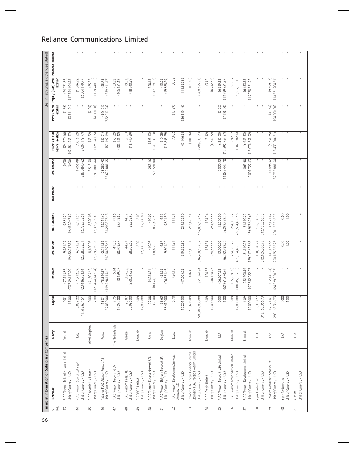|                           | Financial information of Subsidiary Companies                                      |                 |                                                   |                                    |                               |                                 |            |                            |                                     |                            | (Rs. in lakh unless otherwise stated)                             |  |
|---------------------------|------------------------------------------------------------------------------------|-----------------|---------------------------------------------------|------------------------------------|-------------------------------|---------------------------------|------------|----------------------------|-------------------------------------|----------------------------|-------------------------------------------------------------------|--|
| ಷ ತೆ                      | Particulars                                                                        | Country         | Capital                                           | Reserves                           | <b>Total Assets</b>           | <b>Total Liabilities</b>        | Investment | Total Income               | Profit / (Loss)<br>efore Taxation   | Taxation                   | Provision for Profit / (Loss) after Proposed Dividend<br>Taxation |  |
| $\frac{1}{4}$             | FLAG Telecom Ireland Network Limited<br>Unit of Currency - USD                     | Ireland         | 18.00<br>0.01                                     | (73,769,447.90)<br>(37,415.86)     | 9,881.29<br>19,482,047.89     | 9,881.29<br>19,482,047.89       |            | (0.00)<br>(0.00)           | (24, 270, 16)<br>(47, 851, 263, 57) | (3,341.01)<br>(1.69)       | (47,854,604.58)<br>(24,271.86)                                    |  |
| $\frac{4}{4}$             | FLAG Telecom Servizi Italia SpA<br>Unit of Currency - USD                          | Italy           | 5,839.22<br>2,654.51<br>11,51                     | (11, 912.59)<br>(23,486,958.14)    | 6,471.24<br>12,758,753.51     | 6,471.24<br>12,758,753.51       |            | 1,456.09<br>2,870,840.62   | (1,016.52)<br>(2,004,179.77)        |                            | (1,016.52)<br>(2,004,179.77)                                      |  |
| 45                        | FLAG Atlantic UK Limited<br>Unit of Currency - USD                                 | United Kingdom  | 2.00<br>0.00                                      | (121,464,147.04)<br>(61, 606, 62)  | 8,820.08<br>17,389,739.83     | 8,820.08<br>17,389,739.83       |            | 3,515.30<br>6,930,803.44   | (63.52)<br>(125, 240.05)            | (2.03)<br>(4,000,00)       | (65.55)<br>(129, 240.05)                                          |  |
| 46                        | Reliance FLAG Atlantic France SAS<br>Unit of Currency - USD                        | France          | $18.81$<br>$080.00$<br>57                         | (75, 840.67)<br>(149, 528, 143.62) | 42,711.62<br>84,210,597.48    | 42,711.62<br>84,210,597.48      |            | 28,250.98<br>55,699,881.55 | (29.01)<br>(57, 197, 19)            | (396.74)<br>(782, 213, 98) | (425.75)<br>(839,411.17)                                          |  |
| $\overline{4}$            | FLAG Telecom Nederland BV<br>Unit of Currency - USD                                | The Netherlands | 7.75<br>S,282.00                                  | 5.14<br>10,139.07                  | 49.86                         | 49.86                           |            |                            | (53.32)<br>(105, 131, 42)           |                            | (53.32)<br>(105, 131, 42)                                         |  |
| $48$                      | FLAG Telecom Hellas AE<br>Unit of Currency - USD                                   | Greece          | 25.87<br>50,996.00                                | (126.82)<br>(250,045.28)           | 88,268.65<br>44.77            | 88,268.65<br>44.77              |            |                            | (9.51)<br>(18, 740.39)              |                            | (9.51)<br>(18,740.39)                                             |  |
| $^{49}$                   | Unit of Currency - USD<br>FLAGWEB Limited                                          | Bermuda         | $\begin{bmatrix} 6.09 \\ 12,000.00 \end{bmatrix}$ |                                    | 6.09<br>12,000.00             | 6.09                            |            |                            |                                     |                            |                                                                   |  |
| $\mathbb{S}^{\mathbb{O}}$ | FLAG Telecom Espana Network SAU<br>Unit of Currency - USD                          | Spain           | 27.08                                             | (4,288.31)<br>(8,454,861.56)       | 410.07<br>808,488.55          | 410.07<br>808,488.55            |            | 258.46<br>509,591.00       | (328.43)<br>(647, 539.03)           |                            | (328.43)<br>(647,539.03)                                          |  |
| 5                         | FLAG Telecom Belgium Network SA<br>Unit of Currency - USD                          | Belgium         | 29.63<br>58,410.00                                | (38.88)<br>(76, 654.46)            | 9,801.90<br>4.97              | 9,801.90<br>4.97                |            |                            | (10.08)<br>(19, 865.29)             |                            | $(10.08)$<br>$(19,865.29)$                                        |  |
| 52                        | FLAG Telecom Development Services<br>Company LLC                                   | Egypt           | 6.70                                              | (24.15)                            | 111.21                        | 111.21                          |            |                            | 73.62                               | (13.29)                    | 60.32                                                             |  |
|                           | Unit of Currency - USD                                                             |                 | 3,201.00                                          | (47, 605.53)                       | 219,255.90                    | 219,255.90                      |            |                            | 145,146.38                          | (26, 210.46)               | 118,935.92                                                        |  |
| 53                        | (formerly FLAG Pacific Holdings Limited)<br>Reliance FLAG Pacific Holdings Limited | Bermuda         | 253,606.09                                        | 416.42                             | 277,422.91                    | 277,422.91                      |            |                            | (101.76)                            |                            | (101.76)                                                          |  |
|                           | Unit of Currency - USD                                                             |                 | 2,000.00<br>500,01                                | 821,024.84                         | 546,969,457.59                | 546,969,457.59                  |            |                            | (200, 635.51)                       |                            | (200, 635.51)                                                     |  |
| 54                        | Unit of Currency - USD<br>FLAG Pacific Limited                                     | Bermuda         | 6.09<br>2,000.00                                  | 124.83<br>246,120.93               | 134.34<br>264,863.55          | 134.34<br>264,863.55            |            |                            | (3.42)<br>(6, 742.62)               |                            | (3.42)<br>(6,742.62)                                              |  |
| 55                        | FLAG Telecom Network USA Limited<br>Unit of Currency - USD                         | Š               | 0.00<br>1.00                                      | (26,507.22)<br>52,261,870.86)      | 13,300.00<br>26,222,392.70    | 13,300.00<br>26, 222, 392.70    |            | 11,889,442.78<br>6,030.33  | (6, 285, 60)<br>(12, 392, 753, 37)  | (3.62)<br>(7, 128.00)      | (6, 289.22)<br>(12,399,881.37)                                    |  |
| 56                        | FLAG Telecom Group Services Limited<br>Unit of Currency - USD                      | Bermuda         | 6.09<br>2,000.00                                  | (15, 259.39)<br>30,085,555.52)     | 461,524,486.56<br>234,085.22  | 234,085.22<br>461,524,486.56    |            |                            | 692.52<br>1,365,382.18              |                            | 692.52<br>1,365,382.18                                            |  |
| 57                        | FLAG Telecom Development Limited<br>Unit of Currency - USD                         | Bermuda         | 6.09<br>2,000.00                                  | 252,505.96<br>497,842,982.07       | 81,110.22<br>159,917,623.63   | 81,110.22<br>59,917,623.63      |            | 4,565.68<br>9,001,727.43   | (6, 633, 33)<br>(13,078,331.92)     |                            | (6, 633.33)<br>(13,078,331.92)                                    |  |
| $58\,$                    | Unit of Currency - USD<br>ripes Holdings Inc.                                      | SÃ              | 312,165,366.73<br>158,330.27                      |                                    | 312,165,366.73<br>158,330.27  | 158,330.27<br>312,165,366.73    |            |                            |                                     |                            |                                                                   |  |
| $59\,$                    | Reliance Globalcom Services Inc<br>Jnit of Currency - USD                          | <b>ASL</b>      | 147, 171.87<br>290,165,366.73                     | (12,441.24)<br>(24, 529, 250.03)   | 290,165,366.73<br>147, 171.87 | 147, 171.87<br>290, 165, 366.73 |            | 87,733,881.64<br>44,498.62 | (9, 351.35)<br>(18,437,204.81)      | (47.68)<br>(94,000,00)     | (9,399,03)<br>(18,531,204.81)                                     |  |
| $\mathbb S$               | Unit of Currency - USD<br>fipes Systems, Inc.                                      | <b>USA</b>      | 0.00<br>1.00                                      |                                    | 0.00<br>1.00                  | 0.00<br>1.00                    |            |                            |                                     |                            |                                                                   |  |
| 5                         | Unit of Currency - USD<br>YTV Inc.                                                 | Š               |                                                   |                                    |                               |                                 |            |                            |                                     |                            |                                                                   |  |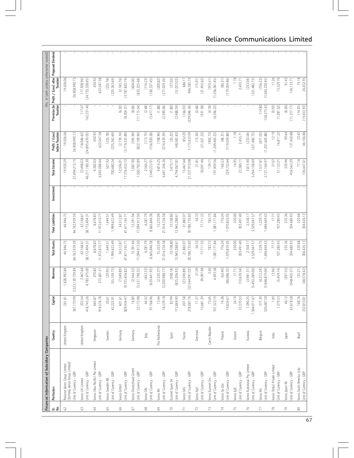|                | Financial information of Subsidiary Companies                  |                 |                                    |                                |                            |                            |            |                            |                                    |                          | (Rs. in lakh unless otherwise stated)                                      |  |
|----------------|----------------------------------------------------------------|-----------------|------------------------------------|--------------------------------|----------------------------|----------------------------|------------|----------------------------|------------------------------------|--------------------------|----------------------------------------------------------------------------|--|
| ಷ ತೆ           | Particulars                                                    | Country         | Capital                            | Reserves                       | <b>Total Assets</b>        | <b>Total Liabilities</b>   | Investment | <b>Total Income</b>        | Profit / (Loss)<br>before Taxation |                          | Provision for Profit / (Loss) after Proposed Dividend<br>Taxation Taxation |  |
| $\mathcal{S}$  | (formerly Vanco Group Limited)<br>Reliance Vanco Group Limited | United Kingdom  | 261.81                             | 1,828,992.84                   | 46,946.75                  | 46,946.75                  |            | 19,930.29                  | 19,506.06                          |                          | 19,506.06                                                                  |  |
|                | Unit of Currency - GBP                                         |                 | ,170.99<br>361                     | 2,523,130,729.89               | 64,763,939.59              | 64,763,939.59              |            | 27,494,215.15              | 26,908,990.73                      |                          | 26,908,990.73                                                              |  |
| S              | Unit of Currency - GBP<br>Vanco UK Limited                     | United Kingdom  | 303.54<br>,743.26<br>418           | 4,783,675.00<br>3,467.64       | 42,168.61<br>58,172,404.31 | 42,168.61<br>58,172,404.31 |            | 46,211,180.30<br>33,498.03 | (18,046,63)<br>(24, 895, 670.05)   | 117.67<br>162,331.40     | (17,928.96)<br>(24, 733, 338.65)                                           |  |
| $\sqrt{4}$     | Vanco (Asia Pacific) Pte Limited<br>Jnit of Currency - GBP     | Singapore       | 576.78<br>665.87<br>918            | 270.82<br>373,601.21           | 8,678.83<br>11,972,610.77  | 8,678.83<br>11,972,610.77  |            | 4,382.03<br>6,045,088.64   | 622,047.58<br>450.92               |                          | 622,047.58<br>450.92                                                       |  |
| 3              | Unit of Currency - GBP<br>Vanco Sweden AB                      | Sweden          | 30.61<br>.225.91<br>$\frac{1}{2}$  | (39.95)<br>(55, 109.72)        | 1,999,633.49<br>1,449.51   | 1,999,633.49<br>1,449.51   |            | 507.92<br>700,680.24       | (235.78)<br>(325, 263.69)          |                          | (235.78)<br>325,263.69                                                     |  |
| 99             | Unit of Currency - GBP<br>Vanco GmbH                           | Germany         | 601.61<br>934.47<br>829            | (9,725,456.82)<br>(7,049.89)   | 34,512.87<br>47,611,165.71 | 34,512.87<br>47,611,165.71 |            | 17,376,433.72<br>12,596.01 | (2.739.74)<br>(3,779,525.89)       | (6.02)<br>(8,304.31)     | (2,745.76)<br>(3,787,830.19)                                               |  |
| 2              | Vanco Deutschland GmbH<br>Unit of Currency - GBP               | Germany         | 16.80<br>,173.98<br>23             | (2,564.52)<br>(3,537,798.25)   | 17,094,913.50<br>12,391.94 | 12,391.94<br>17,094,913.50 |            | 1,087.90<br>1,500,782.89   | (595.94)<br>(822, 109.94)          | (8.06)<br>(11, 115.54)   | (604.00)<br>(833,225.48)                                                   |  |
| 89             | Unit of Currency - GBP<br>Vanco SRL                            | Italy           | 66.52<br>768.96<br>$\overline{6}$  | (463.53)<br>(639, 441.92)      | 6,281.79<br>8,665,846.38   | 6,281.79<br>8,665,846.38   |            | 2,566.27<br>3,540,223.91   | (113.75)<br>(156, 920.28)          | (2.48)<br>(3,417,17)     | (116.23)<br>(160, 337.45)                                                  |  |
| $\mathbb{S}^3$ | Unit of Currency - GBP<br>Vanco BV                             | The Netherlands | 539.18<br>13.44<br>$\approx$       | (3,200,988.17)<br>(2,320.37)   | 21,014,334.58<br>15,233.09 | 15,233.09<br>21,014,334.58 |            | 4,814.25<br>6,641,346.36   | (198.94)<br>274,439.29)            | (2.590.06)<br>(1.88)     | 277,029.36)<br>(200.82)                                                    |  |
| 50             | Unit of Currency - GBP<br>Euronet Spain SA                     | Spain           | 83.99<br>869.90<br>115             | (598.18)<br>(825, 206.93)      | 10,108.80<br>3,945,288.61  | 10,108.80<br>13,945,288.61 |            | 3,475.17<br>4,794,067.81   | (35.22)<br>(48, 583, 43)           | (1.80)<br>(2,488.59)     | (37.02)<br>(51,072.03)                                                     |  |
| 17             | Unit of Currency - GBP<br>Vanco SAS                            | France          | 201.58<br>,087.76<br>278           | (23,590.89)<br>(32,544,091.02) | 30,186,735.82<br>21,882.07 | 21,882.07<br>30,186,735.82 |            | 21,337,910.08<br>15,467.64 | 852.20<br>1,175,632.09             | (166.03)<br>(229,046,36) | 946,585.72<br>686.17                                                       |  |
| 72             | Unit of Currency - GBP<br>Vanco ApS                            | Denmark         | 11.37<br>681.39<br>$\approx$       | 21.09<br>29,097.98             | 56.33<br>77,711.33         | 56.33<br>77,711.33         |            | 30,091.46<br>21.81         | (15.24)<br>(21,021.23)             | (0.68)<br>(931.38)       | (21,952.62)<br>(15.91)                                                     |  |
| 73             | Unit of Currency - GBP<br>Vanco Euronet Sro                    | Czech Republic  | .323.19<br>73.45<br>$\overline{5}$ | 3.40<br>4,693.58               | 783.73<br>1,081,171.84     | 783.73<br>1,081,171.84     |            | 191,909.56<br>139.11       | (905.73)<br>(1, 249, 465, 23)      | (4.78)<br>(6, 596, 22)   | (910.51)<br>(1,256,061.45)                                                 |  |
| 74             | Unit of Currency - GBP<br>Vanco Sp Zoo                         | Poland          | 14.38<br>834.67<br>$\tilde{=}$     | (62.40)<br>(86,088.35)         | 1,070,835.05<br>776.24     | 776.24<br>1,070,835.05     |            | 166.53<br>229,732.64       | (119, 059, 86)<br>(86.31)          |                          | (119,059.86)<br>(86.31)                                                    |  |
| 75             | Unit of Currency - GBP<br>Vanco EpE                            | Greece          | 24.19<br>370.53<br>53              | (7.71)<br>(10, 639.54)         | 220.00<br>303,491.40       | 220.00<br>303,491.40       |            | 16.95<br>23,380.11         | 1.78<br>2,455.7                    |                          | 1.78<br>2,455.7                                                            |  |
| 76             | Vanco Australasia Pty Limited<br>Unit of Currency - GBP        | Australia       | ,090.25<br>017.47<br>1,504         | (5,492,289.00)<br>(3,981.31)   | 2,558.17<br>3,529,047.57   | 2,558.17<br>3,529,047.57   |            | 3,815.90<br>5,264,108.69   | (233.04)<br>(321, 482.72)          |                          | (233.04)<br>(321, 482.72)                                                  |  |
| 77             | Unit of Currency - GBP<br>Vanco NV                             | Belgium         | 377.30<br>487.59<br>520            | (4,312.24)<br>(5,948,819.04)   | 1,229.75<br>1,696,469.43   | 1,229.75<br>1,696,469.43   |            | 2,121,164.97<br>1,537.61   | (871.03)<br>(1, 201, 605.88)       | 114.80<br>158, 375.43    | (756.23)<br>(1,043,230.45)                                                 |  |
| 78             | Vanco (India) Private Limited<br>Unit of Currency - GBP        | India           | 1.00<br>379.53                     | (5,459.14)<br>(3.96)           | 107,280.43<br>77.77        | 107,280.43<br>77.77        |            | 37.07<br>51,133.21         | 12.19<br>16,811.22                 | (0.93)<br>(1, 281.52)    | 11.26<br>15,529.70                                                         |  |
| 79             | Jnit of Currency - GBP<br>Vanco Japan KK                       | Japan           | 618.58<br>46.12<br>3               | (397.53)<br>(548, 405.57)      | 235.36<br>324,680.93       | 235.36<br>324,680.93       |            | 330.96<br>456,563.29       | 137,450.88<br>99.64                | (8.20)<br>(11, 317, 17)  | 91.43<br>126,133.71                                                        |  |
| 80             | Vanco South America Ltda<br>Unit of Currency - GBP             | Brazil          | 168.76<br>.810.81<br>232           | (48,578.42)<br>(35.21)         | 220.68<br>304,426.13       | 304,426.13<br>220.68       |            | 77.16<br>106,447.61        | 46,106.88<br>33.42                 | (14.25)<br>(19, 653, 93) | 19.18<br>26,452.95                                                         |  |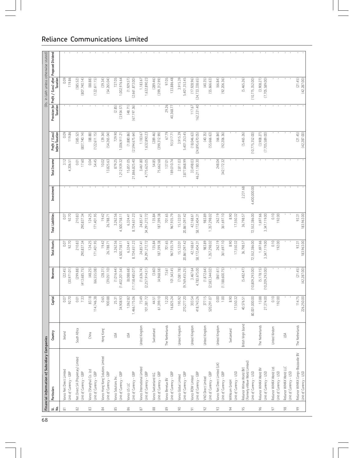|                     | Financial information of Subsidiary Companies                                        |                       |                                       |                                  |                            |                            |                          |                            |                                    |                          | (Rs. in lakh unless otherwise stated)                             |  |
|---------------------|--------------------------------------------------------------------------------------|-----------------------|---------------------------------------|----------------------------------|----------------------------|----------------------------|--------------------------|----------------------------|------------------------------------|--------------------------|-------------------------------------------------------------------|--|
| ಷ ತೆ                | Particulars                                                                          | Country               | Capital                               | Reserves                         | <b>Total Assets</b>        | <b>Total Liabilities</b>   | Investment               | <b>Total Income</b>        | Profit / (Loss)<br>before Taxation | Taxation                 | Provision for Profit / (Loss) after Proposed Dividend<br>Taxation |  |
| $\overline{\infty}$ | Vanco Net Direct Limited<br>Jnit of Currency - GBP                                   | Ireland               | 92.70<br>0.07                         | (22.45)<br>(30, 971.01)          | 92.70<br>0.07              | 92.70<br>0.07              |                          | 312<br>4,306.51            | 0.09<br>119.86                     |                          | 0.09<br>119.86                                                    |  |
| 82                  | Net Direct SA (Proprietary) Limited<br>Jnit of Currency - GBP                        | South Africa          | 0.01<br>7.33                          | (299.88)<br>(413, 685.75)        | 210.83<br>290,837.34       | 210.83<br>290,837.34       |                          | 17.60<br>0.01              | (585, 52)<br>(807,740.14)          |                          | (585.52)<br>(807,740.14)                                          |  |
| 53                  | Vanco (Shanghai) Co. Ltd<br>Unit of Currency - GBP                                   | China                 | 83.18<br>4,746.38                     | (48.25)<br>(66, 555.08)          | 124.25<br>171,401.95       | 124.25<br>171,401.95       |                          | 0.04<br>54.45              | (122, 611.15)<br>(88.88)           |                          | (88.88)<br>(122, 611.15)                                          |  |
| 24                  | Vanco Hong Kong Solutions Limited<br>Jnit of Currency - GBP                          | Hong Kong             | 0.65<br>900.88                        | (39,051.10)<br>(28.31)           | 19.42<br>26,788.71         | 19.42<br>26,788.71         |                          | 10.02<br>13,825.63         | (39.34)<br>(54, 265.04)            |                          | (39.34)<br>(54, 265.04)                                           |  |
| 85                  | Unit of Currency - GBP<br>Vanco Solutions Inc.                                       | <b>USA</b>            | 34,908.93<br>25.31                    | (1,016.44)<br>(1,402,201.54)     | 3,262.56<br>4,500,758.11   | 3,262.56<br>4,500,758.11   |                          | 879.25<br>1,212,939.32     | 729.90<br>1,006,911.21             | (2.85)<br>(3,934.57)     | 727.05<br>1,002,976.64                                            |  |
| 86                  | Unit of Currency - GBP<br>Vanco US LLC                                               | SA                    | 1,062.82<br>1,466,175.06              | (8,088.68)<br>(11, 158, 485.07)  | 8,724,651.23<br>6,324.41   | 8,724,651.23<br>6,324.41   |                          | 21,866,825.40<br>15,851.05 | (1,880.86)<br>(2,594,675.64)       | (67, 197, 36)<br>(48.71) | (2,661,873.00)<br>(1,929.57)                                      |  |
| 55                  | Vanco International Limited<br>Jnit of Currency - GBP                                | United Kingdom        | 73.49<br>381.72<br>$\overline{5}$     | (1,636.74)<br>(2.257, 914.51)    | 34,291,272.72<br>24,857.41 | 34,291,272.72<br>24,857.41 |                          | 3,461.80<br>4,775,625.05   | 1,183.67<br>,632,890.23            |                          | 1,183.67<br>1,632,890.23                                          |  |
| 88                  | Unit of Currency - GBP<br>Vanco Switzerland A.G.                                     | Switzerland           | 61,399.10<br>44.51                    | (3.60)<br>(4,968.58)             | 135.84<br>187,399.38       | 135.84<br>187,399.38       |                          | 54.85<br>75,662.68         | (289.46)<br>(399, 312.99)          |                          | (289.46)<br>(399,312.99)                                          |  |
| 89                  | Unit of Currency - GBP<br>Vanco Benelux BV                                           | The Netherlands       | 12.20<br>6,825.24                     | 101,543.45<br>73.61              | 701.65<br>967,935.79       | 701.65<br>967, 935.79      |                          | 189,010.74<br>137.01       | 67.79<br>93,517.71                 | 29.26<br>40,368.77       | 97.05<br>133,886.48                                               |  |
| g                   | Unit of Currency - GBP<br>Vanco Global Limited                                       | United Kingdom        | 195.92<br>270,277.20                  | (7.081.78)<br>(9,769,455.25)     | 20,861,097.42<br>15,122.01 | 20,861,097.42<br>15,122.01 |                          | 2,811.03<br>3,877,868.99   | 3,915.39<br>5,401,353.45           |                          | 3,915.39<br>5,401,353.45                                          |  |
| 5                   | Jnit of Currency - GBP<br>Vanco ROW Limited                                          | United Kingdom        | 303.54<br>18,743.26<br>$\overline{A}$ | 4,783,675.00<br>3,467.64         | 58,172,404.31<br>42,168.61 | 42,168.61<br>58,172,404.31 |                          | 33,498.03<br>46,211,180.30 | (18,046.63)<br>(24, 895, 670.05)   | 162,331.40<br>117.67     | (17,928.96)<br>(24.733.338.65)                                    |  |
| 92                  | Unit of Currency - GBP<br><b>VNO Direct Limited</b>                                  | United Kingdom        | 377.15<br>520,291.07                  | (1, 872.64)<br>(2,583,344.02)    | 983.89<br>1,357,298.02     | 983.89<br>,357,298.02      |                          |                            | (40.35)<br>(55, 666.63)            |                          | (40.35)<br>(55,666.63)                                            |  |
| 56                  | Vanco Net Direct Limited (UK)<br>Unit of Currency - GBP                              | United Kingdom        | 0.00<br>1.00                          | (861.61)<br>(1.188, 600.75)      | 262.19<br>361,697.10       | 262.19<br>361,697.10       |                          | 248.04<br>342,172.32       | (66.84)<br>(92, 206, 36)           |                          | (66.84)<br>(92, 206, 36)                                          |  |
| 24                  | Jnit of Currency - USD<br>WANcom GmbH                                                | Switzerland           | 8.90<br>17,550.32                     |                                  | 8.90<br>17,550.32          | 8.90<br>17,550.32          |                          |                            |                                    |                          |                                                                   |  |
| 95                  | (Formerly eWave World Limited)<br>Reliance Wimax World BVI<br>Unit of Currency - USD | British Virgin Island | 80,001,000.00<br>40,576.51            | (10,809,293.00)<br>(5,482.47)    | 72,552,386.00<br>36,798.57 | 72,552,386.00<br>36,798.57 | 2,231.68<br>4,400,000.00 |                            | (5,465.26)<br>(10, 775, 352.00)    |                          | (5,465.26)<br>(10,775,352.00)                                     |  |
| 96                  | Reliance WiMAX World BV<br>Unit of Currency - USD                                    | The Netherlands       | 13.88<br>27,374.00                    | (5, 178.15)<br>(10, 209, 293.00) | 1,697.66<br>3,347,119.00   | 1,697.66<br>3,347,119.00   |                          |                            | (3,908.27)<br>(7,705,589.00)       |                          | (7,705,589.00)<br>(3,908.27)                                      |  |
| 50                  | Reliance WiMAX World Ltd.<br>Jnit of Currency - USD                                  | United Kindom         | 0.10<br>192.00                        |                                  | 0.10<br>192.00             | 0.10<br>192.00             |                          |                            |                                    |                          |                                                                   |  |
| 98                  | Reliance WiMAX World LLC<br>Jnit of Currency - USD                                   | SA                    |                                       |                                  |                            |                            |                          |                            |                                    |                          |                                                                   |  |
| $\mathfrak{S}$      | Reliance WiMAX Congo-Brazzaville BV<br>Unit of Currency - USD                        | The Netherlands       | 114.75<br>226,250.00                  | (21.45)<br>(42, 287.00)          | 183,963.00<br>93.31        | 183,963.00<br>93.31        |                          |                            | (21.45)<br>(42, 287, 00)           |                          | (21.45)<br>(42, 287, 00)                                          |  |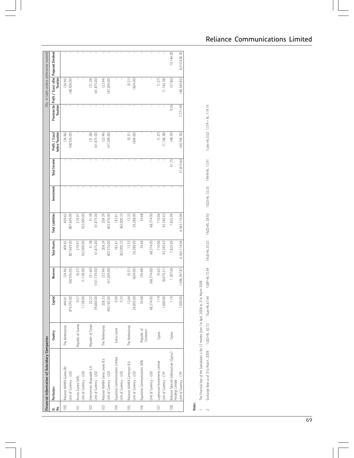|                  | Financial information of Subsidiary Companies                                         |                         |                           |                          |                          |                          |            |                     |                                    |                  | (Rs. in lakh unless otherwise stated)                                    |                           |
|------------------|---------------------------------------------------------------------------------------|-------------------------|---------------------------|--------------------------|--------------------------|--------------------------|------------|---------------------|------------------------------------|------------------|--------------------------------------------------------------------------|---------------------------|
| <u>ؤ</u><br>ದ    | Particulars                                                                           | Country                 | Capital                   | Reserves                 | <b>Total Assets</b>      | <b>Total Liabilities</b> | Investment | <b>Total Income</b> | before Taxation<br>Profit / (Loss) | Taxation         | Provision for Profit / (Loss) after Proposed Dividend<br><b>Taxation</b> |                           |
| $\approx$        | Reliance WiMAX Guinea BV<br>Unit of Currency - USD                                    | The Netherlands         | 876,595.00<br>444.61      | (34.96)<br>(68,926.00)   | 409.65<br>807,669.00     | 409.65<br>807,669.00     |            |                     | (34.96)<br>(68,926.00)             |                  | (34.96)<br>(68,926.00)                                                   |                           |
| $\overline{101}$ | Unit of Currency - USD<br>Access Guinea SARL                                          | Republic of Guinea      | 0.57<br>1,128.00          | (0.57)<br>(1, 128.00)    | 552,000.00<br>279.97     | 279.97<br>552,000.00     |            |                     |                                    |                  |                                                                          |                           |
| 102              | Interconnect Brazzaville S.A.<br>Jnit of Currency - USD                               | Republic of Congo       | 20.22<br>39,864.00        | (51.60)<br>(101, 739.00) | 31.38<br>61,875.00       | 31.38<br>61,875.00       |            |                     | (31.38)<br>(61, 875, 00)           |                  | (31.38)<br>(61, 875.00)                                                  |                           |
| 103              | Reliance WiMAX Sierra Leone B.V.<br>Jnit of Currency - USD                            | The Netherlands         | 228.33<br>150,185.00      | (23.94)<br>(47, 209.00)  | 204.39<br>402,976.00     | 204.39<br>402,976.00     |            |                     | (23.94)<br>(47, 209, 00)           |                  | (23.94)<br>(47,209.00)                                                   |                           |
| 104              | Equatorial Communications Limited<br>Jnit of Currency - USD                           | Sierra Leone            | $\overline{0.00}$<br>0.33 |                          | 362,000.33<br>183.61     | 362,000.33<br>183.61     |            |                     |                                    |                  |                                                                          |                           |
| 105              | Reliance WiMAX Cameroon B.V.<br>Unit of Currency - USD                                | The Netherlands         | 13.64<br>26,892.00        | (0.31)<br>(604.00)       | 26,288.00<br>13.33       | 13.33<br>26,288.00       |            |                     | (0.31)<br>(604.00)                 |                  | (0.31)<br>(604.00)                                                       |                           |
| 106              | Equatorial Communications SARL                                                        | Republic of<br>Cameroon | 34.68                     | (34.68)                  | 34.68                    | 34.68                    |            |                     |                                    |                  |                                                                          |                           |
|                  | Unit of Currency - USD                                                                |                         | 68,374.00                 | (68, 374.00)             | 68,374.00                | 68,374.00                |            |                     |                                    |                  |                                                                          |                           |
| 107              | Lagerwood Investments Limited<br>Unit of Currency - CYP                               | <b>Gyprus</b>           | 1.19<br>000.00            | (9.62)<br>(8,070.21)     | 110.06<br>92,340.43      | 110.06<br>92,340.43      |            |                     | (1.37)<br>(1, 146.38)              |                  | (1.37)<br>(1.146.38)                                                     |                           |
| 108              | Reliance Telecom Infrastucture (Cyprus)<br>Unit of Currency - CYP<br>Holdings Limited | Gyprus                  | $\frac{1}{2}$<br>1,000.00 | 1,096,597.87<br>1,307.06 | 7,825.09<br>6,565,114.04 | 7,825.09<br>6,565,114.04 |            | 61.75<br>51.810.64  | (48.59)<br>(40.769.36)             | 7,771.49<br>9.26 | (48,540.85)<br>(57.86)                                                   | 10,144.00<br>8,510,638.30 |
|                  |                                                                                       |                         |                           |                          |                          |                          |            |                     |                                    |                  |                                                                          |                           |

# **Notes:**

The Financial Year of the Subsidiaries is for 12 months from 1st April, 2008 to 31st March 2009. 1 The Financial Year of the Subsidiaries is for 12 months from 1st April, 2008 to 31st March 2009.

1Ushs=Rs.0.02 I CYP = Rs. 119.19 2 Exchange Rate as of 31st March, 2009: 1USD=Rs. 50.72 1Euro=Rs.67.44 1GBP=Rs.72.49 1AUD=Rs.35.03 1NZD=Rs. 28.92 1SGD=Rs. 33.35 1MYR=Rs. 13.91 1Ushs=Rs.0.02 I CYP = Rs. 119.191Euro=Rs67.44 1GBP=Rs72.49 1AUD=Rs.35.03 1NZD=Rs.28.92 1SGD=Rs.33.35 1MYR=Rs.13.91 Exchange Rate as of 31st March, 2009: 1USD=Rs. 50.72  $\sim$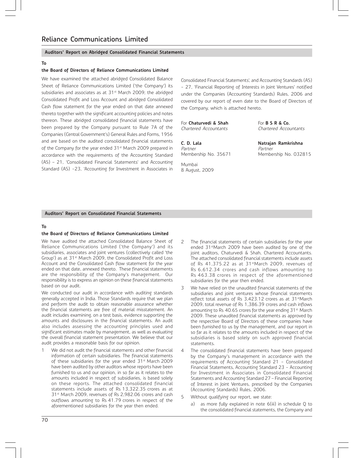# **Auditors' Report on Abridged Consolidated Financial Statements**

#### **To**

#### **the Board of Directors of Reliance Communications Limited**

We have examined the attached abridged Consolidated Balance Sheet of Reliance Communications Limited ('the Company') its subsidiaries and associates as at 31<sup>st</sup> March 2009; the abridged Consolidated Profit and Loss Account and abridged Consolidated Cash flow statement for the year ended on that date annexed thereto together with the significant accounting policies and notes thereon. These abridged consolidated financial statements have been prepared by the Company pursuant to Rule 7A of the Companies (Central Government's) General Rules and Forms, 1956 and are based on the audited consolidated financial statements of the Company for the year ended 31<sup>st</sup> March 2009 prepared in accordance with the requirements of the Accounting Standard (AS) – 21, 'Consolidated Financial Statements' and Accounting Standard (AS) -23, 'Accounting for Investment in Associates in

Consolidated Financial Statements', and Accounting Standards (AS) - 27, 'Financial Reporting of Interests in Joint Ventures' notified under the Companies (Accounting Standards) Rules, 2006 and covered by our report of even date to the Board of Directors of the Company, which is attached hereto.

For **Chaturvedi & Shah** For **B S R & Co.**<br>Chartered Accountants **For State Chartered Accountants** Chartered Accountants Chartered Accountants

**C. D. Lala Natrajan Ramkrishna**<br>Partner Natrajan Ramkrishna Partner Membership No. 35671 Membership No. 032815

Mumbai 8 August, 2009

#### **Auditors' Report on Consolidated Financial Statements**

#### **To**

#### **the Board of Directors of Reliance Communications Limited**

We have audited the attached Consolidated Balance Sheet of Reliance Communications Limited ('the Company') and its subsidiaries, associates and joint ventures (collectively called 'the Group') as at 31<sup>st</sup> March 2009, the Consolidated Profit and Loss Account and the Consolidated Cash flow statement for the year ended on that date, annexed thereto. These financial statements are the responsibility of the Company's management. Our responsibility is to express an opinion on these financial statements based on our audit.

We conducted our audit in accordance with auditing standards generally accepted in India. Those Standards require that we plan and perform the audit to obtain reasonable assurance whether the financial statements are free of material misstatement. An audit includes examining, on a test basis, evidence supporting the amounts and disclosures in the financial statements. An audit also includes assessing the accounting principles used and significant estimates made by management, as well as evaluating the overall financial statement presentation. We believe that our audit provides a reasonable basis for our opinion.

1 We did not audit the financial statements and other financial information of certain subsidiaries. The financial statements of these subsidiaries for the year ended 31<sup>st</sup> March 2009 have been audited by other auditors whose reports have been furnished to us and our opinion, in so far as it relates to the amounts included in respect of subsidiaries, is based solely on these reports. The attached consolidated financial statements include assets of Rs 13,322.35 crores as at 31<sup>st</sup> March 2009, revenues of Rs 2,982.06 crores and cash outflows amounting to Rs 41.79 crores in respect of the aforementioned subsidiaries for the year then ended.

- 2 The financial statements of certain subsidiaries for the year ended 31<sup>st</sup>March 2009 have been audited by one of the joint auditors, Chaturvedi & Shah, Chartered Accountants. The attached consolidated financial statements include assets of Rs 41,375.22 as at 31<sup>st</sup>March 2009, revenues of Rs 6,612.34 crores and cash inflows amounting to Rs 463.38 crores in respect of the aforementioned subsidiaries for the year then ended.
- 3 We have relied on the unaudited financial statements of the subsidiaries and joint ventures whose financial statements reflect total assets of Rs 3,423.12 crores as at 31<sup>st</sup>March 2009, total revenue of Rs 1,386.39 crores and cash inflows amounting to Rs 40.65 crores for the year ending 31<sup>st</sup> March 2009. These unaudited financial statements as approved by the respective Board of Directors of these companies have been furnished to us by the management, and our report in so far as it relates to the amounts included in respect of the subsidiaries is based solely on such approved financial statements.
- The consolidated financial statements have been prepared by the Company's management in accordance with the requirements of Accounting Standard 21 - Consolidated Financial Statements, Accounting Standard 23 - Accounting for Investment in Associates in Consolidated Financial Statements and Accounting Standard 27 – Financial Reporting of Interest in Joint Ventures, prescribed by the Companies (Accounting Standards) Rules, 2006.
- 5 Without qualifying our report, we state:
	- a) as more fully explained in note 6(iii) in schedule Q to the consolidated financial statements, the Company and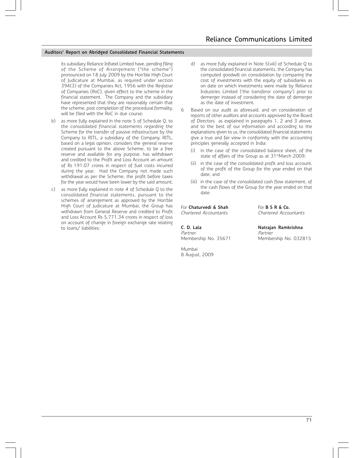#### **Auditors' Report on Abridged Consolidated Financial Statements**

its subsidiary Reliance Infratel Limited have, pending filing of the Scheme of Arrangement ("the scheme") pronounced on 18 July 2009 by the Hon'ble High Court of Judicature at Mumbai, as required under section 394(3) of the Companies Act, 1956 with the Registrar of Companies (RoC), given effect to the scheme in the financial statement. The Company and the subsidiary have represented that they are reasonably certain that the scheme, post completion of the procedural formality, will be filed with the RoC in due course;

- b) as more fully explained in the note 5 of Schedule Q, to the consolidated financial statements regarding the Scheme for the transfer of passive infrastructure by the Company to RITL, a subsidiary of the Company, RITL, based on a legal opinion, considers the general reserve created pursuant to the above Scheme, to be a free reserve and available for any purpose, has withdrawn and credited to the Profit and Loss Account an amount of Rs 191.07 crores in respect of fuel costs incurred during the year. Had the Company not made such withdrawal as per the Scheme, the profit before taxes for the year would have been lower by the said amount;
- c) as more fully explained in note 4 of Schedule Q to the consolidated financial statements, pursuant to the schemes of arrangement as approved by the Hon'ble High Court of Judicature at Mumbai, the Group has withdrawn from General Reserve and credited to Profit and Loss Account Rs 5,771.34 crores in respect of loss on account of change in foreign exchange rate relating to loans/ liabilities;
- d) as more fully explained in Note 5(viii) of Schedule Q to the consolidated financial statements, the Company has computed goodwill on consolidation by comparing the cost of investments with the equity of subsidiaries as on date on which investments were made by Reliance Industries Limited ('the transferor company') prior to demerger instead of considering the date of demerger as the date of investment.
- 6 Based on our audit as aforesaid, and on consideration of reports of other auditors and accounts approved by the Board of Directors as explained in paragraphs 1, 2 and 3 above, and to the best of our information and according to the explanations given to us, the consolidated financial statements give a true and fair view in conformity with the accounting principles generally accepted in India:
	- in the case of the consolidated balance sheet, of the state of affairs of the Group as at 31<sup>st</sup>March 2009;
	- (ii) in the case of the consolidated profit and loss account, of the profit of the Group for the year ended on that date; and
	- (iii) in the case of the consolidated cash flow statement, of the cash flows of the Group for the year ended on that date.

# **For Chaturvedi & Shah** For **B S R & Co.**<br>Chartered Accountants **For Chartered Accountants**

**C. D. Lala Natrajan Ramkrishna**<br>Partner **Natrajan Ramkrishna** Partner

Mumbai 8 August, 2009 Chartered Accountants Chartered Accountants

Membership No. 35671 Membership No. 032815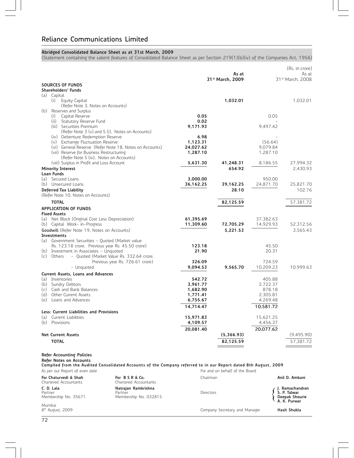# **Abridged Consolidated Balance Sheet as at 31st March, 2009**

(Statement containing the salient features of Consolidated Balance Sheet as per Section 219(1)(b)(iv) of the Companies Act, 1956)

|         |                                                                              |                                                                                                                 |                        | As at<br>31st March, 2009      |                       | (Rs. in crore)<br>As at<br>31st March, 2008    |
|---------|------------------------------------------------------------------------------|-----------------------------------------------------------------------------------------------------------------|------------------------|--------------------------------|-----------------------|------------------------------------------------|
|         | <b>SOURCES OF FUNDS</b>                                                      |                                                                                                                 |                        |                                |                       |                                                |
|         | Shareholders' Funds                                                          |                                                                                                                 |                        |                                |                       |                                                |
|         | (a) Capital<br>(i) Equity Capital                                            |                                                                                                                 |                        | 1,032.01                       |                       | 1,032.01                                       |
|         | (Refer Note 3, Notes on Accounts)                                            |                                                                                                                 |                        |                                |                       |                                                |
|         | (b) Reserves and Surplus                                                     |                                                                                                                 |                        |                                |                       |                                                |
|         | (i) Capital Reserve                                                          |                                                                                                                 | 0.05                   |                                | 0.05                  |                                                |
|         | (ii) Statutory Reserve Fund                                                  |                                                                                                                 | 0.02                   |                                |                       |                                                |
|         | (iii) Securities Premium                                                     |                                                                                                                 | 9,171.93               |                                | 9,497.42              |                                                |
|         | (iv) Debenture Redemption Reserve                                            | (Refer Note 3 (v) and 5 (i), Notes on Accounts)                                                                 | 6.98                   |                                |                       |                                                |
|         | (v) Exchange Fluctuation Reserve                                             |                                                                                                                 | 1,123.31               |                                | (56.64)               |                                                |
|         |                                                                              | (vi) General Reserve (Refer Note 18, Notes on Accounts)                                                         | 24,027.62              |                                | 9,079.84              |                                                |
|         | (vii) Reserve for Business Restructuring                                     |                                                                                                                 | 1,287.10               |                                | 1,287.10              |                                                |
|         | (Refer Note 5 (iv), Notes on Accounts)                                       |                                                                                                                 |                        |                                |                       |                                                |
|         | (viii) Surplus in Profit and Loss Account                                    |                                                                                                                 | 5,631.30               | 41,248.31                      | 8,186.55              | 27,994.32                                      |
|         | Minority Interest<br>Loan Funds                                              |                                                                                                                 |                        | 654.92                         |                       | 2,430.93                                       |
|         | (a) Secured Loans                                                            |                                                                                                                 | 3,000.00               |                                | 950.00                |                                                |
|         | (b) Unsecured Loans                                                          |                                                                                                                 | 36,162.25              | 39,162.25                      | 24,871.70             | 25,821.70                                      |
|         | Deferred Tax Liability                                                       |                                                                                                                 |                        | 28.10                          |                       | 102.76                                         |
|         | (Refer Note 10, Notes on Accounts)                                           |                                                                                                                 |                        |                                |                       |                                                |
|         | <b>TOTAL</b>                                                                 |                                                                                                                 |                        | 82,125.59                      |                       | 57,381.72                                      |
|         | <b>APPLICATION OF FUNDS</b>                                                  |                                                                                                                 |                        |                                |                       |                                                |
|         | <b>Fixed Assets</b>                                                          |                                                                                                                 |                        |                                |                       |                                                |
|         | (a) Net Block (Original Cost Less Depreciation)                              |                                                                                                                 | 61,395.69<br>11,309.60 |                                | 37,382.63             |                                                |
|         | (b) Capital Work- in-Progress<br>Goodwill (Refer Note 19, Notes on Accounts) |                                                                                                                 |                        | 72,705.29<br>5,221.53          | 14,929.93             | 52,312.56<br>3,565.43                          |
|         | Investments                                                                  |                                                                                                                 |                        |                                |                       |                                                |
|         | (a) Government Securities - Quoted (Market value                             |                                                                                                                 |                        |                                |                       |                                                |
|         | Rs. 123.18 crore, Previous year Rs. 45.50 crore)                             |                                                                                                                 | 123.18                 |                                | 45.50                 |                                                |
|         | (b) Investment in Associates - Unquoted                                      |                                                                                                                 | 21.90                  |                                | 20.31                 |                                                |
|         | (c) Others                                                                   | - Quoted (Market Value Rs. 332.64 crore,                                                                        |                        |                                |                       |                                                |
|         | - Unguoted                                                                   | Previous year Rs. 726.61 crore)                                                                                 | 326.09<br>9,094.53     | 9,565.70                       | 724.59<br>10,209.23   | 10,999.63                                      |
|         |                                                                              |                                                                                                                 |                        |                                |                       |                                                |
|         | Current Assets, Loans and Advances<br>(a) Inventories                        |                                                                                                                 | 542.72                 |                                | 405.88                |                                                |
|         | (b) Sundry Debtors                                                           |                                                                                                                 | 3,961.77               |                                | 2,722.37              |                                                |
|         | (c) Cash and Bank Balances                                                   |                                                                                                                 | 1,682.90               |                                | 878.18                |                                                |
|         | (d) Other Current Assets                                                     |                                                                                                                 | 1,771.41               |                                | 2,305.81              |                                                |
|         | (e) Loans and Advances                                                       |                                                                                                                 | 6,755.67               |                                | 4,269.48              |                                                |
|         |                                                                              |                                                                                                                 | 14,714.47              |                                | 10,581.72             |                                                |
|         | Less: Current Liabilities and Provisions<br>(a) Current Liabilities          |                                                                                                                 | 15,971.83              |                                |                       |                                                |
|         | (b) Provisions                                                               |                                                                                                                 | 4,109.57               |                                | 15,621.25<br>4,456.37 |                                                |
|         |                                                                              |                                                                                                                 | 20,081.40              |                                | 20,077.62             |                                                |
|         | Net Current Assets                                                           |                                                                                                                 |                        | (5,366.93)                     |                       | (9,495.90)                                     |
|         | <b>TOTAL</b>                                                                 |                                                                                                                 |                        | 82,125.59                      |                       | 57,381.72                                      |
|         |                                                                              |                                                                                                                 |                        |                                |                       |                                                |
|         | Refer Accounting Policies<br><b>Refer Notes on Accounts</b>                  | Compiled from the Audited Consolidated Accounts of the Company referred to in our Report dated 8th August, 2009 |                        |                                |                       |                                                |
|         | As per our Report of even date                                               |                                                                                                                 |                        | For and on behalf of the Board |                       |                                                |
|         | For Chaturvedi & Shah<br>Chartered Accountants                               | For BSR&Co.<br>Chartered Accountants                                                                            | Chairman               |                                |                       | Anil D. Ambani                                 |
|         | C. D. Lala                                                                   | Natrajan Ramkrishna                                                                                             |                        |                                |                       | J. Ramachandran                                |
| Partner | Membership No. 35671                                                         | Partner<br>Membership No. 032815                                                                                | Directors              |                                |                       | S. P. Talwar<br>Deepak Shourie<br>A. K. Purwar |

Mumbai<br>8<sup>th</sup> August, 2009

Company Secretary and Manager **Hasit Shukla**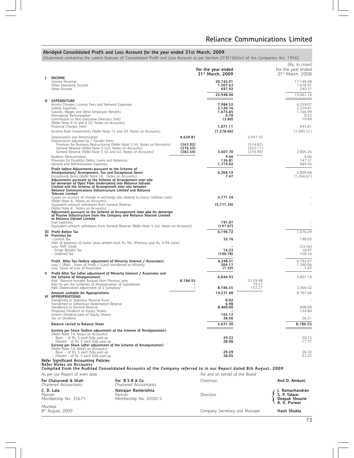## **Abridged Consolidated Profit and Loss Account for the year ended 31st March, 2009**

(Statement containing the salient features of Consolidated Profit and Loss Account as per Section 219(1)(b)(iv) of the Companies Act, 1956)

|                    | I. INCOME                                                                                                                                                                                                                                                                                                                                                                                                                                                  |                                                         |                                              | For the year ended<br>31 <sup>st</sup> March, 2009 |                                              | (Rs. in crore)<br>For the year ended<br>31 <sup>st</sup> March, 2008 |
|--------------------|------------------------------------------------------------------------------------------------------------------------------------------------------------------------------------------------------------------------------------------------------------------------------------------------------------------------------------------------------------------------------------------------------------------------------------------------------------|---------------------------------------------------------|----------------------------------------------|----------------------------------------------------|----------------------------------------------|----------------------------------------------------------------------|
|                    | Service Revenue<br>Other Operating Income<br>Other Income                                                                                                                                                                                                                                                                                                                                                                                                  |                                                         |                                              | 20.742.91<br>1,507.63<br>697.92                    |                                              | 17,148.48<br>1,678.91<br>240.37                                      |
|                    |                                                                                                                                                                                                                                                                                                                                                                                                                                                            |                                                         |                                              | 22,948.46                                          |                                              | 19,067.76                                                            |
|                    | II EXPENDITURE<br>Access Charges, License Fees and Network Expenses<br>Selling Expenses<br>Salaries, Wages and Other Employee Benefits<br>Managerial Remuneration<br>Commission to Non Executive Directors (net)<br>(Refer Note 8 (i) and 8 (ii), Notes on Accounts)                                                                                                                                                                                       |                                                         |                                              | 7.984.52<br>2,120.76<br>1,675.85<br>0.70<br>(3.80) |                                              | 6,259.07<br>2,259.81<br>1,166.99<br>0.53<br>19.99                    |
|                    | Financial Charges (net)<br>Income from Investments (Refer Note 15 and 20, Notes on Accounts)                                                                                                                                                                                                                                                                                                                                                               |                                                         |                                              | 1,071.11<br>(1,578.06)                             |                                              | 645.81<br>(1,045.51)                                                 |
|                    | Depreciation and Amortisation<br>Depreciation adjusted by / Transfer from:<br>Provision for Business Restructuring (Refer Note 5 (v), Notes on Accounts)<br>General Reserve (Refer Note 5 (vii), Notes on Accounts)<br>General Reserve (Refer Note 5 (ii) and (iv), Notes on Accounts)                                                                                                                                                                     |                                                         | 4,630.81<br>(363.02)<br>(276.55)<br>(383.54) | 3,607.70                                           | 3,947.10<br>(514.83)<br>(252.11)<br>(374.90) | 2,805.26                                                             |
|                    | Auditors Remuneration<br>Provision for Doubtful Debts, Loans and Advances<br>General and Administration Expenses                                                                                                                                                                                                                                                                                                                                           |                                                         |                                              | 9.66<br>136.81<br>1,719.02                         |                                              | 9.06<br>147.51<br>989.56                                             |
|                    | Profit before Adjustments pursuant to the Scheme of<br>Amalgamation/ Arrangement, Tax and Exceptional Items<br>Exceptional Items (Refer Note 16, Notes on Accounts)<br>Adjustments pursuant to the Scheme of Arrangement inter alia<br>for demerger of Optic Fiber Undertaking into Reliance Infratel<br>Limited and the Scheme of Arrangement inter alia between<br>Reliance Communications Infrastructure Limited and Reliance<br><b>Telecom Limited</b> |                                                         |                                              | 6,204.19<br>7.47                                   |                                              | 5,809.68<br>(1,266.61)                                               |
|                    | Losses on account of change in exchange rate relating to loans/ liablities (net)<br>(Refer Note 4, Notes on Accounts)                                                                                                                                                                                                                                                                                                                                      |                                                         |                                              | 5.771.34                                           |                                              |                                                                      |
|                    | Equivalent amount withdrawn from General Reserve<br>(Refer Note 4, Notes on Accounts)<br>Adjustment pursuant to the Scheme of Arrangement inter alia for demerger<br>of Passive Infrastructure from the Company and Reliance Telecom Limited<br>to Reliance Infratel Limited                                                                                                                                                                               |                                                         |                                              | (5,771.34)                                         |                                              |                                                                      |
|                    | Fuel Expenses<br>Equivalent amount withdrawn from General Reserve (Refer Note 5 (vi), Notes on Accounts)                                                                                                                                                                                                                                                                                                                                                   |                                                         |                                              | 191.07<br>(191.07)                                 |                                              |                                                                      |
|                    | III Profit Before Tax<br>IV Provision for                                                                                                                                                                                                                                                                                                                                                                                                                  |                                                         |                                              | 6,196.72                                           |                                              | 7,076.29                                                             |
|                    | -Current Tax<br>(Net of provision of earlier years written back Rs. Nil, (Previous year Rs. 4.94 crore)<br>Less: MAT Credit                                                                                                                                                                                                                                                                                                                                |                                                         |                                              | 32.76                                              |                                              | 198.05<br>(33.56)                                                    |
|                    | - Fringe Benefit Tax<br>- Deferred Tax                                                                                                                                                                                                                                                                                                                                                                                                                     |                                                         |                                              | 16.23<br>(100.78)                                  |                                              | 18.97<br>100.16                                                      |
|                    | Profit After Tax (before adjustment of Minority Interest / Associates)<br>Less / (Add) : Share of Profit / (Loss) transferred to Minority<br>Less: Share of Loss of Associates                                                                                                                                                                                                                                                                             |                                                         |                                              | 6,248.51<br>205.17<br>(1.59)                       |                                              | 6,792.67<br>1,390.06<br>1.47                                         |
| v                  | Profit After Tax (after adjustment of Minority Interest / Associates and<br>the Scheme of Amalgamation)                                                                                                                                                                                                                                                                                                                                                    |                                                         | 8,186.55                                     | 6,044.93                                           | 3,129.98                                     | 5,401.14                                                             |
|                    | Add: Balance brought forward from Previous year<br>Add: As per the Schemes of Amalgamation of Subsidiaries<br>Add: Depreciation adjustment of a Subsidiary                                                                                                                                                                                                                                                                                                 |                                                         |                                              | 8,186.55                                           | 79.27<br>157.27                              | 3,366.52                                                             |
|                    | Amount available for Appropriations<br>VI APPROPRIATIONS                                                                                                                                                                                                                                                                                                                                                                                                   |                                                         |                                              | 14,231.48                                          |                                              | 8,767.66                                                             |
|                    | Transferred to Statutory Reserve Fund<br>Transferred to Debenture Redemption Reserve<br>Transferred to General Reserve<br>Proposed Dividend on Equity Shares<br>Interim Dividend paid on Equity Shares                                                                                                                                                                                                                                                     |                                                         |                                              | 0.02<br>6.98<br>8,400.00<br>165.12                 |                                              | 400.00<br>154.80                                                     |
|                    | Tax on Dividend                                                                                                                                                                                                                                                                                                                                                                                                                                            |                                                         |                                              | 28.06                                              |                                              | 26.31                                                                |
|                    | <b>Balance carried to Balance Sheet</b><br>Earning per Share (before adjustment of the Scheme of Amalgamation)                                                                                                                                                                                                                                                                                                                                             |                                                         |                                              | 5,631.30                                           |                                              | 8,186.55                                                             |
|                    | (Refer Note 14, Notes on Accounts)<br>- Basic - of Rs. 5 each fully paid up<br>- Diluted - of Rs. 5 each fully paid up<br>Earning per Share (after adjustment of the Scheme of Amalgamation)<br>(Refer Note 14, Notes on Accounts)                                                                                                                                                                                                                         |                                                         |                                              | 29.32<br>28.08                                     |                                              | 20.15<br>17.37                                                       |
|                    | Basic - of Rs. 5 each fully paid up<br>- Diluted - of Rs. 5 each fully paid up                                                                                                                                                                                                                                                                                                                                                                             |                                                         |                                              | 29.29<br>28.05                                     |                                              | 26.32<br>23.22                                                       |
|                    | Refer Significant Accounting Policies<br><b>Refer Notes on Accounts</b><br>Compiled from the Audited Consolidated Accounts of the Company referred to in our Report dated 8th August, 2009                                                                                                                                                                                                                                                                 |                                                         |                                              |                                                    |                                              |                                                                      |
|                    | As per our Report of even date                                                                                                                                                                                                                                                                                                                                                                                                                             |                                                         |                                              | For and on behalf of the Board                     |                                              |                                                                      |
|                    | For Chaturvedi & Shah<br>Chartered Accountants                                                                                                                                                                                                                                                                                                                                                                                                             | For BSR&Co.<br>Chartered Accountants                    |                                              | Chairman                                           |                                              | Anil D. Ambani                                                       |
| Partner<br>$M_{i}$ | C. D. Lala<br>Membership No. 35671                                                                                                                                                                                                                                                                                                                                                                                                                         | Natrajan Ramkrishna<br>Partner<br>Membership No. 032815 |                                              | Directors                                          |                                              | J. Ramachandran<br>S. P. Talwar<br>Deepak Shourie<br>A. K. Purwar    |

Mumbai<br>8<sup>th</sup> August, 2009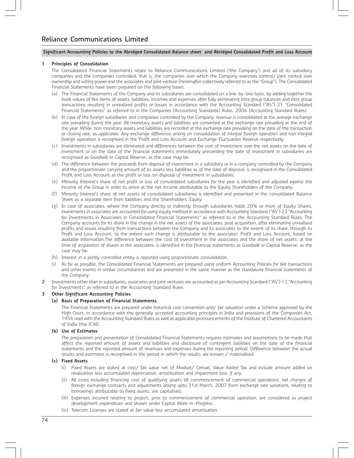## **1 Principles of Consolidation**

The Consolidated Financial Statements relate to Reliance Communications Limited ('the Company') and all of its subsidiary companies and the companies controlled, that is, the companies over which the Company exercises control/ joint control over ownership and voting power and the associates and joint venture (hereinafter collectively referred to as the "Group"). The Consolidated Financial Statements have been prepared on the following bases.

- (a) The Financial Statements of the Company and its subsidiaries are consolidated on a line-by-line basis, by adding together the book values of like items of assets, liabilities, incomes and expenses after fully eliminating intra group balances and intra group transactions resulting in unrealized profits or losses in accordance with the Accounting Standard ("AS") 21 "Consolidated Financial Statements" as referred to in the Companies (Accounting Standards) Rules, 2006 (Accounting Standard Rules).
- (b) In case of the foreign subsidiaries and companies controlled by the Company, revenue is consolidated at the average exchange rate prevailing during the year. All monetary assets and liabilities are converted at the exchange rate prevailing at the end of the year. While, non monetary assets and liabilities are recorded at the exchange rate prevailing on the date of the transaction or closing rate, as applicable. Any exchange difference arising on consolidation of integral foreign operation and non integral foreign operation is recognised in the Profit and Loss Account and Exchange Fluctuation Reserve respectively.
- (c) Investments in subsidiaries are eliminated and differences between the cost of investment over the net assets on the date of investment or on the date of the financial statements immediately preceeding the date of investment in subsidiaries are recognised as Goodwill or Capital Reserve, as the case may be.
- (d) The difference between the proceeds from disposal of investment in a subsidiary or in a company controlled by the Company and the proportionate carrying amount of its assets less liabilities as of the date of disposal, is recognised in the Consolidated Profit and Loss Account as the profit or loss on disposal of investment in subsidiaries.
- (e) Minority Interest's share of net profit or loss of consolidated subsidiaries for the year is identified and adjusted against the income of the Group in order to arrive at the net income attributable to the Equity Shareholders of the Company.
- (f) Minority Interest's share of net assets of consolidated subsidiaries is identified and presented in the consolidated Balance Sheet as a separate item from liabilities and the Shareholders' Equity.
- (g) In case of associates, where the Company directly or indirectly through subsidiaries holds 20% or more of Equity Shares, investments in associates are accounted for using equity method in accordance with Accounting Standard ("AS") 23 "Accounting for Investments in Associates in Consolidated Financial Statements" as referred to in the Accounting Standard Rules. The Company accounts for its share in the change in the net assets of the associates, post acquisition, after eliminating unrealised profits and losses resulting from transactions between the Company and its associates to the extent of its share, through its Profit and Loss Account, to the extent such change is attributable to the associates' Profit and Loss Account, based on available information.The difference between the cost of investment in the associates and the share of net assets, at the time of acquisition of shares in the associates, is identified in the financial statements as Goodwill or Capital Reserve, as the case may be.
- (h) Interest in a jointly controlled entity is reported using proportionate consolidation.
- (i) As far as possible, the Consolidated Financial Statements are prepared using uniform Accounting Policies for like transactions and other events in similar circumstances and are presented in the same manner as the standalone financial statements of the Company.
- 2 Investments other than in subsidiaries, associates and joint ventures are accounted as per Accounting Standard ("AS") 13 "Accounting for Investments" as referred to in the Accounting Standard Rules.

## **3 Other Significant Accounting Policies**

## **(a) Basis of Preparation of Financial Statements**

The Financial Statements are prepared under historical cost convention and/ fair valuation under a Scheme approved by the High Court, in accordance with the generally accepted accounting principles in India and provisions of the Companies Act, 1956 read with the Accounting Standard Rules as well as applicable pronouncements of the Institute of Chartered Accountants of India (the ICAI).

## **(b) Use of Estimates**

The preparation and presentation of Consolidated Financial Statements requires estimates and assumptions to be made that affect the reported amount of assets and liabilities and disclosure of contingent liabilities on the date of the financial statements and the reported amount of revenues and expenses during the reporting period. Difference between the actual results and estimates is recognised in the period in which the results are known / materialised.

## **(c) Fixed Assets**

- (i) Fixed Assets are stated at cost/ fair value net of Modvat/ Cenvat, Value Added Tax and include amount added on revaluation less accumulated depreciation, amortisation and impairment loss, if any.
- (ii) All costs including financing cost of qualifying assets till commencement of commercial operations, net charges of foreign exchange contracts and adjustments arising upto 31st March, 2007 from exchange rate variations, relating to borrowings attributable to fixed assets, are capitalised.
- (iii) Expenses incurred relating to project, prior to commencement of commercial operation, are considered as project development expenditure and shown under Capital Work-in-Progress.
- (iv) Telecom Licenses are stated at fair value less accumulated amortisation.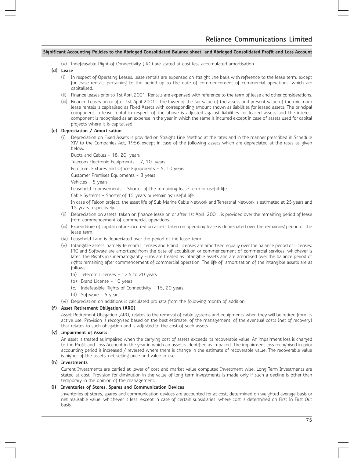(v) Indefeasable Right of Connectivity (IRC) are stated at cost less accumulated amortisation.

## **(d) Lease**

- (i) In respect of Operating Leases, lease rentals are expensed on straight line basis with reference to the lease term, except for lease rentals pertaining to the period up to the date of commencement of commercial operations, which are capitalised.
- (ii) Finance leases prior to 1st April 2001: Rentals are expensed with reference to the term of lease and other considerations.
- (iii) Finance Leases on or after 1st April 2001: The lower of the fair value of the assets and present value of the minimum lease rentals is capitalised as Fixed Assets with corresponding amount shown as liabilities for leased assets. The principal component in lease rental in respect of the above is adjusted against liabilities for leased assets and the interest component is recognised as an expense in the year in which the same is incurred except in case of assets used for capital projects where it is capitalised.

## **(e) Depreciation / Amortisation**

(i) Depreciation on Fixed Assets is provided on Straight Line Method at the rates and in the manner prescribed in Schedule XIV to the Companies Act, 1956 except in case of the following assets which are depreciated at the rates as given below.

Ducts and Cables - 18, 20 years

Telecom Electronic Equipments - 7, 10 years

Furniture, Fixtures and Office Equipments - 5, 10 years

Customer Premises Equipments - 3 years

Vehicles - 5 years

Leasehold improvements - Shorter of the remaining lease term or useful life

Cable Systems - Shorter of 15 years or remaining useful life

In case of Falcon project, the asset life of Sub Marine Cable Network and Terrestrial Network is estimated at 25 years and 15 years respectively.

- (ii) Depreciation on assets, taken on finance lease on or after 1st April, 2001, is provided over the remaining period of lease from commencement of commercial operations.
- (iii) Expenditure of capital nature incurred on assets taken on operating lease is depreciated over the remaining period of the lease term.
- (iv) Leasehold Land is depreciated over the period of the lease term.
- (v) Intangible assets, namely Telecom Licenses and Brand Licenses are amortised equally over the balance period of Licenses. IRC and Software are amortized from the date of acquisition or commencement of commercial services, whichever is later. The Rights in Cinematography Films are treated as intangible assets and are amortised over the balance period of rights remaining after commencement of commercial operation. The life of amortisation of the intangible assets are as follows.
	- (a) Telecom Licenses 12.5 to 20 years
	- (b) Brand License 10 years
	- (c) Indefeasible Rights of Connectivity 15, 20 years
	- (d) Software 5 years
- (vi) Depreciation on additions is calculated pro rata from the following month of addition.

## **(f) Asset Retirement Obligation (ARO)**

Asset Retirement Obligation (ARO) relates to the removal of cable systems and equipments when they will be retired from its active use. Provision is recognised based on the best estimate, of the management, of the eventual costs (net of recovery) that relates to such obligation and is adjusted to the cost of such assets.

## **(g) Impairment of Assets**

An asset is treated as impaired when the carrying cost of assets exceeds its recoverable value. An impairment loss is charged to the Profit and Loss Account in the year in which an asset is identified as impaired. The impairment loss recognised in prior accounting period is increased / reversed where there is change in the estimate of recoverable value. The recoverable value is higher of the assets' net selling price and value in use.

## **(h) Investments**

Current Investments are carried at lower of cost and market value computed Investment wise. Long Term Investments are stated at cost. Provision for diminution in the value of long term investments is made only if such a decline is other than temporary in the opinion of the management.

## **(i) Inventories of Stores, Spares and Communication Devices**

Inventories of stores, spares and communication devices are accounted for at cost, determined on weighted average basis or net realisable value, whichever is less, except in case of certain subsidiaries, where cost is determined on First In First Out basis.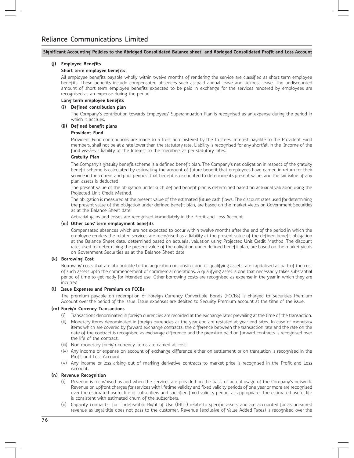## **(j) Employee Benefits**

#### **Short term employee benefits**

All employee benefits payable wholly within twelve months of rendering the service are classified as short term employee benefits. These benefits include compensated absences such as paid annual leave and sickness leave. The undiscounted amount of short term employee benefits expected to be paid in exchange for the services rendered by employees are recognised as an expense during the period.

## **Long term employee benefits**

### **(i) Defined contribution plan**

The Company's contribution towards Employees' Superannuation Plan is recognised as an expense during the period in which it accrues.

#### **(ii) Defined benefit plans**

#### **Provident Fund**

Provident Fund contributions are made to a Trust administered by the Trustees. Interest payable to the Provident Fund members, shall not be at a rate lower than the statutory rate. Liability is recognised for any shortfall in the Income of the fund vis-à-vis liability of the Interest to the members as per statutory rates.

#### **Gratuity Plan**

The Company's gratuity benefit scheme is a defined benefit plan. The Company's net obligation in respect of the gratuity benefit scheme is calculated by estimating the amount of future benefit that employees have earned in return for their service in the current and prior periods; that benefit is discounted to determine its present value, and the fair value of any plan assets is deducted.

The present value of the obligation under such defined benefit plan is determined based on actuarial valuation using the Projected Unit Credit Method.

The obligation is measured at the present value of the estimated future cash flows. The discount rates used for determining the present value of the obligation under defined benefit plan, are based on the market yields on Government Securities as at the Balance Sheet date.

Actuarial gains and losses are recognised immediately in the Profit and Loss Account.

#### **(iii) Other Long term employment benefits**

Compensated absences which are not expected to occur within twelve months after the end of the period in which the employee renders the related services are recognised as a liability at the present value of the defined benefit obligation at the Balance Sheet date, determined based on actuarial valuation using Projected Unit Credit Method. The discount rates used for determining the present value of the obligation under defined benefit plan, are based on the market yields on Government Securities as at the Balance Sheet date.

## **(k) Borrowing Cost**

Borrowing costs that are attributable to the acquisition or construction of qualifying assets, are capitalised as part of the cost of such assets upto the commencement of commercial operations. A qualifying asset is one that necessarily takes substantial period of time to get ready for intended use. Other borrowing costs are recognised as expense in the year in which they are incurred.

#### **(l) Issue Expenses and Premium on FCCBs**

The premium payable on redemption of Foreign Currency Convertible Bonds (FCCBs) is charged to Securities Premium Account over the period of the issue. Issue expenses are debited to Security Premium account at the time of the issue.

#### **(m) Foreign Currency Transactions**

- (i) Transactions denominated in foreign currencies are recorded at the exchange rates prevailing at the time of the transaction.
- (ii) Monetary items denominated in foreign currencies at the year end are restated at year end rates. In case of monetary items which are covered by forward exchange contracts, the difference between the transaction rate and the rate on the date of the contract is recognised as exchange difference and the premium paid on forward contracts is recognised over the life of the contract.
- (iii) Non monetary foreign currency items are carried at cost.
- (iv) Any income or expense on account of exchange difference either on settlement or on translation is recognised in the Profit and Loss Account.
- (v) Any income or loss arising out of marking derivative contracts to market price is recognised in the Profit and Loss Account.

#### **(n) Revenue Recognition**

- (i) Revenue is recognised as and when the services are provided on the basis of actual usage of the Company's network. Revenue on upfront charges for services with lifetime validity and fixed validity periods of one year or more are recognised over the estimated useful life of subscribers and specified fixed validity period, as appropriate. The estimated useful life is consistent with estimated churn of the subscribers.
- (ii) Capacity contracts for Indefeasible Right of Use (IRUs) relate to specific assets and are accounted for as unearned revenue as legal title does not pass to the customer. Revenue (exclusive of Value Added Taxes) is recognised over the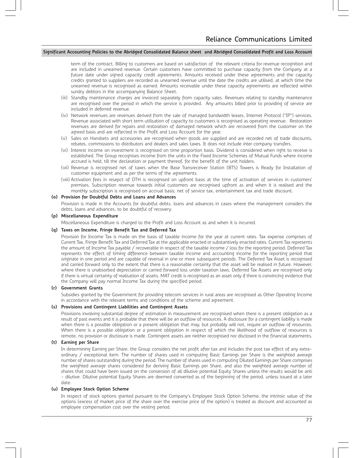term of the contract. Billing to customers are based on satisfaction of the relevant criteria for revenue recognition and are included in unearned revenue. Certain customers have committed to purchase capacity from the Company at a future date under signed capacity credit agreements. Amounts received under these agreements and the capacity credits granted to suppliers are recorded as unearned revenue until the date the credits are utilised, at which time the unearned revenue is recognised as earned. Amounts receivable under these capacity agreements are reflected within sundry debtors in the accompanying Balance Sheet.

- (iii) Standby maintenance charges are invoiced separately from capacity sales. Revenues relating to standby maintenance are recognised over the period in which the service is provided. Any amounts billed prior to providing of service are included in deferred revenue.
- (iv) Network revenues are revenues derived from the sale of managed bandwidth leases, Internet Protocol ("IP") services. Revenue associated with short term utilisation of capacity to customers is recognised as operating revenue. Restoration revenues are derived for repairs and restoration of damaged network which are recovered from the customer on the agreed basis and are reflected in the Profit and Loss Account for the year.
- (v) Sales on Handsets and accessories are recognised when goods are supplied and are recorded net of trade discounts, rebates, commissions to distributors and dealers and sales taxes. It does not include inter company transfers.
- (vi) Interest income on investment is recognised on time proportion basis. Dividend is considered when right to receive is established. The Group recognises income from the units in the Fixed Income Schemes of Mutual Funds where income accrued is held, till the declaration or payment thereof, for the benefit of the unit holders.
- (vii) Revenue is recognised net of taxes when the Base Transreceiver Station (BTS) Towers is Ready for Installation of customer equipment and as per the terms of the agreements.
- (viii) Activation fees in resepct of DTH is recognised on upfront basis at the time of activation of services in customers' premises. Subscription revenue towards initial customers are recognised upfront as and when it is realised and the monthly subscription is recognised on accrual basis, net of service tax, entertainment tax and trade discount.

#### **(o) Provision for Doubtful Debts and Loans and Advances**

Provision is made in the Accounts for doubtful debts. loans and advances in cases where the management considers the debts, loans and advances, to be doubtful of recovery.

#### **(p) Miscellaneous Expenditure**

Miscellaneous Expenditure is charged to the Profit and Loss Account as and when it is incurred.

#### **(q) Taxes on Income, Fringe Benefit Tax and Deferred Tax**

Provision for Income Tax is made on the basis of taxable income for the year at current rates. Tax expense comprises of Current Tax, Fringe Benefit Tax and Deferred Tax at the applicable enacted or substantively enacted rates. Current Tax represents the amount of Income Tax payable / recoverable in respect of the taxable income / loss for the reporting period. Deferred Tax represents the effect of timing difference between taxable income and accounting income for the reporting period that originate in one period and are capable of reversal in one or more subsequent periods. The Deferred Tax Asset is recognised and carried forward only to the extent that there is a reasonable certainty that the asset will be realised in future. However, where there is unabsorbed depreciation or carried forward loss under taxation laws, Deferred Tax Assets are recognised only if there is virtual certainty of realisation of assets. MAT credit is recognised as an asset only if there is convincing evidence that the Company will pay normal Income Tax during the specified period.

## **(r) Government Grants**

Subsidies granted by the Government for providing telecom services in rural areas are recognised as Other Operating Income in accordance with the relevant terms and conditions of the scheme and agreement.

## **(s) Provisions and Contingent Liabilities and Contingent Assets**

Provisions involving substantial degree of estimation in measurement are recognised when there is a present obligation as a result of past events and it is probable that there will be an outflow of resources. A disclosure for a contingent liability is made when there is a possible obligation or a present obligation that may, but probably will not, require an outflow of resources. When there is a possible obligation or a present obligation in respect of which the likelihood of outflow of resources is remote, no provision or disclosure is made. Contingent assets are neither recognised nor disclosed in the financial statements.

## **(t) Earning per Share**

In determining Earning per Share, the Group considers the net profit after tax and includes the post tax effect of any extraordinary / exceptional item. The number of shares used in computing Basic Earnings per Share is the weighted average number of shares outstanding during the period. The number of shares used in computing Diluted Earnings per Share comprises the weighted average shares considered for deriving Basic Earnings per Share, and also the weighted average number of shares that could have been issued on the conversion of all dilutive potential Equity Shares unless the results would be anti - dilutive. Dilutive potential Equity Shares are deemed converted as of the beginning of the period, unless issued at a later date.

## **(u) Employee Stock Option Scheme**

In respect of stock options granted pursuant to the Company's Employee Stock Option Scheme, the intrinsic value of the options (excess of market price of the share over the exercise price of the option) is treated as discount and accounted as employee compensation cost over the vesting period.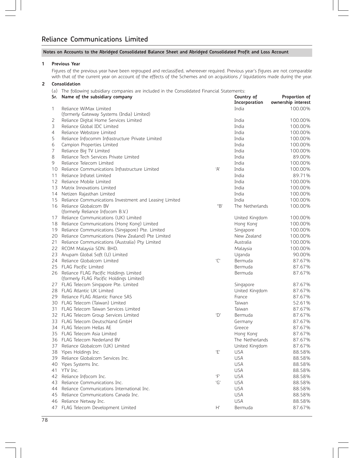## **1 Previous Year**

Figures of the previous year have been regrouped and reclassified, whereever required. Previous year's figures are not comparable with that of the current year on account of the effects of the Schemes and on acquisitions / liquidations made during the year.

## **2 Consolidation**

(a) The following subsidiary companies are included in the Consolidated Financial Statements:

|                   | Sr. Name of the subsidiary company                     |     | Country of      | Proportion of      |
|-------------------|--------------------------------------------------------|-----|-----------------|--------------------|
|                   |                                                        |     | Incorporation   | ownership interest |
| 1                 | Reliance WiMax Limited                                 |     | India           | 100.00%            |
|                   | (formerly Gateway Systems (India) Limited)             |     |                 |                    |
| 2                 | Reliance Digital Home Services Limited                 |     | India           | 100.00%            |
| 3                 | Reliance Global IDC Limited                            |     | India           | 100.00%            |
| 4                 | Reliance Webstore Limited                              |     | India           | 100.00%            |
| 5                 | Reliance Infocomm Infrastructure Private Limited       |     | India           | 100.00%            |
| 6                 | Campion Properties Limited                             |     | India           | 100.00%            |
| 7                 | Reliance Big TV Limited                                |     | India           | 100.00%            |
| 8                 | Reliance Tech Services Private Limited                 |     | India           | 89.00%             |
| 9                 | Reliance Telecom Limited                               |     | India           | 100.00%            |
| 10                | Reliance Communications Infrastructure Limited         | 'А' | India           | 100.00%            |
| 11                | Reliance Infratel Limited                              |     | India           | 89.71%             |
| $12 \overline{ }$ | Reliance Mobile Limited                                |     | India           | 100.00%            |
| 13                | Matrix Innovations Limited                             |     | India           | 100.00%            |
| 14                | Netizen Rajasthan Limited                              |     | India           | 100.00%            |
| 15                | Reliance Communications Investment and Leasing Limited |     | India           | 100.00%            |
|                   | 16 Reliance Globalcom BV                               | "B' | The Netherlands | 100.00%            |
|                   | (formerly Reliance Infocom B.V.)                       |     |                 |                    |
|                   | 17 Reliance Communications (UK) Limited                |     | United Kingdom  | 100.00%            |
|                   | 18 Reliance Communications (Hong Kong) Limited         |     | Hong Kong       | 100.00%            |
| 19                | Reliance Communications (Singapore) Pte. Limited       |     | Singapore       | 100.00%            |
| 20                | Reliance Communications (New Zealand) Pte Limited      |     | New Zealand     | 100.00%            |
| 21                | Reliance Communications (Australia) Pty Limited        |     | Australia       | 100.00%            |
|                   | 22 RCOM Malaysia SDN. BHD.                             |     | Malaysia        | 100.00%            |
|                   | 23 Anupam Global Soft (U) Limited                      |     | Uganda          | 90.00%             |
| 24                | Reliance Globalcom Limited                             | 'C' | Bermuda         | 87.67%             |
|                   | 25 FLAG Pacific Limited                                |     | Bermuda         | 87.67%             |
|                   | 26 Reliance FLAG Pacific Holdings Limited              |     | Bermuda         | 87.67%             |
|                   | (formerly FLAG Pacific Holdings Limited)               |     |                 |                    |
|                   | 27 FLAG Telecom Singapore Pte. Limited                 |     | Singapore       | 87.67%             |
|                   | 28 FLAG Atlantic UK Limited                            |     | United Kingdom  | 87.67%             |
|                   | 29 Reliance FLAG Atlantic France SAS                   |     | France          | 87.67%             |
|                   | 30 FLAG Telecom (Taiwan) Limited                       |     | Taiwan          | 52.61%             |
|                   | 31 FLAG Telecom Taiwan Services Limited                |     | Taiwan          | 87.67%             |
|                   | 32 FLAG Telecom Group Services Limited                 | 'D' | Bermuda         | 87.67%             |
|                   | 33 FLAG Telecom Deutschland GmbH                       |     | Germany         | 87.67%             |
|                   | 34 FLAG Telecom Hellas AE                              |     | Greece          | 87.67%             |
|                   | 35 FLAG Telecom Asia Limited                           |     | Hong Kong       | 87.67%             |
|                   | 36 FLAG Telecom Nederland BV                           |     | The Netherlands | 87.67%             |
|                   | 37 Reliance Globalcom (UK) Limited                     |     | United Kingdom  | 87.67%             |
|                   | 38 Yipes Holdings Inc.                                 | 'Е' | USA             | 88.58%             |
|                   | 39 Reliance Globalcom Services Inc.                    |     | <b>USA</b>      | 88.58%             |
|                   | 40 Yipes Systems Inc.                                  |     | <b>USA</b>      | 88.58%             |
|                   | 41 YTV Inc.                                            |     | <b>USA</b>      | 88.58%             |
| 42                | Reliance Infocom Inc.                                  | 'F' | <b>USA</b>      | 88.58%             |
| 43                | Reliance Communications Inc.                           | 'G' | <b>USA</b>      | 88.58%             |
| 44                | Reliance Communications International Inc.             |     | <b>USA</b>      | 88.58%             |
|                   | 45 Reliance Communications Canada Inc.                 |     | <b>USA</b>      | 88.58%             |
|                   | 46 Reliance Netway Inc.                                |     | <b>USA</b>      | 88.58%             |
|                   | 47 FLAG Telecom Development Limited                    | Η'  | Bermuda         | 87.67%             |
|                   |                                                        |     |                 |                    |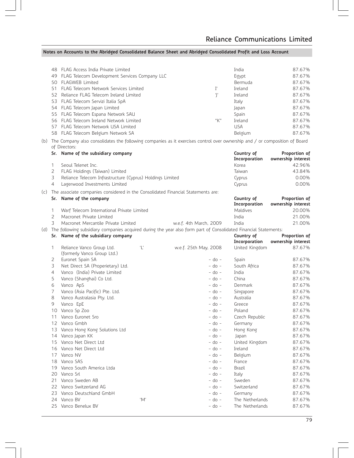|    | 48 FLAG Access India Private Limited          |     | India       | 87.67% |
|----|-----------------------------------------------|-----|-------------|--------|
| 49 | FLAG Telecom Development Services Company LLC |     | Egypt       | 87.67% |
| 50 | FLAGWEB Limited                               |     | Bermuda     | 87.67% |
| 51 | FLAG Telecom Network Services Limited         |     | Ireland     | 87.67% |
|    | 52 Reliance FLAG Telecom Ireland Limited      | Ψ   | Ireland     | 87.67% |
|    | 53 FLAG Telecom Servizi Italia SpA            |     | Italy       | 87.67% |
|    | 54 FLAG Telecom Japan Limited                 |     | Japan       | 87.67% |
|    | 55 FLAG Telecom Espana Network SAU            |     | Spain       | 87.67% |
|    | 56 FLAG Telecom Ireland Network Limited       | "K" | Ireland     | 87.67% |
| 5/ | FLAG Telecom Network USA Limited              |     | <b>LISA</b> | 87.67% |
|    | 58 FLAG Telecom Belgium Network SA            |     | Belgium     | 87.67% |

(b) The Company also consolidates the following companies as it exercises control over ownership and / or composition of Board of Directors:

|  | Sr. Name of the subsidiary company                                                   | Country of<br>Incorporation | Proportion of<br>ownership interest |
|--|--------------------------------------------------------------------------------------|-----------------------------|-------------------------------------|
|  | Seoul Telenet Inc.                                                                   | Korea                       | 42.96%                              |
|  | FLAG Holdings (Taiwan) Limited                                                       | Taiwan                      | 43.84%                              |
|  | Reliance Telecom Infrastructure (Cyprus) Holdings Limited                            | Cyprus                      | 0.00%                               |
|  | Lagerwood Investments Limited                                                        | Cyprus                      | 0.00%                               |
|  | (c) The associate companies considered in the Consolidated Financial Statements are: |                             |                                     |

| Sr. Name of the company                    | Country of<br>Incorporation | Proportion of<br>ownership interest |        |
|--------------------------------------------|-----------------------------|-------------------------------------|--------|
| Warf Telecom International Private Limited |                             | Maldives                            | 20,00% |
| Macronet Private Limited                   |                             | India                               | 21.00% |
| Macronet Mercantile Private Limited        | w.e.f. 4th March, 2009      | India                               | 21.00% |

(d) The following subsidiary companies acquired during the year also form part of Consolidated Financial Statements:

|    | Sr. Name of the subsidiary company                       |     |                       | Country of<br>Incorporation | Proportion of<br>ownership interest |
|----|----------------------------------------------------------|-----|-----------------------|-----------------------------|-------------------------------------|
| 1  | Reliance Vanco Group Ltd.<br>(formerly Vanco Group Ltd.) | T   | w.e.f. 25th May, 2008 | United Kingdom              | 87.67%                              |
| 2  | Euronet Spain SA                                         |     | $-$ do $-$            | Spain                       | 87.67%                              |
| 3  | Net Direct SA (Properietary) Ltd.                        |     | $-$ do $-$            | South Africa                | 87.67%                              |
| 4  | Vanco (India) Private Limited                            |     | $-$ do $-$            | India                       | 87.67%                              |
| 5  | Vanco (Shanghai) Co Ltd.                                 |     | $-$ do $-$            | China                       | 87.67%                              |
| 6  | Vanco ApS                                                |     | $-$ do $-$            | Denmark                     | 87.67%                              |
| 7  | Vanco (Asia Pacific) Pte. Ltd.                           |     | $-$ do $-$            | Singapore                   | 87.67%                              |
| 8  | Vanco Australasia Pty. Ltd.                              |     | $-$ do $-$            | Australia                   | 87.67%                              |
| 9  | Vanco EpE                                                |     | $-$ do $-$            | Greece                      | 87.67%                              |
| 10 | Vanco Sp Zoo                                             |     | $-$ do $-$            | Poland                      | 87.67%                              |
| 11 | Vanco Euronet Sro                                        |     | $-$ do $-$            | Czech Republic              | 87.67%                              |
| 12 | Vanco Gmbh                                               |     | $-$ do $-$            | Germany                     | 87.67%                              |
| 13 | Vanco Hong Kong Solutions Ltd                            |     | $-$ do $-$            | Hong Kong                   | 87.67%                              |
| 14 | Vanco Japan KK                                           |     | $-$ do $-$            | Japan                       | 87.67%                              |
| 15 | Vanco Net Direct Ltd                                     |     | $-$ do $-$            | United Kingdom              | 87.67%                              |
| 16 | Vanco Net Direct Ltd                                     |     | $-$ do $-$            | Ireland                     | 87.67%                              |
| 17 | Vanco NV                                                 |     | $-$ do $-$            | Belgium                     | 87.67%                              |
| 18 | Vanco SAS                                                |     | $-$ do $-$            | France                      | 87.67%                              |
| 19 | Vanco South America Ltda                                 |     | $-$ do $-$            | <b>Brazil</b>               | 87.67%                              |
| 20 | Vanco Srl                                                |     | $-$ do $-$            | Italy                       | 87.67%                              |
| 21 | Vanco Sweden AB                                          |     | $-$ do $-$            | Sweden                      | 87.67%                              |
| 22 | Vanco Switzerland AG                                     |     | $-$ do $-$            | Switzerland                 | 87.67%                              |
| 23 | Vanco Deutschland GmbH                                   |     | $-$ do $-$            | Germany                     | 87.67%                              |
| 24 | Vanco BV                                                 | 'M' | $-$ do $-$            | The Netherlands             | 87.67%                              |
| 25 | Vanco Benelux BV                                         |     | $-$ do $-$            | The Netherlands             | 87.67%                              |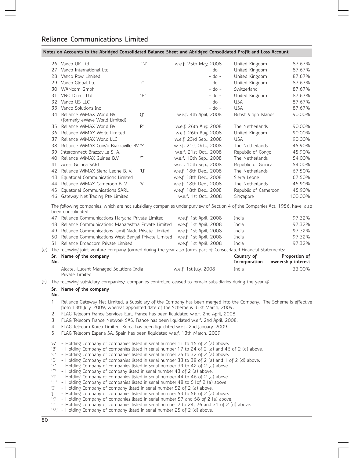|     | Sr. Name of the company                                                                                                                            |     |                        |            | Country of             | Proportion of |
|-----|----------------------------------------------------------------------------------------------------------------------------------------------------|-----|------------------------|------------|------------------------|---------------|
| (e) | The following joint venture company formed during the year also forms part of Consolidated Financial Statements:                                   |     |                        |            |                        |               |
| 51  | Reliance Broadcom Private Limited                                                                                                                  |     | w.e.f. 1st April, 2008 |            | India                  | 97.32%        |
| 50  | Reliance Communications West Bengal Private Limited                                                                                                |     | w.e.f. 1st April, 2008 |            | India                  | 97.32%        |
| 49  | Reliance Communications Tamil Nadu Private Limited                                                                                                 |     | w.e.f. 1st April, 2008 |            | India                  | 97.32%        |
| 48  | Reliance Communications Maharashtra Private Limited                                                                                                |     | w.e.f. 1st April, 2008 |            | India                  | 97.32%        |
| 47  | Reliance Communications Haryana Private Limited                                                                                                    |     | w.e.f. 1st April, 2008 |            | India                  | 97.32%        |
|     | The following companies, which are not subsidiary companies under purview of Section 4 of the Companies Act, 1956, have also<br>been consolidated. |     |                        |            |                        |               |
| 46  | Gateway Net Trading Pte Limited                                                                                                                    |     | w.e.f. 1st Oct., 2008  |            | Singapore              | 100.00%       |
| 45  | Equatorial Communications SARL                                                                                                                     |     | w.e.f. 18th Dec., 2008 |            | Republic of Cameroon   | 45.90%        |
| 44  | Reliance WiMAX Cameroon B. V.                                                                                                                      | 'V' | w.e.f. 18th Dec., 2008 |            | The Netherlands        | 45.90%        |
| 43  | Equatorial Communications Limited                                                                                                                  |     | w.e.f. 18th Dec., 2008 |            | Sierra Leone           | 67.50%        |
| 42  | Reliance WiMAX Sierra Leone B. V.                                                                                                                  | 'U' | w.e.f. 18th Dec., 2008 |            | The Netherlands        | 67.50%        |
| 41  | Acess Guinea SARL                                                                                                                                  |     | w.e.f. 10th Sep., 2008 |            | Republic of Guinea     | 54.00%        |
| 40  | Reliance WiMAX Guinea B.V.                                                                                                                         | 'T' | w.e.f. 10th Sep., 2008 |            | The Netherlands        | 54.00%        |
| 39  | Interconnect Brazzaville S. A.                                                                                                                     |     | w.e.f. 21st Oct., 2008 |            | Republic of Congo      | 45.90%        |
| 38  | Reliance WiMAX Congo Brazzaville BV 'S'                                                                                                            |     | w.e.f. 21st Oct, 2008  |            | The Netherlands        | 45.90%        |
| 37  | Reliance WiMAX World LLC                                                                                                                           |     | w.e.f. 23rd Sep., 2008 |            | <b>USA</b>             | 90.00%        |
| 36  | Reliance WiMAX World Limited                                                                                                                       |     | w.e.f. 26th Aug, 2008  |            | United Kingdom         | 90.00%        |
| 35. | (formerly eWave World Limited)<br>Reliance WiMAX World BV                                                                                          | R'  | w.e.f. 26th Aug, 2008  |            | The Netherlands        | 90.00%        |
| 34  | Reliance WiMAX World BVI                                                                                                                           | Q'  | w.e.f. 4th April, 2008 |            | British Virgin Islands | 90.00%        |
| 33  | Vanco Solutions Inc                                                                                                                                |     |                        | $-$ do $-$ | <b>USA</b>             | 87.67%        |
| 32  | Vanco US LLC                                                                                                                                       |     |                        | $-$ do $-$ | <b>USA</b>             | 87.67%        |
| 31  | VNO Direct Ltd                                                                                                                                     | "D" |                        | $-$ do $-$ | United Kingdom         | 87.67%        |
| 30  | WANcom Gmbh                                                                                                                                        |     |                        | $-$ do $-$ | Switzerland            | 87.67%        |
| 29  | Vanco Global Ltd                                                                                                                                   | O'  |                        | $-$ do $-$ | United Kingdom         | 87.67%        |
| 28  | Vanco Row Limited                                                                                                                                  |     |                        | $-$ do $-$ | United Kingdom         | 87.67%        |
| 27  | Vanco International Ltd                                                                                                                            |     |                        | $-$ do $-$ | United Kingdom         | 87.67%        |
|     | 26 Vanco UK Ltd                                                                                                                                    | 'N' | w.e.f. 25th May, 2008  |            | United Kingdom         | 87.67%        |

| No. |                                                           |                       |       | Incorporation ownership interest |
|-----|-----------------------------------------------------------|-----------------------|-------|----------------------------------|
|     | Alcatel-Lucent Managed Solutions India<br>Private Limited | w.e.f. 1st July, 2008 | India | 33.00%                           |

(f) The following subsidiary companies/ companies controlled ceased to remain subsidiaries during the year:@

## **Sr. Name of the company**

**No.**

- 1 Reliance Gateway Net Limited, a Subsidiary of the Company has been merged into the Company. The Scheme is effective from 13th July, 2009, whereas appointed date of the Scheme is 31st March, 2009.
- 2 FLAG Telecom France Services Eurl, France has been liquidated w.e.f. 2nd April, 2008.
- 3 FLAG Telecom France Network SAS, France has been liquidated w.e.f. 2nd April, 2008.
- 4 FLAG Telecom Korea Limited, Korea has been liquidated w.e.f. 2nd January, 2009.
- 5 FLAG Telecom Espana SA, Spain has been liquidated w.e.f. 13th March, 2009.
- 'A' Holding Company of companies listed in serial number 11 to 15 of 2 (a) above.
- 'B' Holding Company of companies listed in serial number 17 to 24 of 2 (a) and 46 of 2 (d) above.<br>'C' Holding Company of companies listed in serial number 25 to 32 of 2 (a) above.
- Holding Company of companies listed in serial number 25 to 32 of 2 (a) above.
- 'D' Holding Company of companies listed in serial number 33 to 38 of 2 (a) and 1 of 2 (d) above.
- 'E' Holding Company of companies listed in serial number 39 to 42 of 2 (a) above.<br>'E' Holding Company of company listed in serial number 43 of 2 (a) above
- Holding Company of company listed in serial number 43 of 2 (a) above.
- 'G' Holding Company of companies listed in serial number 44 to 46 of 2 (a) above.
- 'H' Holding Company of companies listed in serial number 48 to 51of 2 (a) above.
- Holding Company of company listed in serial number 52 of 2 (a) above.
- 'J' Holding Company of companies listed in serial number 53 to 56 of 2 (a) above. 'K' - Holding Company of companies listed in serial number 57 and 58 of 2 (a) above.
- 'L' Holding Company of companies listed in serial number 2 to 24, 26 and 31 of 2 (d) above.
- 'M' Holding Company of company listed in serial number 25 of 2 (d) above.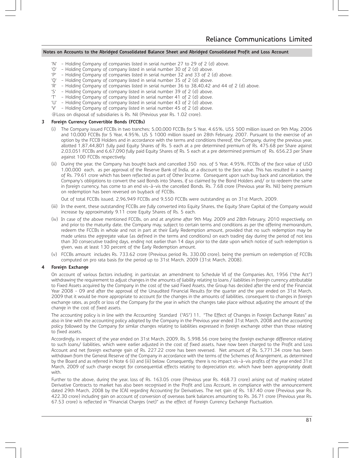- 'N' Holding Company of companies listed in serial number 27 to 29 of 2 (d) above.
- 'O' Holding Company of company listed in serial number 30 of 2 (d) above.
- 'P' Holding Company of companies listed in serial number 32 and 33 of 2 (d) above.
- 'Q' Holding Company of company listed in serial number 35 of 2 (d) above.
- 'R' Holding Company of companies listed in serial number 36 to 38,40,42 and 44 of 2 (d) above.<br>'S' Holding Company of company listed in serial number 39 of 2 (d) above.
- 'S' Holding Company of company listed in serial number 39 of 2 (d) above.<br>'T' Holding Company of company listed in serial number 41 of 2 (d) above
- Holding Company of company listed in serial number 41 of 2 (d) above.
- 'U' Holding Company of company listed in serial number 43 of 2 (d) above.
- Holding Company of company listed in serial number 45 of 2 (d) above.
- @Loss on disposal of subsidiaries is Rs. Nil (Previous year Rs. 1.02 crore).

## **3 Foreign Currency Convertible Bonds (FCCBs)**

- (i) The Company issued FCCBs in two tranches; 5,00,000 FCCBs for 5 Year, 4.65%, US\$ 500 million issued on 9th May, 2006 and 10,000 FCCBs for 5 Year, 4.95%, US \$ 1000 million issued on 28th February, 2007. Pursuant to the exercise of an option by the FCCB Holders and in accordance with the terms and conditions thereof, the Company, during the previous year, allotted 1,87,44,801 fully paid Equity Shares of Rs. 5 each at a pre determined premium of Rs. 475.68 per Share against 2,03,051 FCCBs and 6,67,090 fully paid Equity Shares of Rs. 5 each at a pre determined premium of Rs. 656.23 per Share against 100 FCCBs respectively.
- (ii) During the year, the Company has bought back and cancelled 350 nos. of 5 Year, 4.95%, FCCBs of the face value of USD 1,00,000 each, as per approval of the Reserve Bank of India, at a discount to the face value. This has resulted in a saving of Rs. 79.61 crore which has been reflected as part of Other Income. Consequent upon such buy back and cancellation, the Company's obligations to convert the said Bonds into Shares, if so claimed by the Bond Holders and/ or to redeem the same in foreign currency, has come to an end vis-à-vis the cancelled Bonds. Rs. 7.68 crore (Previous year Rs. Nil) being premium on redemption has been reversed on buyback of FCCBs.

Out of total FCCBs issued, 2,96,949 FCCBs and 9,550 FCCBs were outstanding as on 31st March, 2009.

- (iii) In the event, these outstanding FCCBs are fully converted into Equity Shares, the Equity Share Capital of the Company would increase by approximately 9.11 crore Equity Shares of Rs. 5 each.
- (iv) In case of the above mentioned FCCBs, on and at anytime after 9th May, 2009 and 28th February, 2010 respectively, on and prior to the maturity date, the Company may, subject to certain terms and conditions as per the offering memorandum, redeem the FCCBs in whole and not in part at their Early Redemption amount, provided that no such redemption may be made unless the aggregate value (as defined in the terms and conditions) on each trading day during the period of not less than 30 consecutive trading days, ending not earlier than 14 days prior to the date upon which notice of such redemption is given, was at least 130 percent of the Early Redemption amount.
- (v) FCCBs amount includes Rs. 733.62 crore (Previous period Rs. 330.00 crore), being the premium on redemption of FCCBs computed on pro rata basis for the period up to 31st March, 2009 (31st March, 2008).

## **4 Foreign Exchange**

On account of various factors including, in particular, an amendment to Schedule VI of the Companies Act, 1956 ("the Act") withdrawing the requirement to adjust changes in the amounts of liability relating to loans / liabilities in foreign currency attributable to Fixed Assets acquired by the Company in the cost of the said Fixed Assets, the Group has decided after the end of the Financial Year 2008 - 09 and after the approval of the Unaudited Financial Results for the quarter and the year ended on 31st March, 2009 that it would be more appropriate to account for the changes in the amounts of liabilities, consequent to changes in foreign exchange rates, as profit or loss of the Company for the year in which the changes take place without adjusting the amount of the change in the cost of fixed assets.

The accounting policy is in line with the Accounting Standard ("AS") 11, "The Effect of Changes in Foreign Exchange Rates" as also in line with the accounting policy adopted by the Company in the Previous year ended 31st March, 2008 and the accounting policy followed by the Company for similar changes relating to liabilities expressed in foreign exchange other than those relating to fixed assets.

Accordingly, in respect of the year ended on 31st March, 2009, Rs. 5,998.56 crore being the foreign exchange difference relating to such loans/ liabilities, which were earlier adjusted in the cost of fixed assets, have now been charged to the Profit and Loss Account and net foreign exchange gain of Rs. 227.22 crore has been reversed. Net amount of Rs. 5,771.34 crore has been withdrawn from the General Reserve of the Company in accordance with the terms of the Schemes of Arrangement, as determined by the Board and as referred in Note 6 (ii) and (iii) below. Consequently, there is no impact vis-à-vis profits of the year ended 31st March, 2009 of such charge except for consequential effects relating to depreciation etc. which have been appropriately dealt with.

Further to the above, during the year, loss of Rs. 163.05 crore (Previous year Rs. 468.73 crore) arising out of marking related Derivative Contracts to market has also been recognised in the Profit and Loss Account, in compliance with the announcement dated 29th March, 2008 by the ICAI regarding Accounting for Derivatives. The net gain of Rs. 187.40 crore (Previous year Rs. 422.30 crore) including gain on account of conversion of overseas bank balances amounting to Rs. 36.71 crore (Previous year Rs. 67.53 crore) is reflected in "Financial Charges (net)" as the effect of Foreign Currency Exchange Fluctuation.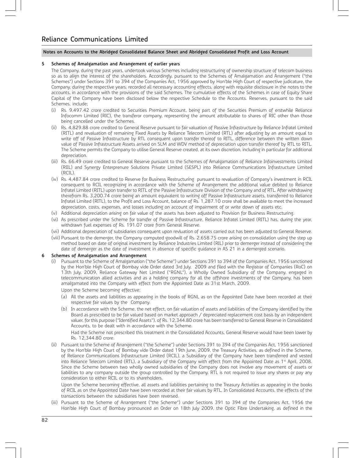## **5 Schemes of Amalgamation and Arrangement of earlier years**

The Company, during the past years, undertook various Schemes including restructuring of ownership structure of telecom business so as to align the interest of the shareholders. Accordingly, pursuant to the Schemes of Amalgamation and Arrangement ("the Schemes") under Sections 391 to 394 of the Companies Act, 1956 approved by Hon'ble High Court of respective judicature, the Company, during the respective years, recorded all necessary accounting effects, along with requisite disclosure in the notes to the accounts, in accordance with the provisions of the said Schemes. The cumulative effects of the Schemes in case of Equity Share Capital of the Company have been disclosed below the respective Schedule to the Accounts. Reserves, pursuant to the said Schemes, include;

- (i) Rs. 9,497.42 crore credited to Securities Premium Account, being part of the Securities Premium of erstwhile Reliance Infocomm Limited (RIC), the transferor company, representing the amount attributable to shares of RIC other than those being cancelled under the Schemes.
- (ii) Rs. 4,829.88 crore credited to General Reserve pursuant to fair valuation of Passive Infrastructure by Reliance Infratel Limited (RITL) and revaluation of remaining Fixed Assets by Reliance Telecom Limited (RTL) after adjusting by an amount equal to write off of Passive Infrastructure by RTL consequent upon transfer thereof to RITL, difference between the written down value of Passive Infrastructure Assets arrived on SLM and WDV method of depreciation upon transfer thereof by RTL to RITL. The Scheme permits the Company to utilise General Reserve created, at its own discretion, including in particular for additional depreciation.
- (iii) Rs. 66.49 crore credited to General Reserve pursuant to the Schemes of Amalgamation of Reliance Infoinvestments Limited (RIIL) and Synergy Enterprenure Solutions Private Limited (SESPL) into Reliance Communications Infrastructure Limited (RCIL).
- (iv) Rs. 4,487.84 crore credited to Reserve for Business Restructuring pursuant to revaluation of Company's investment in RCIL consequent to RCIL recognizing in accordance with the Scheme of Arrangement the additional value debited to Reliance Infratel Limited (RITL) upon transfer to RITL of the Passive Infrastructure Division of the Company and of RTL. After withdrawing therefrom Rs. 3,200.74 crore being an amount equivalent to writing off Passive Infrastructure assets, transferred to Reliance Infratel Limited (RITL), to the Profit and Loss Account, balance of Rs. 1,287.10 crore shall be available to meet the increased depreciation, costs, expenses, and losses including on account of impairment of or write down of assets etc.
- (v) Additional depreciation arising on fair value of the assets has been adjusted to Provision for Business Restructuring.
- (vi) As prescribed under the Scheme for transfer of Passive Infrastructure, Reliance Infratel Limited (RITL) has, during the year, withdrawn fuel expenses of Rs. 191.07 crore from General Reserve.
- (vii) Additional depreciation of subsidiaries consequent upon revluation of assets carried out has been adjusted to General Reserve.
- (viii) Pursuant to the demerger, the Company computed goodwill of Rs. 2,658.75 crore arising on consolidation using the step up method based on date of original investment by Reliance Industries Limited (RIL) prior to demerger instead of considering the date of demerger as the date of investment in absence of specific guidance in AS 21 in a demerged scenario.

## **6 Schemes of Amalgamation and Arrangement**

- (i) Pursuant to the Scheme of Amalgamation ("the Scheme") under Sections 391 to 394 of the Companies Act, 1956 sanctioned by the Hon'ble High Court of Bombay vide Order dated 3rd July, 2009 and filed with the Registrar of Companies (RoC) on 13th July, 2009, Reliance Gateway Net Limited ("RGNL"), a Wholly Owned Subsidiary of the Company, engaged in telecommunication allied activities and as a holding company for all the offshore investments of the Company, has been amalgamated into the Company with effect from the Appointed Date as 31st March, 2009.
	- Upon the Scheme becoming effective;
	- (a) All the assets and liabilities as appearing in the books of RGNL as on the Appointed Date have been recorded at their respective fair values by the Company.
	- (b) In accordance with the Scheme, the net effect, on fair valuation of assets and liabilities of the Company identified by the Board as prescribed to be fair valued based on market approach / depreciated replacement cost basis by an independent valuer, for this purpose ("Identified Assets"), of Rs. 12,344.80 crore has been transferred to General Reserve in Consolidated Accounts, to be dealt with in accordance with the Scheme.

Had the Scheme not prescribed this treatment in the Consolidated Accounts, General Reserve would have been lower by Rs. 12,344.80 crore.

(ii) Pursuant to the Scheme of Arrangement ("the Scheme") under Sections 391 to 394 of the Companies Act, 1956 sanctioned by the Hon'ble High Court of Bombay vide Order dated 19th June, 2009, the Treasury Activities, as defined in the Scheme, of Reliance Communications Infrastructure Limited (RCIL), a Subsidiary of the Company have been transferred and vested into Reliance Telecom Limited (RTL), a Subsidiary of the Company with effect from the Appointed Date as  $1<sup>st</sup>$  April, 2008. Since the Scheme between two wholly owned subsidiaries of the Company does not involve any movement of assets or liabilities to any company outside the group controlled by the Company, RTL is not required to issue any shares or pay any consideration to either RCIL or to its shareholders.

Upon the Scheme becoming effective, all assets and liabilities pertaining to the Treasury Activities as appearing in the books of RCIL as on the Appointed Date have been recorded at their fair values by RTL. In Consolidated Accounts, the effects of the transactions between the subsidiaries have been reversed.

(iii) Pursuant to the Scheme of Arrangement ("the Scheme") under Sections 391 to 394 of the Companies Act, 1956 the Hon'ble High Court of Bombay pronounced an Order on 18th July 2009, the Optic Fibre Undertaking, as defined in the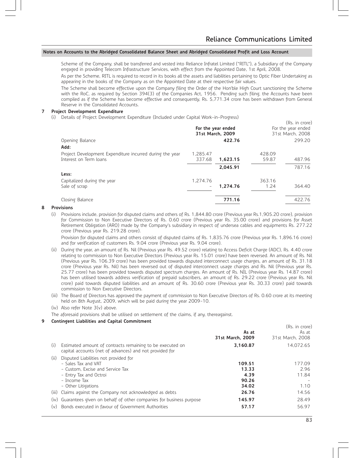Scheme of the Company, shall be transferred and vested into Reliance Infratel Limited ("RITL"), a Subsidiary of the Company engaged in providing Telecom Infrastructure Services, with effect from the Appointed Date, 1st April, 2008.

As per the Scheme, RITL is required to record in its books all the assets and liabilities pertaining to Optic Fiber Undertaking as appearing in the books of the Company as on the Appointed Date at their respective fair values.

The Scheme shall become effective upon the Company filing the Order of the Hon'ble High Court sanctioning the Scheme with the RoC, as required by Section 394(3) of the Companies Act, 1956. Pending such filing, the Accounts have been compiled as if the Scheme has become effective and consequently, Rs. 5,771.34 crore has been withdrawn from General Reserve in the Consolidated Accounts.

## **7 Project Development Expenditure**

(i) Details of Project Development Expenditure (Included under Capital Work-in-Progress)

| petallo of the local percleptions experiences (methods direct capital ribilities in order of<br>Opening Balance |          | For the year ended<br>31st March, 2009<br>422.76 |        | (Rs. in crore)<br>For the year ended<br>31st March, 2008<br>299.20 |
|-----------------------------------------------------------------------------------------------------------------|----------|--------------------------------------------------|--------|--------------------------------------------------------------------|
| Add:                                                                                                            |          |                                                  |        |                                                                    |
| Project Development Expenditure incurred during the year                                                        | 1.285.47 |                                                  | 428.09 |                                                                    |
| Interest on Term loans                                                                                          | 337.68   | 1.623.15                                         | 59.87  | 487.96                                                             |
|                                                                                                                 |          | 2.045.91                                         |        | 787.16                                                             |
| Less:                                                                                                           |          |                                                  |        |                                                                    |
| Capitalized during the year                                                                                     | 1.274.76 |                                                  | 363.16 |                                                                    |
| Sale of scrap                                                                                                   |          | 1.274.76                                         | 1.24   | 364.40                                                             |
| Closing Balance                                                                                                 |          | 771.16                                           |        | 422.76                                                             |

#### **8 Provisions**

(i) Provisions include, provision for disputed claims and others of Rs. 1,844.80 crore (Previous year Rs.1,905.20 crore), provision for Commission to Non Executive Directors of Rs. 0.60 crore (Previous year Rs. 35.00 crore) and provisions for Asset Retirement Obligation (ARO) made by the Company's subsidiary in respect of undersea cables and equipments Rs. 277.22 crore (Previous year Rs. 219.28 crore).

Provision for disputed claims and others consist of disputed claims of Rs. 1,835.76 crore (Previous year Rs. 1,896.16 crore) and for verification of customers Rs. 9.04 crore (Previous year Rs. 9.04 crore).

- (ii) During the year, an amount of Rs. Nil (Previous year Rs. 49.52 crore) relating to Access Deficit Charge (ADC), Rs. 4.40 crore relating to commission to Non Executive Directors (Previous year Rs. 15.01 crore) have been reversed. An amount of Rs. Nil (Previous year Rs. 106.39 crore) has been provided towards disputed interconnect usage charges, an amount of Rs. 31.18 crore (Previous year Rs. Nil) has been reversed out of disputed interconnect usage charges and Rs. Nil (Previous year Rs. 25.77 crore) has been provided towards disputed spectrum charges. An amount of Rs. NIL (Previous year Rs. 14.87 crore) has been utilised towards address verification of prepaid subscribers, an amount of Rs. 29.22 crore (Previous year Rs. Nil crore) paid towards disputed liabilities and an amount of Rs. 30.60 crore (Previous year Rs. 30.33 crore) paid towards commission to Non Executive Directors.
- (iii) The Board of Directors has approved the payment of commission to Non Executive Directors of Rs. 0.60 crore at its meeting held on 8th August, 2009, which will be paid during the year 2009-10.
- (iv) Also refer Note 3(v) above.

The aforesaid provisions shall be utilised on settlement of the claims, if any, thereagainst.

## **9 Contingent Liabilities and Capital Commitment**

|      |                                                                                                                      |                  | (Rs. in crore)   |
|------|----------------------------------------------------------------------------------------------------------------------|------------------|------------------|
|      |                                                                                                                      | As at            | As at            |
|      |                                                                                                                      | 31st March, 2009 | 31st March, 2008 |
| (i)  | Estimated amount of contracts remaining to be executed on<br>capital accounts (net of advances) and not provided for | 3,160.87         | 14.072.65        |
| (ii) | Disputed Liabilities not provided for                                                                                |                  |                  |
|      | - Sales Tax and VAT                                                                                                  | 109.51           | 177.09           |
|      | - Custom, Excise and Service Tax                                                                                     | 13.33            | 2.96             |
|      | - Entry Tax and Octroi                                                                                               | 4.39             | 11.84            |
|      | - Income Tax                                                                                                         | 90.26            |                  |
|      | - Other Litigations                                                                                                  | 34.02            | 1.10             |
|      | (iii) Claims against the Company not acknowledged as debts                                                           | 26.76            | 14.56            |
|      | (iv) Guarantees given on behalf of other companies for business purpose                                              | 145.97           | 28.49            |
| (v)  | Bonds executed in favour of Government Authorities                                                                   | 57.17            | 56.97            |
|      |                                                                                                                      |                  |                  |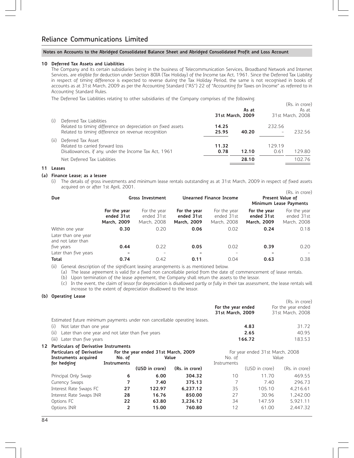## **10 Deferred Tax Assets and Liabilities**

The Company and its certain subsidiaries being in the business of Telecommunication Services, Broadband Network and Internet Services, are eligible for deduction under Section 80IA (Tax Holiday) of the Income tax Act, 1961. Since the Deferred Tax Liability in respect of timing difference is expected to reverse during the Tax Holiday Period, the same is not recognised in books of accounts as at 31st March, 2009 as per the Accounting Standard ("AS") 22 of "Accounting for Taxes on Income" as referred to in Accounting Standard Rules.

The Deferred Tax Liabilities relating to other subsidiaries of the Company comprises of the following.

|      | a alan an imit manangan tangguni dan antara anggunian al-ang-antalan tanggunian al-ang lang nuniti                                              |                | As at<br>31st March. 2009 |                | (Rs. in crore)<br>As at<br>31st March, 2008 |
|------|-------------------------------------------------------------------------------------------------------------------------------------------------|----------------|---------------------------|----------------|---------------------------------------------|
| (i)  | Deferred Tax Liabilities<br>Related to timing difference on depreciation on fixed assets<br>Related to timing difference on revenue recognition | 14.25<br>25.95 | 40.20                     | 232.56         | 232.56                                      |
| (ii) | Deferred Tax Asset<br>Related to carried forward loss<br>Disallowances, if any, under the Income Tax Act, 1961                                  | 11.32<br>0.78  | 12.10                     | 129.19<br>0.61 | 129.80                                      |
|      | Net Deferred Tax Liabilities                                                                                                                    |                | 28.10                     |                | 102.76                                      |

## **11 Leases**

## **(a) Finance Lease; as a lessee**

(i) The details of gross investments and minimum lease rentals outstanding as at 31st March, 2009 in respect of fixed assets acquired on or after 1st April, 2001.

|                                                              |                                                  |                                                           |                                           |                                            |                                           | (Rs. in crore)                            |
|--------------------------------------------------------------|--------------------------------------------------|-----------------------------------------------------------|-------------------------------------------|--------------------------------------------|-------------------------------------------|-------------------------------------------|
| Due                                                          |                                                  | <b>Unearned Finance Income</b><br><b>Gross Investment</b> |                                           | Present Value of<br>Minimum Lease Payments |                                           |                                           |
|                                                              | For the year<br>ended 31st<br><b>March, 2009</b> | For the year<br>ended 31st<br>March, 2008                 | For the year<br>ended 31st<br>March, 2009 | For the year<br>ended 31st<br>March, 2008  | For the year<br>ended 31st<br>March, 2009 | For the year<br>ended 31st<br>March, 2008 |
| Within one year<br>Later than one year<br>and not later than | 0.30                                             | 0.20                                                      | 0.06                                      | 0.02                                       | 0.24                                      | 0.18                                      |
| five years                                                   | 0.44                                             | 0.22                                                      | 0.05                                      | 0.02                                       | 0.39                                      | 0.20                                      |
| Later than five years                                        |                                                  | -                                                         |                                           |                                            |                                           |                                           |
| <b>Total</b>                                                 | 0.74                                             | 0.42                                                      | 0.11                                      | 0.04                                       | 0.63                                      | 0.38                                      |

(ii) General description of the significant leasing arrangements is as mentioned below.

(a) The lease agreement is valid for a fixed non cancellable period from the date of commencement of lease rentals.

(b) Upon termination of the lease agreement, the Company shall return the assets to the lessor.

(c) In the event, the claim of lessor for depreciation is disallowed partly or fully in their tax assessment, the lease rentals will increase to the extent of depreciation disallowed to the lessor.

## **(b) Operating Lease**

|    |                                                                           |             |                                     |                |                    |                                 | (Rs. in crore)     |
|----|---------------------------------------------------------------------------|-------------|-------------------------------------|----------------|--------------------|---------------------------------|--------------------|
|    |                                                                           |             |                                     |                | For the year ended |                                 | For the year ended |
|    |                                                                           |             |                                     |                | 31st March, 2009   |                                 | 31st March, 2008   |
|    | Estimated future minimum payments under non cancellable operating leases. |             |                                     |                |                    |                                 |                    |
|    | Not later than one year<br>(i)                                            |             |                                     |                |                    | 4.83                            | 31.72              |
|    | Later than one year and not later than five years<br>(ii)                 |             |                                     |                |                    | 2.65                            | 40.95              |
|    | Later than five years<br>(iii)                                            |             |                                     |                |                    | 166.72                          | 183.53             |
| 12 | Particulars of Derivative Instruments                                     |             |                                     |                |                    |                                 |                    |
|    | <b>Particulars of Derivative</b>                                          |             | For the year ended 31st March, 2009 |                |                    | For year ended 31st March, 2008 |                    |
|    | Instruments acquired                                                      | No. of      |                                     | Value          | No. of             |                                 | Value              |
|    | for hedging                                                               | Instruments |                                     |                | Instruments        |                                 |                    |
|    |                                                                           |             | (USD in crore)                      | (Rs. in crore) |                    | (USD in crore)                  | (Rs. in crore)     |
|    | Principal Only Swap                                                       | 6           | 6.00                                | 304.32         | 10                 | 11.70                           | 469.55             |
|    | Currency Swaps                                                            | 7           | 7.40                                | 375.13         |                    | 7.40                            | 296.73             |
|    | Interest Rate Swaps FC                                                    | 27          | 122.97                              | 6.237.12       | 35                 | 105.10                          | 4.216.61           |
|    | Interest Rate Swaps INR                                                   | 28          | 16.76                               | 850.00         | 27                 | 30.96                           | 1.242.00           |
|    | Options FC                                                                | 22          | 63.80                               | 3,236.12       | 34                 | 147.59                          | 5.921.11           |
|    | Options INR                                                               | 2           | 15.00                               | 760.80         | 12                 | 61.00                           | 2.447.32           |
|    |                                                                           |             |                                     |                |                    |                                 |                    |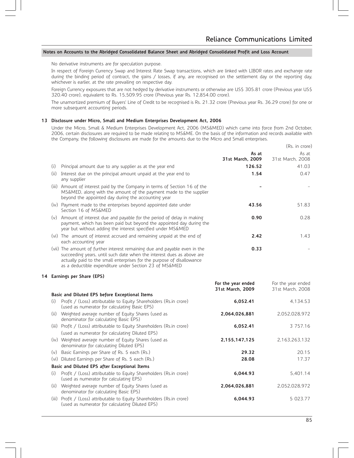No derivative instruments are for speculation purpose.

In respect of Foreign Currency Swap and Interest Rate Swap transactions, which are linked with LIBOR rates and exchange rate during the binding period of contract, the gains / losses, if any, are recognised on the settlement day or the reporting day, whichever is earlier, at the rate prevailing on respective day.

Foreign Currency exposures that are not hedged by derivative instruments or otherwise are US\$ 305.81 crore (Previous year US\$ 320.40 crore), equivalent to Rs. 15,509.95 crore (Previous year Rs. 12,854.00 crore).

The unamortized premium of Buyers' Line of Credit to be recognised is Rs. 21.32 crore (Previous year Rs. 36.29 crore) for one or more subsequent accounting periods.

#### **13 Disclosure under Micro, Small and Medium Enterprises Development Act, 2006**

Under the Micro, Small & Medium Enterprises Development Act, 2006 (MS&MED) which came into force from 2nd October, 2006, certain disclosures are required to be made relating to MS&ME. On the basis of the information and records available with the Company, the following disclosures are made for the amounts due to the Micro and Small enterprises.

|     |                                                                                                                                                                                                                                                                                         |                                        | (Rs. in crore)                         |
|-----|-----------------------------------------------------------------------------------------------------------------------------------------------------------------------------------------------------------------------------------------------------------------------------------------|----------------------------------------|----------------------------------------|
|     |                                                                                                                                                                                                                                                                                         | As at<br>31st March, 2009              | As at<br>31st March, 2008              |
| (i) | Principal amount due to any supplier as at the year end                                                                                                                                                                                                                                 | 126.52                                 | 41.03                                  |
|     | (ii) Interest due on the principal amount unpaid at the year end to<br>any supplier                                                                                                                                                                                                     | 1.54                                   | 0.47                                   |
|     | (iii) Amount of interest paid by the Company in terms of Section 16 of the<br>MS&MED, along with the amount of the payment made to the supplier<br>beyond the appointed day during the accounting year                                                                                  |                                        |                                        |
|     | (iv) Payment made to the enterprises beyond appointed date under<br>Section 16 of MS&MED                                                                                                                                                                                                | 43.56                                  | 51.83                                  |
|     | (v) Amount of interest due and payable for the period of delay in making<br>payment, which has been paid but beyond the appointed day during the<br>year but without adding the interest specified under MS&MED                                                                         | 0.90                                   | 0.28                                   |
|     | (vi) The amount of interest accrued and remaining unpaid at the end of<br>each accounting year                                                                                                                                                                                          | 2.42                                   | 1.43                                   |
|     | (vii) The amount of further interest remaining due and payable even in the<br>succeeding years, until such date when the interest dues as above are<br>actually paid to the small enterprises for the purpose of disallowance<br>as a deductible expenditure under Section 23 of MS&MED | 0.33                                   |                                        |
|     | 14 Earnings per Share (EPS)                                                                                                                                                                                                                                                             |                                        |                                        |
|     |                                                                                                                                                                                                                                                                                         | For the year ended<br>31st March, 2009 | For the year ended<br>31st March, 2008 |
|     | Basic and Diluted EPS before Exceptional Items                                                                                                                                                                                                                                          |                                        |                                        |
| (i) | Profit / (Loss) attributable to Equity Shareholders (Rs.in crore)<br>(used as numerator for calculating Basic EPS)                                                                                                                                                                      | 6,052.41                               | 4,134.53                               |
|     | (ii) Weighted average number of Equity Shares (used as<br>denominator for calculating Basic EPS)                                                                                                                                                                                        | 2,064,026,881                          | 2,052,028,972                          |
|     | (iii) Profit / (Loss) attributable to Equity Shareholders (Rs.in crore)<br>(used as numerator for calculating Diluted EPS)                                                                                                                                                              | 6,052.41                               | 3 757.16                               |
|     | (iv) Weighted average number of Equity Shares (used as<br>denominator for calculating Diluted EPS)                                                                                                                                                                                      | 2,155,147,125                          | 2,163,263,132                          |
|     | (v) Basic Earnings per Share of Rs. 5 each (Rs.)                                                                                                                                                                                                                                        | 29.32                                  | 20.15                                  |
|     | (vi) Diluted Earnings per Share of Rs. 5 each (Rs.)                                                                                                                                                                                                                                     | 28.08                                  | 17.37                                  |
|     | Basic and Diluted EPS after Exceptional Items                                                                                                                                                                                                                                           |                                        |                                        |
| (i) | Profit / (Loss) attributable to Equity Shareholders (Rs.in crore)<br>(used as numerator for calculating EPS)                                                                                                                                                                            | 6,044.93                               | 5,401.14                               |
|     | (ii) Weighted average number of Equity Shares (used as<br>depeningtor for calculating Racic EDS)                                                                                                                                                                                        | 2,064,026,881                          | 2,052,028,972                          |

denominator for calculating Basic EPS) (iii) Profit / (Loss) attributable to Equity Shareholders (Rs.in crore) **6,044.93** 5 023.77 (used as numerator for calculating Diluted EPS)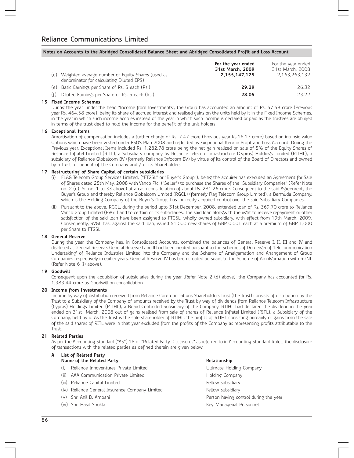|     | (d) Weighted average number of Equity Shares (used as<br>denominator for calculating Diluted EPS) | For the year ended<br>31st March. 2009<br>2.155.147.125 | For the year ended<br>31st March, 2008<br>2.163.263.132 |
|-----|---------------------------------------------------------------------------------------------------|---------------------------------------------------------|---------------------------------------------------------|
|     | (e) Basic Earnings per Share of Rs. 5 each (Rs.)                                                  | 29.29                                                   | 26.32                                                   |
| (f) | Diluted Earnings per Share of Rs. 5 each (Rs.)                                                    | 28.05                                                   | 23.22                                                   |

## **15 Fixed Income Schemes**

During the year, under the head "Income from Investments", the Group has accounted an amount of Rs. 57.59 crore (Previous year Rs. 464.58 crore), being its share of accrued interest and realised gains on the units held by it in the Fixed Income Schemes, in the year in which such income accrues instead of the year in which such income is declared or paid as the trustees are obliged in terms of the trust deed to hold the income for the benefit of the unit holders.

#### **16 Exceptional Items**

Amortisation of compensation includes a further charge of Rs. 7.47 crore (Previous year Rs.16.17 crore) based on intrinsic value Options which have been vested under ESOS Plan 2008 and reflected as Excpetional Item in Profit and Loss Account. During the Previous year, Exceptional Items included Rs. 1,282.78 crore being the net gain realized on sale of 5% of the Equity Shares of Reliance Infratel Limited (RITL), a Subsidiary company by Reliance Telecom Infrastructure (Cyprus) Holdings Limited (RTIHL), a subsidiary of Reliance Globalcom BV (formerly Reliance Infocom BV) by virtue of its control of the Board of Directors and owned by a Trust for benefit of the Company and / or its Shareholders.

#### **17 Restructuring of Share Capital of certain subsidiaries**

- (i) FLAG Telecom Group Services Limited, ("FTGSL" or "Buyer's Group"), being the acquirer has executed an Agreement for Sale of Shares dated 25th May, 2008 with Vanco Plc. ("Seller") to purchase the Shares of the "Subsidiary Companies" (Refer Note no. 2 (d), Sr. no. 1 to 33 above) at a cash consideration of about Rs. 281.26 crore. Consequent to the said Agreement, the Buyer's Group and thereby Reliance Globalcom Limited (RGCL) (formerly Flag Telecom Group Limited), a Bermuda Company, which is the Holding Company of the Buyer's Group, has indirectly acquired control over the said Subsidiary Companies.
- (ii) Pursuant to the above, RGCL, during the period upto 31st December, 2008, extended loan of Rs. 369.70 crore to Reliance Vanco Group Limited (RVGL) and to certain of its subsidiaries. The said loan alongwith the right to receive repayment or other satisfaction of the said loan have been assigned to FTGSL, wholly owned subsidiary, with effect from 19th March, 2009. Consequently, RVGL has, against the said loan, issued 51,000 new shares of GBP 0.001 each at a premium of GBP 1,000 per Share to FTGSL.

## **18 General Reserve**

During the year, the Company has, in Consolidated Accounts, combined the balances of General Reserve I, II, III and IV and disclosed as General Reserve. General Reserve I and II had been created pursuant to the Schemes of Demerger of 'Telecommunication Undertaking' of Reliance Industries Limited into the Company and the Scheme of Amalgamation and Arrangement of Group Companies respectively in earlier years. General Reserve IV has been created pursuant to the Scheme of Amalgamation with RGNL (Refer Note 6 (i) above).

#### **19 Goodwill**

Consequent upon the acquisition of subsidiaries during the year (Refer Note 2 (d) above), the Company has accounted for Rs. 1,383.44 crore as Goodwill on consolidation.

## **20 Income from Investments**

Income by way of distribution received from Reliance Communications Shareholders Trust (the Trust) consists of distribution by the Trust to a Subsidiary of the Company of amounts received by the Trust by way of dividends from Reliance Telecom Infrastructure (Cyprus) Holdings Limited (RTIHL), a Board Controlled Subsidiary of the Company. RTIHL had declared the dividend in the year ended on 31st March, 2008 out of gains realised from sale of shares of Reliance Infratel Limited (RITL), a Subsidiary of the Company, held by it. As the Trust is the sole shareholder of RTIHL, the profits of RTIHL consisting primarily of gains from the sale of the said shares of RITL were in that year excluded from the profits of the Company as representing profits attributable to the Trust.

## **21 Related Parties**

As per the Accounting Standard ("AS") 18 of "Related Party Disclosures" as referred to in Accounting Standard Rules, the disclosure of transactions with the related parties as defined therein are given below.

## **A List of Related Party**

## Name of the Related Party **Relationship** Relationship

- (i) Reliance Innoventures Private Limited Ultimate Holding Company
- (ii) AAA Communication Private Limited **Holding Company**
- (iii) Reliance Capital Limited **Fellow subsidiary** Fellow subsidiary
- (iv) Reliance General Insurance Company Limited Fellow subsidiary
- 
- 

(v) Shri Anil D. Ambani Person having control during the year (vi) Shri Hasit Shukla Key Managerial Personnel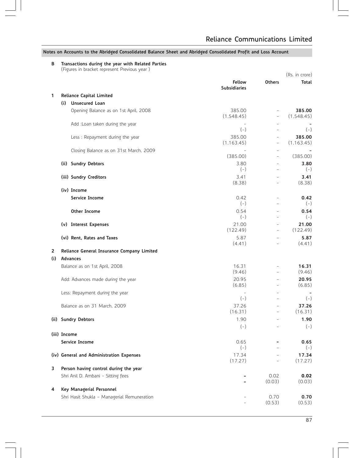**B Transactions during the year with Related Parties** (Figures in bracket represent Previous year )

|          |                                    |                                             |                                      |                               | (Rs. in crore)                       |
|----------|------------------------------------|---------------------------------------------|--------------------------------------|-------------------------------|--------------------------------------|
|          |                                    |                                             | <b>Fellow</b><br><b>Subsidiaries</b> | <b>Others</b>                 | Total                                |
| 1        | <b>Reliance Capital Limited</b>    |                                             |                                      |                               |                                      |
|          | <b>Unsecured Loan</b><br>(i)       |                                             |                                      |                               |                                      |
|          |                                    | Opening Balance as on 1st April, 2008       | 385.00<br>(1,548.45)                 | $\overline{\phantom{a}}$      | 385.00<br>(1,548.45)                 |
|          |                                    | Add :Loan taken during the year             | $(-)$                                |                               | $(-)$                                |
|          |                                    | Less : Repayment during the year            | 385.00<br>(1, 163.45)                | $\qquad \qquad -$             | 385.00<br>(1, 163.45)                |
|          |                                    | Closing Balance as on 31st March, 2009      | (385.00)                             | ÷<br>$\overline{\phantom{0}}$ | $\overline{\phantom{a}}$<br>(385.00) |
|          | (ii) Sundry Debtors                |                                             | 3.80<br>$(-)$                        | ÷,<br>÷,                      | 3.80<br>$(-)$                        |
|          | (iii) Sundry Creditors             |                                             | 3.41<br>(8.38)                       |                               | 3.41<br>(8.38)                       |
|          | (iv) Income                        |                                             |                                      |                               |                                      |
|          | Service Income                     |                                             | 0.42<br>$(-)$                        | ÷,                            | 0.42<br>$(-)$                        |
|          | Other Income                       |                                             | 0.54<br>$(-)$                        |                               | 0.54<br>$(-)$                        |
|          | (v) Interest Expenses              |                                             | 21.00<br>(122.49)                    | ÷<br>$\overline{\phantom{a}}$ | 21.00<br>(122.49)                    |
|          | (vi) Rent, Rates and Taxes         |                                             | 5.87<br>(4.41)                       | ÷,                            | 5.87<br>(4.41)                       |
| 2<br>(i) | <b>Advances</b>                    | Reliance General Insurance Company Limited  |                                      |                               |                                      |
|          | Balance as on 1st April, 2008      |                                             | 16.31<br>(9.46)                      | ÷<br>$\overline{a}$           | 16.31<br>(9.46)                      |
|          |                                    | Add: Advances made during the year          | 20.95<br>(6.85)                      |                               | 20.95<br>(6.85)                      |
|          | Less: Repayment during the year    |                                             | $\overline{\phantom{0}}$<br>$(-)$    | ÷,                            | $\overline{\phantom{0}}$<br>$(-)$    |
|          | Balance as on 31 March, 2009       |                                             | 37.26<br>(16.31)                     | ÷<br>$\qquad \qquad -$        | 37.26<br>(16.31)                     |
|          | (ii) Sundry Debtors                |                                             | 1.90<br>$(-)$                        |                               | 1.90<br>$(-)$                        |
|          | (iii) Income                       |                                             |                                      |                               |                                      |
|          | Service Income                     |                                             | 0.65<br>$(-)$                        |                               | 0.65<br>$(-)$                        |
|          |                                    | (iv) General and Administration Expenses    | 17.34<br>(17.27)                     |                               | 17.34<br>(17.27)                     |
| 3        |                                    | Person having control during the year       |                                      |                               |                                      |
|          | Shri Anil D. Ambani - Sitting fees |                                             |                                      | 0.02<br>(0.03)                | 0.02<br>(0.03)                       |
| 4        | Key Managerial Personnel           | Shri Hasit Shukla - Managerial Remuneration |                                      | 0.70<br>(0.53)                | 0.70<br>(0.53)                       |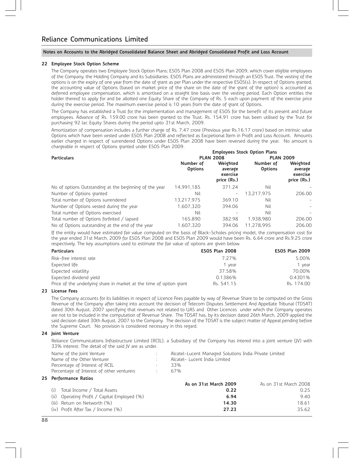## **22 Employee Stock Option Scheme**

The Company operates two Employee Stock Option Plans; ESOS Plan 2008 and ESOS Plan 2009, which cover eligible employees of the Company, the Holding Company and its Subsidiaries. ESOS Plans are administered through an ESOS Trust. The vesting of the options is on the expiry of one year from the date of grant as per Plan under the respective ESOS(s). In respect of Options granted, the accounting value of Options (based on market price of the share on the date of the grant of the option) is accounted as deferred employee compensation, which is amortised on a straight line basis over the vesting period. Each Option entitles the holder thereof to apply for and be allotted one Equity Share of the Company of Rs. 5 each upon payment of the exercise price during the exercise period. The maximum exercise period is 10 years from the date of grant of Options.

The Company has established a Trust for the implementation and management of ESOS for the benefit of its present and future employees. Advance of Rs. 159.00 crore has been granted to the Trust. Rs. 154.91 crore has been utilised by the Trust for purchasing 92 lac Equity Shares during the period upto 31st March, 2009.

Amortization of compensation includes a further charge of Rs. 7.47 crore (Previous year Rs.16.17 crore) based on intrinsic value Options which have been vested under ESOS Plan 2008 and reflected as Excpetional Item in Profit and Loss Account. Amounts earlier charged in respect of surrendered Options under ESOS Plan 2008 have been reversed during the year. No amount is chargeable in respect of Options granted under ESOS Plan 2009.

|                                                        |                             |                                                | <b>Employees Stock Option Plans</b> |                                                |  |
|--------------------------------------------------------|-----------------------------|------------------------------------------------|-------------------------------------|------------------------------------------------|--|
| <b>Particulars</b>                                     |                             | <b>PLAN 2008</b>                               |                                     | <b>PLAN 2009</b>                               |  |
|                                                        | Number of<br><b>Options</b> | Weighted<br>average<br>exercise<br>price (Rs.) | Number of<br><b>Options</b>         | Weighted<br>average<br>exercise<br>price (Rs.) |  |
| No of options Outstanding at the beginning of the year | 14.991.185                  | 371.24                                         | Nil                                 |                                                |  |
| Number of Options granted                              | Nil                         |                                                | 13.217.975                          | 206.00                                         |  |
| Total number of Options surrendered                    | 13.217.975                  | 369.10                                         | Nil                                 |                                                |  |
| Number of Options vested during the year               | 1.607.320                   | 394.06                                         | Nil                                 |                                                |  |
| Total number of Options exercised                      | Nil                         |                                                | Nil                                 |                                                |  |
| Total number of Options forfeited / lapsed             | 165.890                     | 382.98                                         | 1.938.980                           | 206.00                                         |  |
| No of Options outstanding at the end of the year       | 1.607.320                   | 394.06                                         | 11.278.995                          | 206.00                                         |  |

If the entity would have estimated fair value computed on the basis of Black-Scholes pricing model, the compensation cost for the year ended 31st March, 2009 for ESOS Plan 2008 and ESOS Plan 2009 would have been Rs. 6.64 crore and Rs.9.25 crore respectively. The key assumptions used to estimate the fair value of options are given below.

| <b>Particulars</b>                                                  | <b>ESOS Plan 2008</b> | <b>ESOS Plan 2009</b> |
|---------------------------------------------------------------------|-----------------------|-----------------------|
| Risk-free interest rate                                             | 7.27%                 | 5.00%                 |
| Expected life                                                       | 1 vear                | 1 vear                |
| Expected volatility                                                 | 37.58%                | 70.00%                |
| Expected dividend yield                                             | 0.1386%               | 0.4301%               |
| Price of the underlying share in market at the time of option grant | Rs. 541.15            | Rs. 174.00            |

## **23 License Fees**

The Company accounts for its liabilities in respect of Licence Fees payable by way of Revenue Share to be computed on the Gross Revenue of the Company after taking into account the decision of Telecom Disputes Settlement And Appellate Tribunal (TDSAT) dated 30th August, 2007 specifying that revenues not related to UAS and Other Licences under which the Company operates are not to be included in the computation of Revenue Share. The TDSAT has, by its decision dated 26th March, 2009 applied the said decision dated 30th August, 2007 to the Company. The decision of the TDSAT is the subject matter of Appeal pending before the Supreme Court. No provision is considered necessary in this regard.

## **24 Joint Venture**

Reliance Communications Infrastructure Limited (RCIL), a Subsidiary of the Company has intered into a joint venture (JV) with 33% interest. The detail of the said JV are as under.

| Name of the Joint Venture                 | Alcatel-Lucent Managed Solutions India Private Limited |
|-------------------------------------------|--------------------------------------------------------|
| Name of the Other Venturer                | Alcatel- Lucent India Limited                          |
| Percentage of Interest of RCIL            | 33%                                                    |
| Percentage of Interest of other venturers | 67%                                                    |

## **25 Performance Ratios**

|                                              | As on 31st March 2009 | As on 31st March 2008 |
|----------------------------------------------|-----------------------|-----------------------|
| (i) Total Income / Total Assets              | 0.22                  | 0.25                  |
| (ii) Operating Profit / Capital Employed (%) | 6.94                  | 9.40                  |
| (iii) Return on Networth (%)                 | 14.30                 | 18.61                 |
| $(iv)$ Profit After Tax / Income $(\%)$      | 27.23                 | 35.62                 |
|                                              |                       |                       |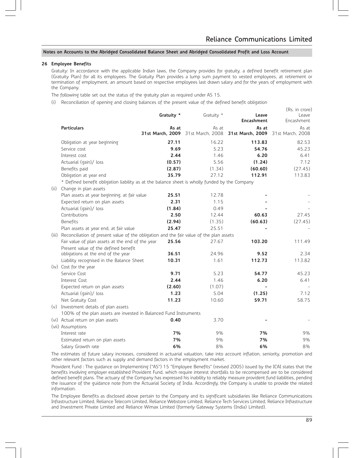## **26 Employee Benefits**

Gratuity: In accordance with the applicable Indian laws, the Company provides for gratuity, a defined benefit retirement plan (Gratuity Plan) for all its employees. The Gratuity Plan provides a lump sum payment to vested employees, at retirement or termination of employment, an amount based on respective employees last drawn salary and for the years of employment with the Company.

The following table set out the status of the gratuity plan as required under AS 15.

(i) Reconciliation of opening and closing balances of the present value of the defined benefit obligation

|       |                                                                                                                         | Gratuity * | Gratuity * | Leave<br>Encashment                                                          | (Rs. in crore)<br>Leave<br>Encashment |  |  |
|-------|-------------------------------------------------------------------------------------------------------------------------|------------|------------|------------------------------------------------------------------------------|---------------------------------------|--|--|
|       | <b>Particulars</b>                                                                                                      | As at      | As at      | As at<br>31st March, 2009 31st March, 2008 31st March, 2009 31st March, 2008 | As at                                 |  |  |
|       | Obligation at year beginning                                                                                            | 27.11      | 16.22      | 113.83                                                                       | 82.53                                 |  |  |
|       | Service cost                                                                                                            | 9.69       | 5.23       | 54.76                                                                        | 45.23                                 |  |  |
|       | Interest cost                                                                                                           | 2.44       | 1.46       | 6.20                                                                         | 6.41                                  |  |  |
|       | Actuarial (gain)/ loss                                                                                                  | (0.57)     | 5.56       | (1.24)                                                                       | 7.12                                  |  |  |
|       | Benefits paid                                                                                                           | (2.87)     | (1.34)     | (60.60)                                                                      | (27.45)                               |  |  |
|       | Obligation at year end                                                                                                  | 35.79      | 27.12      | 112.91                                                                       | 113.83                                |  |  |
| (ii)  | * Defined benefit obligation liability as at the balance sheet is wholly funded by the Company<br>Change in plan assets |            |            |                                                                              |                                       |  |  |
|       | Plan assets at year beginning, at fair value                                                                            | 25.51      | 12.78      |                                                                              |                                       |  |  |
|       | Expected return on plan assets                                                                                          | 2.31       | 1.15       |                                                                              |                                       |  |  |
|       | Actuarial (gain)/ loss                                                                                                  | (1.84)     | 0.49       |                                                                              |                                       |  |  |
|       | Contributions                                                                                                           | 2.50       | 12.44      | 60.63                                                                        | 27.45                                 |  |  |
|       | Benefits                                                                                                                | (2.94)     | (1.35)     | (60.63)                                                                      | (27.45)                               |  |  |
|       | Plan assets at year end, at fair value                                                                                  | 25.47      | 25.51      |                                                                              |                                       |  |  |
| (iii) | Reconciliation of present value of the obligation and the fair value of the plan assets                                 |            |            |                                                                              |                                       |  |  |
|       | Fair value of plan assets at the end of the year                                                                        | 25.56      | 27.67      | 103.20                                                                       | 111.49                                |  |  |
|       | Present value of the defined benefit                                                                                    |            |            |                                                                              |                                       |  |  |
|       | obligations at the end of the year                                                                                      | 36.51      | 24.96      | 9.52                                                                         | 2.34                                  |  |  |
|       | Liability recognised in the Balance Sheet                                                                               | 10.31      | 1.61       | 112.73                                                                       | 113.82                                |  |  |
|       | (iv) Cost for the year                                                                                                  |            |            |                                                                              |                                       |  |  |
|       | Service Cost                                                                                                            | 9.71       | 5.23       | 54.77                                                                        | 45.23                                 |  |  |
|       | Interest Cost                                                                                                           | 2.44       | 1.46       | 6.20                                                                         | 6.41                                  |  |  |
|       | Expected return on plan assets                                                                                          | (2.60)     | (1.07)     |                                                                              |                                       |  |  |
|       | Actuarial (gain)/ loss                                                                                                  | 1.23       | 5.04       | (1.25)                                                                       | 7.12                                  |  |  |
|       | Net Gratuity Cost                                                                                                       | 11.23      | 10.60      | 59.71                                                                        | 58.75                                 |  |  |
|       | (v) Investment details of plan assets                                                                                   |            |            |                                                                              |                                       |  |  |
|       | 100% of the plan assets are invested in Balanced Fund Instruments                                                       |            |            |                                                                              |                                       |  |  |
|       | (vi) Actual return on plan assets                                                                                       | 0.40       | 3.70       |                                                                              |                                       |  |  |
|       | (vii) Assumptions                                                                                                       |            |            |                                                                              |                                       |  |  |
|       | Interest rate                                                                                                           | 7%         | 9%         | 7%                                                                           | 9%                                    |  |  |
|       | Estimated return on plan assets                                                                                         | 7%         | 9%         | 7%                                                                           | 9%                                    |  |  |
|       | Salary Growth rate                                                                                                      | 6%         | 8%         | 6%                                                                           | 8%                                    |  |  |

The estimates of future salary increases, considered in actuarial valuation, take into account inflation, seniority, promotion and other relevant factors such as supply and demand factors in the employment market.

Provident Fund : The guidance on Implementing ("AS") 15 "Employee Benefits" (revised 2005) issued by the ICAI states that the benefits involving employer established Provident Fund, which require interest shortfalls to be recompensed are to be considered defined benefit plans. The actuary of the Company has expressed his inability to reliably measure provident fund liabilities, pending the issuance of the guidance note from the Actuarial Society of India. Accordingly, the Company is unable to provide the related information.

The Employee Benefits as disclosed above pertain to the Company and its significant subsidiaries like Reliance Communications Infrastructure Limited, Reliance Telecom Limited, Reliance Webstore Limited, Reliance Tech Services Limited, Reliance Infrastructure and Investment Private Limited and Reliance Wimax Limited (formerly Gateway Systems (India) Limited).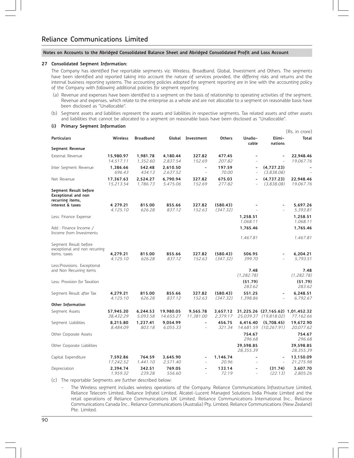#### **27 Consolidated Segment Information:**

The Company has identified five reportable segments viz. Wireless, Broadband, Global, Investment and Others. The segments have been identified and reported taking into account the nature of services provided, the differing risks and returns and the internal business reporting systems. The accounting policies adopted for segment reporting are in line with the accounting policy of the Company with following additional policies for segment reporting.

- (a) Revenue and expenses have been identified to a segment on the basis of relationship to operating activities of the segment. Revenue and expenses, which relate to the enterprise as a whole and are not allocable to a segment on reasonable basis have been disclosed as "Unallocable".
- (b) Segment assets and liabilities represent the assets and liabilities in respective segments. Tax related assets and other assets and liabilities that cannot be allocated to a segment on reasonable basis have been disclosed as "Unallocable".
- **(i) Primary Segment Information**

|                                                                         |                        |                      |                        |                                                      |                      |                               |                                                            | (Rs. in crore)         |
|-------------------------------------------------------------------------|------------------------|----------------------|------------------------|------------------------------------------------------|----------------------|-------------------------------|------------------------------------------------------------|------------------------|
| <b>Particulars</b>                                                      | <b>Wireless</b>        | <b>Broadband</b>     | Global                 | Investment                                           | <b>Others</b>        | Unallo-<br>cable              | Elimi-<br>nations                                          | Total                  |
| Segment Revenue                                                         |                        |                      |                        |                                                      |                      |                               |                                                            |                        |
| External Revenue                                                        | 15,980.97<br>14,517.11 | 1,981.78<br>1,352.60 | 4,180.44<br>2,837.54   | 327.82<br>152.69                                     | 477.45<br>207.82     | $\qquad \qquad \blacksquare$  | $\overline{\phantom{0}}$                                   | 22,948.46<br>19,067.76 |
| Inter Segment Revenue                                                   | 1,386.66<br>696.43     | 542.48<br>434.13     | 2,610.50<br>2,637.52   | $\overline{\phantom{a}}$<br>$\overline{\phantom{a}}$ | 197.59<br>70.00      | ÷<br>$\overline{\phantom{a}}$ | (4,737.23)<br>(3,838.08)                                   |                        |
| Net Revenue                                                             | 17,367.63<br>15,213.54 | 2,524.27<br>1,786.73 | 6,790.94<br>5,475.06   | 327.82<br>152.69                                     | 675.03<br>277.82     | $\overline{\phantom{m}}$      | (4,737.23)<br>(3,838.08)                                   | 22,948.46<br>19,067.76 |
| Segment Result before<br><b>Exceptional and non</b><br>recurring items, |                        |                      |                        |                                                      |                      |                               |                                                            |                        |
| interest & taxes                                                        | 4 279.21<br>4,125.10   | 815.00<br>626.28     | 855.66<br>837.12       | 327.82<br>152.63                                     | (580.43)<br>(347.32) |                               |                                                            | 5,697.26<br>5,393.81   |
| Less: Finance Expense                                                   |                        |                      |                        |                                                      |                      | 1,258.51<br>1,068.11          |                                                            | 1,258.51<br>1,068.11   |
| Add: Finance Income /<br>Income from Investments                        |                        |                      |                        |                                                      |                      | 1,765.46                      |                                                            | 1,765.46               |
| Segment Result before<br>exceptional and non recurring                  |                        |                      |                        |                                                      |                      | 1,467.81                      |                                                            | 1,467.81               |
| items, taxes                                                            | 4,279.21<br>4,125.10   | 815.00<br>626.28     | 855.66<br>837.12       | 327.82<br>152.63                                     | (580.43)<br>(347.32) | 506.95<br>399.70              | ÷                                                          | 6,204.21<br>5.793.51   |
| Less: Provisions, Exceptional<br>and Non Recurring items                |                        |                      |                        |                                                      |                      | 7.48<br>(1, 282.78)           |                                                            | 7.48<br>(1, 282.78)    |
| Less: Provision for Taxation                                            |                        |                      |                        |                                                      |                      | (51.79)<br>283.62             |                                                            | (51.79)<br>283.62      |
| Segment Result after Tax                                                | 4,279.21<br>4,125.10   | 815.00<br>626.28     | 855.66<br>837.12       | 327.82<br>152.63                                     | (580.43)<br>(347.32) | 551.25<br>1,398.86            | $\overline{\phantom{a}}$                                   | 6,248.51<br>6,792.67   |
| Other Information                                                       |                        |                      |                        |                                                      |                      |                               |                                                            |                        |
| Segment Assets                                                          | 57,945.20<br>38,432.29 | 6,244.53<br>5,093.58 | 19,980.05<br>14,655.27 | 9,565.78<br>11,381.00                                | 3,657.12<br>2,379.17 |                               | 31,225.26 (27,165.62) 1,01,452.32<br>25,039.37 (19,818.02) | 77,162.66              |
| Segment Liabilities                                                     | 8,215.80<br>8,484.09   | 1,237.41<br>803.18   | 9.054.99<br>6,055.33   | $\overline{\phantom{a}}$                             | 456.75<br>321.34     | 6.416.40                      | (5.708.45)<br>14,681.59 (10,267.91)                        | 19.672.90<br>20,077.62 |
| Other Corporate Assets                                                  |                        |                      |                        |                                                      |                      | 754.67<br>296.68              |                                                            | 754.67<br>296.68       |
| Other Corporate Liabilities                                             |                        |                      |                        |                                                      |                      | 39,598.85<br>28,355.39        |                                                            | 39,598.85<br>28,355.39 |
| Capital Expenditure                                                     | 7,592.86<br>17,242.52  | 764.59<br>1,441.10   | 3,645.90<br>2,571.40   |                                                      | 1.146.74<br>20.96    |                               |                                                            | 13,150.09<br>21,275.98 |
| Depreciation                                                            | 2,394.74<br>1,959.32   | 342.51<br>239.28     | 769.05<br>556.60       | $\overline{a}$                                       | 133.14<br>72.19      | $\overline{a}$<br>÷           | (31.74)<br>(22.13)                                         | 3,607.70<br>2,805.26   |

(c) The reportable Segments are further described below:

The Wireless segment includes wireless operations of the Company, Reliance Communications Infrastructure Limited, Reliance Telecom Limited, Reliance Infratel Limited, Alcatel-Lucent Managed Solutions India Private Limited and the retail operations of Reliance Communications UK Limited, Reliance Communications International Inc., Reliance Communications Canada Inc., Reliance Communications (Australia) Pty. Limited, Reliance Communications (New Zealand) Pte. Limited.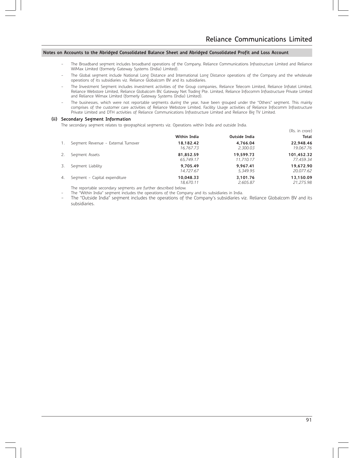- The Broadband segment includes broadband operations of the Company, Reliance Communications Infrastructure Limited and Reliance WiMax Limited (formerly Gateway Systems (India) Limited).
- The Global segment include National Long Distance and International Long Distance operations of the Company and the wholesale operations of its subsidiaries viz. Reliance Globalcom BV and its subsidiaries.
- The Investment Segment includes investment activities of the Group companies, Reliance Telecom Limited, Reliance Infratel Limited, Reliance Webstore Limited, Reliance Globalcom BV, Gateway Net Trading Pte. Limited, Reliance Infocomm Infrastructure Private Limited and Reliance Wimax Limited (formerly Gateway Systems (India) Limited).
- The businesses, which were not reportable segments during the year, have been grouped under the "Others" segment. This mainly comprises of the customer care activities of Reliance Webstore Limited, Facility Usage activities of Reliance Infocomm Infrastructure Private Limited and DTH activities of Reliance Communications Infrastructure Limited and Reliance Big TV Limited.

#### **(ii) Secondary Segment Information**

The secondary segment relates to geographical segments viz. Operations within India and outside India.

|         |                                     |                        |                        | (Rs. in crore)          |
|---------|-------------------------------------|------------------------|------------------------|-------------------------|
|         |                                     | Within India           | Outside India          | <b>Total</b>            |
| $1_{-}$ | Segment Revenue - External Turnover | 18.182.42<br>16.767.73 | 4.766.04<br>2.300.03   | 22.948.46<br>19,067.76  |
| 2.      | Segment Assets                      | 81.852.59<br>65.749.17 | 19.599.73<br>11.710.17 | 101.452.32<br>77.459.34 |
| 3.      | Segment Liability                   | 9.705.49<br>14.727.67  | 9.967.41<br>5.349.95   | 19.672.90<br>20.077.62  |
| 4.      | Segment - Capital expenditure       | 10.048.33<br>18,670.11 | 3.101.76<br>2.605.87   | 13.150.09<br>21.275.98  |

The reportable secondary segments are further described below.

The "Within India" segment includes the operations of the Company and its subsidiaries in India.

- The "Outside India" segment includes the operations of the Company's subsidiaries viz. Reliance Globalcom BV and its subsidiaries.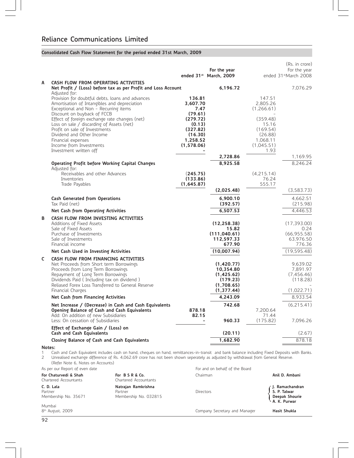## **Consolidated Cash Flow Statement for the period ended 31st March, 2009**

|        |                                                                                                        |                        | For the year                       |                        | (Rs. in crore)<br>For the year |
|--------|--------------------------------------------------------------------------------------------------------|------------------------|------------------------------------|------------------------|--------------------------------|
|        |                                                                                                        |                        | ended 31 <sup>st</sup> March, 2009 |                        | ended 31stMarch 2008           |
| A      | CASH FLOW FROM OPERATING ACTIVITIES                                                                    |                        |                                    |                        |                                |
|        | Net Profit / (Loss) before tax as per Profit and Loss Account                                          |                        | 6,196.72                           |                        | 7,076.29                       |
|        | Adjusted for:<br>Provision for doubtful debts, loans and advances                                      | 136.81                 |                                    | 147.51                 |                                |
|        | Amortisation of Intangibles and depreciation                                                           | 3,607.70               |                                    | 2,805.26               |                                |
|        | Exceptional and Non - Recurring items                                                                  | 7.47                   |                                    | (1, 266.61)            |                                |
|        | Discount on buyback of FCCB<br>Effect of foreign exchange rate changes (net)                           | (79.61)<br>(279.72)    |                                    | (359.48)               |                                |
|        | Loss on sale / discarding of Assets (net)                                                              | (0.13)                 |                                    | 15.16                  |                                |
|        | Profit on sale of Investments                                                                          | (327.82)               |                                    | (169.54)               |                                |
|        | Dividend and Other Income                                                                              | (16.30)                |                                    | (26.88)                |                                |
|        | Financial expenses<br>Income from Investments                                                          | 1,258.52<br>(1,578.06) |                                    | 1,068.11<br>(1,045.51) |                                |
|        | Investment written off                                                                                 |                        |                                    | 1.93                   |                                |
|        |                                                                                                        |                        | 2,728.86                           |                        | 1,169.95                       |
|        | Operating Profit before Working Capital Changes                                                        |                        | 8,925.58                           |                        | 8,246.24                       |
|        | Adjusted for:<br>Receivables and other Advances                                                        | (245.75)               |                                    | (4,215.14)             |                                |
|        | Inventories                                                                                            | (133.86)               |                                    | 76.24                  |                                |
|        | Trade Payables                                                                                         | (1,645.87)             |                                    | 555.17                 |                                |
|        |                                                                                                        |                        | (2,025.48)                         |                        | (3,583.73)                     |
|        | <b>Cash Generated from Operations</b>                                                                  |                        | 6,900.10                           |                        | 4,662.51                       |
|        | Tax Paid (net)                                                                                         |                        | (392.57)                           |                        | (215.98)                       |
|        | Net Cash from Operating Activities                                                                     |                        | 6,507.53                           |                        | 4,446.53                       |
| B      | CASH FLOW FROM INVESTING ACTIVITIES                                                                    |                        |                                    |                        |                                |
|        | Additions of Fixed Assets<br>Sale of Fixed Assets                                                      |                        | (12, 258.38)<br>15.82              |                        | (17, 393.00)<br>0.24           |
|        | Purchase of Investments                                                                                |                        | (111, 040.61)                      |                        | (66,955.58)                    |
|        | Sale of Investments                                                                                    |                        | 112,597.33                         |                        | 63,976.50                      |
|        | Financial income                                                                                       |                        | 677.90                             |                        | 776.36                         |
|        | Net Cash Used in Investing Activities                                                                  |                        | (10,007.94)                        |                        | (19, 595.48)                   |
| C      | CASH FLOW FROM FINANCING ACTIVITIES                                                                    |                        | (1,420.77)                         |                        |                                |
|        | Net Proceeds from Short term Borrowings<br>Proceeds from Long Term Borrowings                          |                        | 10,354.80                          |                        | 9,639.02<br>7.891.97           |
|        | Repayment of Long Term Borrowings                                                                      |                        | (1, 425.62)                        |                        | (7,456.46)                     |
|        | Dividends Paid (Including tax on dividend)                                                             |                        | (179.23)                           |                        | (118.28)                       |
|        | Reliased Forex Loss Transferred to General Reserve<br>Financial Charges                                |                        | (1,708.65)<br>(1,377.44)           |                        | (1,022.71)                     |
|        | Net Cash from Financing Activities                                                                     |                        | 4,243.09                           |                        | 8,933.54                       |
|        |                                                                                                        |                        | 742.68                             |                        | (6, 215.41)                    |
|        | Net Increase / (Decrease) in Cash and Cash Equivalents<br>Opening Balance of Cash and Cash Equivalents | 878.18                 |                                    | 7,200.64               |                                |
|        | Add: On addition of new Subsidiaries                                                                   | 82.15                  |                                    | 71.44                  |                                |
|        | Less: On cessation of Subsidiaries                                                                     |                        | 960.33                             | (175.82)               | 7,096.26                       |
|        | Effect of Exchange Gain / (Loss) on                                                                    |                        |                                    |                        |                                |
|        | Cash and Cash Equivalents                                                                              |                        | (20.11)                            |                        | (2.67)                         |
|        | Closing Balance of Cash and Cash Equivalents                                                           |                        | 1,682.90                           |                        | 878.18                         |
| Notes: |                                                                                                        |                        |                                    |                        |                                |

1 Cash and Cash Equivalent includes cash on hand, cheques on hand, remittances-in-transit and bank balance including Fixed Deposits with Banks.<br>2 Unrealised exchange difference of Rs. 4,062.69 crore has not been shown sepe

2 Unrealised exchange difference of Rs. 4,062.69 crore has not been shown seperately as adjusted by withdrawal from General Reserve. (Refer Note 6, Notes on Accounts)

| As per our Report of even date                 |                                                         | For and on behalf of the Board |                                                                     |
|------------------------------------------------|---------------------------------------------------------|--------------------------------|---------------------------------------------------------------------|
| For Chaturvedi & Shah<br>Chartered Accountants | For B S R & Co.<br>Chartered Accountants                | Chairman                       | Anil D. Ambani                                                      |
| C. D. Lala<br>Partner<br>Membership No. 35671  | Natrajan Ramkrishna<br>Partner<br>Membership No. 032815 | <b>Directors</b>               | ∠ J. Ramachandran<br>S. P. Talwar<br>Deepak Shourie<br>A. K. Purwar |
| Mumbai<br>8 <sup>th</sup> August, 2009         |                                                         | Company Secretary and Manager  | Hasit Shukla                                                        |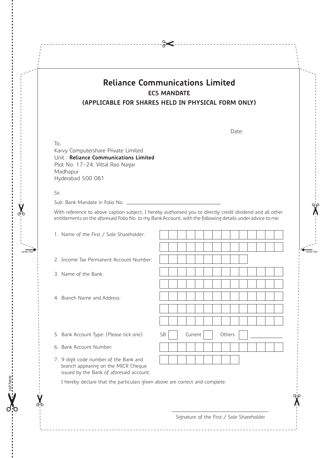

Signature of the First / Sole Shareholder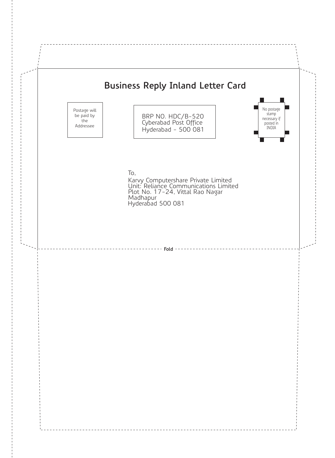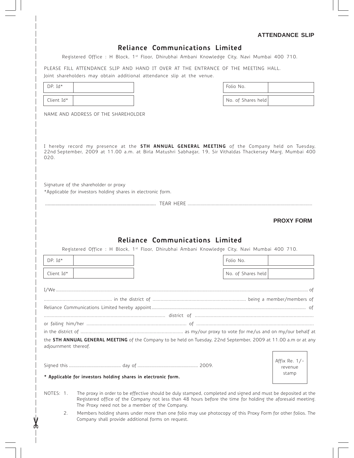## **ATTENDANCE SLIP**

# **Reliance Communications Limited**

Registered Office : H Block, 1st Floor, Dhirubhai Ambani Knowledge City, Navi Mumbai 400 710.

PLEASE FILL ATTENDANCE SLIP AND HAND IT OVER AT THE ENTRANCE OF THE MEETING HALL.

Joint shareholders may obtain additional attendance slip at the venue.

| $DP.$ Id*                                                                                                                                                                                                                    | Folio No.          |  |
|------------------------------------------------------------------------------------------------------------------------------------------------------------------------------------------------------------------------------|--------------------|--|
| Client Id*                                                                                                                                                                                                                   | No. of Shares held |  |
| NAME AND ADDRESS OF THE SHAREHOLDER                                                                                                                                                                                          |                    |  |
|                                                                                                                                                                                                                              |                    |  |
| I hereby record my presence at the <b>5TH ANNUAL GENERAL MEETING</b> of the Company held on Tuesday,<br>22nd September, 2009 at 11.00 a.m. at Birla Matushri Sabhagar, 19, Sir Vithaldas Thackersey Marg, Mumbai 400<br>020. |                    |  |
| Signature of the shareholder or proxy<br>*Applicable for investors holding shares in electronic form.                                                                                                                        |                    |  |
|                                                                                                                                                                                                                              |                    |  |
|                                                                                                                                                                                                                              |                    |  |

| l Folio No.        |  |
|--------------------|--|
| No. of Shares held |  |

**PROXY FORM**

# **Reliance Communications Limited**

Registered Office : H Block, 1<sup>st</sup> Floor, Dhirubhai Ambani Knowledge City, Navi Mumbai 400 710.

| $DP.$ Id*                                                     | Folio No.                                                                                                                                                                                                                  |                                     |
|---------------------------------------------------------------|----------------------------------------------------------------------------------------------------------------------------------------------------------------------------------------------------------------------------|-------------------------------------|
| Client Id*                                                    | No. of Shares held                                                                                                                                                                                                         |                                     |
|                                                               |                                                                                                                                                                                                                            |                                     |
|                                                               |                                                                                                                                                                                                                            |                                     |
|                                                               |                                                                                                                                                                                                                            |                                     |
|                                                               |                                                                                                                                                                                                                            |                                     |
|                                                               |                                                                                                                                                                                                                            |                                     |
| adjournment thereof.                                          | the 5TH ANNUAL GENERAL MEETING of the Company to be held on Tuesday, 22nd September, 2009 at 11.00 a.m or at any                                                                                                           |                                     |
| * Applicable for investors holding shares in electronic form. |                                                                                                                                                                                                                            | Affix Re. $1/-$<br>revenue<br>stamp |
| NOTES: 1.<br>The Proxy need not be a member of the Company.   | The proxy in order to be effective should be duly stamped, completed and signed and must be deposited at the<br>Registered office of the Company not less than 48 hours before the time for holding the aforesaid meeting. |                                     |
| 2.                                                            | Members holding shares under more than one folio may use photocopy of this Proxy Form for other folios. The                                                                                                                |                                     |

Company shall provide additional forms on request.